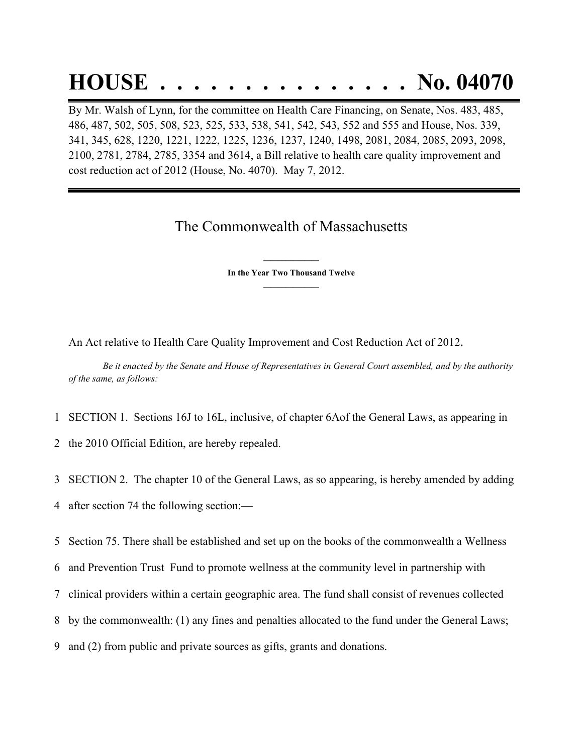## **HOUSE . . . . . . . . . . . . . . . No. 04070**

By Mr. Walsh of Lynn, for the committee on Health Care Financing, on Senate, Nos. 483, 485, 486, 487, 502, 505, 508, 523, 525, 533, 538, 541, 542, 543, 552 and 555 and House, Nos. 339, 341, 345, 628, 1220, 1221, 1222, 1225, 1236, 1237, 1240, 1498, 2081, 2084, 2085, 2093, 2098, 2100, 2781, 2784, 2785, 3354 and 3614, a Bill relative to health care quality improvement and cost reduction act of 2012 (House, No. 4070). May 7, 2012.

## The Commonwealth of Massachusetts

**\_\_\_\_\_\_\_\_\_\_\_\_\_\_\_ In the Year Two Thousand Twelve \_\_\_\_\_\_\_\_\_\_\_\_\_\_\_**

An Act relative to Health Care Quality Improvement and Cost Reduction Act of 2012.

Be it enacted by the Senate and House of Representatives in General Court assembled, and by the authority *of the same, as follows:*

1 SECTION 1. Sections 16J to 16L, inclusive, of chapter 6Aof the General Laws, as appearing in

2 the 2010 Official Edition, are hereby repealed.

3 SECTION 2. The chapter 10 of the General Laws, as so appearing, is hereby amended by adding

4 after section 74 the following section:—

5 Section 75. There shall be established and set up on the books of the commonwealth a Wellness

6 and Prevention Trust Fund to promote wellness at the community level in partnership with

7 clinical providers within a certain geographic area. The fund shall consist of revenues collected

8 by the commonwealth: (1) any fines and penalties allocated to the fund under the General Laws;

9 and (2) from public and private sources as gifts, grants and donations.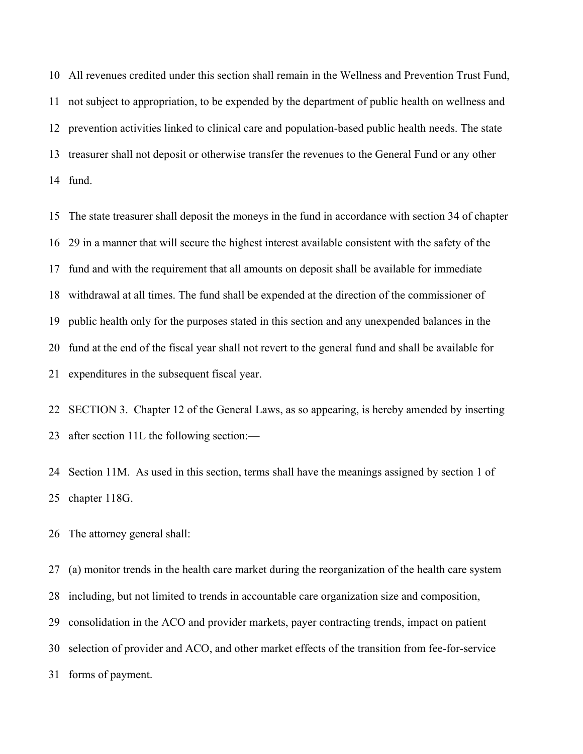All revenues credited under this section shall remain in the Wellness and Prevention Trust Fund, not subject to appropriation, to be expended by the department of public health on wellness and prevention activities linked to clinical care and population-based public health needs. The state treasurer shall not deposit or otherwise transfer the revenues to the General Fund or any other fund.

 The state treasurer shall deposit the moneys in the fund in accordance with section 34 of chapter 29 in a manner that will secure the highest interest available consistent with the safety of the fund and with the requirement that all amounts on deposit shall be available for immediate withdrawal at all times. The fund shall be expended at the direction of the commissioner of public health only for the purposes stated in this section and any unexpended balances in the fund at the end of the fiscal year shall not revert to the general fund and shall be available for expenditures in the subsequent fiscal year.

 SECTION 3. Chapter 12 of the General Laws, as so appearing, is hereby amended by inserting after section 11L the following section:—

 Section 11M. As used in this section, terms shall have the meanings assigned by section 1 of chapter 118G.

The attorney general shall:

 (a) monitor trends in the health care market during the reorganization of the health care system including, but not limited to trends in accountable care organization size and composition, consolidation in the ACO and provider markets, payer contracting trends, impact on patient selection of provider and ACO, and other market effects of the transition from fee-for-service forms of payment.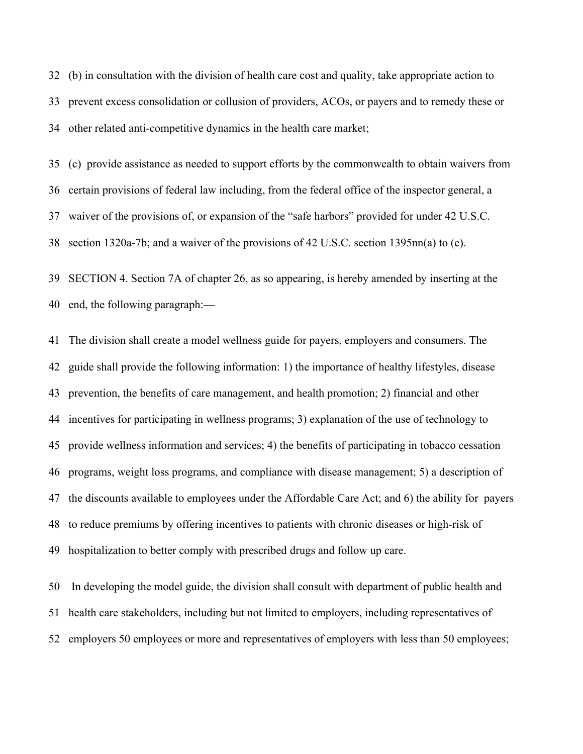(b) in consultation with the division of health care cost and quality, take appropriate action to prevent excess consolidation or collusion of providers, ACOs, or payers and to remedy these or other related anti-competitive dynamics in the health care market;

 (c) provide assistance as needed to support efforts by the commonwealth to obtain waivers from certain provisions of federal law including, from the federal office of the inspector general, a waiver of the provisions of, or expansion of the "safe harbors" provided for under 42 U.S.C. section 1320a-7b; and a waiver of the provisions of 42 U.S.C. section 1395nn(a) to (e).

 SECTION 4. Section 7A of chapter 26, as so appearing, is hereby amended by inserting at the end, the following paragraph:—

 The division shall create a model wellness guide for payers, employers and consumers. The guide shall provide the following information: 1) the importance of healthy lifestyles, disease prevention, the benefits of care management, and health promotion; 2) financial and other incentives for participating in wellness programs; 3) explanation of the use of technology to provide wellness information and services; 4) the benefits of participating in tobacco cessation programs, weight loss programs, and compliance with disease management; 5) a description of the discounts available to employees under the Affordable Care Act; and 6) the ability for payers to reduce premiums by offering incentives to patients with chronic diseases or high-risk of hospitalization to better comply with prescribed drugs and follow up care.

 In developing the model guide, the division shall consult with department of public health and health care stakeholders, including but not limited to employers, including representatives of employers 50 employees or more and representatives of employers with less than 50 employees;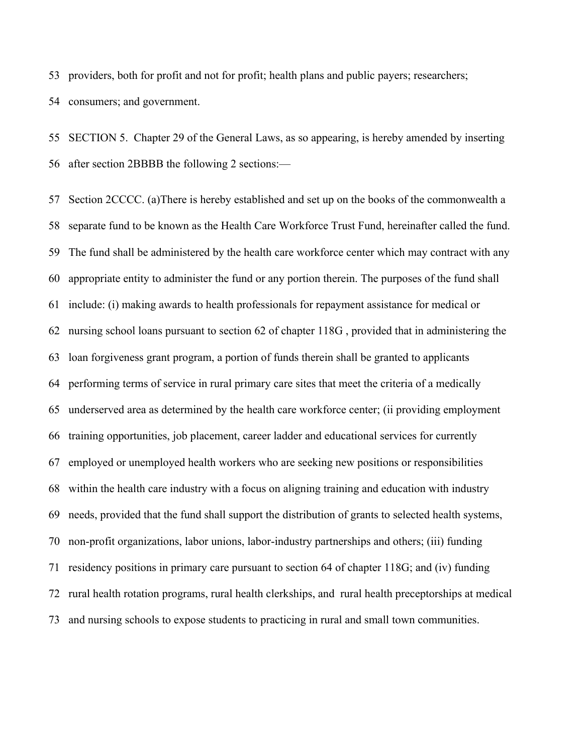providers, both for profit and not for profit; health plans and public payers; researchers; consumers; and government.

 SECTION 5. Chapter 29 of the General Laws, as so appearing, is hereby amended by inserting after section 2BBBB the following 2 sections:—

 Section 2CCCC. (a)There is hereby established and set up on the books of the commonwealth a separate fund to be known as the Health Care Workforce Trust Fund, hereinafter called the fund. The fund shall be administered by the health care workforce center which may contract with any appropriate entity to administer the fund or any portion therein. The purposes of the fund shall include: (i) making awards to health professionals for repayment assistance for medical or nursing school loans pursuant to section 62 of chapter 118G , provided that in administering the loan forgiveness grant program, a portion of funds therein shall be granted to applicants performing terms of service in rural primary care sites that meet the criteria of a medically underserved area as determined by the health care workforce center; (ii providing employment training opportunities, job placement, career ladder and educational services for currently employed or unemployed health workers who are seeking new positions or responsibilities within the health care industry with a focus on aligning training and education with industry needs, provided that the fund shall support the distribution of grants to selected health systems, non-profit organizations, labor unions, labor-industry partnerships and others; (iii) funding residency positions in primary care pursuant to section 64 of chapter 118G; and (iv) funding rural health rotation programs, rural health clerkships, and rural health preceptorships at medical and nursing schools to expose students to practicing in rural and small town communities.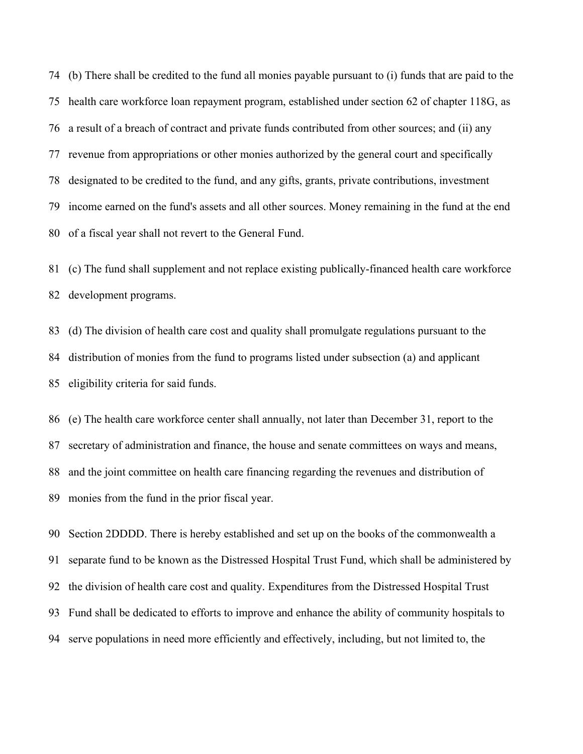(b) There shall be credited to the fund all monies payable pursuant to (i) funds that are paid to the health care workforce loan repayment program, established under section 62 of chapter 118G, as a result of a breach of contract and private funds contributed from other sources; and (ii) any revenue from appropriations or other monies authorized by the general court and specifically designated to be credited to the fund, and any gifts, grants, private contributions, investment income earned on the fund's assets and all other sources. Money remaining in the fund at the end of a fiscal year shall not revert to the General Fund.

 (c) The fund shall supplement and not replace existing publically-financed health care workforce development programs.

 (d) The division of health care cost and quality shall promulgate regulations pursuant to the distribution of monies from the fund to programs listed under subsection (a) and applicant eligibility criteria for said funds.

 (e) The health care workforce center shall annually, not later than December 31, report to the secretary of administration and finance, the house and senate committees on ways and means, and the joint committee on health care financing regarding the revenues and distribution of monies from the fund in the prior fiscal year.

 Section 2DDDD. There is hereby established and set up on the books of the commonwealth a separate fund to be known as the Distressed Hospital Trust Fund, which shall be administered by the division of health care cost and quality. Expenditures from the Distressed Hospital Trust Fund shall be dedicated to efforts to improve and enhance the ability of community hospitals to serve populations in need more efficiently and effectively, including, but not limited to, the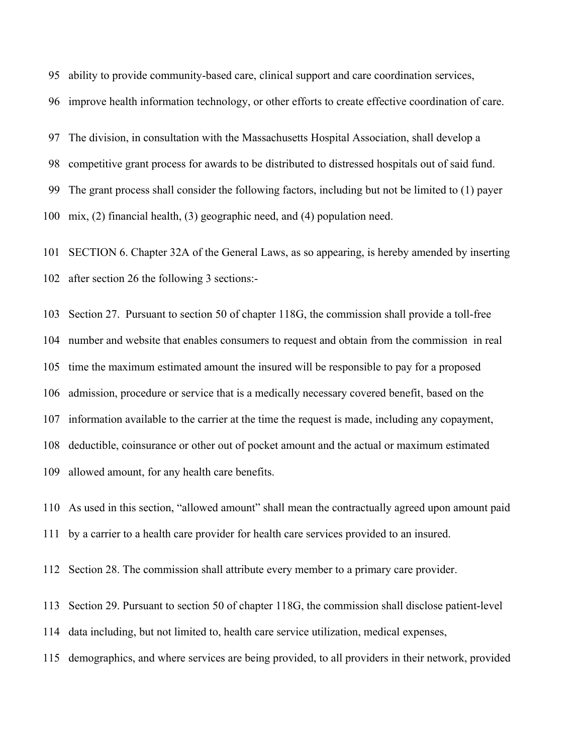ability to provide community-based care, clinical support and care coordination services,

improve health information technology, or other efforts to create effective coordination of care.

The division, in consultation with the Massachusetts Hospital Association, shall develop a

competitive grant process for awards to be distributed to distressed hospitals out of said fund.

The grant process shall consider the following factors, including but not be limited to (1) payer

mix, (2) financial health, (3) geographic need, and (4) population need.

 SECTION 6. Chapter 32A of the General Laws, as so appearing, is hereby amended by inserting after section 26 the following 3 sections:-

 Section 27. Pursuant to section 50 of chapter 118G, the commission shall provide a toll-free number and website that enables consumers to request and obtain from the commission in real time the maximum estimated amount the insured will be responsible to pay for a proposed admission, procedure or service that is a medically necessary covered benefit, based on the information available to the carrier at the time the request is made, including any copayment, deductible, coinsurance or other out of pocket amount and the actual or maximum estimated allowed amount, for any health care benefits.

 As used in this section, "allowed amount" shall mean the contractually agreed upon amount paid by a carrier to a health care provider for health care services provided to an insured.

Section 28. The commission shall attribute every member to a primary care provider.

Section 29. Pursuant to section 50 of chapter 118G, the commission shall disclose patient-level

data including, but not limited to, health care service utilization, medical expenses,

demographics, and where services are being provided, to all providers in their network, provided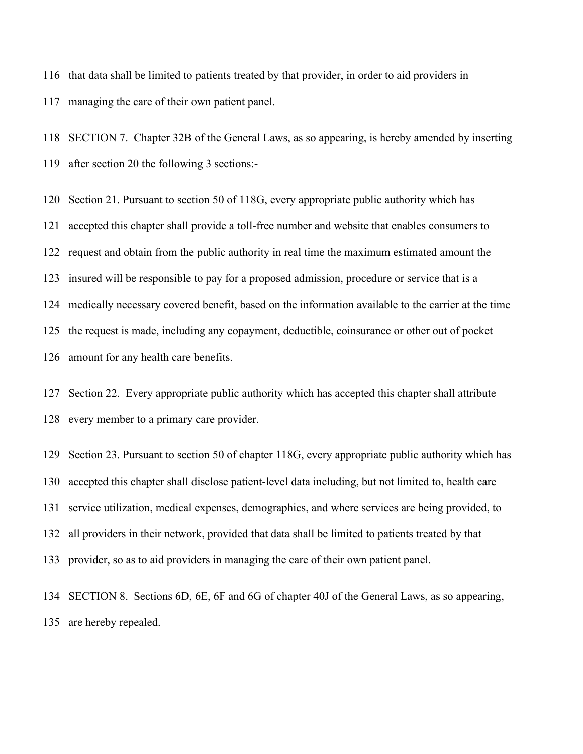that data shall be limited to patients treated by that provider, in order to aid providers in managing the care of their own patient panel.

 SECTION 7. Chapter 32B of the General Laws, as so appearing, is hereby amended by inserting after section 20 the following 3 sections:-

 Section 21. Pursuant to section 50 of 118G, every appropriate public authority which has accepted this chapter shall provide a toll-free number and website that enables consumers to request and obtain from the public authority in real time the maximum estimated amount the insured will be responsible to pay for a proposed admission, procedure or service that is a medically necessary covered benefit, based on the information available to the carrier at the time the request is made, including any copayment, deductible, coinsurance or other out of pocket amount for any health care benefits.

 Section 22. Every appropriate public authority which has accepted this chapter shall attribute every member to a primary care provider.

 Section 23. Pursuant to section 50 of chapter 118G, every appropriate public authority which has accepted this chapter shall disclose patient-level data including, but not limited to, health care service utilization, medical expenses, demographics, and where services are being provided, to all providers in their network, provided that data shall be limited to patients treated by that provider, so as to aid providers in managing the care of their own patient panel.

 SECTION 8. Sections 6D, 6E, 6F and 6G of chapter 40J of the General Laws, as so appearing, are hereby repealed.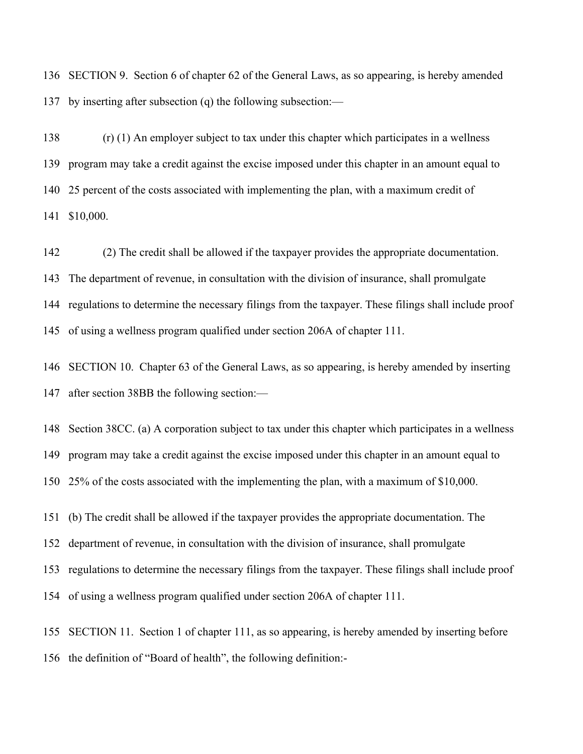SECTION 9. Section 6 of chapter 62 of the General Laws, as so appearing, is hereby amended by inserting after subsection (q) the following subsection:—

 (r) (1) An employer subject to tax under this chapter which participates in a wellness program may take a credit against the excise imposed under this chapter in an amount equal to 25 percent of the costs associated with implementing the plan, with a maximum credit of \$10,000.

 (2) The credit shall be allowed if the taxpayer provides the appropriate documentation. The department of revenue, in consultation with the division of insurance, shall promulgate regulations to determine the necessary filings from the taxpayer. These filings shall include proof of using a wellness program qualified under section 206A of chapter 111.

 SECTION 10. Chapter 63 of the General Laws, as so appearing, is hereby amended by inserting after section 38BB the following section:—

 Section 38CC. (a) A corporation subject to tax under this chapter which participates in a wellness program may take a credit against the excise imposed under this chapter in an amount equal to 25% of the costs associated with the implementing the plan, with a maximum of \$10,000.

(b) The credit shall be allowed if the taxpayer provides the appropriate documentation. The

department of revenue, in consultation with the division of insurance, shall promulgate

regulations to determine the necessary filings from the taxpayer. These filings shall include proof

of using a wellness program qualified under section 206A of chapter 111.

 SECTION 11. Section 1 of chapter 111, as so appearing, is hereby amended by inserting before the definition of "Board of health", the following definition:-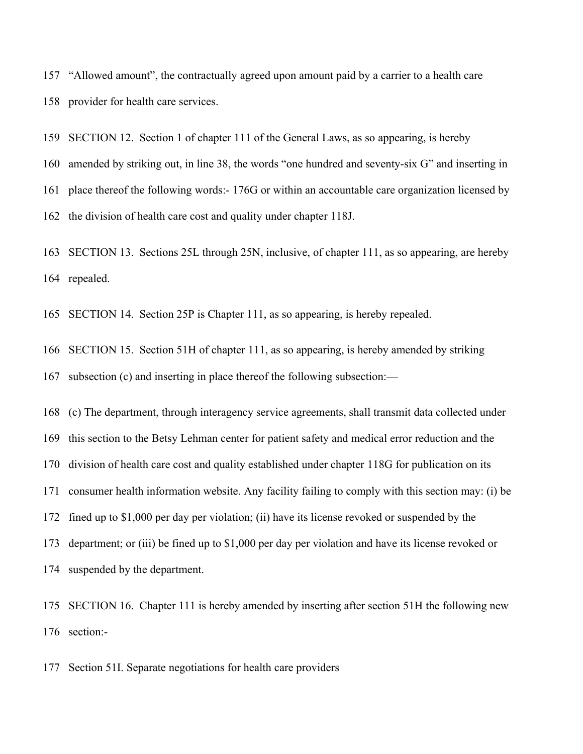"Allowed amount", the contractually agreed upon amount paid by a carrier to a health care provider for health care services.

 SECTION 12. Section 1 of chapter 111 of the General Laws, as so appearing, is hereby amended by striking out, in line 38, the words "one hundred and seventy-six G" and inserting in place thereof the following words:- 176G or within an accountable care organization licensed by the division of health care cost and quality under chapter 118J.

 SECTION 13. Sections 25L through 25N, inclusive, of chapter 111, as so appearing, are hereby repealed.

SECTION 14. Section 25P is Chapter 111, as so appearing, is hereby repealed.

 SECTION 15. Section 51H of chapter 111, as so appearing, is hereby amended by striking subsection (c) and inserting in place thereof the following subsection:—

 (c) The department, through interagency service agreements, shall transmit data collected under this section to the Betsy Lehman center for patient safety and medical error reduction and the division of health care cost and quality established under chapter 118G for publication on its consumer health information website. Any facility failing to comply with this section may: (i) be fined up to \$1,000 per day per violation; (ii) have its license revoked or suspended by the department; or (iii) be fined up to \$1,000 per day per violation and have its license revoked or suspended by the department.

 SECTION 16. Chapter 111 is hereby amended by inserting after section 51H the following new section:-

Section 51I. Separate negotiations for health care providers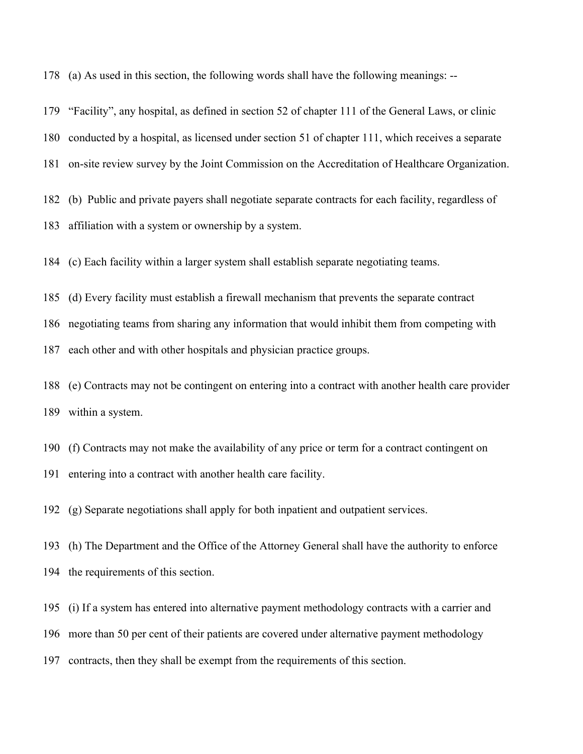(a) As used in this section, the following words shall have the following meanings: --

 "Facility", any hospital, as defined in section 52 of chapter 111 of the General Laws, or clinic conducted by a hospital, as licensed under section 51 of chapter 111, which receives a separate on-site review survey by the Joint Commission on the Accreditation of Healthcare Organization.

 (b) Public and private payers shall negotiate separate contracts for each facility, regardless of affiliation with a system or ownership by a system.

(c) Each facility within a larger system shall establish separate negotiating teams.

(d) Every facility must establish a firewall mechanism that prevents the separate contract

negotiating teams from sharing any information that would inhibit them from competing with

each other and with other hospitals and physician practice groups.

 (e) Contracts may not be contingent on entering into a contract with another health care provider within a system.

(f) Contracts may not make the availability of any price or term for a contract contingent on

entering into a contract with another health care facility.

(g) Separate negotiations shall apply for both inpatient and outpatient services.

 (h) The Department and the Office of the Attorney General shall have the authority to enforce the requirements of this section.

(i) If a system has entered into alternative payment methodology contracts with a carrier and

more than 50 per cent of their patients are covered under alternative payment methodology

contracts, then they shall be exempt from the requirements of this section.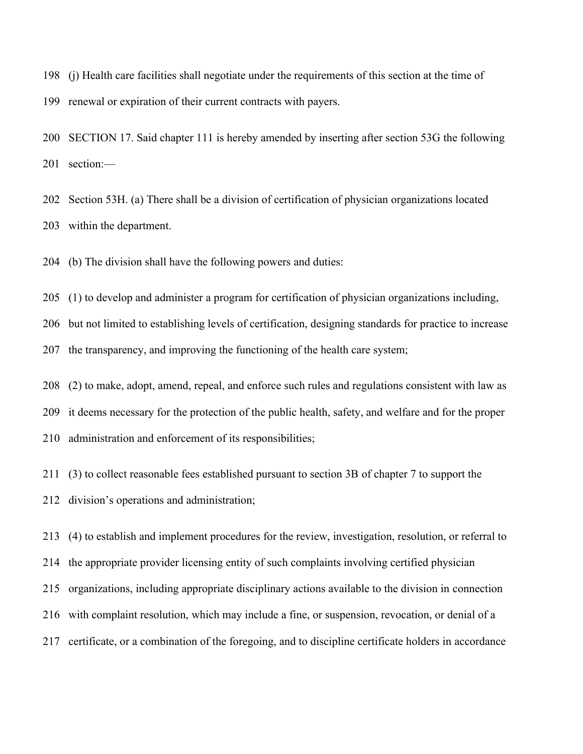(j) Health care facilities shall negotiate under the requirements of this section at the time of renewal or expiration of their current contracts with payers.

 SECTION 17. Said chapter 111 is hereby amended by inserting after section 53G the following section:—

 Section 53H. (a) There shall be a division of certification of physician organizations located within the department.

(b) The division shall have the following powers and duties:

(1) to develop and administer a program for certification of physician organizations including,

 but not limited to establishing levels of certification, designing standards for practice to increase the transparency, and improving the functioning of the health care system;

(2) to make, adopt, amend, repeal, and enforce such rules and regulations consistent with law as

it deems necessary for the protection of the public health, safety, and welfare and for the proper

administration and enforcement of its responsibilities;

(3) to collect reasonable fees established pursuant to section 3B of chapter 7 to support the

division's operations and administration;

 (4) to establish and implement procedures for the review, investigation, resolution, or referral to the appropriate provider licensing entity of such complaints involving certified physician organizations, including appropriate disciplinary actions available to the division in connection with complaint resolution, which may include a fine, or suspension, revocation, or denial of a certificate, or a combination of the foregoing, and to discipline certificate holders in accordance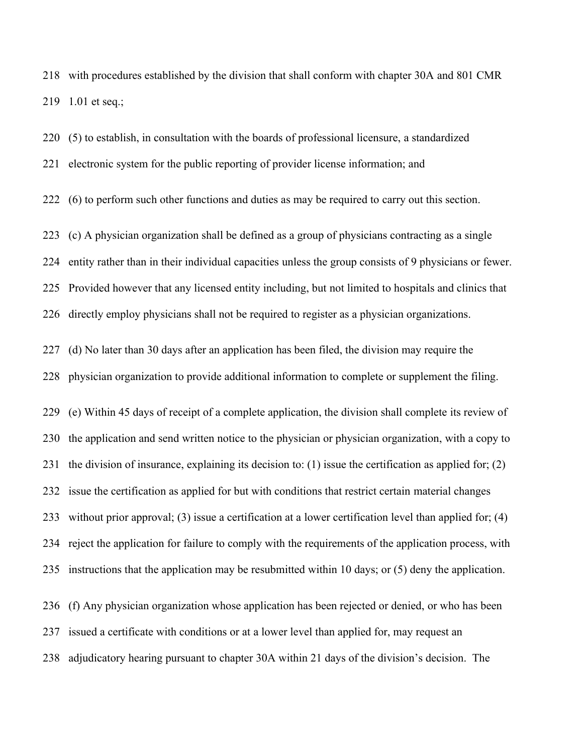with procedures established by the division that shall conform with chapter 30A and 801 CMR 1.01 et seq.;

(5) to establish, in consultation with the boards of professional licensure, a standardized

electronic system for the public reporting of provider license information; and

(6) to perform such other functions and duties as may be required to carry out this section.

 (c) A physician organization shall be defined as a group of physicians contracting as a single entity rather than in their individual capacities unless the group consists of 9 physicians or fewer. Provided however that any licensed entity including, but not limited to hospitals and clinics that directly employ physicians shall not be required to register as a physician organizations.

 (d) No later than 30 days after an application has been filed, the division may require the physician organization to provide additional information to complete or supplement the filing.

 (e) Within 45 days of receipt of a complete application, the division shall complete its review of the application and send written notice to the physician or physician organization, with a copy to the division of insurance, explaining its decision to: (1) issue the certification as applied for; (2) issue the certification as applied for but with conditions that restrict certain material changes without prior approval; (3) issue a certification at a lower certification level than applied for; (4) reject the application for failure to comply with the requirements of the application process, with instructions that the application may be resubmitted within 10 days; or (5) deny the application.

 (f) Any physician organization whose application has been rejected or denied, or who has been issued a certificate with conditions or at a lower level than applied for, may request an adjudicatory hearing pursuant to chapter 30A within 21 days of the division's decision. The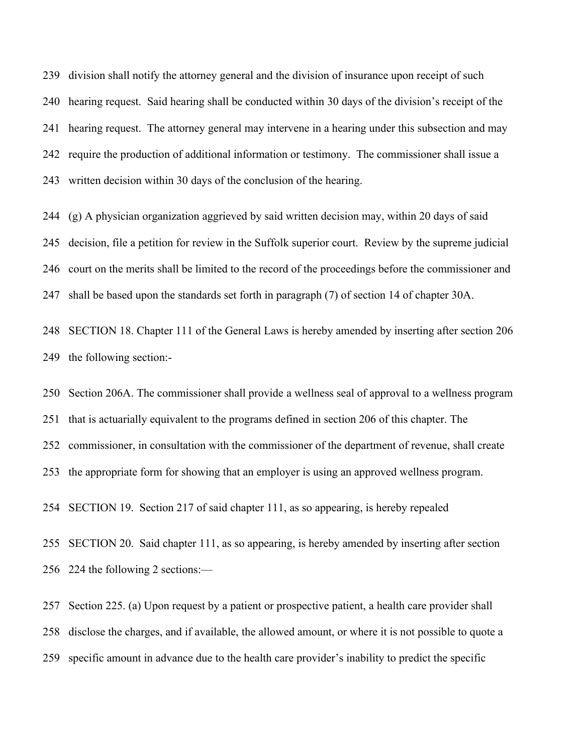division shall notify the attorney general and the division of insurance upon receipt of such hearing request. Said hearing shall be conducted within 30 days of the division's receipt of the hearing request. The attorney general may intervene in a hearing under this subsection and may require the production of additional information or testimony. The commissioner shall issue a written decision within 30 days of the conclusion of the hearing.

 (g) A physician organization aggrieved by said written decision may, within 20 days of said decision, file a petition for review in the Suffolk superior court. Review by the supreme judicial court on the merits shall be limited to the record of the proceedings before the commissioner and shall be based upon the standards set forth in paragraph (7) of section 14 of chapter 30A.

 SECTION 18. Chapter 111 of the General Laws is hereby amended by inserting after section 206 the following section:-

 Section 206A. The commissioner shall provide a wellness seal of approval to a wellness program that is actuarially equivalent to the programs defined in section 206 of this chapter. The commissioner, in consultation with the commissioner of the department of revenue, shall create the appropriate form for showing that an employer is using an approved wellness program.

SECTION 19. Section 217 of said chapter 111, as so appearing, is hereby repealed

 SECTION 20. Said chapter 111, as so appearing, is hereby amended by inserting after section 224 the following 2 sections:—

 Section 225. (a) Upon request by a patient or prospective patient, a health care provider shall disclose the charges, and if available, the allowed amount, or where it is not possible to quote a specific amount in advance due to the health care provider's inability to predict the specific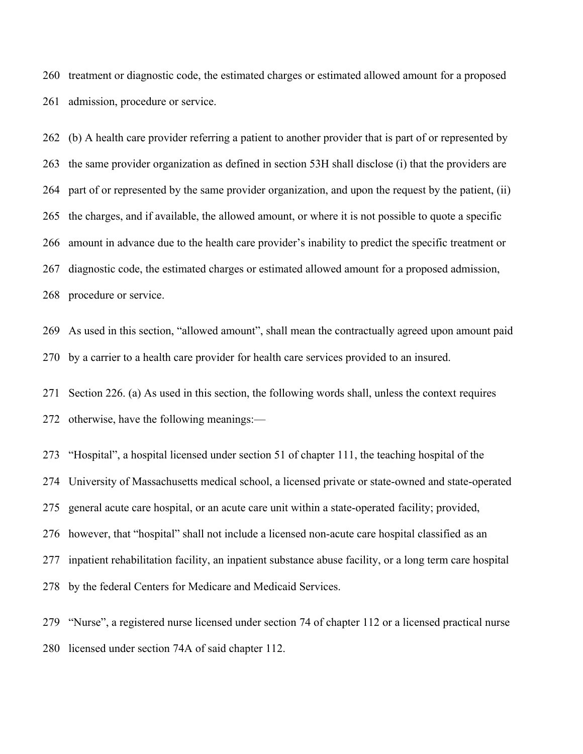treatment or diagnostic code, the estimated charges or estimated allowed amount for a proposed admission, procedure or service.

 (b) A health care provider referring a patient to another provider that is part of or represented by the same provider organization as defined in section 53H shall disclose (i) that the providers are part of or represented by the same provider organization, and upon the request by the patient, (ii) the charges, and if available, the allowed amount, or where it is not possible to quote a specific amount in advance due to the health care provider's inability to predict the specific treatment or diagnostic code, the estimated charges or estimated allowed amount for a proposed admission, procedure or service.

 As used in this section, "allowed amount", shall mean the contractually agreed upon amount paid by a carrier to a health care provider for health care services provided to an insured.

 Section 226. (a) As used in this section, the following words shall, unless the context requires otherwise, have the following meanings:—

 "Hospital", a hospital licensed under section 51 of chapter 111, the teaching hospital of the University of Massachusetts medical school, a licensed private or state-owned and state-operated general acute care hospital, or an acute care unit within a state-operated facility; provided, however, that "hospital" shall not include a licensed non-acute care hospital classified as an inpatient rehabilitation facility, an inpatient substance abuse facility, or a long term care hospital by the federal Centers for Medicare and Medicaid Services.

 "Nurse", a registered nurse licensed under section 74 of chapter 112 or a licensed practical nurse licensed under section 74A of said chapter 112.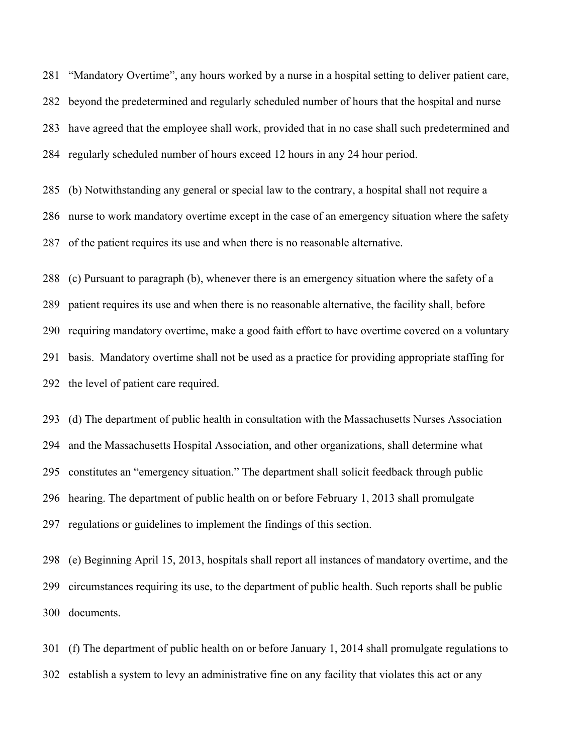"Mandatory Overtime", any hours worked by a nurse in a hospital setting to deliver patient care, beyond the predetermined and regularly scheduled number of hours that the hospital and nurse have agreed that the employee shall work, provided that in no case shall such predetermined and regularly scheduled number of hours exceed 12 hours in any 24 hour period.

 (b) Notwithstanding any general or special law to the contrary, a hospital shall not require a nurse to work mandatory overtime except in the case of an emergency situation where the safety of the patient requires its use and when there is no reasonable alternative.

 (c) Pursuant to paragraph (b), whenever there is an emergency situation where the safety of a patient requires its use and when there is no reasonable alternative, the facility shall, before requiring mandatory overtime, make a good faith effort to have overtime covered on a voluntary basis. Mandatory overtime shall not be used as a practice for providing appropriate staffing for the level of patient care required.

 (d) The department of public health in consultation with the Massachusetts Nurses Association and the Massachusetts Hospital Association, and other organizations, shall determine what constitutes an "emergency situation." The department shall solicit feedback through public hearing. The department of public health on or before February 1, 2013 shall promulgate regulations or guidelines to implement the findings of this section.

 (e) Beginning April 15, 2013, hospitals shall report all instances of mandatory overtime, and the circumstances requiring its use, to the department of public health. Such reports shall be public documents.

 (f) The department of public health on or before January 1, 2014 shall promulgate regulations to establish a system to levy an administrative fine on any facility that violates this act or any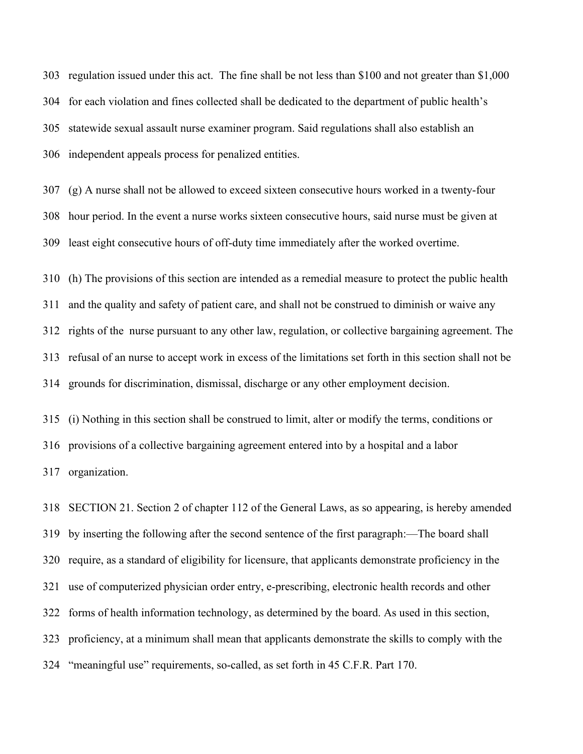regulation issued under this act. The fine shall be not less than \$100 and not greater than \$1,000 for each violation and fines collected shall be dedicated to the department of public health's statewide sexual assault nurse examiner program. Said regulations shall also establish an independent appeals process for penalized entities.

 (g) A nurse shall not be allowed to exceed sixteen consecutive hours worked in a twenty-four hour period. In the event a nurse works sixteen consecutive hours, said nurse must be given at least eight consecutive hours of off-duty time immediately after the worked overtime.

 (h) The provisions of this section are intended as a remedial measure to protect the public health and the quality and safety of patient care, and shall not be construed to diminish or waive any rights of the nurse pursuant to any other law, regulation, or collective bargaining agreement. The refusal of an nurse to accept work in excess of the limitations set forth in this section shall not be grounds for discrimination, dismissal, discharge or any other employment decision.

 (i) Nothing in this section shall be construed to limit, alter or modify the terms, conditions or provisions of a collective bargaining agreement entered into by a hospital and a labor organization.

 SECTION 21. Section 2 of chapter 112 of the General Laws, as so appearing, is hereby amended by inserting the following after the second sentence of the first paragraph:—The board shall require, as a standard of eligibility for licensure, that applicants demonstrate proficiency in the use of computerized physician order entry, e-prescribing, electronic health records and other forms of health information technology, as determined by the board. As used in this section, proficiency, at a minimum shall mean that applicants demonstrate the skills to comply with the "meaningful use" requirements, so-called, as set forth in 45 C.F.R. Part 170.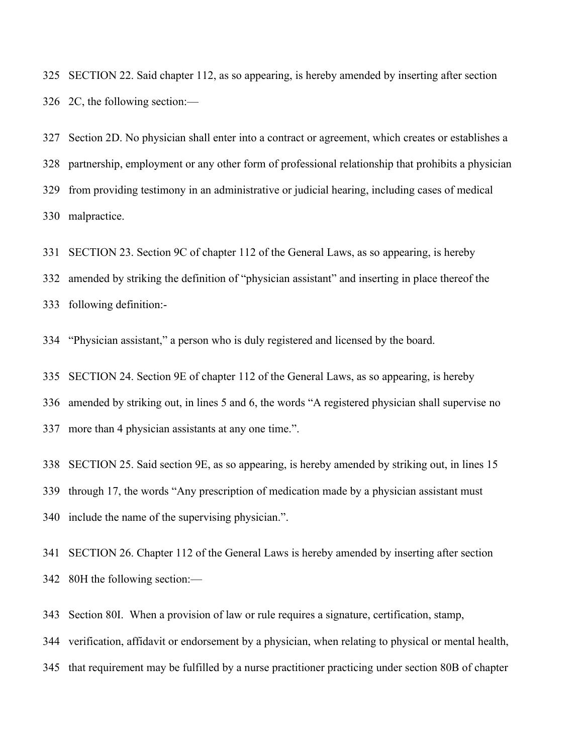SECTION 22. Said chapter 112, as so appearing, is hereby amended by inserting after section 2C, the following section:—

 Section 2D. No physician shall enter into a contract or agreement, which creates or establishes a partnership, employment or any other form of professional relationship that prohibits a physician from providing testimony in an administrative or judicial hearing, including cases of medical malpractice.

SECTION 23. Section 9C of chapter 112 of the General Laws, as so appearing, is hereby

amended by striking the definition of "physician assistant" and inserting in place thereof the

following definition:-

"Physician assistant," a person who is duly registered and licensed by the board.

SECTION 24. Section 9E of chapter 112 of the General Laws, as so appearing, is hereby

amended by striking out, in lines 5 and 6, the words "A registered physician shall supervise no

more than 4 physician assistants at any one time.".

SECTION 25. Said section 9E, as so appearing, is hereby amended by striking out, in lines 15

through 17, the words "Any prescription of medication made by a physician assistant must

include the name of the supervising physician.".

 SECTION 26. Chapter 112 of the General Laws is hereby amended by inserting after section 80H the following section:—

Section 80I. When a provision of law or rule requires a signature, certification, stamp,

verification, affidavit or endorsement by a physician, when relating to physical or mental health,

that requirement may be fulfilled by a nurse practitioner practicing under section 80B of chapter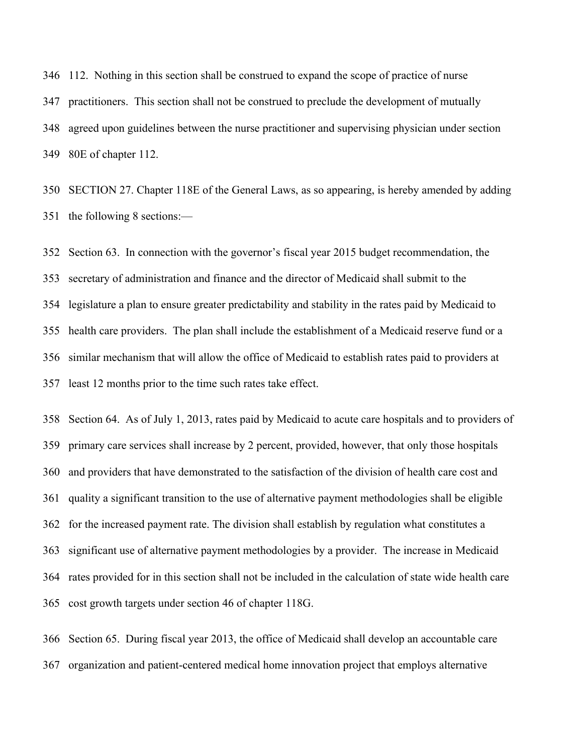112. Nothing in this section shall be construed to expand the scope of practice of nurse practitioners. This section shall not be construed to preclude the development of mutually agreed upon guidelines between the nurse practitioner and supervising physician under section 80E of chapter 112.

 SECTION 27. Chapter 118E of the General Laws, as so appearing, is hereby amended by adding the following 8 sections:—

 Section 63. In connection with the governor's fiscal year 2015 budget recommendation, the secretary of administration and finance and the director of Medicaid shall submit to the legislature a plan to ensure greater predictability and stability in the rates paid by Medicaid to health care providers. The plan shall include the establishment of a Medicaid reserve fund or a similar mechanism that will allow the office of Medicaid to establish rates paid to providers at least 12 months prior to the time such rates take effect.

 Section 64. As of July 1, 2013, rates paid by Medicaid to acute care hospitals and to providers of primary care services shall increase by 2 percent, provided, however, that only those hospitals and providers that have demonstrated to the satisfaction of the division of health care cost and quality a significant transition to the use of alternative payment methodologies shall be eligible for the increased payment rate. The division shall establish by regulation what constitutes a significant use of alternative payment methodologies by a provider. The increase in Medicaid rates provided for in this section shall not be included in the calculation of state wide health care cost growth targets under section 46 of chapter 118G.

 Section 65. During fiscal year 2013, the office of Medicaid shall develop an accountable care organization and patient-centered medical home innovation project that employs alternative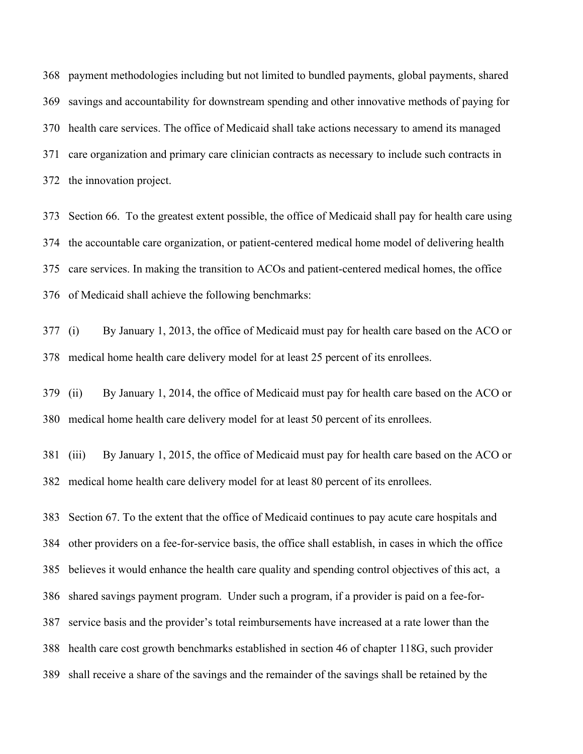payment methodologies including but not limited to bundled payments, global payments, shared savings and accountability for downstream spending and other innovative methods of paying for health care services. The office of Medicaid shall take actions necessary to amend its managed care organization and primary care clinician contracts as necessary to include such contracts in the innovation project.

 Section 66. To the greatest extent possible, the office of Medicaid shall pay for health care using the accountable care organization, or patient-centered medical home model of delivering health care services. In making the transition to ACOs and patient-centered medical homes, the office of Medicaid shall achieve the following benchmarks:

 (i) By January 1, 2013, the office of Medicaid must pay for health care based on the ACO or medical home health care delivery model for at least 25 percent of its enrollees.

 (ii) By January 1, 2014, the office of Medicaid must pay for health care based on the ACO or medical home health care delivery model for at least 50 percent of its enrollees.

 (iii) By January 1, 2015, the office of Medicaid must pay for health care based on the ACO or medical home health care delivery model for at least 80 percent of its enrollees.

 Section 67. To the extent that the office of Medicaid continues to pay acute care hospitals and other providers on a fee-for-service basis, the office shall establish, in cases in which the office believes it would enhance the health care quality and spending control objectives of this act, a shared savings payment program. Under such a program, if a provider is paid on a fee-for- service basis and the provider's total reimbursements have increased at a rate lower than the health care cost growth benchmarks established in section 46 of chapter 118G, such provider shall receive a share of the savings and the remainder of the savings shall be retained by the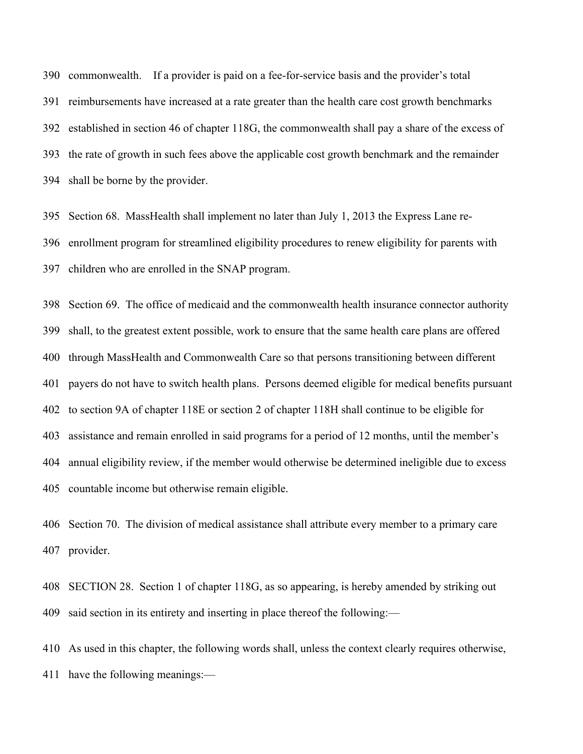commonwealth. If a provider is paid on a fee-for-service basis and the provider's total reimbursements have increased at a rate greater than the health care cost growth benchmarks established in section 46 of chapter 118G, the commonwealth shall pay a share of the excess of the rate of growth in such fees above the applicable cost growth benchmark and the remainder shall be borne by the provider.

 Section 68. MassHealth shall implement no later than July 1, 2013 the Express Lane re- enrollment program for streamlined eligibility procedures to renew eligibility for parents with children who are enrolled in the SNAP program.

 Section 69. The office of medicaid and the commonwealth health insurance connector authority shall, to the greatest extent possible, work to ensure that the same health care plans are offered through MassHealth and Commonwealth Care so that persons transitioning between different payers do not have to switch health plans. Persons deemed eligible for medical benefits pursuant to section 9A of chapter 118E or section 2 of chapter 118H shall continue to be eligible for assistance and remain enrolled in said programs for a period of 12 months, until the member's annual eligibility review, if the member would otherwise be determined ineligible due to excess countable income but otherwise remain eligible.

 Section 70. The division of medical assistance shall attribute every member to a primary care provider.

 SECTION 28. Section 1 of chapter 118G, as so appearing, is hereby amended by striking out said section in its entirety and inserting in place thereof the following:—

 As used in this chapter, the following words shall, unless the context clearly requires otherwise, have the following meanings:—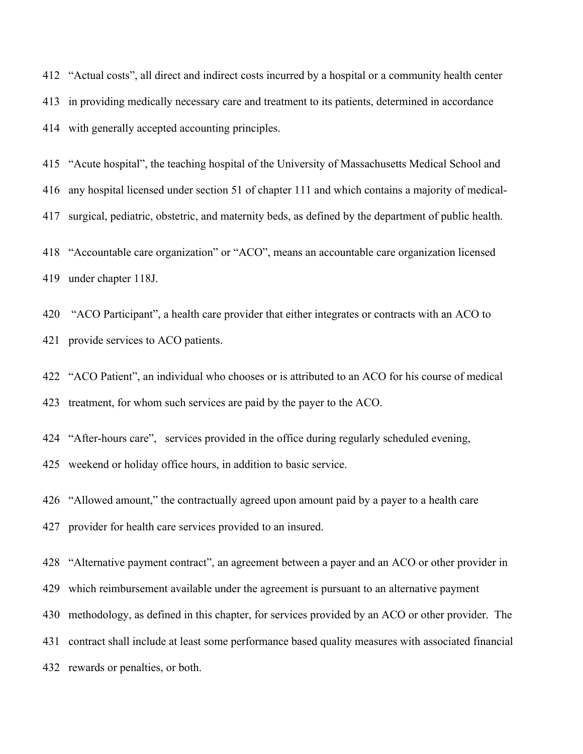"Actual costs", all direct and indirect costs incurred by a hospital or a community health center in providing medically necessary care and treatment to its patients, determined in accordance with generally accepted accounting principles.

 "Acute hospital", the teaching hospital of the University of Massachusetts Medical School and any hospital licensed under section 51 of chapter 111 and which contains a majority of medical-surgical, pediatric, obstetric, and maternity beds, as defined by the department of public health.

 "Accountable care organization" or "ACO", means an accountable care organization licensed under chapter 118J.

 "ACO Participant", a health care provider that either integrates or contracts with an ACO to provide services to ACO patients.

 "ACO Patient", an individual who chooses or is attributed to an ACO for his course of medical treatment, for whom such services are paid by the payer to the ACO.

"After-hours care", services provided in the office during regularly scheduled evening,

weekend or holiday office hours, in addition to basic service.

"Allowed amount," the contractually agreed upon amount paid by a payer to a health care

provider for health care services provided to an insured.

"Alternative payment contract", an agreement between a payer and an ACO or other provider in

which reimbursement available under the agreement is pursuant to an alternative payment

methodology, as defined in this chapter, for services provided by an ACO or other provider. The

contract shall include at least some performance based quality measures with associated financial

rewards or penalties, or both.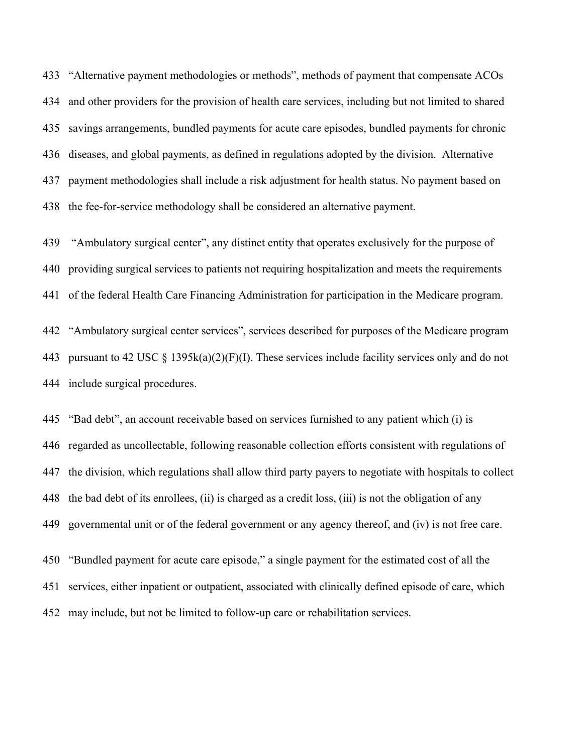"Alternative payment methodologies or methods", methods of payment that compensate ACOs and other providers for the provision of health care services, including but not limited to shared savings arrangements, bundled payments for acute care episodes, bundled payments for chronic diseases, and global payments, as defined in regulations adopted by the division. Alternative payment methodologies shall include a risk adjustment for health status. No payment based on the fee-for-service methodology shall be considered an alternative payment.

 "Ambulatory surgical center", any distinct entity that operates exclusively for the purpose of providing surgical services to patients not requiring hospitalization and meets the requirements of the federal Health Care Financing Administration for participation in the Medicare program.

 "Ambulatory surgical center services", services described for purposes of the Medicare program 443 pursuant to 42 USC  $\S$  1395k(a)(2)(F)(I). These services include facility services only and do not include surgical procedures.

 "Bad debt", an account receivable based on services furnished to any patient which (i) is regarded as uncollectable, following reasonable collection efforts consistent with regulations of the division, which regulations shall allow third party payers to negotiate with hospitals to collect the bad debt of its enrollees, (ii) is charged as a credit loss, (iii) is not the obligation of any governmental unit or of the federal government or any agency thereof, and (iv) is not free care.

 "Bundled payment for acute care episode," a single payment for the estimated cost of all the services, either inpatient or outpatient, associated with clinically defined episode of care, which may include, but not be limited to follow-up care or rehabilitation services.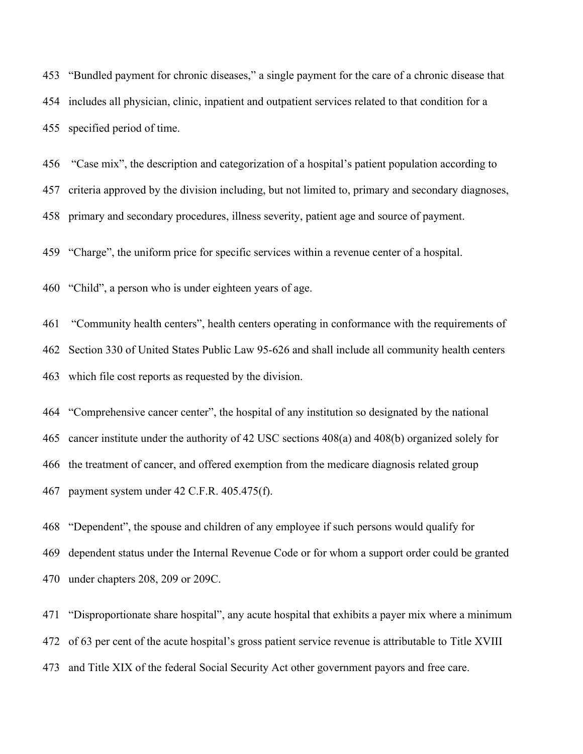"Bundled payment for chronic diseases," a single payment for the care of a chronic disease that includes all physician, clinic, inpatient and outpatient services related to that condition for a specified period of time.

 "Case mix", the description and categorization of a hospital's patient population according to criteria approved by the division including, but not limited to, primary and secondary diagnoses, primary and secondary procedures, illness severity, patient age and source of payment.

"Charge", the uniform price for specific services within a revenue center of a hospital.

"Child", a person who is under eighteen years of age.

 "Community health centers", health centers operating in conformance with the requirements of Section 330 of United States Public Law 95-626 and shall include all community health centers which file cost reports as requested by the division.

 "Comprehensive cancer center", the hospital of any institution so designated by the national cancer institute under the authority of 42 USC sections 408(a) and 408(b) organized solely for the treatment of cancer, and offered exemption from the medicare diagnosis related group payment system under 42 C.F.R. 405.475(f).

 "Dependent", the spouse and children of any employee if such persons would qualify for dependent status under the Internal Revenue Code or for whom a support order could be granted under chapters 208, 209 or 209C.

 "Disproportionate share hospital", any acute hospital that exhibits a payer mix where a minimum of 63 per cent of the acute hospital's gross patient service revenue is attributable to Title XVIII and Title XIX of the federal Social Security Act other government payors and free care.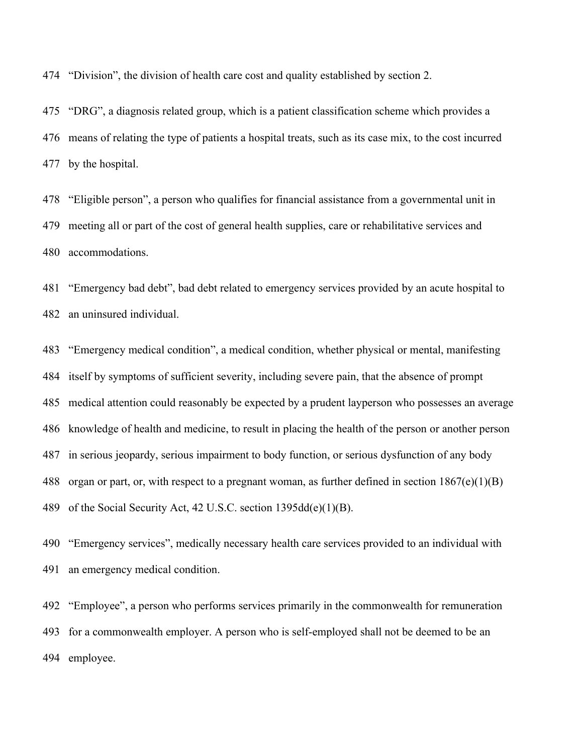"Division", the division of health care cost and quality established by section 2.

 "DRG", a diagnosis related group, which is a patient classification scheme which provides a means of relating the type of patients a hospital treats, such as its case mix, to the cost incurred by the hospital.

 "Eligible person", a person who qualifies for financial assistance from a governmental unit in meeting all or part of the cost of general health supplies, care or rehabilitative services and accommodations.

 "Emergency bad debt", bad debt related to emergency services provided by an acute hospital to an uninsured individual.

 "Emergency medical condition", a medical condition, whether physical or mental, manifesting itself by symptoms of sufficient severity, including severe pain, that the absence of prompt medical attention could reasonably be expected by a prudent layperson who possesses an average knowledge of health and medicine, to result in placing the health of the person or another person in serious jeopardy, serious impairment to body function, or serious dysfunction of any body organ or part, or, with respect to a pregnant woman, as further defined in section 1867(e)(1)(B) of the Social Security Act, 42 U.S.C. section 1395dd(e)(1)(B).

 "Emergency services", medically necessary health care services provided to an individual with an emergency medical condition.

 "Employee", a person who performs services primarily in the commonwealth for remuneration for a commonwealth employer. A person who is self-employed shall not be deemed to be an employee.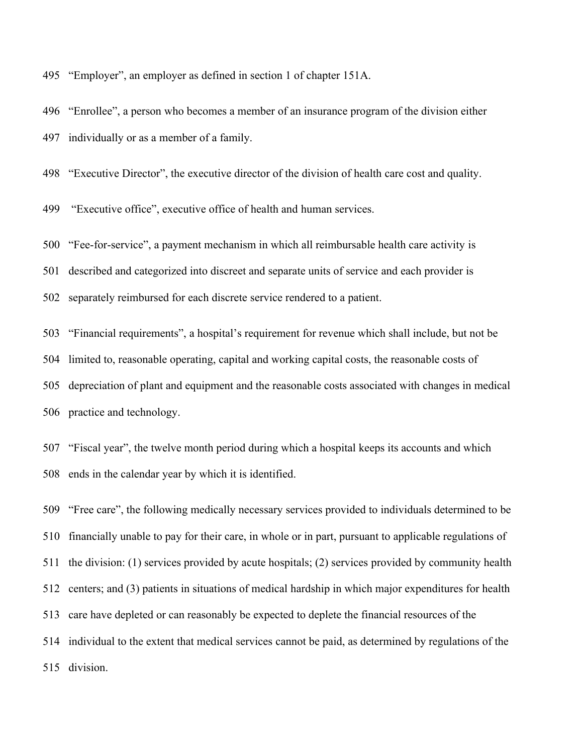"Employer", an employer as defined in section 1 of chapter 151A.

 "Enrollee", a person who becomes a member of an insurance program of the division either individually or as a member of a family.

"Executive Director", the executive director of the division of health care cost and quality.

"Executive office", executive office of health and human services.

 "Fee-for-service", a payment mechanism in which all reimbursable health care activity is described and categorized into discreet and separate units of service and each provider is

separately reimbursed for each discrete service rendered to a patient.

 "Financial requirements", a hospital's requirement for revenue which shall include, but not be limited to, reasonable operating, capital and working capital costs, the reasonable costs of depreciation of plant and equipment and the reasonable costs associated with changes in medical practice and technology.

 "Fiscal year", the twelve month period during which a hospital keeps its accounts and which ends in the calendar year by which it is identified.

 "Free care", the following medically necessary services provided to individuals determined to be financially unable to pay for their care, in whole or in part, pursuant to applicable regulations of the division: (1) services provided by acute hospitals; (2) services provided by community health centers; and (3) patients in situations of medical hardship in which major expenditures for health care have depleted or can reasonably be expected to deplete the financial resources of the individual to the extent that medical services cannot be paid, as determined by regulations of the division.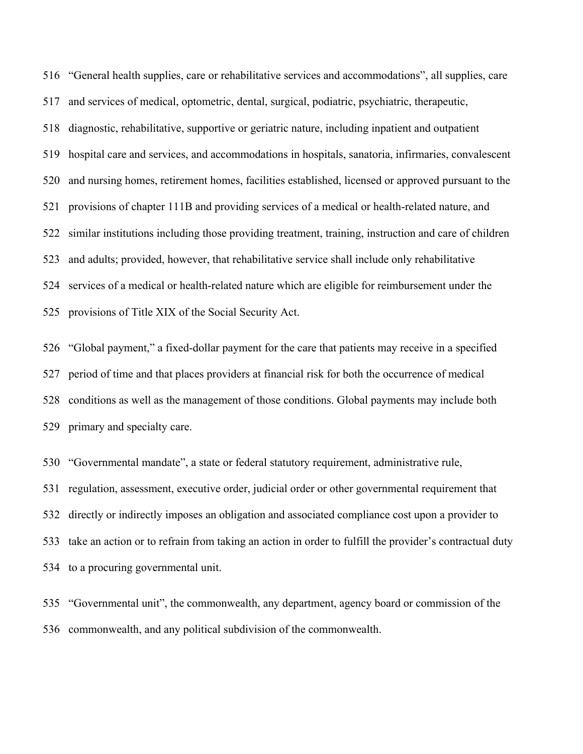"General health supplies, care or rehabilitative services and accommodations", all supplies, care and services of medical, optometric, dental, surgical, podiatric, psychiatric, therapeutic, diagnostic, rehabilitative, supportive or geriatric nature, including inpatient and outpatient hospital care and services, and accommodations in hospitals, sanatoria, infirmaries, convalescent and nursing homes, retirement homes, facilities established, licensed or approved pursuant to the provisions of chapter 111B and providing services of a medical or health-related nature, and similar institutions including those providing treatment, training, instruction and care of children and adults; provided, however, that rehabilitative service shall include only rehabilitative services of a medical or health-related nature which are eligible for reimbursement under the provisions of Title XIX of the Social Security Act.

 "Global payment," a fixed-dollar payment for the care that patients may receive in a specified period of time and that places providers at financial risk for both the occurrence of medical conditions as well as the management of those conditions. Global payments may include both primary and specialty care.

 "Governmental mandate", a state or federal statutory requirement, administrative rule, regulation, assessment, executive order, judicial order or other governmental requirement that directly or indirectly imposes an obligation and associated compliance cost upon a provider to take an action or to refrain from taking an action in order to fulfill the provider's contractual duty to a procuring governmental unit.

 "Governmental unit", the commonwealth, any department, agency board or commission of the commonwealth, and any political subdivision of the commonwealth.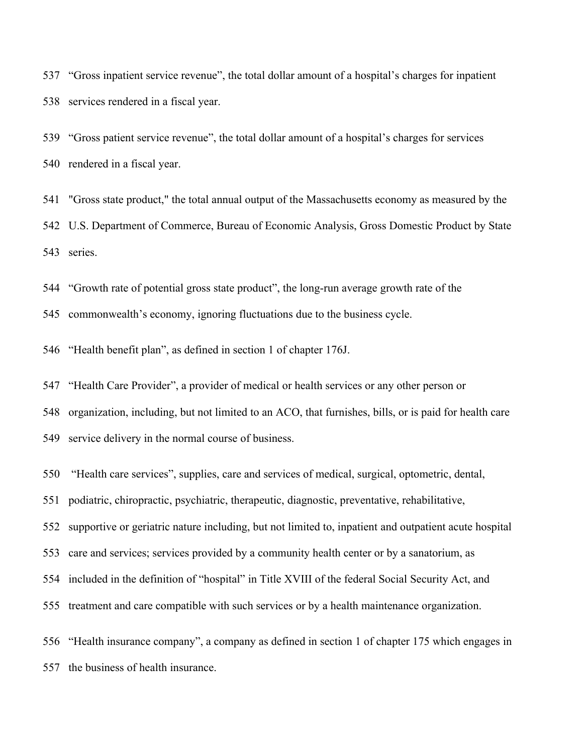"Gross inpatient service revenue", the total dollar amount of a hospital's charges for inpatient services rendered in a fiscal year.

 "Gross patient service revenue", the total dollar amount of a hospital's charges for services rendered in a fiscal year.

 "Gross state product," the total annual output of the Massachusetts economy as measured by the U.S. Department of Commerce, Bureau of Economic Analysis, Gross Domestic Product by State series.

"Growth rate of potential gross state product", the long-run average growth rate of the

commonwealth's economy, ignoring fluctuations due to the business cycle.

"Health benefit plan", as defined in section 1 of chapter 176J.

 "Health Care Provider", a provider of medical or health services or any other person or organization, including, but not limited to an ACO, that furnishes, bills, or is paid for health care service delivery in the normal course of business.

"Health care services", supplies, care and services of medical, surgical, optometric, dental,

podiatric, chiropractic, psychiatric, therapeutic, diagnostic, preventative, rehabilitative,

supportive or geriatric nature including, but not limited to, inpatient and outpatient acute hospital

care and services; services provided by a community health center or by a sanatorium, as

included in the definition of "hospital" in Title XVIII of the federal Social Security Act, and

treatment and care compatible with such services or by a health maintenance organization.

 "Health insurance company", a company as defined in section 1 of chapter 175 which engages in the business of health insurance.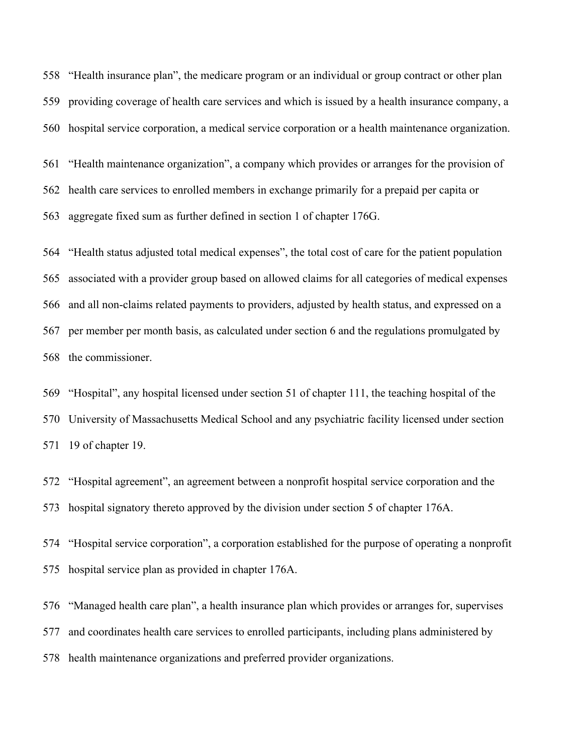"Health insurance plan", the medicare program or an individual or group contract or other plan providing coverage of health care services and which is issued by a health insurance company, a hospital service corporation, a medical service corporation or a health maintenance organization.

 "Health maintenance organization", a company which provides or arranges for the provision of health care services to enrolled members in exchange primarily for a prepaid per capita or aggregate fixed sum as further defined in section 1 of chapter 176G.

 "Health status adjusted total medical expenses", the total cost of care for the patient population associated with a provider group based on allowed claims for all categories of medical expenses and all non-claims related payments to providers, adjusted by health status, and expressed on a per member per month basis, as calculated under section 6 and the regulations promulgated by the commissioner.

 "Hospital", any hospital licensed under section 51 of chapter 111, the teaching hospital of the University of Massachusetts Medical School and any psychiatric facility licensed under section 19 of chapter 19.

 "Hospital agreement", an agreement between a nonprofit hospital service corporation and the hospital signatory thereto approved by the division under section 5 of chapter 176A.

 "Hospital service corporation", a corporation established for the purpose of operating a nonprofit hospital service plan as provided in chapter 176A.

 "Managed health care plan", a health insurance plan which provides or arranges for, supervises and coordinates health care services to enrolled participants, including plans administered by health maintenance organizations and preferred provider organizations.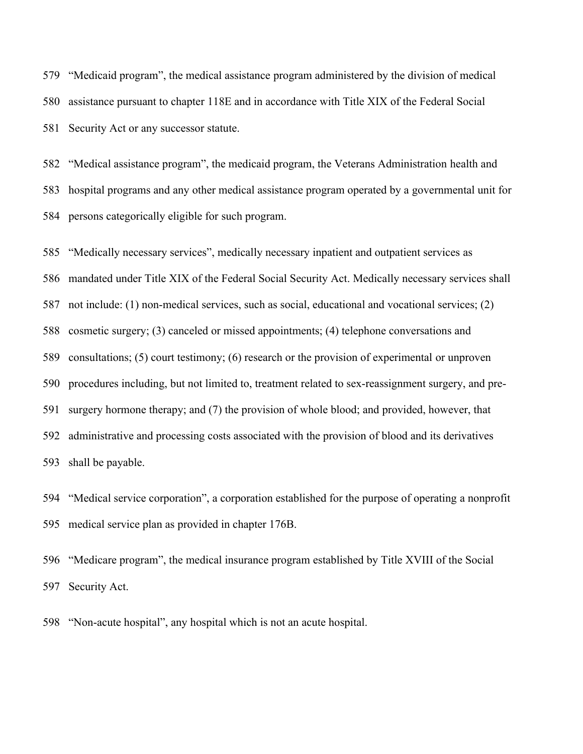"Medicaid program", the medical assistance program administered by the division of medical assistance pursuant to chapter 118E and in accordance with Title XIX of the Federal Social Security Act or any successor statute.

 "Medical assistance program", the medicaid program, the Veterans Administration health and hospital programs and any other medical assistance program operated by a governmental unit for persons categorically eligible for such program.

 "Medically necessary services", medically necessary inpatient and outpatient services as mandated under Title XIX of the Federal Social Security Act. Medically necessary services shall not include: (1) non-medical services, such as social, educational and vocational services; (2) cosmetic surgery; (3) canceled or missed appointments; (4) telephone conversations and consultations; (5) court testimony; (6) research or the provision of experimental or unproven procedures including, but not limited to, treatment related to sex-reassignment surgery, and pre- surgery hormone therapy; and (7) the provision of whole blood; and provided, however, that administrative and processing costs associated with the provision of blood and its derivatives shall be payable.

 "Medical service corporation", a corporation established for the purpose of operating a nonprofit medical service plan as provided in chapter 176B.

 "Medicare program", the medical insurance program established by Title XVIII of the Social Security Act.

"Non-acute hospital", any hospital which is not an acute hospital.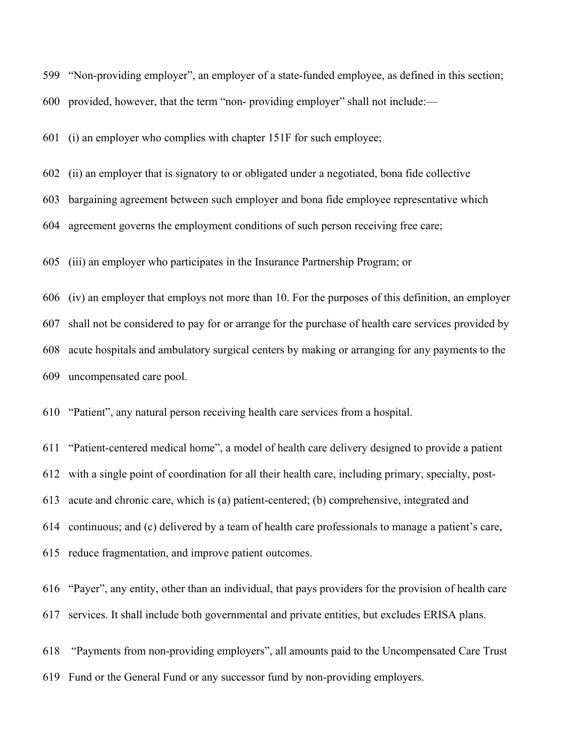"Non-providing employer", an employer of a state-funded employee, as defined in this section; provided, however, that the term "non- providing employer" shall not include:—

(i) an employer who complies with chapter 151F for such employee;

(ii) an employer that is signatory to or obligated under a negotiated, bona fide collective

bargaining agreement between such employer and bona fide employee representative which

agreement governs the employment conditions of such person receiving free care;

(iii) an employer who participates in the Insurance Partnership Program; or

 (iv) an employer that employs not more than 10. For the purposes of this definition, an employer shall not be considered to pay for or arrange for the purchase of health care services provided by acute hospitals and ambulatory surgical centers by making or arranging for any payments to the uncompensated care pool.

"Patient", any natural person receiving health care services from a hospital.

 "Patient-centered medical home", a model of health care delivery designed to provide a patient with a single point of coordination for all their health care, including primary, specialty, post- acute and chronic care, which is (a) patient-centered; (b) comprehensive, integrated and continuous; and (c) delivered by a team of health care professionals to manage a patient's care, reduce fragmentation, and improve patient outcomes.

 "Payer", any entity, other than an individual, that pays providers for the provision of health care services. It shall include both governmental and private entities, but excludes ERISA plans.

 "Payments from non-providing employers", all amounts paid to the Uncompensated Care Trust Fund or the General Fund or any successor fund by non-providing employers.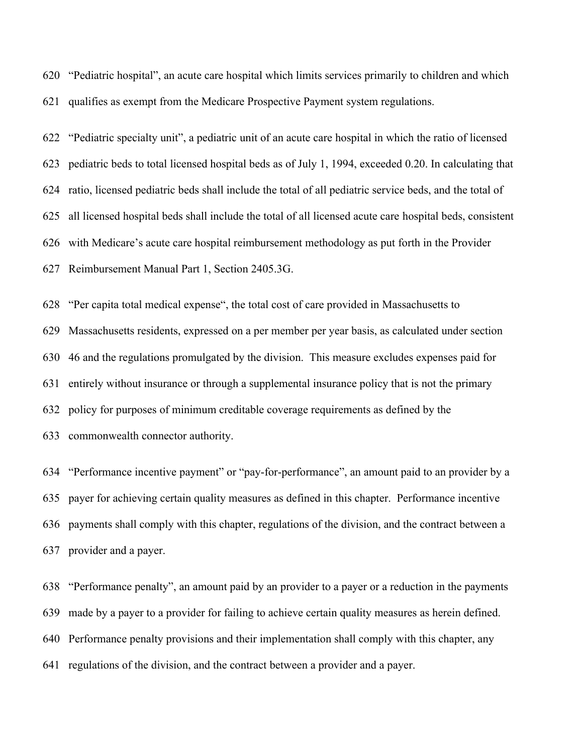"Pediatric hospital", an acute care hospital which limits services primarily to children and which qualifies as exempt from the Medicare Prospective Payment system regulations.

 "Pediatric specialty unit", a pediatric unit of an acute care hospital in which the ratio of licensed pediatric beds to total licensed hospital beds as of July 1, 1994, exceeded 0.20. In calculating that ratio, licensed pediatric beds shall include the total of all pediatric service beds, and the total of all licensed hospital beds shall include the total of all licensed acute care hospital beds, consistent with Medicare's acute care hospital reimbursement methodology as put forth in the Provider Reimbursement Manual Part 1, Section 2405.3G.

 "Per capita total medical expense", the total cost of care provided in Massachusetts to Massachusetts residents, expressed on a per member per year basis, as calculated under section 46 and the regulations promulgated by the division. This measure excludes expenses paid for entirely without insurance or through a supplemental insurance policy that is not the primary policy for purposes of minimum creditable coverage requirements as defined by the commonwealth connector authority.

 "Performance incentive payment" or "pay-for-performance", an amount paid to an provider by a payer for achieving certain quality measures as defined in this chapter. Performance incentive payments shall comply with this chapter, regulations of the division, and the contract between a provider and a payer.

 "Performance penalty", an amount paid by an provider to a payer or a reduction in the payments made by a payer to a provider for failing to achieve certain quality measures as herein defined. Performance penalty provisions and their implementation shall comply with this chapter, any regulations of the division, and the contract between a provider and a payer.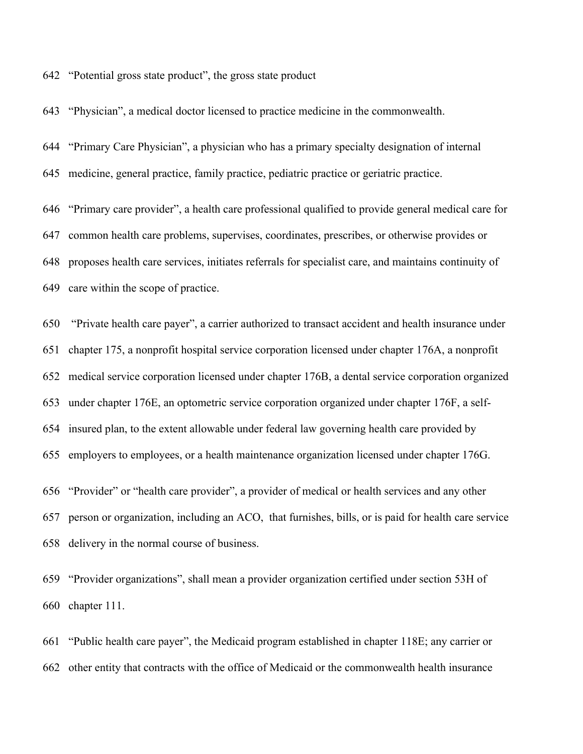"Potential gross state product", the gross state product

"Physician", a medical doctor licensed to practice medicine in the commonwealth.

 "Primary Care Physician", a physician who has a primary specialty designation of internal medicine, general practice, family practice, pediatric practice or geriatric practice.

 "Primary care provider", a health care professional qualified to provide general medical care for common health care problems, supervises, coordinates, prescribes, or otherwise provides or proposes health care services, initiates referrals for specialist care, and maintains continuity of care within the scope of practice.

 "Private health care payer", a carrier authorized to transact accident and health insurance under chapter 175, a nonprofit hospital service corporation licensed under chapter 176A, a nonprofit medical service corporation licensed under chapter 176B, a dental service corporation organized under chapter 176E, an optometric service corporation organized under chapter 176F, a self- insured plan, to the extent allowable under federal law governing health care provided by employers to employees, or a health maintenance organization licensed under chapter 176G.

 "Provider" or "health care provider", a provider of medical or health services and any other person or organization, including an ACO, that furnishes, bills, or is paid for health care service delivery in the normal course of business.

 "Provider organizations", shall mean a provider organization certified under section 53H of chapter 111.

 "Public health care payer", the Medicaid program established in chapter 118E; any carrier or other entity that contracts with the office of Medicaid or the commonwealth health insurance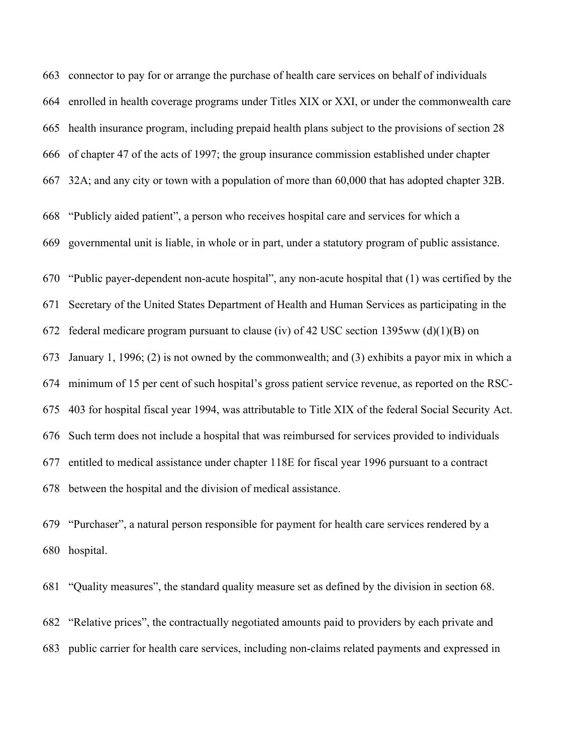connector to pay for or arrange the purchase of health care services on behalf of individuals enrolled in health coverage programs under Titles XIX or XXI, or under the commonwealth care health insurance program, including prepaid health plans subject to the provisions of section 28 of chapter 47 of the acts of 1997; the group insurance commission established under chapter 32A; and any city or town with a population of more than 60,000 that has adopted chapter 32B. "Publicly aided patient", a person who receives hospital care and services for which a governmental unit is liable, in whole or in part, under a statutory program of public assistance. "Public payer-dependent non-acute hospital", any non-acute hospital that (1) was certified by the Secretary of the United States Department of Health and Human Services as participating in the 672 federal medicare program pursuant to clause (iv) of 42 USC section 1395ww (d)(1)(B) on January 1, 1996; (2) is not owned by the commonwealth; and (3) exhibits a payor mix in which a minimum of 15 per cent of such hospital's gross patient service revenue, as reported on the RSC- 403 for hospital fiscal year 1994, was attributable to Title XIX of the federal Social Security Act. Such term does not include a hospital that was reimbursed for services provided to individuals entitled to medical assistance under chapter 118E for fiscal year 1996 pursuant to a contract between the hospital and the division of medical assistance.

 "Purchaser", a natural person responsible for payment for health care services rendered by a hospital.

 "Quality measures", the standard quality measure set as defined by the division in section 68. "Relative prices", the contractually negotiated amounts paid to providers by each private and public carrier for health care services, including non-claims related payments and expressed in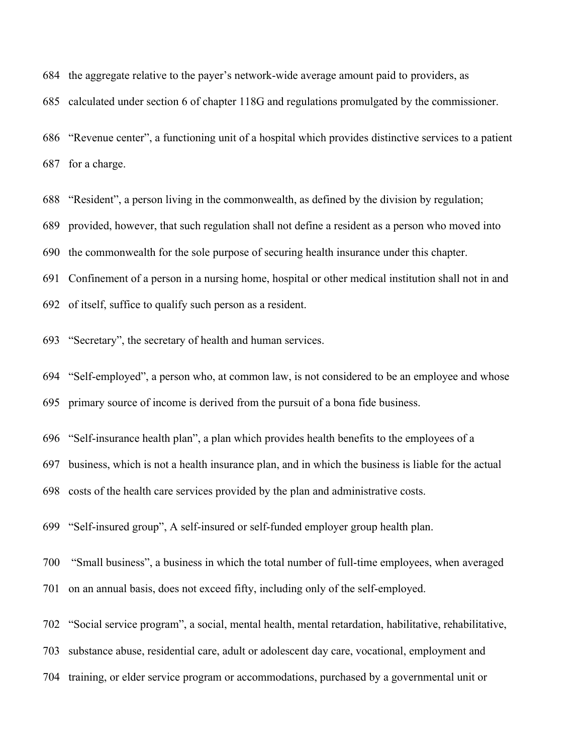the aggregate relative to the payer's network-wide average amount paid to providers, as

calculated under section 6 of chapter 118G and regulations promulgated by the commissioner.

 "Revenue center", a functioning unit of a hospital which provides distinctive services to a patient for a charge.

"Resident", a person living in the commonwealth, as defined by the division by regulation;

provided, however, that such regulation shall not define a resident as a person who moved into

the commonwealth for the sole purpose of securing health insurance under this chapter.

Confinement of a person in a nursing home, hospital or other medical institution shall not in and

- of itself, suffice to qualify such person as a resident.
- "Secretary", the secretary of health and human services.

 "Self-employed", a person who, at common law, is not considered to be an employee and whose primary source of income is derived from the pursuit of a bona fide business.

"Self-insurance health plan", a plan which provides health benefits to the employees of a

business, which is not a health insurance plan, and in which the business is liable for the actual

costs of the health care services provided by the plan and administrative costs.

"Self-insured group", A self-insured or self-funded employer group health plan.

- "Small business", a business in which the total number of full-time employees, when averaged
- on an annual basis, does not exceed fifty, including only of the self-employed.
- "Social service program", a social, mental health, mental retardation, habilitative, rehabilitative,

substance abuse, residential care, adult or adolescent day care, vocational, employment and

training, or elder service program or accommodations, purchased by a governmental unit or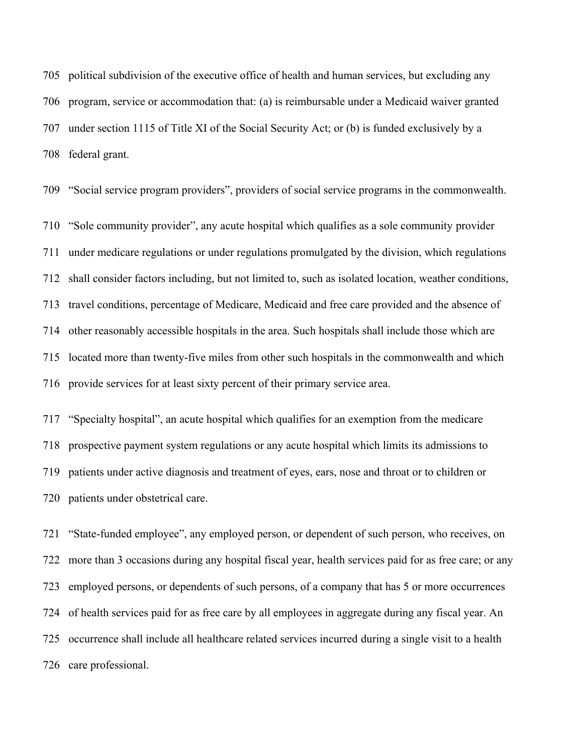political subdivision of the executive office of health and human services, but excluding any program, service or accommodation that: (a) is reimbursable under a Medicaid waiver granted under section 1115 of Title XI of the Social Security Act; or (b) is funded exclusively by a federal grant.

"Social service program providers", providers of social service programs in the commonwealth.

 "Sole community provider", any acute hospital which qualifies as a sole community provider under medicare regulations or under regulations promulgated by the division, which regulations shall consider factors including, but not limited to, such as isolated location, weather conditions, travel conditions, percentage of Medicare, Medicaid and free care provided and the absence of other reasonably accessible hospitals in the area. Such hospitals shall include those which are located more than twenty-five miles from other such hospitals in the commonwealth and which provide services for at least sixty percent of their primary service area.

 "Specialty hospital", an acute hospital which qualifies for an exemption from the medicare prospective payment system regulations or any acute hospital which limits its admissions to patients under active diagnosis and treatment of eyes, ears, nose and throat or to children or patients under obstetrical care.

 "State-funded employee", any employed person, or dependent of such person, who receives, on more than 3 occasions during any hospital fiscal year, health services paid for as free care; or any employed persons, or dependents of such persons, of a company that has 5 or more occurrences of health services paid for as free care by all employees in aggregate during any fiscal year. An occurrence shall include all healthcare related services incurred during a single visit to a health care professional.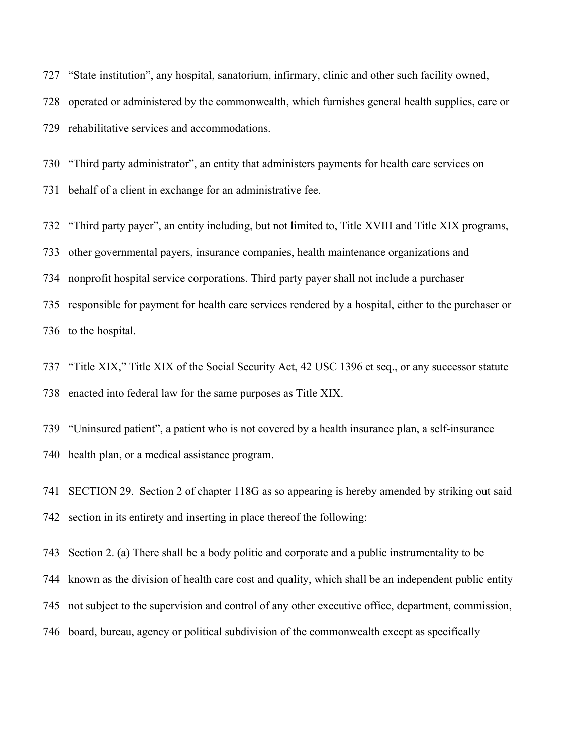"State institution", any hospital, sanatorium, infirmary, clinic and other such facility owned, operated or administered by the commonwealth, which furnishes general health supplies, care or rehabilitative services and accommodations.

 "Third party administrator", an entity that administers payments for health care services on behalf of a client in exchange for an administrative fee.

"Third party payer", an entity including, but not limited to, Title XVIII and Title XIX programs,

other governmental payers, insurance companies, health maintenance organizations and

nonprofit hospital service corporations. Third party payer shall not include a purchaser

 responsible for payment for health care services rendered by a hospital, either to the purchaser or to the hospital.

 "Title XIX," Title XIX of the Social Security Act, 42 USC 1396 et seq., or any successor statute enacted into federal law for the same purposes as Title XIX.

 "Uninsured patient", a patient who is not covered by a health insurance plan, a self-insurance health plan, or a medical assistance program.

 SECTION 29. Section 2 of chapter 118G as so appearing is hereby amended by striking out said section in its entirety and inserting in place thereof the following:—

Section 2. (a) There shall be a body politic and corporate and a public instrumentality to be

known as the division of health care cost and quality, which shall be an independent public entity

not subject to the supervision and control of any other executive office, department, commission,

board, bureau, agency or political subdivision of the commonwealth except as specifically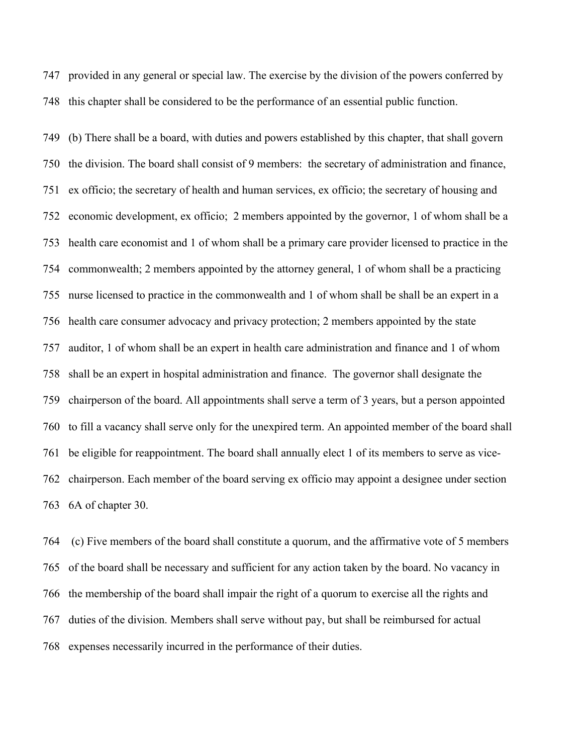provided in any general or special law. The exercise by the division of the powers conferred by this chapter shall be considered to be the performance of an essential public function.

 (b) There shall be a board, with duties and powers established by this chapter, that shall govern the division. The board shall consist of 9 members: the secretary of administration and finance, ex officio; the secretary of health and human services, ex officio; the secretary of housing and economic development, ex officio; 2 members appointed by the governor, 1 of whom shall be a health care economist and 1 of whom shall be a primary care provider licensed to practice in the commonwealth; 2 members appointed by the attorney general, 1 of whom shall be a practicing nurse licensed to practice in the commonwealth and 1 of whom shall be shall be an expert in a health care consumer advocacy and privacy protection; 2 members appointed by the state auditor, 1 of whom shall be an expert in health care administration and finance and 1 of whom shall be an expert in hospital administration and finance. The governor shall designate the chairperson of the board. All appointments shall serve a term of 3 years, but a person appointed to fill a vacancy shall serve only for the unexpired term. An appointed member of the board shall be eligible for reappointment. The board shall annually elect 1 of its members to serve as vice- chairperson. Each member of the board serving ex officio may appoint a designee under section 6A of chapter 30.

 (c) Five members of the board shall constitute a quorum, and the affirmative vote of 5 members of the board shall be necessary and sufficient for any action taken by the board. No vacancy in the membership of the board shall impair the right of a quorum to exercise all the rights and duties of the division. Members shall serve without pay, but shall be reimbursed for actual expenses necessarily incurred in the performance of their duties.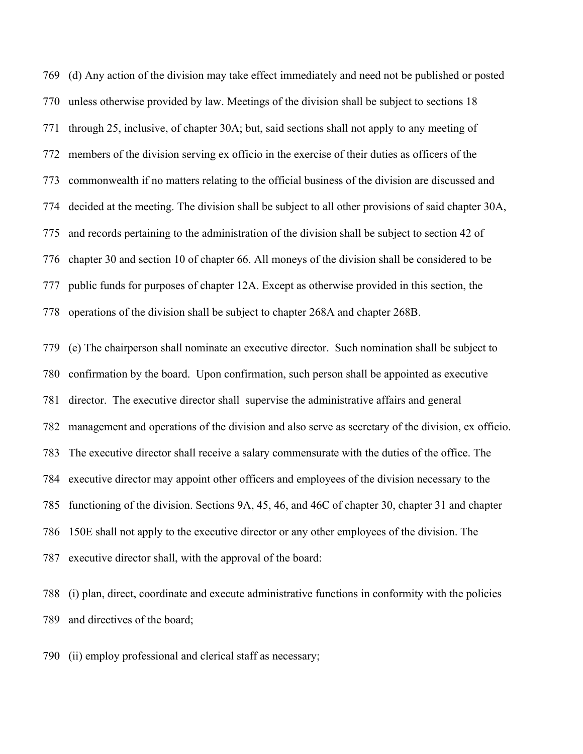(d) Any action of the division may take effect immediately and need not be published or posted unless otherwise provided by law. Meetings of the division shall be subject to sections 18 through 25, inclusive, of chapter 30A; but, said sections shall not apply to any meeting of members of the division serving ex officio in the exercise of their duties as officers of the commonwealth if no matters relating to the official business of the division are discussed and decided at the meeting. The division shall be subject to all other provisions of said chapter 30A, and records pertaining to the administration of the division shall be subject to section 42 of chapter 30 and section 10 of chapter 66. All moneys of the division shall be considered to be public funds for purposes of chapter 12A. Except as otherwise provided in this section, the operations of the division shall be subject to chapter 268A and chapter 268B.

 (e) The chairperson shall nominate an executive director. Such nomination shall be subject to confirmation by the board. Upon confirmation, such person shall be appointed as executive director. The executive director shall supervise the administrative affairs and general management and operations of the division and also serve as secretary of the division, ex officio. The executive director shall receive a salary commensurate with the duties of the office. The executive director may appoint other officers and employees of the division necessary to the functioning of the division. Sections 9A, 45, 46, and 46C of chapter 30, chapter 31 and chapter 150E shall not apply to the executive director or any other employees of the division. The executive director shall, with the approval of the board:

 (i) plan, direct, coordinate and execute administrative functions in conformity with the policies and directives of the board;

(ii) employ professional and clerical staff as necessary;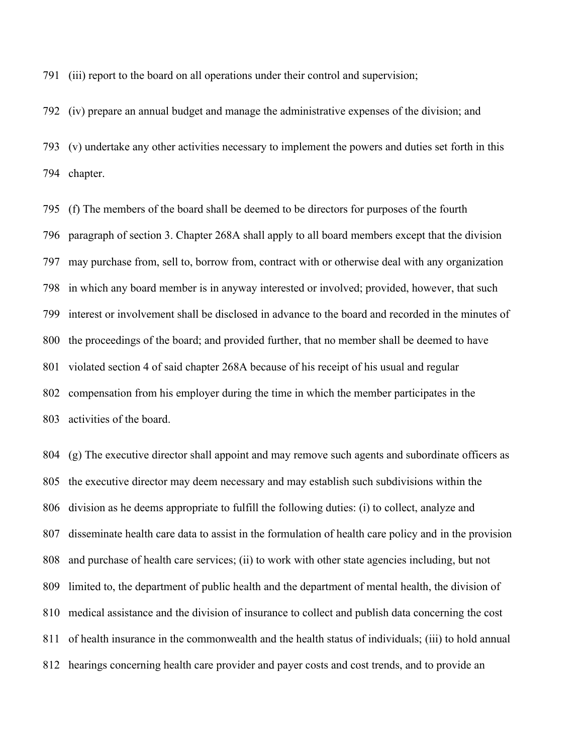(iii) report to the board on all operations under their control and supervision;

(iv) prepare an annual budget and manage the administrative expenses of the division; and

 (v) undertake any other activities necessary to implement the powers and duties set forth in this chapter.

 (f) The members of the board shall be deemed to be directors for purposes of the fourth paragraph of section 3. Chapter 268A shall apply to all board members except that the division may purchase from, sell to, borrow from, contract with or otherwise deal with any organization in which any board member is in anyway interested or involved; provided, however, that such interest or involvement shall be disclosed in advance to the board and recorded in the minutes of the proceedings of the board; and provided further, that no member shall be deemed to have violated section 4 of said chapter 268A because of his receipt of his usual and regular compensation from his employer during the time in which the member participates in the activities of the board.

 (g) The executive director shall appoint and may remove such agents and subordinate officers as the executive director may deem necessary and may establish such subdivisions within the division as he deems appropriate to fulfill the following duties: (i) to collect, analyze and disseminate health care data to assist in the formulation of health care policy and in the provision and purchase of health care services; (ii) to work with other state agencies including, but not limited to, the department of public health and the department of mental health, the division of medical assistance and the division of insurance to collect and publish data concerning the cost of health insurance in the commonwealth and the health status of individuals; (iii) to hold annual hearings concerning health care provider and payer costs and cost trends, and to provide an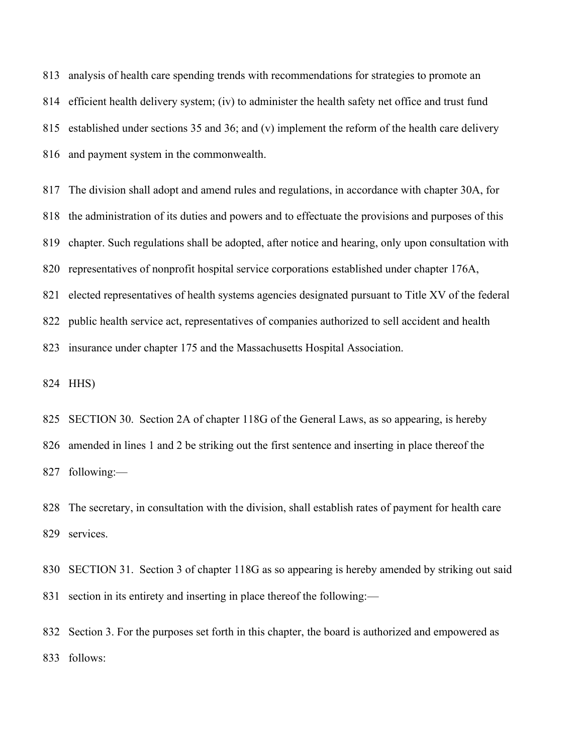analysis of health care spending trends with recommendations for strategies to promote an efficient health delivery system; (iv) to administer the health safety net office and trust fund established under sections 35 and 36; and (v) implement the reform of the health care delivery and payment system in the commonwealth.

 The division shall adopt and amend rules and regulations, in accordance with chapter 30A, for the administration of its duties and powers and to effectuate the provisions and purposes of this chapter. Such regulations shall be adopted, after notice and hearing, only upon consultation with representatives of nonprofit hospital service corporations established under chapter 176A, elected representatives of health systems agencies designated pursuant to Title XV of the federal public health service act, representatives of companies authorized to sell accident and health insurance under chapter 175 and the Massachusetts Hospital Association.

HHS)

 SECTION 30. Section 2A of chapter 118G of the General Laws, as so appearing, is hereby amended in lines 1 and 2 be striking out the first sentence and inserting in place thereof the following:—

 The secretary, in consultation with the division, shall establish rates of payment for health care services.

 SECTION 31. Section 3 of chapter 118G as so appearing is hereby amended by striking out said section in its entirety and inserting in place thereof the following:—

 Section 3. For the purposes set forth in this chapter, the board is authorized and empowered as follows: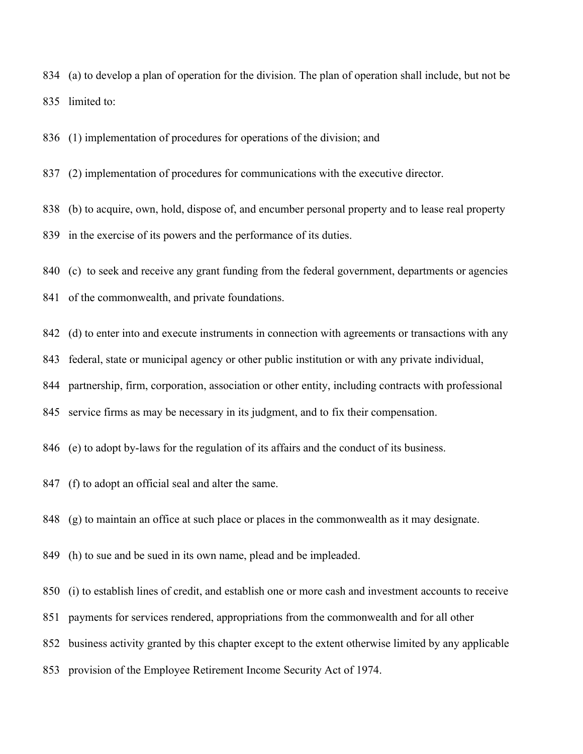(a) to develop a plan of operation for the division. The plan of operation shall include, but not be limited to:

(1) implementation of procedures for operations of the division; and

(2) implementation of procedures for communications with the executive director.

 (b) to acquire, own, hold, dispose of, and encumber personal property and to lease real property in the exercise of its powers and the performance of its duties.

(c) to seek and receive any grant funding from the federal government, departments or agencies

of the commonwealth, and private foundations.

(d) to enter into and execute instruments in connection with agreements or transactions with any

federal, state or municipal agency or other public institution or with any private individual,

partnership, firm, corporation, association or other entity, including contracts with professional

service firms as may be necessary in its judgment, and to fix their compensation.

(e) to adopt by-laws for the regulation of its affairs and the conduct of its business.

(f) to adopt an official seal and alter the same.

(g) to maintain an office at such place or places in the commonwealth as it may designate.

(h) to sue and be sued in its own name, plead and be impleaded.

(i) to establish lines of credit, and establish one or more cash and investment accounts to receive

payments for services rendered, appropriations from the commonwealth and for all other

business activity granted by this chapter except to the extent otherwise limited by any applicable

provision of the Employee Retirement Income Security Act of 1974.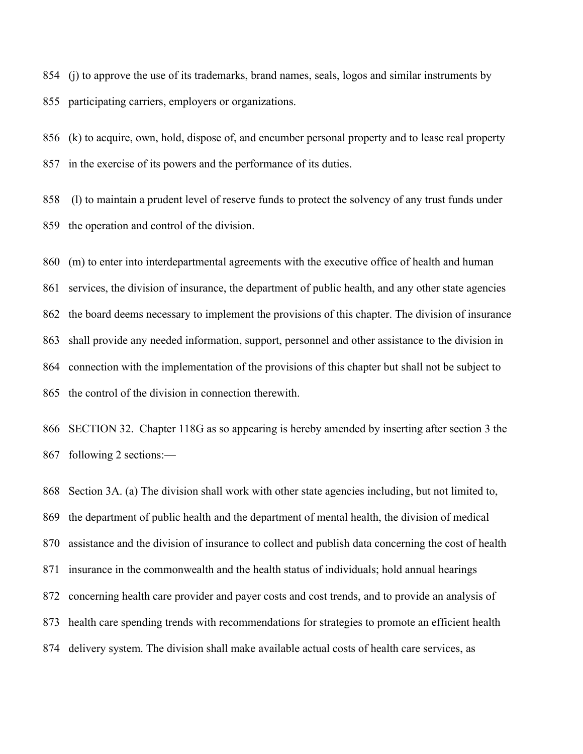(j) to approve the use of its trademarks, brand names, seals, logos and similar instruments by participating carriers, employers or organizations.

 (k) to acquire, own, hold, dispose of, and encumber personal property and to lease real property in the exercise of its powers and the performance of its duties.

 (l) to maintain a prudent level of reserve funds to protect the solvency of any trust funds under the operation and control of the division.

 (m) to enter into interdepartmental agreements with the executive office of health and human services, the division of insurance, the department of public health, and any other state agencies the board deems necessary to implement the provisions of this chapter. The division of insurance shall provide any needed information, support, personnel and other assistance to the division in connection with the implementation of the provisions of this chapter but shall not be subject to the control of the division in connection therewith.

 SECTION 32. Chapter 118G as so appearing is hereby amended by inserting after section 3 the following 2 sections:—

 Section 3A. (a) The division shall work with other state agencies including, but not limited to, the department of public health and the department of mental health, the division of medical assistance and the division of insurance to collect and publish data concerning the cost of health insurance in the commonwealth and the health status of individuals; hold annual hearings concerning health care provider and payer costs and cost trends, and to provide an analysis of health care spending trends with recommendations for strategies to promote an efficient health delivery system. The division shall make available actual costs of health care services, as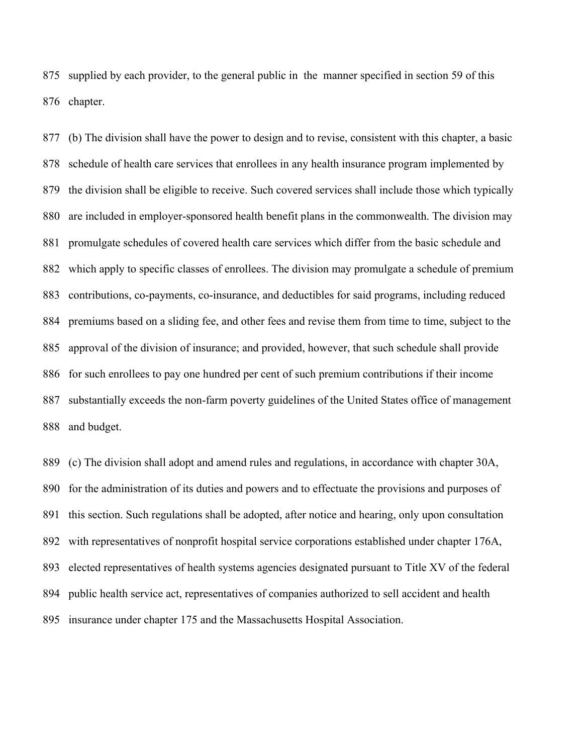supplied by each provider, to the general public in the manner specified in section 59 of this chapter.

 (b) The division shall have the power to design and to revise, consistent with this chapter, a basic schedule of health care services that enrollees in any health insurance program implemented by the division shall be eligible to receive. Such covered services shall include those which typically are included in employer-sponsored health benefit plans in the commonwealth. The division may promulgate schedules of covered health care services which differ from the basic schedule and which apply to specific classes of enrollees. The division may promulgate a schedule of premium contributions, co-payments, co-insurance, and deductibles for said programs, including reduced premiums based on a sliding fee, and other fees and revise them from time to time, subject to the approval of the division of insurance; and provided, however, that such schedule shall provide for such enrollees to pay one hundred per cent of such premium contributions if their income substantially exceeds the non-farm poverty guidelines of the United States office of management and budget.

 (c) The division shall adopt and amend rules and regulations, in accordance with chapter 30A, for the administration of its duties and powers and to effectuate the provisions and purposes of this section. Such regulations shall be adopted, after notice and hearing, only upon consultation with representatives of nonprofit hospital service corporations established under chapter 176A, elected representatives of health systems agencies designated pursuant to Title XV of the federal public health service act, representatives of companies authorized to sell accident and health insurance under chapter 175 and the Massachusetts Hospital Association.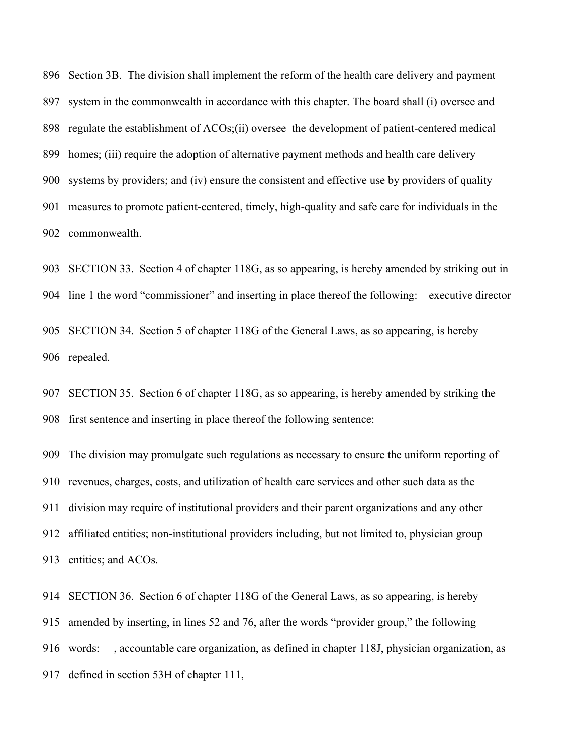Section 3B. The division shall implement the reform of the health care delivery and payment system in the commonwealth in accordance with this chapter. The board shall (i) oversee and regulate the establishment of ACOs;(ii) oversee the development of patient-centered medical homes; (iii) require the adoption of alternative payment methods and health care delivery systems by providers; and (iv) ensure the consistent and effective use by providers of quality measures to promote patient-centered, timely, high-quality and safe care for individuals in the commonwealth.

 SECTION 33. Section 4 of chapter 118G, as so appearing, is hereby amended by striking out in line 1 the word "commissioner" and inserting in place thereof the following:—executive director SECTION 34. Section 5 of chapter 118G of the General Laws, as so appearing, is hereby repealed.

 SECTION 35. Section 6 of chapter 118G, as so appearing, is hereby amended by striking the first sentence and inserting in place thereof the following sentence:—

 The division may promulgate such regulations as necessary to ensure the uniform reporting of revenues, charges, costs, and utilization of health care services and other such data as the division may require of institutional providers and their parent organizations and any other affiliated entities; non-institutional providers including, but not limited to, physician group entities; and ACOs.

 SECTION 36. Section 6 of chapter 118G of the General Laws, as so appearing, is hereby amended by inserting, in lines 52 and 76, after the words "provider group," the following words:— , accountable care organization, as defined in chapter 118J, physician organization, as defined in section 53H of chapter 111,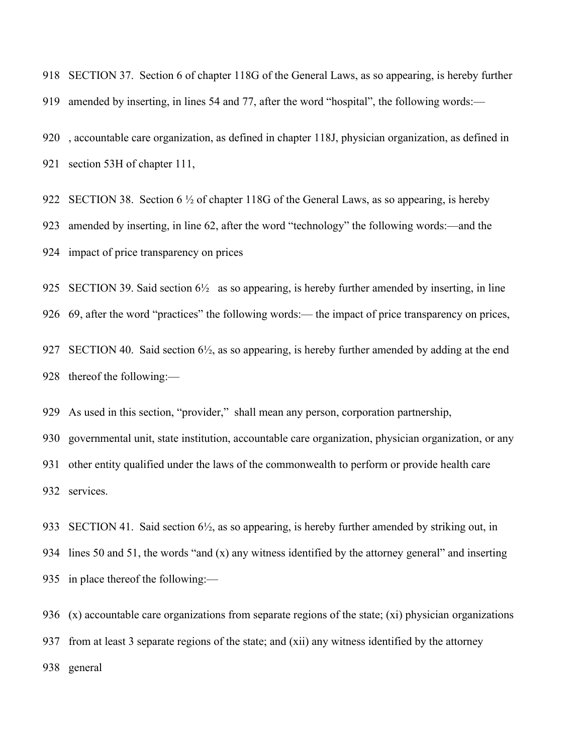SECTION 37. Section 6 of chapter 118G of the General Laws, as so appearing, is hereby further amended by inserting, in lines 54 and 77, after the word "hospital", the following words:—

 , accountable care organization, as defined in chapter 118J, physician organization, as defined in section 53H of chapter 111,

922 SECTION 38. Section 6  $\frac{1}{2}$  of chapter 118G of the General Laws, as so appearing, is hereby amended by inserting, in line 62, after the word "technology" the following words:—and the impact of price transparency on prices

925 SECTION 39. Said section  $6\frac{1}{2}$  as so appearing, is hereby further amended by inserting, in line 69, after the word "practices" the following words:— the impact of price transparency on prices,

 SECTION 40. Said section 6½, as so appearing, is hereby further amended by adding at the end thereof the following:—

As used in this section, "provider," shall mean any person, corporation partnership,

 governmental unit, state institution, accountable care organization, physician organization, or any other entity qualified under the laws of the commonwealth to perform or provide health care services.

 SECTION 41. Said section 6½, as so appearing, is hereby further amended by striking out, in lines 50 and 51, the words "and (x) any witness identified by the attorney general" and inserting in place thereof the following:—

 (x) accountable care organizations from separate regions of the state; (xi) physician organizations from at least 3 separate regions of the state; and (xii) any witness identified by the attorney general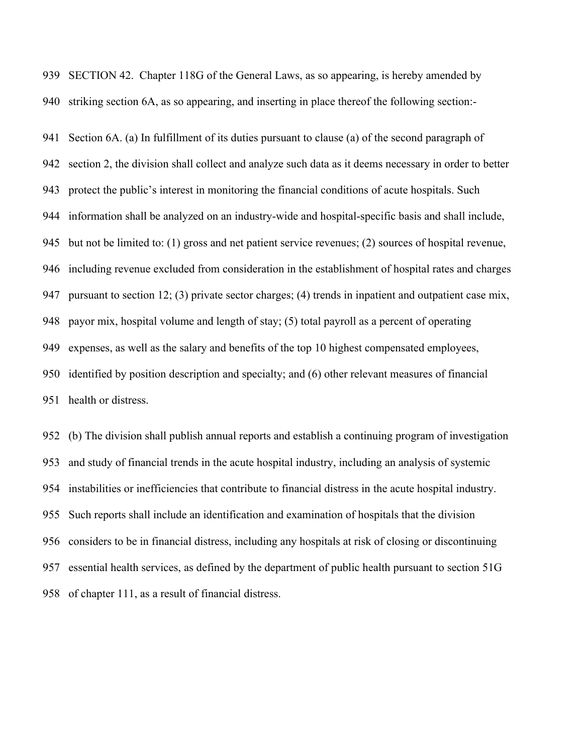SECTION 42. Chapter 118G of the General Laws, as so appearing, is hereby amended by striking section 6A, as so appearing, and inserting in place thereof the following section:-

 Section 6A. (a) In fulfillment of its duties pursuant to clause (a) of the second paragraph of section 2, the division shall collect and analyze such data as it deems necessary in order to better protect the public's interest in monitoring the financial conditions of acute hospitals. Such information shall be analyzed on an industry-wide and hospital-specific basis and shall include, but not be limited to: (1) gross and net patient service revenues; (2) sources of hospital revenue, including revenue excluded from consideration in the establishment of hospital rates and charges pursuant to section 12; (3) private sector charges; (4) trends in inpatient and outpatient case mix, payor mix, hospital volume and length of stay; (5) total payroll as a percent of operating expenses, as well as the salary and benefits of the top 10 highest compensated employees, identified by position description and specialty; and (6) other relevant measures of financial health or distress.

 (b) The division shall publish annual reports and establish a continuing program of investigation and study of financial trends in the acute hospital industry, including an analysis of systemic instabilities or inefficiencies that contribute to financial distress in the acute hospital industry. Such reports shall include an identification and examination of hospitals that the division considers to be in financial distress, including any hospitals at risk of closing or discontinuing essential health services, as defined by the department of public health pursuant to section 51G of chapter 111, as a result of financial distress.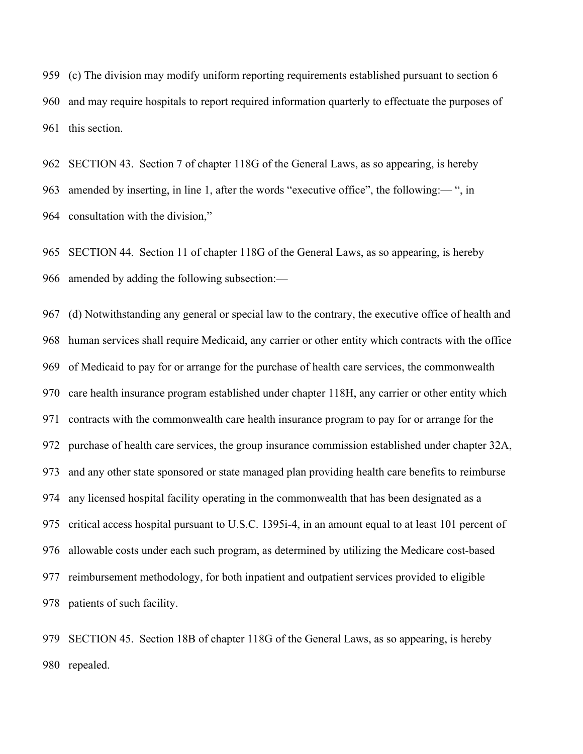(c) The division may modify uniform reporting requirements established pursuant to section 6 and may require hospitals to report required information quarterly to effectuate the purposes of this section.

 SECTION 43. Section 7 of chapter 118G of the General Laws, as so appearing, is hereby amended by inserting, in line 1, after the words "executive office", the following:— ", in consultation with the division,"

 SECTION 44. Section 11 of chapter 118G of the General Laws, as so appearing, is hereby amended by adding the following subsection:—

 (d) Notwithstanding any general or special law to the contrary, the executive office of health and human services shall require Medicaid, any carrier or other entity which contracts with the office of Medicaid to pay for or arrange for the purchase of health care services, the commonwealth care health insurance program established under chapter 118H, any carrier or other entity which contracts with the commonwealth care health insurance program to pay for or arrange for the purchase of health care services, the group insurance commission established under chapter 32A, and any other state sponsored or state managed plan providing health care benefits to reimburse any licensed hospital facility operating in the commonwealth that has been designated as a critical access hospital pursuant to U.S.C. 1395i-4, in an amount equal to at least 101 percent of allowable costs under each such program, as determined by utilizing the Medicare cost-based reimbursement methodology, for both inpatient and outpatient services provided to eligible patients of such facility.

 SECTION 45. Section 18B of chapter 118G of the General Laws, as so appearing, is hereby repealed.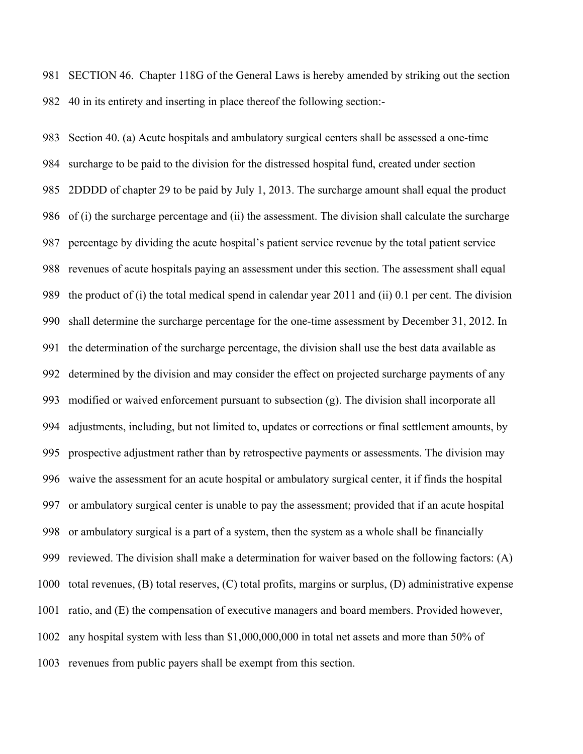SECTION 46. Chapter 118G of the General Laws is hereby amended by striking out the section 40 in its entirety and inserting in place thereof the following section:-

 Section 40. (a) Acute hospitals and ambulatory surgical centers shall be assessed a one-time surcharge to be paid to the division for the distressed hospital fund, created under section 2DDDD of chapter 29 to be paid by July 1, 2013. The surcharge amount shall equal the product of (i) the surcharge percentage and (ii) the assessment. The division shall calculate the surcharge percentage by dividing the acute hospital's patient service revenue by the total patient service revenues of acute hospitals paying an assessment under this section. The assessment shall equal the product of (i) the total medical spend in calendar year 2011 and (ii) 0.1 per cent. The division shall determine the surcharge percentage for the one-time assessment by December 31, 2012. In the determination of the surcharge percentage, the division shall use the best data available as determined by the division and may consider the effect on projected surcharge payments of any modified or waived enforcement pursuant to subsection (g). The division shall incorporate all adjustments, including, but not limited to, updates or corrections or final settlement amounts, by prospective adjustment rather than by retrospective payments or assessments. The division may waive the assessment for an acute hospital or ambulatory surgical center, it if finds the hospital or ambulatory surgical center is unable to pay the assessment; provided that if an acute hospital or ambulatory surgical is a part of a system, then the system as a whole shall be financially reviewed. The division shall make a determination for waiver based on the following factors: (A) total revenues, (B) total reserves, (C) total profits, margins or surplus, (D) administrative expense ratio, and (E) the compensation of executive managers and board members. Provided however, any hospital system with less than \$1,000,000,000 in total net assets and more than 50% of revenues from public payers shall be exempt from this section.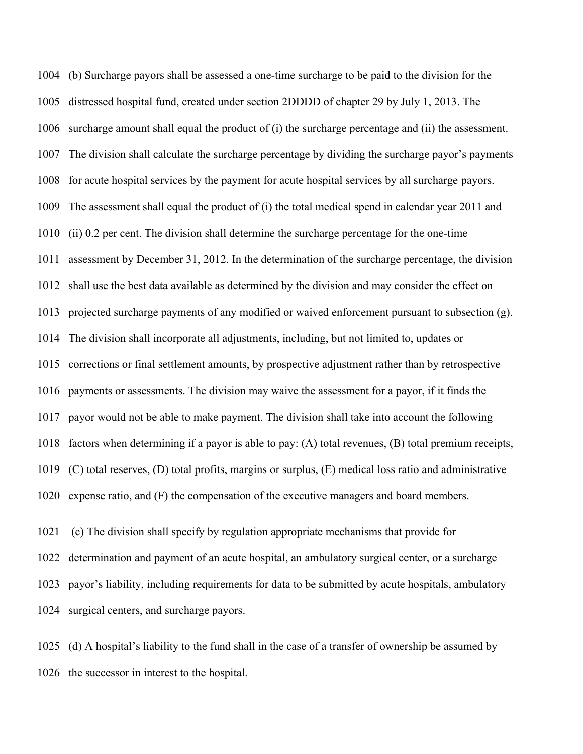(b) Surcharge payors shall be assessed a one-time surcharge to be paid to the division for the distressed hospital fund, created under section 2DDDD of chapter 29 by July 1, 2013. The surcharge amount shall equal the product of (i) the surcharge percentage and (ii) the assessment. The division shall calculate the surcharge percentage by dividing the surcharge payor's payments for acute hospital services by the payment for acute hospital services by all surcharge payors. The assessment shall equal the product of (i) the total medical spend in calendar year 2011 and (ii) 0.2 per cent. The division shall determine the surcharge percentage for the one-time assessment by December 31, 2012. In the determination of the surcharge percentage, the division shall use the best data available as determined by the division and may consider the effect on projected surcharge payments of any modified or waived enforcement pursuant to subsection (g). The division shall incorporate all adjustments, including, but not limited to, updates or corrections or final settlement amounts, by prospective adjustment rather than by retrospective payments or assessments. The division may waive the assessment for a payor, if it finds the payor would not be able to make payment. The division shall take into account the following factors when determining if a payor is able to pay: (A) total revenues, (B) total premium receipts, (C) total reserves, (D) total profits, margins or surplus, (E) medical loss ratio and administrative expense ratio, and (F) the compensation of the executive managers and board members.

 (c) The division shall specify by regulation appropriate mechanisms that provide for determination and payment of an acute hospital, an ambulatory surgical center, or a surcharge payor's liability, including requirements for data to be submitted by acute hospitals, ambulatory surgical centers, and surcharge payors.

 (d) A hospital's liability to the fund shall in the case of a transfer of ownership be assumed by the successor in interest to the hospital.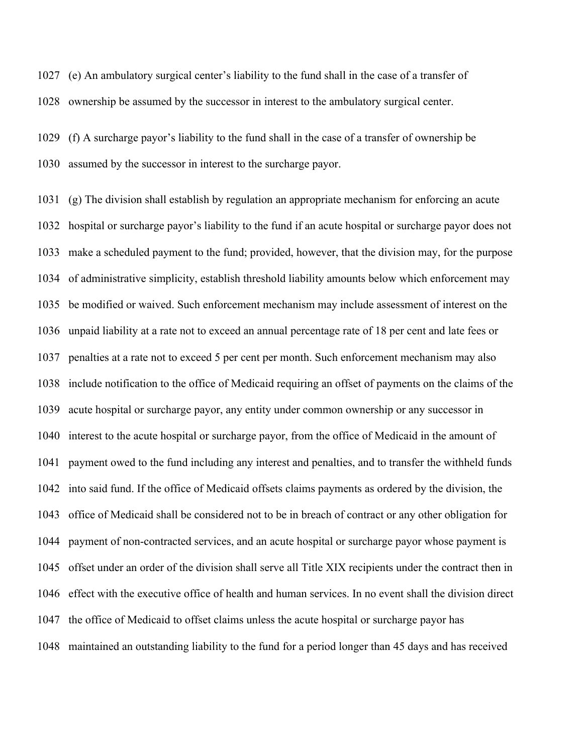(e) An ambulatory surgical center's liability to the fund shall in the case of a transfer of ownership be assumed by the successor in interest to the ambulatory surgical center.

 (f) A surcharge payor's liability to the fund shall in the case of a transfer of ownership be assumed by the successor in interest to the surcharge payor.

 (g) The division shall establish by regulation an appropriate mechanism for enforcing an acute hospital or surcharge payor's liability to the fund if an acute hospital or surcharge payor does not make a scheduled payment to the fund; provided, however, that the division may, for the purpose of administrative simplicity, establish threshold liability amounts below which enforcement may be modified or waived. Such enforcement mechanism may include assessment of interest on the unpaid liability at a rate not to exceed an annual percentage rate of 18 per cent and late fees or penalties at a rate not to exceed 5 per cent per month. Such enforcement mechanism may also include notification to the office of Medicaid requiring an offset of payments on the claims of the acute hospital or surcharge payor, any entity under common ownership or any successor in interest to the acute hospital or surcharge payor, from the office of Medicaid in the amount of payment owed to the fund including any interest and penalties, and to transfer the withheld funds into said fund. If the office of Medicaid offsets claims payments as ordered by the division, the office of Medicaid shall be considered not to be in breach of contract or any other obligation for payment of non-contracted services, and an acute hospital or surcharge payor whose payment is offset under an order of the division shall serve all Title XIX recipients under the contract then in effect with the executive office of health and human services. In no event shall the division direct the office of Medicaid to offset claims unless the acute hospital or surcharge payor has maintained an outstanding liability to the fund for a period longer than 45 days and has received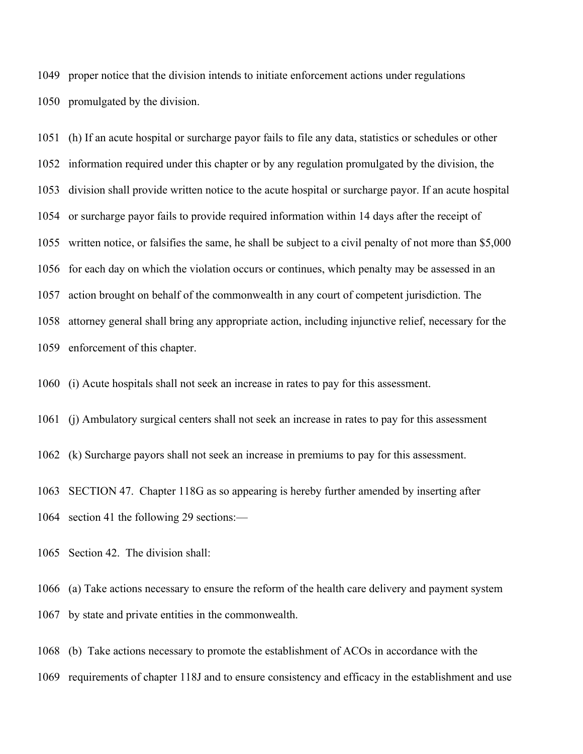proper notice that the division intends to initiate enforcement actions under regulations promulgated by the division.

 (h) If an acute hospital or surcharge payor fails to file any data, statistics or schedules or other information required under this chapter or by any regulation promulgated by the division, the division shall provide written notice to the acute hospital or surcharge payor. If an acute hospital or surcharge payor fails to provide required information within 14 days after the receipt of written notice, or falsifies the same, he shall be subject to a civil penalty of not more than \$5,000 for each day on which the violation occurs or continues, which penalty may be assessed in an action brought on behalf of the commonwealth in any court of competent jurisdiction. The attorney general shall bring any appropriate action, including injunctive relief, necessary for the enforcement of this chapter.

(i) Acute hospitals shall not seek an increase in rates to pay for this assessment.

(j) Ambulatory surgical centers shall not seek an increase in rates to pay for this assessment

(k) Surcharge payors shall not seek an increase in premiums to pay for this assessment.

 SECTION 47. Chapter 118G as so appearing is hereby further amended by inserting after section 41 the following 29 sections:—

Section 42. The division shall:

 (a) Take actions necessary to ensure the reform of the health care delivery and payment system by state and private entities in the commonwealth.

 (b) Take actions necessary to promote the establishment of ACOs in accordance with the requirements of chapter 118J and to ensure consistency and efficacy in the establishment and use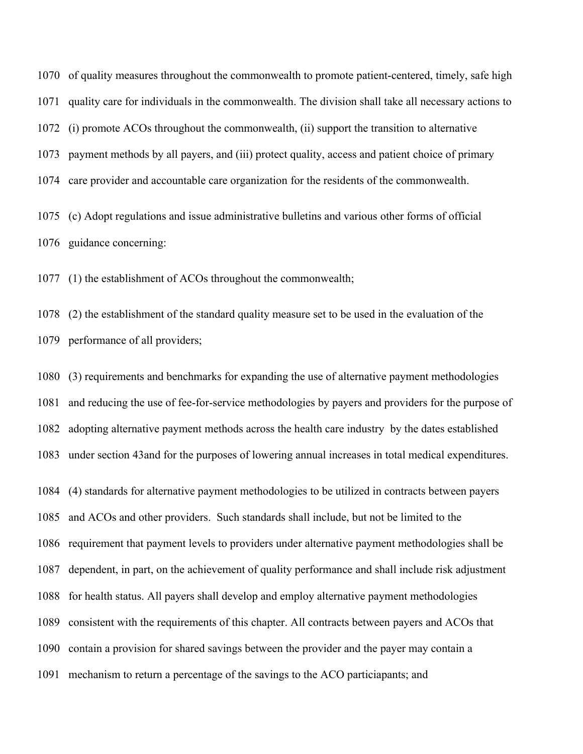of quality measures throughout the commonwealth to promote patient-centered, timely, safe high quality care for individuals in the commonwealth. The division shall take all necessary actions to (i) promote ACOs throughout the commonwealth, (ii) support the transition to alternative payment methods by all payers, and (iii) protect quality, access and patient choice of primary care provider and accountable care organization for the residents of the commonwealth. (c) Adopt regulations and issue administrative bulletins and various other forms of official

guidance concerning:

(1) the establishment of ACOs throughout the commonwealth;

 (2) the establishment of the standard quality measure set to be used in the evaluation of the performance of all providers;

 (3) requirements and benchmarks for expanding the use of alternative payment methodologies and reducing the use of fee-for-service methodologies by payers and providers for the purpose of adopting alternative payment methods across the health care industry by the dates established under section 43and for the purposes of lowering annual increases in total medical expenditures.

 (4) standards for alternative payment methodologies to be utilized in contracts between payers and ACOs and other providers. Such standards shall include, but not be limited to the requirement that payment levels to providers under alternative payment methodologies shall be dependent, in part, on the achievement of quality performance and shall include risk adjustment for health status. All payers shall develop and employ alternative payment methodologies consistent with the requirements of this chapter. All contracts between payers and ACOs that contain a provision for shared savings between the provider and the payer may contain a mechanism to return a percentage of the savings to the ACO particiapants; and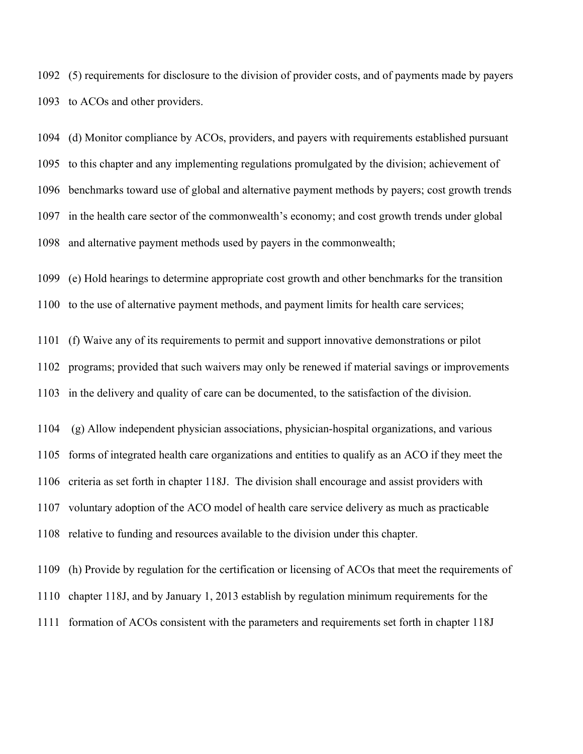(5) requirements for disclosure to the division of provider costs, and of payments made by payers to ACOs and other providers.

 (d) Monitor compliance by ACOs, providers, and payers with requirements established pursuant to this chapter and any implementing regulations promulgated by the division; achievement of benchmarks toward use of global and alternative payment methods by payers; cost growth trends in the health care sector of the commonwealth's economy; and cost growth trends under global and alternative payment methods used by payers in the commonwealth;

(e) Hold hearings to determine appropriate cost growth and other benchmarks for the transition

to the use of alternative payment methods, and payment limits for health care services;

 (f) Waive any of its requirements to permit and support innovative demonstrations or pilot programs; provided that such waivers may only be renewed if material savings or improvements in the delivery and quality of care can be documented, to the satisfaction of the division.

 (g) Allow independent physician associations, physician-hospital organizations, and various forms of integrated health care organizations and entities to qualify as an ACO if they meet the criteria as set forth in chapter 118J. The division shall encourage and assist providers with voluntary adoption of the ACO model of health care service delivery as much as practicable relative to funding and resources available to the division under this chapter.

 (h) Provide by regulation for the certification or licensing of ACOs that meet the requirements of chapter 118J, and by January 1, 2013 establish by regulation minimum requirements for the formation of ACOs consistent with the parameters and requirements set forth in chapter 118J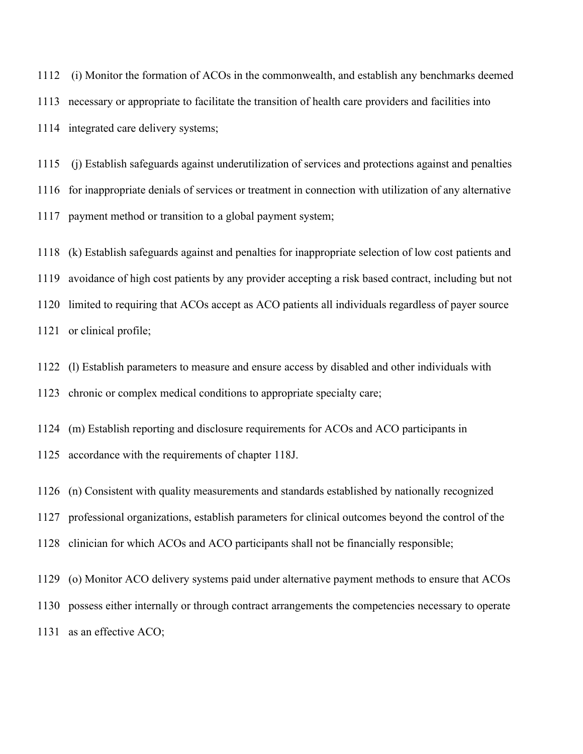(i) Monitor the formation of ACOs in the commonwealth, and establish any benchmarks deemed necessary or appropriate to facilitate the transition of health care providers and facilities into integrated care delivery systems;

 (j) Establish safeguards against underutilization of services and protections against and penalties for inappropriate denials of services or treatment in connection with utilization of any alternative payment method or transition to a global payment system;

 (k) Establish safeguards against and penalties for inappropriate selection of low cost patients and avoidance of high cost patients by any provider accepting a risk based contract, including but not limited to requiring that ACOs accept as ACO patients all individuals regardless of payer source or clinical profile;

 (l) Establish parameters to measure and ensure access by disabled and other individuals with chronic or complex medical conditions to appropriate specialty care;

(m) Establish reporting and disclosure requirements for ACOs and ACO participants in

accordance with the requirements of chapter 118J.

(n) Consistent with quality measurements and standards established by nationally recognized

professional organizations, establish parameters for clinical outcomes beyond the control of the

clinician for which ACOs and ACO participants shall not be financially responsible;

(o) Monitor ACO delivery systems paid under alternative payment methods to ensure that ACOs

possess either internally or through contract arrangements the competencies necessary to operate

as an effective ACO;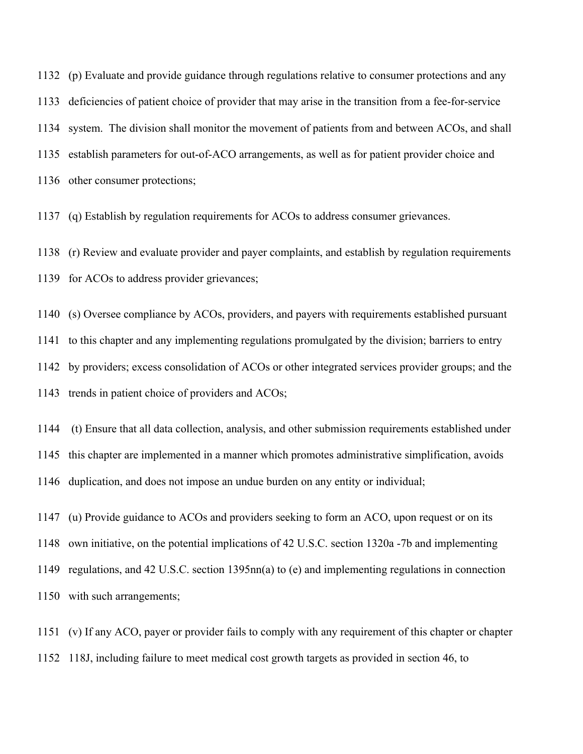(p) Evaluate and provide guidance through regulations relative to consumer protections and any deficiencies of patient choice of provider that may arise in the transition from a fee-for-service system. The division shall monitor the movement of patients from and between ACOs, and shall establish parameters for out-of-ACO arrangements, as well as for patient provider choice and other consumer protections;

(q) Establish by regulation requirements for ACOs to address consumer grievances.

 (r) Review and evaluate provider and payer complaints, and establish by regulation requirements for ACOs to address provider grievances;

 (s) Oversee compliance by ACOs, providers, and payers with requirements established pursuant to this chapter and any implementing regulations promulgated by the division; barriers to entry by providers; excess consolidation of ACOs or other integrated services provider groups; and the trends in patient choice of providers and ACOs;

 (t) Ensure that all data collection, analysis, and other submission requirements established under this chapter are implemented in a manner which promotes administrative simplification, avoids duplication, and does not impose an undue burden on any entity or individual;

 (u) Provide guidance to ACOs and providers seeking to form an ACO, upon request or on its own initiative, on the potential implications of 42 U.S.C. section 1320a -7b and implementing regulations, and 42 U.S.C. section 1395nn(a) to (e) and implementing regulations in connection with such arrangements;

 (v) If any ACO, payer or provider fails to comply with any requirement of this chapter or chapter 118J, including failure to meet medical cost growth targets as provided in section 46, to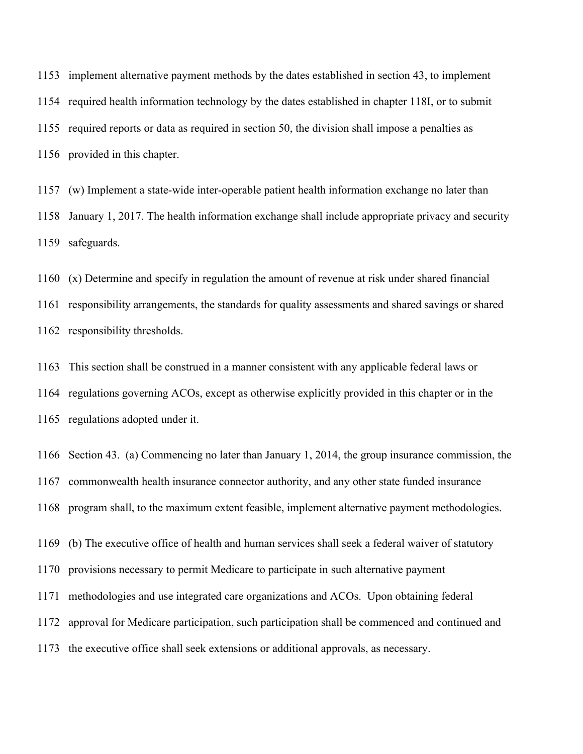implement alternative payment methods by the dates established in section 43, to implement required health information technology by the dates established in chapter 118I, or to submit required reports or data as required in section 50, the division shall impose a penalties as provided in this chapter.

 (w) Implement a state-wide inter-operable patient health information exchange no later than January 1, 2017. The health information exchange shall include appropriate privacy and security safeguards.

 (x) Determine and specify in regulation the amount of revenue at risk under shared financial responsibility arrangements, the standards for quality assessments and shared savings or shared responsibility thresholds.

 This section shall be construed in a manner consistent with any applicable federal laws or regulations governing ACOs, except as otherwise explicitly provided in this chapter or in the regulations adopted under it.

 Section 43. (a) Commencing no later than January 1, 2014, the group insurance commission, the commonwealth health insurance connector authority, and any other state funded insurance program shall, to the maximum extent feasible, implement alternative payment methodologies.

(b) The executive office of health and human services shall seek a federal waiver of statutory

provisions necessary to permit Medicare to participate in such alternative payment

methodologies and use integrated care organizations and ACOs. Upon obtaining federal

approval for Medicare participation, such participation shall be commenced and continued and

the executive office shall seek extensions or additional approvals, as necessary.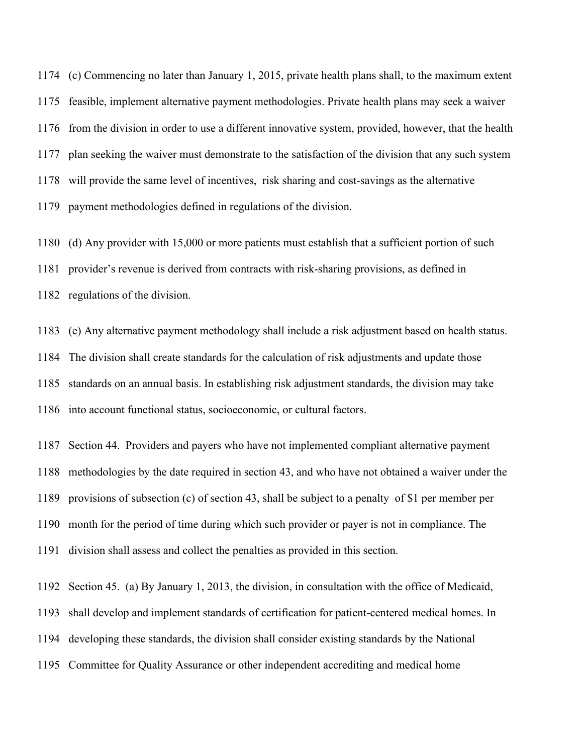(c) Commencing no later than January 1, 2015, private health plans shall, to the maximum extent feasible, implement alternative payment methodologies. Private health plans may seek a waiver from the division in order to use a different innovative system, provided, however, that the health plan seeking the waiver must demonstrate to the satisfaction of the division that any such system will provide the same level of incentives, risk sharing and cost-savings as the alternative payment methodologies defined in regulations of the division.

 (d) Any provider with 15,000 or more patients must establish that a sufficient portion of such provider's revenue is derived from contracts with risk-sharing provisions, as defined in regulations of the division.

 (e) Any alternative payment methodology shall include a risk adjustment based on health status. The division shall create standards for the calculation of risk adjustments and update those standards on an annual basis. In establishing risk adjustment standards, the division may take into account functional status, socioeconomic, or cultural factors.

 Section 44. Providers and payers who have not implemented compliant alternative payment methodologies by the date required in section 43, and who have not obtained a waiver under the provisions of subsection (c) of section 43, shall be subject to a penalty of \$1 per member per month for the period of time during which such provider or payer is not in compliance. The division shall assess and collect the penalties as provided in this section.

 Section 45. (a) By January 1, 2013, the division, in consultation with the office of Medicaid, shall develop and implement standards of certification for patient-centered medical homes. In developing these standards, the division shall consider existing standards by the National Committee for Quality Assurance or other independent accrediting and medical home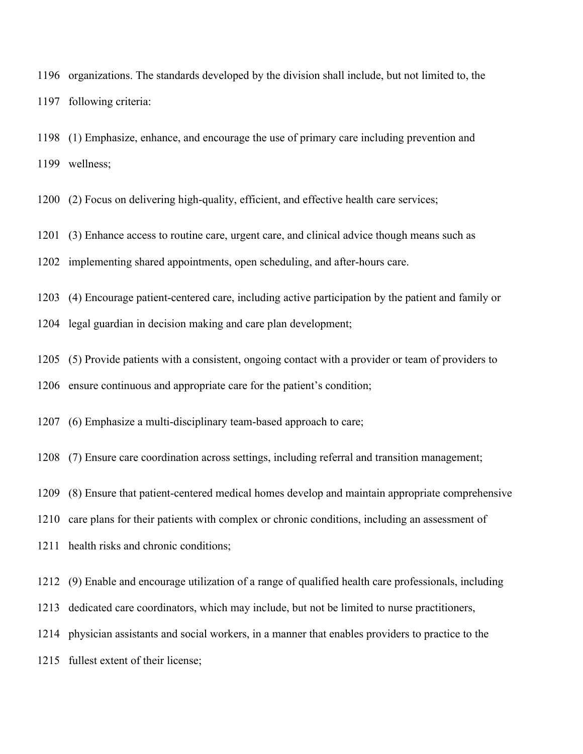organizations. The standards developed by the division shall include, but not limited to, the following criteria:

 (1) Emphasize, enhance, and encourage the use of primary care including prevention and wellness;

(2) Focus on delivering high-quality, efficient, and effective health care services;

(3) Enhance access to routine care, urgent care, and clinical advice though means such as

implementing shared appointments, open scheduling, and after-hours care.

(4) Encourage patient-centered care, including active participation by the patient and family or

legal guardian in decision making and care plan development;

(5) Provide patients with a consistent, ongoing contact with a provider or team of providers to

ensure continuous and appropriate care for the patient's condition;

(6) Emphasize a multi-disciplinary team-based approach to care;

(7) Ensure care coordination across settings, including referral and transition management;

(8) Ensure that patient-centered medical homes develop and maintain appropriate comprehensive

care plans for their patients with complex or chronic conditions, including an assessment of

health risks and chronic conditions;

(9) Enable and encourage utilization of a range of qualified health care professionals, including

dedicated care coordinators, which may include, but not be limited to nurse practitioners,

physician assistants and social workers, in a manner that enables providers to practice to the

fullest extent of their license;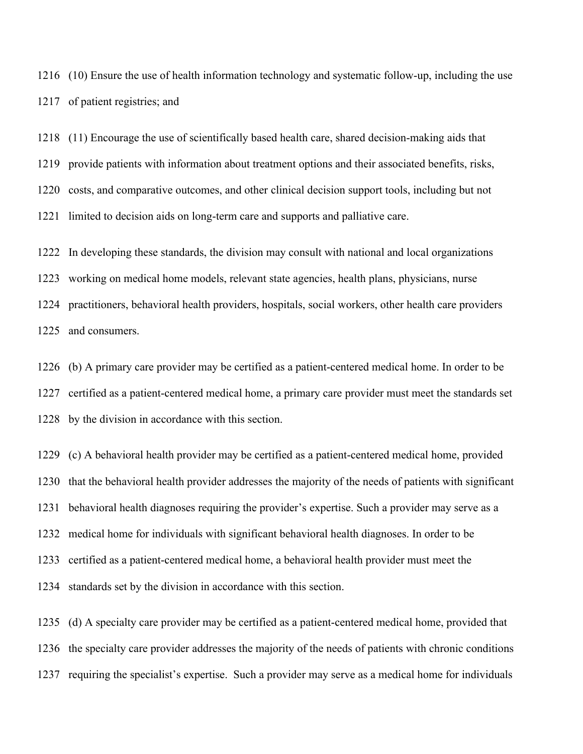(10) Ensure the use of health information technology and systematic follow-up, including the use of patient registries; and

 (11) Encourage the use of scientifically based health care, shared decision-making aids that provide patients with information about treatment options and their associated benefits, risks, costs, and comparative outcomes, and other clinical decision support tools, including but not limited to decision aids on long-term care and supports and palliative care.

 In developing these standards, the division may consult with national and local organizations working on medical home models, relevant state agencies, health plans, physicians, nurse practitioners, behavioral health providers, hospitals, social workers, other health care providers and consumers.

 (b) A primary care provider may be certified as a patient-centered medical home. In order to be certified as a patient-centered medical home, a primary care provider must meet the standards set by the division in accordance with this section.

 (c) A behavioral health provider may be certified as a patient-centered medical home, provided that the behavioral health provider addresses the majority of the needs of patients with significant behavioral health diagnoses requiring the provider's expertise. Such a provider may serve as a medical home for individuals with significant behavioral health diagnoses. In order to be certified as a patient-centered medical home, a behavioral health provider must meet the standards set by the division in accordance with this section.

 (d) A specialty care provider may be certified as a patient-centered medical home, provided that the specialty care provider addresses the majority of the needs of patients with chronic conditions requiring the specialist's expertise. Such a provider may serve as a medical home for individuals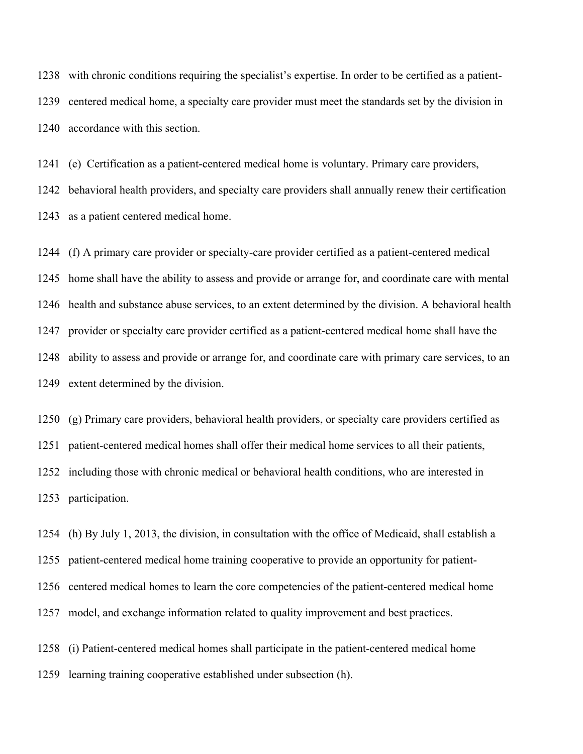with chronic conditions requiring the specialist's expertise. In order to be certified as a patient- centered medical home, a specialty care provider must meet the standards set by the division in accordance with this section.

 (e) Certification as a patient-centered medical home is voluntary. Primary care providers, behavioral health providers, and specialty care providers shall annually renew their certification as a patient centered medical home.

 (f) A primary care provider or specialty-care provider certified as a patient-centered medical home shall have the ability to assess and provide or arrange for, and coordinate care with mental health and substance abuse services, to an extent determined by the division. A behavioral health provider or specialty care provider certified as a patient-centered medical home shall have the ability to assess and provide or arrange for, and coordinate care with primary care services, to an extent determined by the division.

 (g) Primary care providers, behavioral health providers, or specialty care providers certified as patient-centered medical homes shall offer their medical home services to all their patients, including those with chronic medical or behavioral health conditions, who are interested in participation.

 (h) By July 1, 2013, the division, in consultation with the office of Medicaid, shall establish a patient-centered medical home training cooperative to provide an opportunity for patient- centered medical homes to learn the core competencies of the patient-centered medical home model, and exchange information related to quality improvement and best practices.

 (i) Patient-centered medical homes shall participate in the patient-centered medical home learning training cooperative established under subsection (h).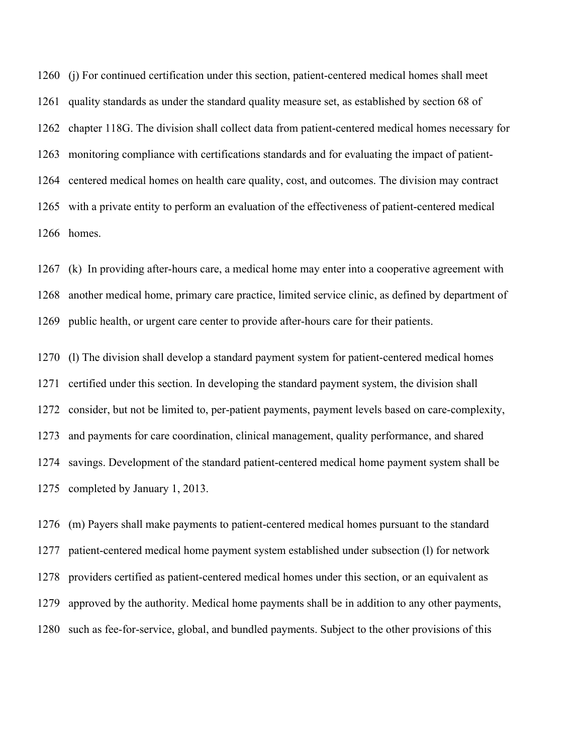(j) For continued certification under this section, patient-centered medical homes shall meet quality standards as under the standard quality measure set, as established by section 68 of chapter 118G. The division shall collect data from patient-centered medical homes necessary for monitoring compliance with certifications standards and for evaluating the impact of patient- centered medical homes on health care quality, cost, and outcomes. The division may contract with a private entity to perform an evaluation of the effectiveness of patient-centered medical homes.

 (k) In providing after-hours care, a medical home may enter into a cooperative agreement with another medical home, primary care practice, limited service clinic, as defined by department of public health, or urgent care center to provide after-hours care for their patients.

 (l) The division shall develop a standard payment system for patient-centered medical homes certified under this section. In developing the standard payment system, the division shall 1272 consider, but not be limited to, per-patient payments, payment levels based on care-complexity, and payments for care coordination, clinical management, quality performance, and shared savings. Development of the standard patient-centered medical home payment system shall be completed by January 1, 2013.

 (m) Payers shall make payments to patient-centered medical homes pursuant to the standard patient-centered medical home payment system established under subsection (l) for network providers certified as patient-centered medical homes under this section, or an equivalent as approved by the authority. Medical home payments shall be in addition to any other payments, such as fee-for-service, global, and bundled payments. Subject to the other provisions of this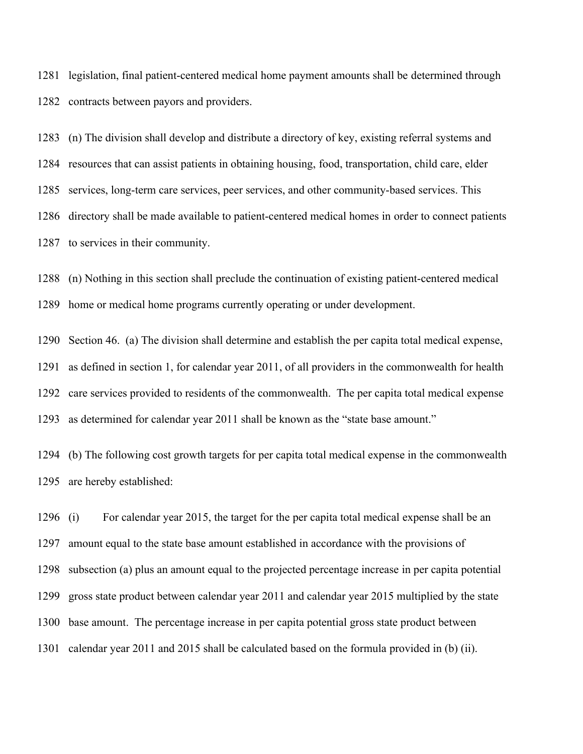legislation, final patient-centered medical home payment amounts shall be determined through contracts between payors and providers.

 (n) The division shall develop and distribute a directory of key, existing referral systems and resources that can assist patients in obtaining housing, food, transportation, child care, elder services, long-term care services, peer services, and other community-based services. This directory shall be made available to patient-centered medical homes in order to connect patients to services in their community.

 (n) Nothing in this section shall preclude the continuation of existing patient-centered medical home or medical home programs currently operating or under development.

 Section 46. (a) The division shall determine and establish the per capita total medical expense, as defined in section 1, for calendar year 2011, of all providers in the commonwealth for health care services provided to residents of the commonwealth. The per capita total medical expense as determined for calendar year 2011 shall be known as the "state base amount."

 (b) The following cost growth targets for per capita total medical expense in the commonwealth are hereby established:

 (i) For calendar year 2015, the target for the per capita total medical expense shall be an amount equal to the state base amount established in accordance with the provisions of subsection (a) plus an amount equal to the projected percentage increase in per capita potential gross state product between calendar year 2011 and calendar year 2015 multiplied by the state base amount. The percentage increase in per capita potential gross state product between calendar year 2011 and 2015 shall be calculated based on the formula provided in (b) (ii).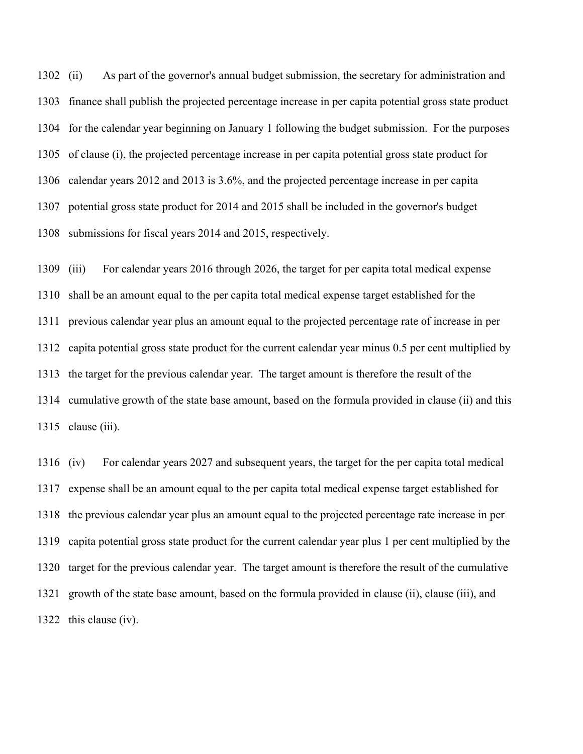(ii) As part of the governor's annual budget submission, the secretary for administration and finance shall publish the projected percentage increase in per capita potential gross state product for the calendar year beginning on January 1 following the budget submission. For the purposes of clause (i), the projected percentage increase in per capita potential gross state product for calendar years 2012 and 2013 is 3.6%, and the projected percentage increase in per capita potential gross state product for 2014 and 2015 shall be included in the governor's budget submissions for fiscal years 2014 and 2015, respectively.

 (iii) For calendar years 2016 through 2026, the target for per capita total medical expense shall be an amount equal to the per capita total medical expense target established for the previous calendar year plus an amount equal to the projected percentage rate of increase in per capita potential gross state product for the current calendar year minus 0.5 per cent multiplied by the target for the previous calendar year. The target amount is therefore the result of the cumulative growth of the state base amount, based on the formula provided in clause (ii) and this clause (iii).

 (iv) For calendar years 2027 and subsequent years, the target for the per capita total medical expense shall be an amount equal to the per capita total medical expense target established for the previous calendar year plus an amount equal to the projected percentage rate increase in per capita potential gross state product for the current calendar year plus 1 per cent multiplied by the target for the previous calendar year. The target amount is therefore the result of the cumulative growth of the state base amount, based on the formula provided in clause (ii), clause (iii), and this clause (iv).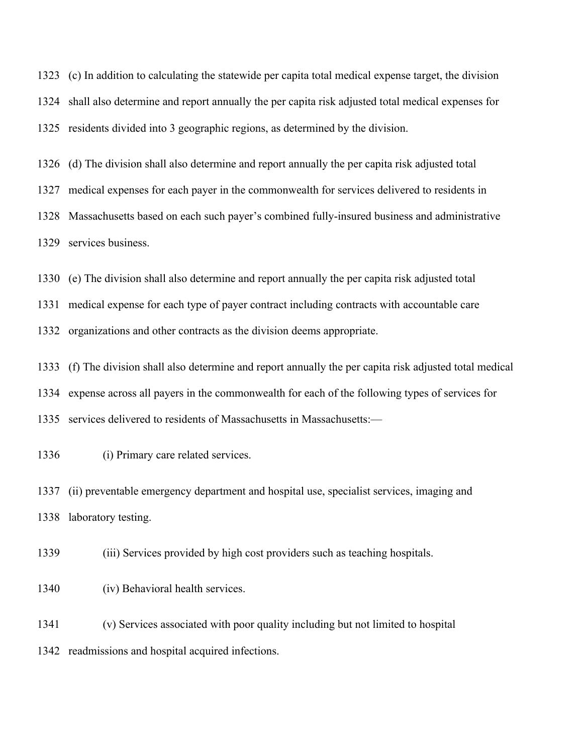(c) In addition to calculating the statewide per capita total medical expense target, the division shall also determine and report annually the per capita risk adjusted total medical expenses for residents divided into 3 geographic regions, as determined by the division.

 (d) The division shall also determine and report annually the per capita risk adjusted total medical expenses for each payer in the commonwealth for services delivered to residents in Massachusetts based on each such payer's combined fully-insured business and administrative services business.

(e) The division shall also determine and report annually the per capita risk adjusted total

medical expense for each type of payer contract including contracts with accountable care

organizations and other contracts as the division deems appropriate.

 (f) The division shall also determine and report annually the per capita risk adjusted total medical expense across all payers in the commonwealth for each of the following types of services for services delivered to residents of Massachusetts in Massachusetts:—

(i) Primary care related services.

 (ii) preventable emergency department and hospital use, specialist services, imaging and laboratory testing.

(iii) Services provided by high cost providers such as teaching hospitals.

(iv) Behavioral health services.

 (v) Services associated with poor quality including but not limited to hospital readmissions and hospital acquired infections.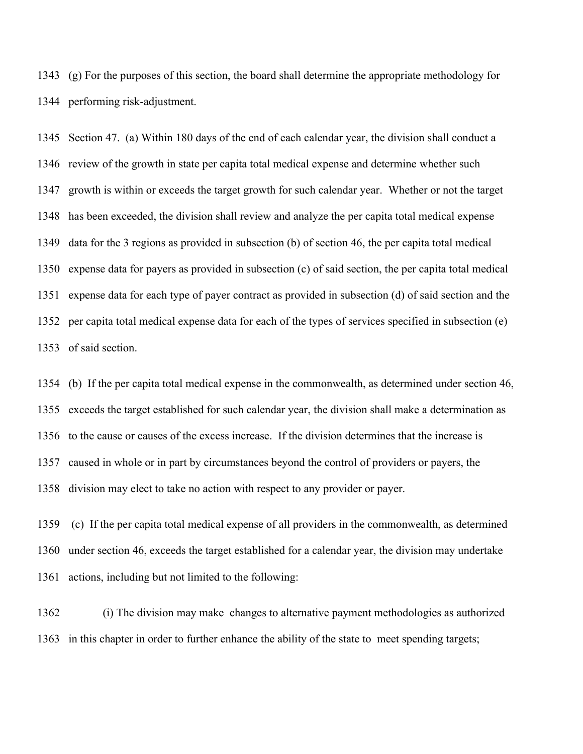(g) For the purposes of this section, the board shall determine the appropriate methodology for performing risk-adjustment.

 Section 47. (a) Within 180 days of the end of each calendar year, the division shall conduct a review of the growth in state per capita total medical expense and determine whether such growth is within or exceeds the target growth for such calendar year. Whether or not the target has been exceeded, the division shall review and analyze the per capita total medical expense data for the 3 regions as provided in subsection (b) of section 46, the per capita total medical expense data for payers as provided in subsection (c) of said section, the per capita total medical expense data for each type of payer contract as provided in subsection (d) of said section and the per capita total medical expense data for each of the types of services specified in subsection (e) of said section.

 (b) If the per capita total medical expense in the commonwealth, as determined under section 46, exceeds the target established for such calendar year, the division shall make a determination as to the cause or causes of the excess increase. If the division determines that the increase is caused in whole or in part by circumstances beyond the control of providers or payers, the division may elect to take no action with respect to any provider or payer.

 (c) If the per capita total medical expense of all providers in the commonwealth, as determined under section 46, exceeds the target established for a calendar year, the division may undertake actions, including but not limited to the following:

 (i) The division may make changes to alternative payment methodologies as authorized in this chapter in order to further enhance the ability of the state to meet spending targets;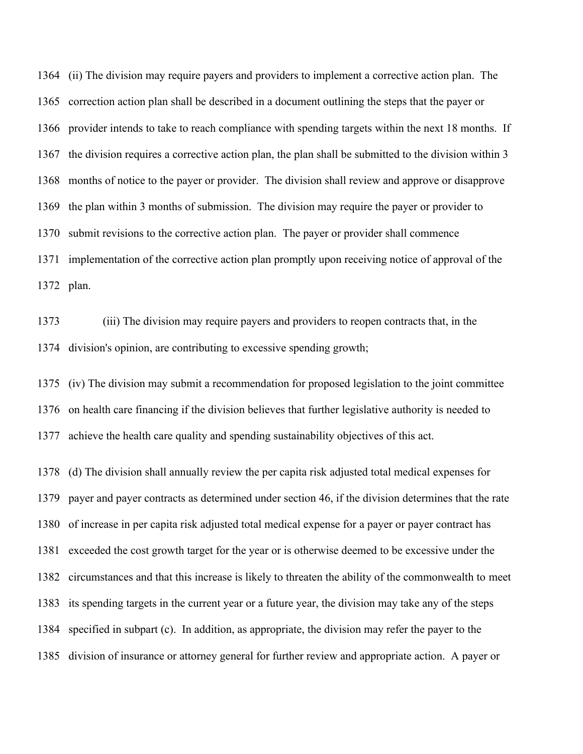(ii) The division may require payers and providers to implement a corrective action plan. The correction action plan shall be described in a document outlining the steps that the payer or provider intends to take to reach compliance with spending targets within the next 18 months. If the division requires a corrective action plan, the plan shall be submitted to the division within 3 months of notice to the payer or provider. The division shall review and approve or disapprove the plan within 3 months of submission. The division may require the payer or provider to submit revisions to the corrective action plan. The payer or provider shall commence implementation of the corrective action plan promptly upon receiving notice of approval of the plan.

 (iii) The division may require payers and providers to reopen contracts that, in the division's opinion, are contributing to excessive spending growth;

 (iv) The division may submit a recommendation for proposed legislation to the joint committee on health care financing if the division believes that further legislative authority is needed to achieve the health care quality and spending sustainability objectives of this act.

 (d) The division shall annually review the per capita risk adjusted total medical expenses for payer and payer contracts as determined under section 46, if the division determines that the rate of increase in per capita risk adjusted total medical expense for a payer or payer contract has exceeded the cost growth target for the year or is otherwise deemed to be excessive under the circumstances and that this increase is likely to threaten the ability of the commonwealth to meet its spending targets in the current year or a future year, the division may take any of the steps specified in subpart (c). In addition, as appropriate, the division may refer the payer to the division of insurance or attorney general for further review and appropriate action. A payer or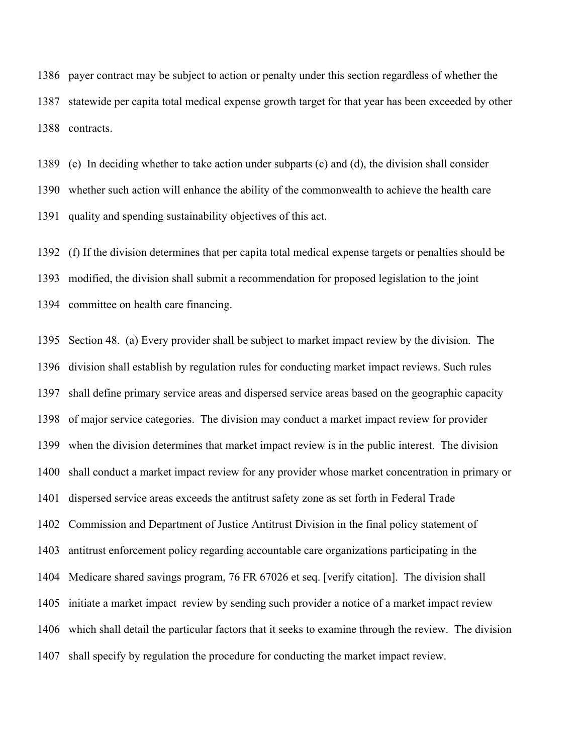payer contract may be subject to action or penalty under this section regardless of whether the statewide per capita total medical expense growth target for that year has been exceeded by other contracts.

 (e) In deciding whether to take action under subparts (c) and (d), the division shall consider whether such action will enhance the ability of the commonwealth to achieve the health care quality and spending sustainability objectives of this act.

 (f) If the division determines that per capita total medical expense targets or penalties should be modified, the division shall submit a recommendation for proposed legislation to the joint committee on health care financing.

 Section 48. (a) Every provider shall be subject to market impact review by the division. The division shall establish by regulation rules for conducting market impact reviews. Such rules shall define primary service areas and dispersed service areas based on the geographic capacity of major service categories. The division may conduct a market impact review for provider when the division determines that market impact review is in the public interest. The division shall conduct a market impact review for any provider whose market concentration in primary or dispersed service areas exceeds the antitrust safety zone as set forth in Federal Trade Commission and Department of Justice Antitrust Division in the final policy statement of antitrust enforcement policy regarding accountable care organizations participating in the Medicare shared savings program, 76 FR 67026 et seq. [verify citation]. The division shall initiate a market impact review by sending such provider a notice of a market impact review which shall detail the particular factors that it seeks to examine through the review. The division shall specify by regulation the procedure for conducting the market impact review.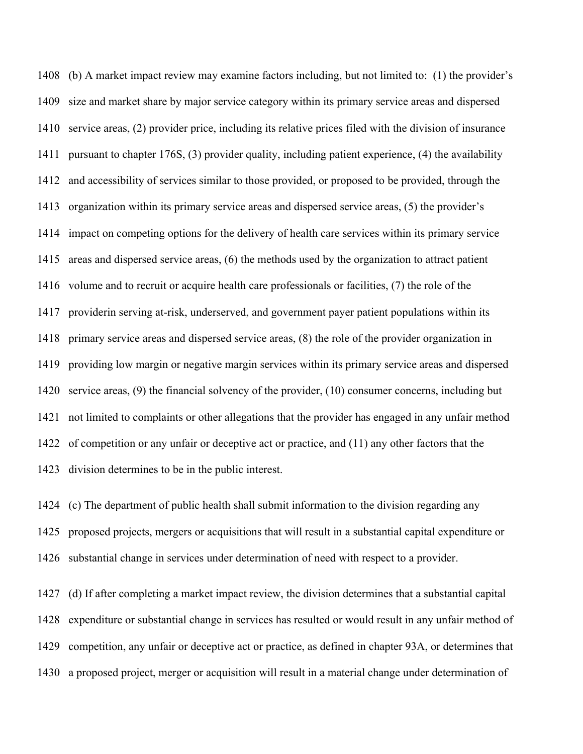(b) A market impact review may examine factors including, but not limited to: (1) the provider's size and market share by major service category within its primary service areas and dispersed service areas, (2) provider price, including its relative prices filed with the division of insurance pursuant to chapter 176S, (3) provider quality, including patient experience, (4) the availability and accessibility of services similar to those provided, or proposed to be provided, through the organization within its primary service areas and dispersed service areas, (5) the provider's impact on competing options for the delivery of health care services within its primary service areas and dispersed service areas, (6) the methods used by the organization to attract patient volume and to recruit or acquire health care professionals or facilities, (7) the role of the providerin serving at-risk, underserved, and government payer patient populations within its primary service areas and dispersed service areas, (8) the role of the provider organization in providing low margin or negative margin services within its primary service areas and dispersed service areas, (9) the financial solvency of the provider, (10) consumer concerns, including but not limited to complaints or other allegations that the provider has engaged in any unfair method of competition or any unfair or deceptive act or practice, and (11) any other factors that the division determines to be in the public interest.

 (c) The department of public health shall submit information to the division regarding any proposed projects, mergers or acquisitions that will result in a substantial capital expenditure or substantial change in services under determination of need with respect to a provider.

 (d) If after completing a market impact review, the division determines that a substantial capital expenditure or substantial change in services has resulted or would result in any unfair method of competition, any unfair or deceptive act or practice, as defined in chapter 93A, or determines that a proposed project, merger or acquisition will result in a material change under determination of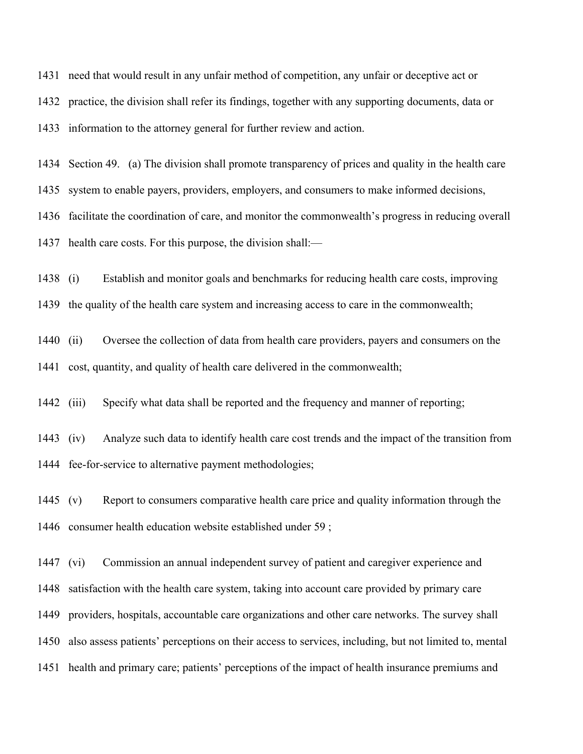need that would result in any unfair method of competition, any unfair or deceptive act or practice, the division shall refer its findings, together with any supporting documents, data or information to the attorney general for further review and action.

Section 49. (a) The division shall promote transparency of prices and quality in the health care

system to enable payers, providers, employers, and consumers to make informed decisions,

facilitate the coordination of care, and monitor the commonwealth's progress in reducing overall

health care costs. For this purpose, the division shall:—

(i) Establish and monitor goals and benchmarks for reducing health care costs, improving

the quality of the health care system and increasing access to care in the commonwealth;

 (ii) Oversee the collection of data from health care providers, payers and consumers on the cost, quantity, and quality of health care delivered in the commonwealth;

(iii) Specify what data shall be reported and the frequency and manner of reporting;

 (iv) Analyze such data to identify health care cost trends and the impact of the transition from fee-for-service to alternative payment methodologies;

 (v) Report to consumers comparative health care price and quality information through the consumer health education website established under 59 ;

 (vi) Commission an annual independent survey of patient and caregiver experience and satisfaction with the health care system, taking into account care provided by primary care providers, hospitals, accountable care organizations and other care networks. The survey shall also assess patients' perceptions on their access to services, including, but not limited to, mental health and primary care; patients' perceptions of the impact of health insurance premiums and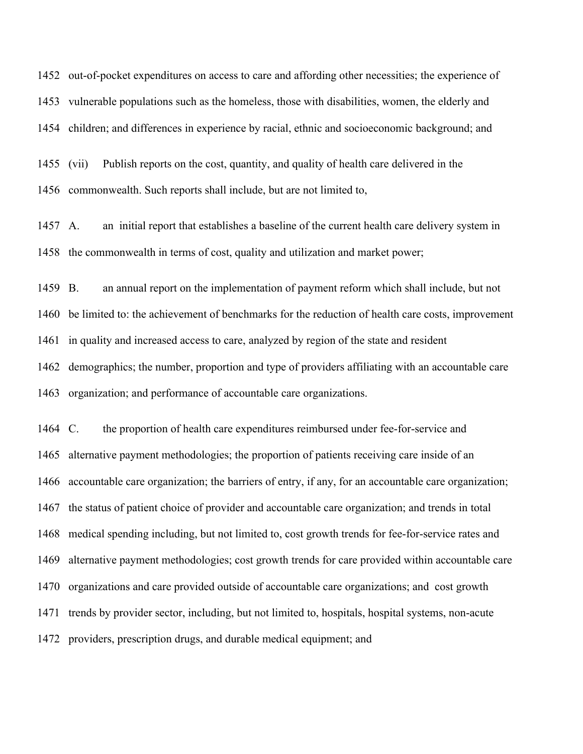out-of-pocket expenditures on access to care and affording other necessities; the experience of vulnerable populations such as the homeless, those with disabilities, women, the elderly and children; and differences in experience by racial, ethnic and socioeconomic background; and

 (vii) Publish reports on the cost, quantity, and quality of health care delivered in the commonwealth. Such reports shall include, but are not limited to,

 A. an initial report that establishes a baseline of the current health care delivery system in the commonwealth in terms of cost, quality and utilization and market power;

 B. an annual report on the implementation of payment reform which shall include, but not be limited to: the achievement of benchmarks for the reduction of health care costs, improvement in quality and increased access to care, analyzed by region of the state and resident demographics; the number, proportion and type of providers affiliating with an accountable care organization; and performance of accountable care organizations.

 C. the proportion of health care expenditures reimbursed under fee-for-service and alternative payment methodologies; the proportion of patients receiving care inside of an accountable care organization; the barriers of entry, if any, for an accountable care organization; the status of patient choice of provider and accountable care organization; and trends in total medical spending including, but not limited to, cost growth trends for fee-for-service rates and alternative payment methodologies; cost growth trends for care provided within accountable care organizations and care provided outside of accountable care organizations; and cost growth trends by provider sector, including, but not limited to, hospitals, hospital systems, non-acute providers, prescription drugs, and durable medical equipment; and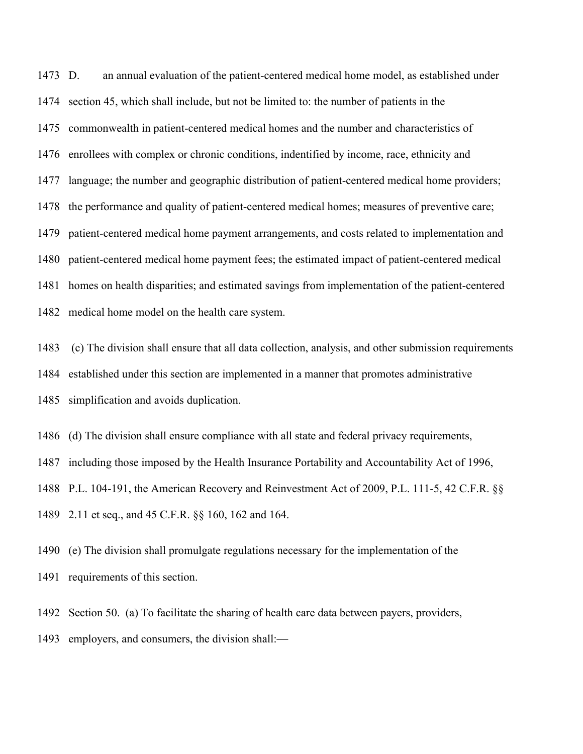D. an annual evaluation of the patient-centered medical home model, as established under section 45, which shall include, but not be limited to: the number of patients in the commonwealth in patient-centered medical homes and the number and characteristics of enrollees with complex or chronic conditions, indentified by income, race, ethnicity and language; the number and geographic distribution of patient-centered medical home providers; the performance and quality of patient-centered medical homes; measures of preventive care; patient-centered medical home payment arrangements, and costs related to implementation and patient-centered medical home payment fees; the estimated impact of patient-centered medical homes on health disparities; and estimated savings from implementation of the patient-centered medical home model on the health care system.

 (c) The division shall ensure that all data collection, analysis, and other submission requirements established under this section are implemented in a manner that promotes administrative simplification and avoids duplication.

(d) The division shall ensure compliance with all state and federal privacy requirements,

including those imposed by the Health Insurance Portability and Accountability Act of 1996,

P.L. 104-191, the American Recovery and Reinvestment Act of 2009, P.L. 111-5, 42 C.F.R. §§

2.11 et seq., and 45 C.F.R. §§ 160, 162 and 164.

 (e) The division shall promulgate regulations necessary for the implementation of the requirements of this section.

Section 50. (a) To facilitate the sharing of health care data between payers, providers,

employers, and consumers, the division shall:—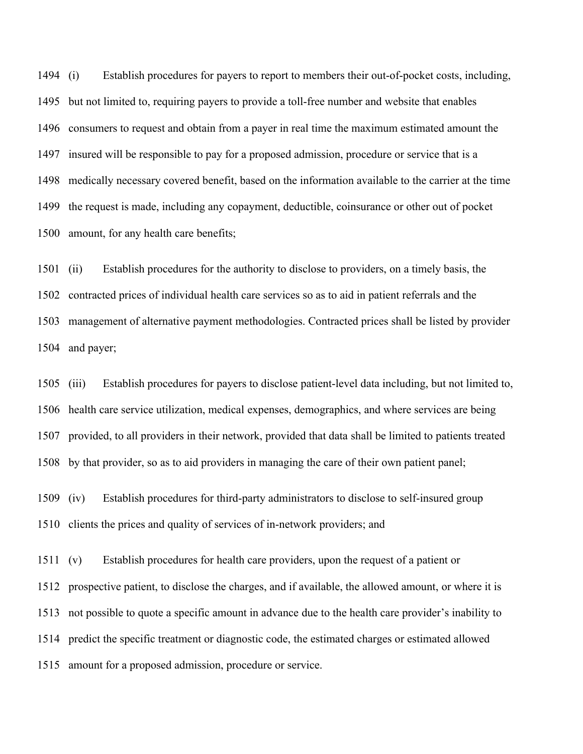(i) Establish procedures for payers to report to members their out-of-pocket costs, including, but not limited to, requiring payers to provide a toll-free number and website that enables consumers to request and obtain from a payer in real time the maximum estimated amount the insured will be responsible to pay for a proposed admission, procedure or service that is a medically necessary covered benefit, based on the information available to the carrier at the time the request is made, including any copayment, deductible, coinsurance or other out of pocket amount, for any health care benefits;

 (ii) Establish procedures for the authority to disclose to providers, on a timely basis, the contracted prices of individual health care services so as to aid in patient referrals and the management of alternative payment methodologies. Contracted prices shall be listed by provider and payer;

 (iii) Establish procedures for payers to disclose patient-level data including, but not limited to, health care service utilization, medical expenses, demographics, and where services are being provided, to all providers in their network, provided that data shall be limited to patients treated by that provider, so as to aid providers in managing the care of their own patient panel;

 (iv) Establish procedures for third-party administrators to disclose to self-insured group clients the prices and quality of services of in-network providers; and

 (v) Establish procedures for health care providers, upon the request of a patient or prospective patient, to disclose the charges, and if available, the allowed amount, or where it is not possible to quote a specific amount in advance due to the health care provider's inability to predict the specific treatment or diagnostic code, the estimated charges or estimated allowed amount for a proposed admission, procedure or service.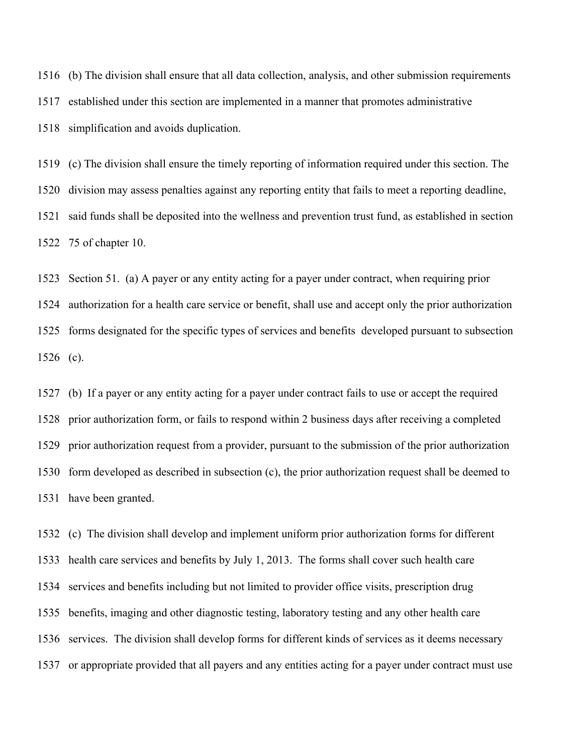(b) The division shall ensure that all data collection, analysis, and other submission requirements established under this section are implemented in a manner that promotes administrative simplification and avoids duplication.

 (c) The division shall ensure the timely reporting of information required under this section. The division may assess penalties against any reporting entity that fails to meet a reporting deadline, said funds shall be deposited into the wellness and prevention trust fund, as established in section 75 of chapter 10.

 Section 51. (a) A payer or any entity acting for a payer under contract, when requiring prior authorization for a health care service or benefit, shall use and accept only the prior authorization forms designated for the specific types of services and benefits developed pursuant to subsection (c).

 (b) If a payer or any entity acting for a payer under contract fails to use or accept the required prior authorization form, or fails to respond within 2 business days after receiving a completed prior authorization request from a provider, pursuant to the submission of the prior authorization form developed as described in subsection (c), the prior authorization request shall be deemed to have been granted.

 (c) The division shall develop and implement uniform prior authorization forms for different health care services and benefits by July 1, 2013. The forms shall cover such health care services and benefits including but not limited to provider office visits, prescription drug benefits, imaging and other diagnostic testing, laboratory testing and any other health care services. The division shall develop forms for different kinds of services as it deems necessary or appropriate provided that all payers and any entities acting for a payer under contract must use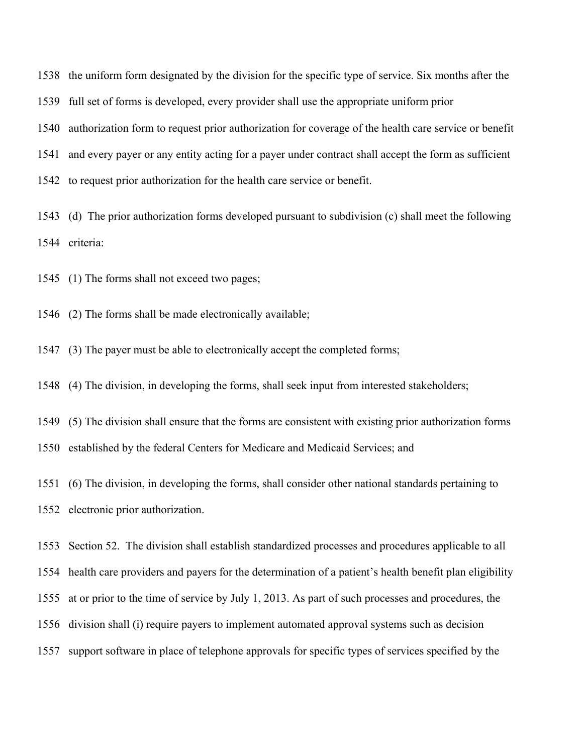the uniform form designated by the division for the specific type of service. Six months after the full set of forms is developed, every provider shall use the appropriate uniform prior authorization form to request prior authorization for coverage of the health care service or benefit and every payer or any entity acting for a payer under contract shall accept the form as sufficient to request prior authorization for the health care service or benefit.

 (d) The prior authorization forms developed pursuant to subdivision (c) shall meet the following criteria:

(1) The forms shall not exceed two pages;

(2) The forms shall be made electronically available;

(3) The payer must be able to electronically accept the completed forms;

(4) The division, in developing the forms, shall seek input from interested stakeholders;

(5) The division shall ensure that the forms are consistent with existing prior authorization forms

established by the federal Centers for Medicare and Medicaid Services; and

 (6) The division, in developing the forms, shall consider other national standards pertaining to electronic prior authorization.

Section 52. The division shall establish standardized processes and procedures applicable to all

health care providers and payers for the determination of a patient's health benefit plan eligibility

at or prior to the time of service by July 1, 2013. As part of such processes and procedures, the

division shall (i) require payers to implement automated approval systems such as decision

support software in place of telephone approvals for specific types of services specified by the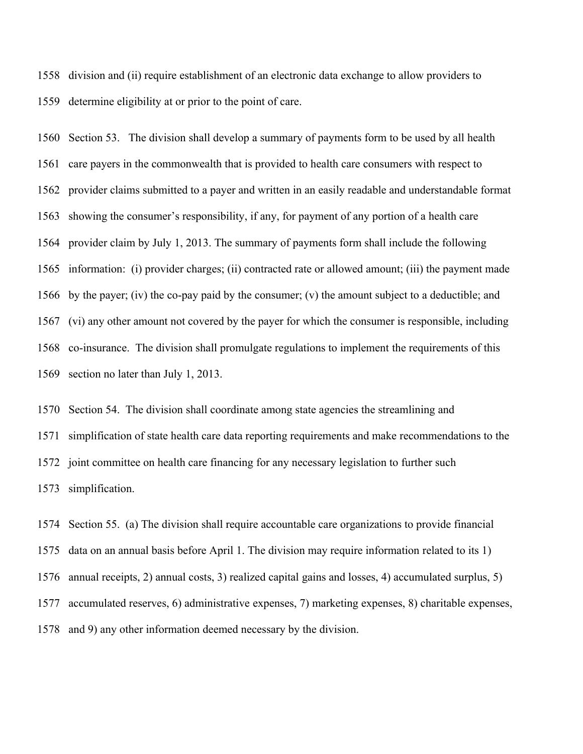division and (ii) require establishment of an electronic data exchange to allow providers to determine eligibility at or prior to the point of care.

 Section 53. The division shall develop a summary of payments form to be used by all health care payers in the commonwealth that is provided to health care consumers with respect to provider claims submitted to a payer and written in an easily readable and understandable format showing the consumer's responsibility, if any, for payment of any portion of a health care provider claim by July 1, 2013. The summary of payments form shall include the following information: (i) provider charges; (ii) contracted rate or allowed amount; (iii) the payment made by the payer; (iv) the co-pay paid by the consumer; (v) the amount subject to a deductible; and (vi) any other amount not covered by the payer for which the consumer is responsible, including co-insurance. The division shall promulgate regulations to implement the requirements of this section no later than July 1, 2013.

 Section 54. The division shall coordinate among state agencies the streamlining and simplification of state health care data reporting requirements and make recommendations to the joint committee on health care financing for any necessary legislation to further such simplification.

 Section 55. (a) The division shall require accountable care organizations to provide financial data on an annual basis before April 1. The division may require information related to its 1) annual receipts, 2) annual costs, 3) realized capital gains and losses, 4) accumulated surplus, 5) accumulated reserves, 6) administrative expenses, 7) marketing expenses, 8) charitable expenses, and 9) any other information deemed necessary by the division.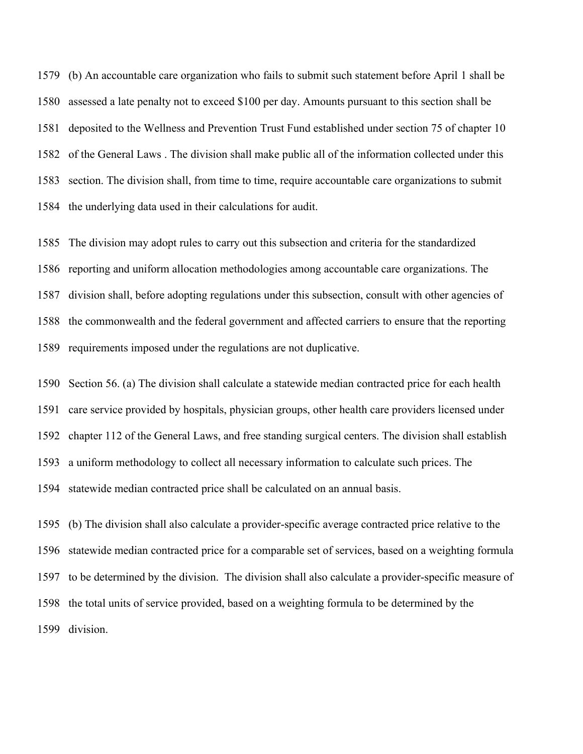(b) An accountable care organization who fails to submit such statement before April 1 shall be assessed a late penalty not to exceed \$100 per day. Amounts pursuant to this section shall be deposited to the Wellness and Prevention Trust Fund established under section 75 of chapter 10 of the General Laws . The division shall make public all of the information collected under this section. The division shall, from time to time, require accountable care organizations to submit the underlying data used in their calculations for audit.

 The division may adopt rules to carry out this subsection and criteria for the standardized reporting and uniform allocation methodologies among accountable care organizations. The division shall, before adopting regulations under this subsection, consult with other agencies of the commonwealth and the federal government and affected carriers to ensure that the reporting requirements imposed under the regulations are not duplicative.

 Section 56. (a) The division shall calculate a statewide median contracted price for each health care service provided by hospitals, physician groups, other health care providers licensed under chapter 112 of the General Laws, and free standing surgical centers. The division shall establish a uniform methodology to collect all necessary information to calculate such prices. The statewide median contracted price shall be calculated on an annual basis.

 (b) The division shall also calculate a provider-specific average contracted price relative to the statewide median contracted price for a comparable set of services, based on a weighting formula to be determined by the division. The division shall also calculate a provider-specific measure of the total units of service provided, based on a weighting formula to be determined by the division.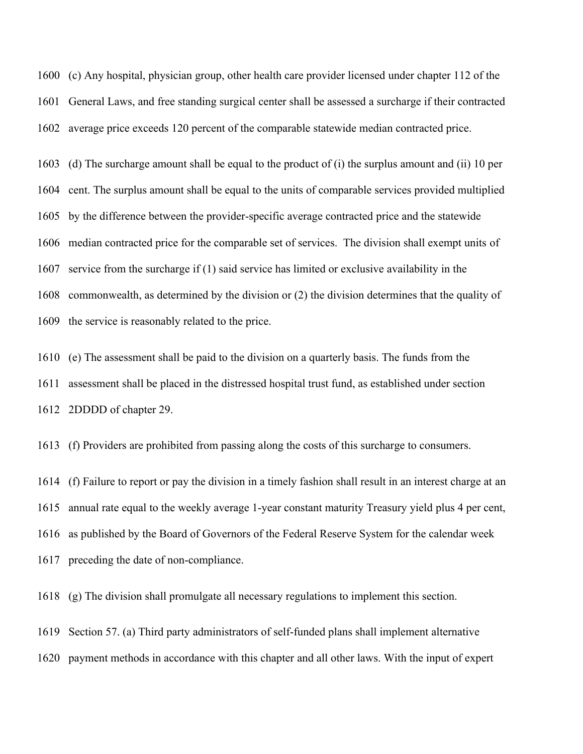(c) Any hospital, physician group, other health care provider licensed under chapter 112 of the General Laws, and free standing surgical center shall be assessed a surcharge if their contracted average price exceeds 120 percent of the comparable statewide median contracted price.

 (d) The surcharge amount shall be equal to the product of (i) the surplus amount and (ii) 10 per cent. The surplus amount shall be equal to the units of comparable services provided multiplied by the difference between the provider-specific average contracted price and the statewide median contracted price for the comparable set of services. The division shall exempt units of service from the surcharge if (1) said service has limited or exclusive availability in the commonwealth, as determined by the division or (2) the division determines that the quality of the service is reasonably related to the price.

 (e) The assessment shall be paid to the division on a quarterly basis. The funds from the assessment shall be placed in the distressed hospital trust fund, as established under section 2DDDD of chapter 29.

(f) Providers are prohibited from passing along the costs of this surcharge to consumers.

 (f) Failure to report or pay the division in a timely fashion shall result in an interest charge at an annual rate equal to the weekly average 1-year constant maturity Treasury yield plus 4 per cent, as published by the Board of Governors of the Federal Reserve System for the calendar week preceding the date of non-compliance.

(g) The division shall promulgate all necessary regulations to implement this section.

Section 57. (a) Third party administrators of self-funded plans shall implement alternative

payment methods in accordance with this chapter and all other laws. With the input of expert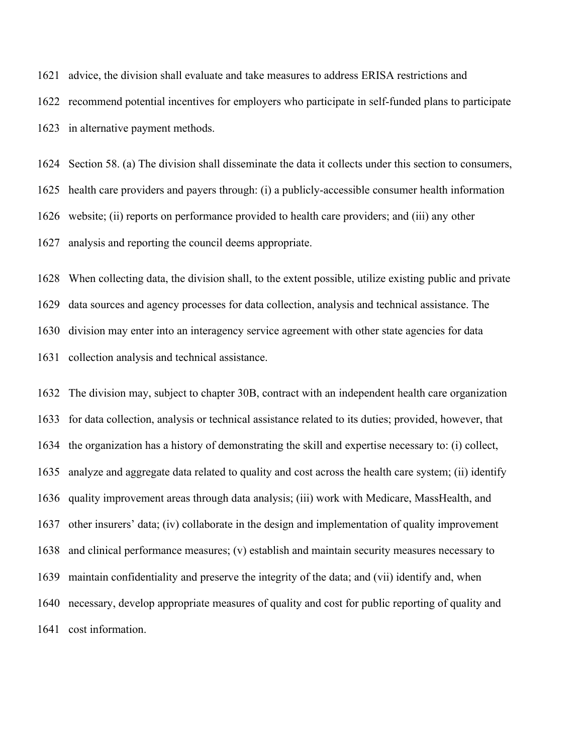advice, the division shall evaluate and take measures to address ERISA restrictions and

 recommend potential incentives for employers who participate in self-funded plans to participate in alternative payment methods.

 Section 58. (a) The division shall disseminate the data it collects under this section to consumers, health care providers and payers through: (i) a publicly-accessible consumer health information website; (ii) reports on performance provided to health care providers; and (iii) any other analysis and reporting the council deems appropriate.

 When collecting data, the division shall, to the extent possible, utilize existing public and private data sources and agency processes for data collection, analysis and technical assistance. The division may enter into an interagency service agreement with other state agencies for data collection analysis and technical assistance.

 The division may, subject to chapter 30B, contract with an independent health care organization for data collection, analysis or technical assistance related to its duties; provided, however, that the organization has a history of demonstrating the skill and expertise necessary to: (i) collect, analyze and aggregate data related to quality and cost across the health care system; (ii) identify quality improvement areas through data analysis; (iii) work with Medicare, MassHealth, and other insurers' data; (iv) collaborate in the design and implementation of quality improvement and clinical performance measures; (v) establish and maintain security measures necessary to maintain confidentiality and preserve the integrity of the data; and (vii) identify and, when necessary, develop appropriate measures of quality and cost for public reporting of quality and cost information.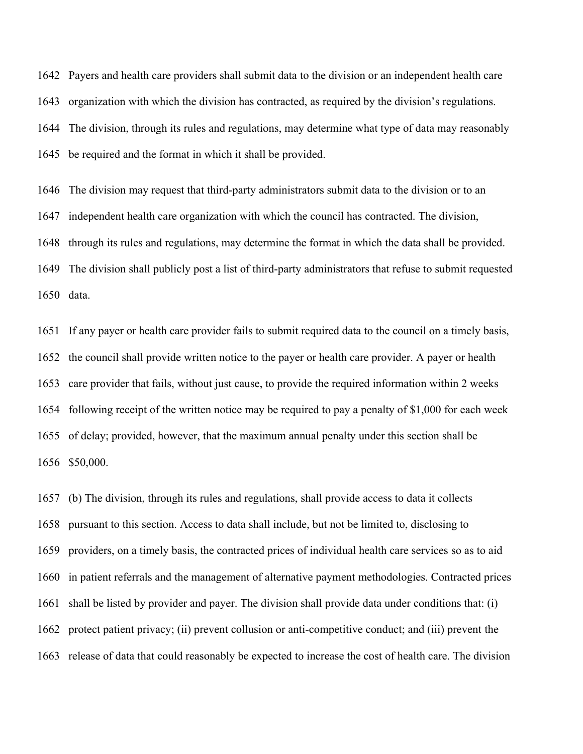Payers and health care providers shall submit data to the division or an independent health care organization with which the division has contracted, as required by the division's regulations. The division, through its rules and regulations, may determine what type of data may reasonably be required and the format in which it shall be provided.

 The division may request that third-party administrators submit data to the division or to an independent health care organization with which the council has contracted. The division, through its rules and regulations, may determine the format in which the data shall be provided. The division shall publicly post a list of third-party administrators that refuse to submit requested data.

 If any payer or health care provider fails to submit required data to the council on a timely basis, the council shall provide written notice to the payer or health care provider. A payer or health care provider that fails, without just cause, to provide the required information within 2 weeks following receipt of the written notice may be required to pay a penalty of \$1,000 for each week of delay; provided, however, that the maximum annual penalty under this section shall be \$50,000.

 (b) The division, through its rules and regulations, shall provide access to data it collects pursuant to this section. Access to data shall include, but not be limited to, disclosing to providers, on a timely basis, the contracted prices of individual health care services so as to aid in patient referrals and the management of alternative payment methodologies. Contracted prices shall be listed by provider and payer. The division shall provide data under conditions that: (i) protect patient privacy; (ii) prevent collusion or anti-competitive conduct; and (iii) prevent the release of data that could reasonably be expected to increase the cost of health care. The division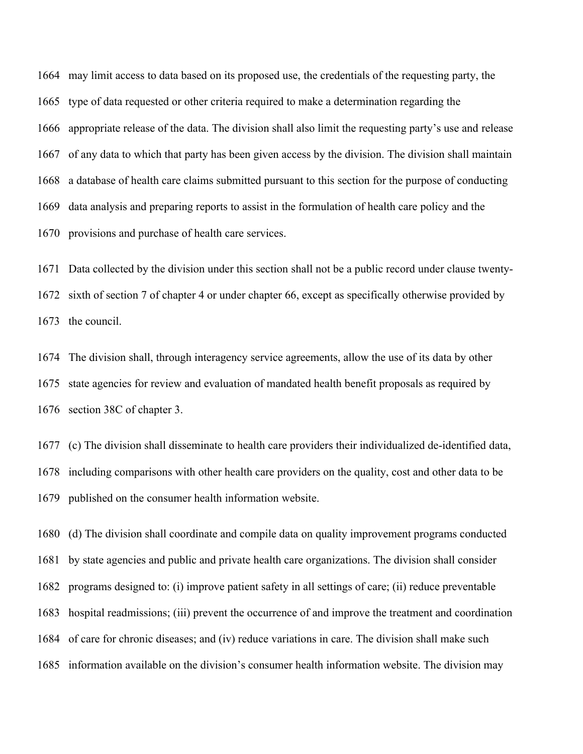may limit access to data based on its proposed use, the credentials of the requesting party, the type of data requested or other criteria required to make a determination regarding the appropriate release of the data. The division shall also limit the requesting party's use and release of any data to which that party has been given access by the division. The division shall maintain a database of health care claims submitted pursuant to this section for the purpose of conducting data analysis and preparing reports to assist in the formulation of health care policy and the provisions and purchase of health care services.

 Data collected by the division under this section shall not be a public record under clause twenty- sixth of section 7 of chapter 4 or under chapter 66, except as specifically otherwise provided by the council.

 The division shall, through interagency service agreements, allow the use of its data by other state agencies for review and evaluation of mandated health benefit proposals as required by section 38C of chapter 3.

 (c) The division shall disseminate to health care providers their individualized de-identified data, including comparisons with other health care providers on the quality, cost and other data to be published on the consumer health information website.

 (d) The division shall coordinate and compile data on quality improvement programs conducted by state agencies and public and private health care organizations. The division shall consider programs designed to: (i) improve patient safety in all settings of care; (ii) reduce preventable hospital readmissions; (iii) prevent the occurrence of and improve the treatment and coordination of care for chronic diseases; and (iv) reduce variations in care. The division shall make such information available on the division's consumer health information website. The division may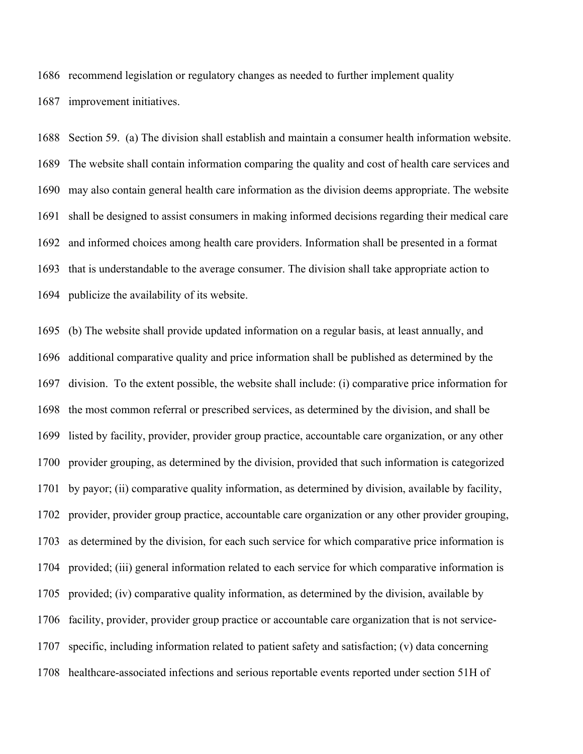recommend legislation or regulatory changes as needed to further implement quality

improvement initiatives.

 Section 59. (a) The division shall establish and maintain a consumer health information website. The website shall contain information comparing the quality and cost of health care services and may also contain general health care information as the division deems appropriate. The website shall be designed to assist consumers in making informed decisions regarding their medical care and informed choices among health care providers. Information shall be presented in a format that is understandable to the average consumer. The division shall take appropriate action to publicize the availability of its website.

 (b) The website shall provide updated information on a regular basis, at least annually, and additional comparative quality and price information shall be published as determined by the division. To the extent possible, the website shall include: (i) comparative price information for the most common referral or prescribed services, as determined by the division, and shall be listed by facility, provider, provider group practice, accountable care organization, or any other provider grouping, as determined by the division, provided that such information is categorized by payor; (ii) comparative quality information, as determined by division, available by facility, provider, provider group practice, accountable care organization or any other provider grouping, as determined by the division, for each such service for which comparative price information is provided; (iii) general information related to each service for which comparative information is provided; (iv) comparative quality information, as determined by the division, available by facility, provider, provider group practice or accountable care organization that is not service- specific, including information related to patient safety and satisfaction; (v) data concerning healthcare-associated infections and serious reportable events reported under section 51H of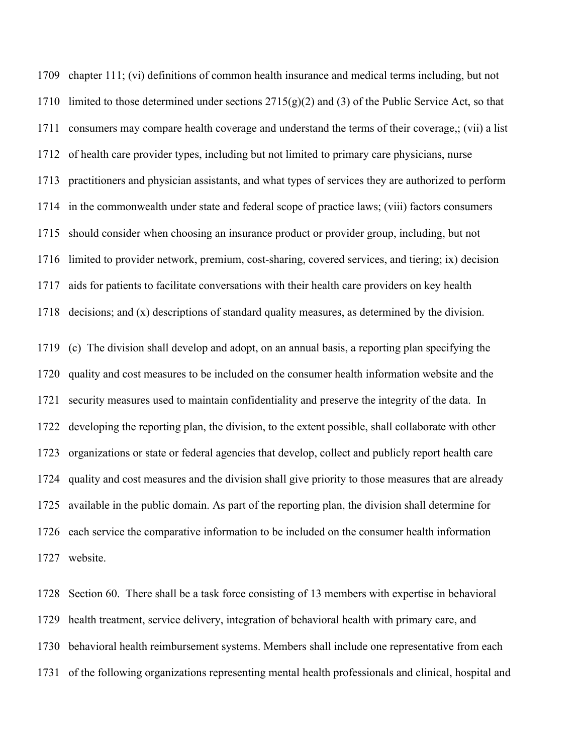chapter 111; (vi) definitions of common health insurance and medical terms including, but not 1710 limited to those determined under sections  $2715(g)(2)$  and (3) of the Public Service Act, so that consumers may compare health coverage and understand the terms of their coverage,; (vii) a list of health care provider types, including but not limited to primary care physicians, nurse practitioners and physician assistants, and what types of services they are authorized to perform in the commonwealth under state and federal scope of practice laws; (viii) factors consumers should consider when choosing an insurance product or provider group, including, but not limited to provider network, premium, cost-sharing, covered services, and tiering; ix) decision aids for patients to facilitate conversations with their health care providers on key health decisions; and (x) descriptions of standard quality measures, as determined by the division.

 (c) The division shall develop and adopt, on an annual basis, a reporting plan specifying the quality and cost measures to be included on the consumer health information website and the security measures used to maintain confidentiality and preserve the integrity of the data. In developing the reporting plan, the division, to the extent possible, shall collaborate with other organizations or state or federal agencies that develop, collect and publicly report health care quality and cost measures and the division shall give priority to those measures that are already available in the public domain. As part of the reporting plan, the division shall determine for each service the comparative information to be included on the consumer health information website.

 Section 60. There shall be a task force consisting of 13 members with expertise in behavioral health treatment, service delivery, integration of behavioral health with primary care, and behavioral health reimbursement systems. Members shall include one representative from each of the following organizations representing mental health professionals and clinical, hospital and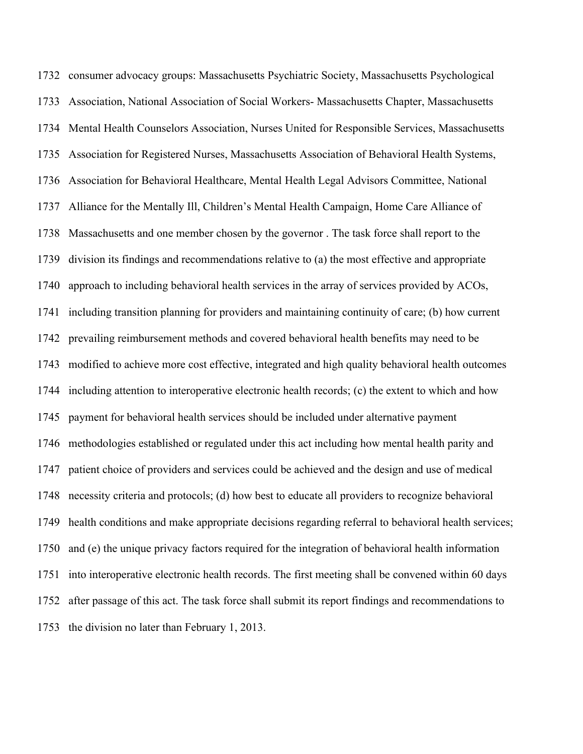consumer advocacy groups: Massachusetts Psychiatric Society, Massachusetts Psychological Association, National Association of Social Workers- Massachusetts Chapter, Massachusetts Mental Health Counselors Association, Nurses United for Responsible Services, Massachusetts Association for Registered Nurses, Massachusetts Association of Behavioral Health Systems, 1736 Association for Behavioral Healthcare, Mental Health Legal Advisors Committee, National Alliance for the Mentally Ill, Children's Mental Health Campaign, Home Care Alliance of Massachusetts and one member chosen by the governor . The task force shall report to the division its findings and recommendations relative to (a) the most effective and appropriate approach to including behavioral health services in the array of services provided by ACOs, including transition planning for providers and maintaining continuity of care; (b) how current prevailing reimbursement methods and covered behavioral health benefits may need to be modified to achieve more cost effective, integrated and high quality behavioral health outcomes including attention to interoperative electronic health records; (c) the extent to which and how payment for behavioral health services should be included under alternative payment methodologies established or regulated under this act including how mental health parity and patient choice of providers and services could be achieved and the design and use of medical necessity criteria and protocols; (d) how best to educate all providers to recognize behavioral health conditions and make appropriate decisions regarding referral to behavioral health services; and (e) the unique privacy factors required for the integration of behavioral health information into interoperative electronic health records. The first meeting shall be convened within 60 days after passage of this act. The task force shall submit its report findings and recommendations to the division no later than February 1, 2013.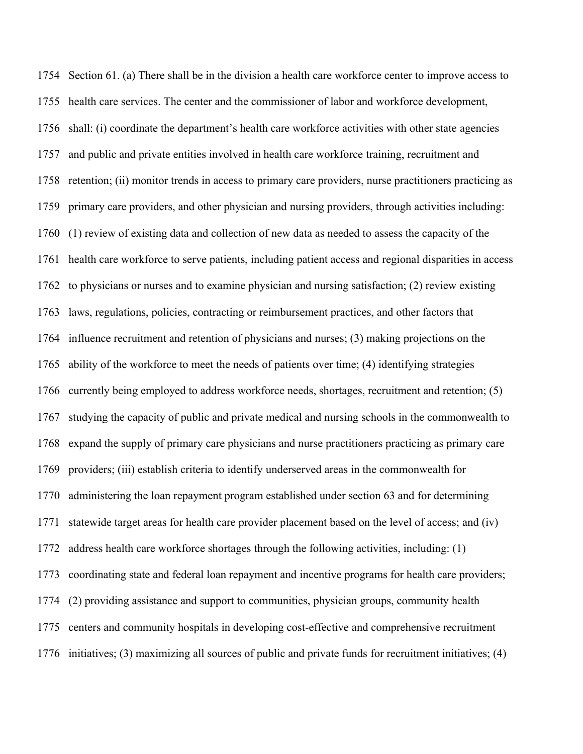Section 61. (a) There shall be in the division a health care workforce center to improve access to health care services. The center and the commissioner of labor and workforce development, shall: (i) coordinate the department's health care workforce activities with other state agencies and public and private entities involved in health care workforce training, recruitment and retention; (ii) monitor trends in access to primary care providers, nurse practitioners practicing as primary care providers, and other physician and nursing providers, through activities including: (1) review of existing data and collection of new data as needed to assess the capacity of the health care workforce to serve patients, including patient access and regional disparities in access to physicians or nurses and to examine physician and nursing satisfaction; (2) review existing laws, regulations, policies, contracting or reimbursement practices, and other factors that influence recruitment and retention of physicians and nurses; (3) making projections on the ability of the workforce to meet the needs of patients over time; (4) identifying strategies currently being employed to address workforce needs, shortages, recruitment and retention; (5) studying the capacity of public and private medical and nursing schools in the commonwealth to expand the supply of primary care physicians and nurse practitioners practicing as primary care providers; (iii) establish criteria to identify underserved areas in the commonwealth for administering the loan repayment program established under section 63 and for determining statewide target areas for health care provider placement based on the level of access; and (iv) address health care workforce shortages through the following activities, including: (1) coordinating state and federal loan repayment and incentive programs for health care providers; (2) providing assistance and support to communities, physician groups, community health centers and community hospitals in developing cost-effective and comprehensive recruitment initiatives; (3) maximizing all sources of public and private funds for recruitment initiatives; (4)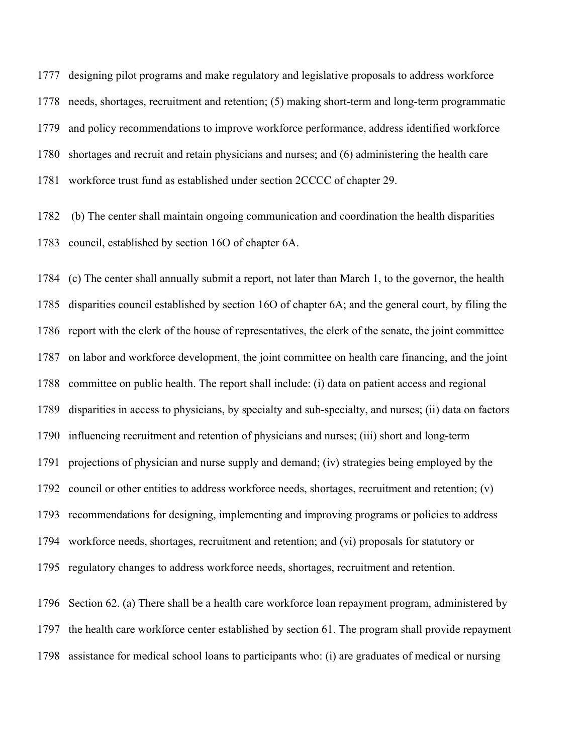designing pilot programs and make regulatory and legislative proposals to address workforce needs, shortages, recruitment and retention; (5) making short-term and long-term programmatic and policy recommendations to improve workforce performance, address identified workforce shortages and recruit and retain physicians and nurses; and (6) administering the health care workforce trust fund as established under section 2CCCC of chapter 29.

 (b) The center shall maintain ongoing communication and coordination the health disparities council, established by section 16O of chapter 6A.

 (c) The center shall annually submit a report, not later than March 1, to the governor, the health disparities council established by section 16O of chapter 6A; and the general court, by filing the report with the clerk of the house of representatives, the clerk of the senate, the joint committee on labor and workforce development, the joint committee on health care financing, and the joint committee on public health. The report shall include: (i) data on patient access and regional disparities in access to physicians, by specialty and sub-specialty, and nurses; (ii) data on factors influencing recruitment and retention of physicians and nurses; (iii) short and long-term projections of physician and nurse supply and demand; (iv) strategies being employed by the council or other entities to address workforce needs, shortages, recruitment and retention; (v) recommendations for designing, implementing and improving programs or policies to address workforce needs, shortages, recruitment and retention; and (vi) proposals for statutory or regulatory changes to address workforce needs, shortages, recruitment and retention.

 Section 62. (a) There shall be a health care workforce loan repayment program, administered by the health care workforce center established by section 61. The program shall provide repayment assistance for medical school loans to participants who: (i) are graduates of medical or nursing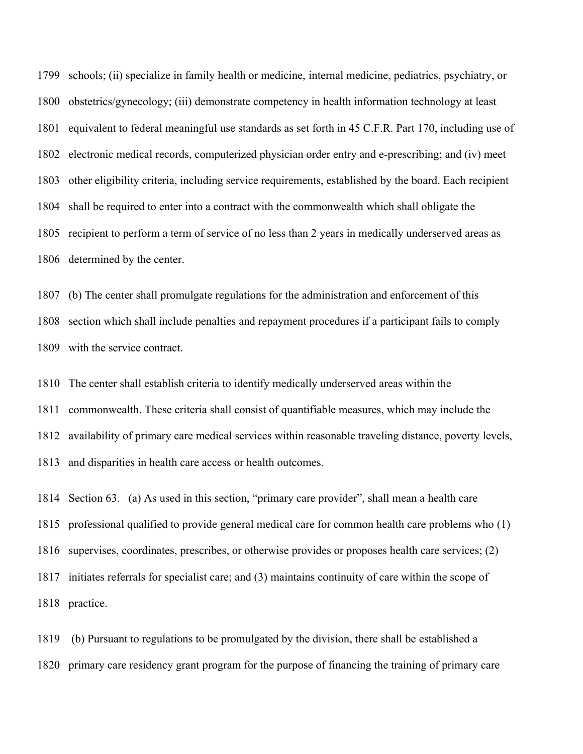schools; (ii) specialize in family health or medicine, internal medicine, pediatrics, psychiatry, or obstetrics/gynecology; (iii) demonstrate competency in health information technology at least equivalent to federal meaningful use standards as set forth in 45 C.F.R. Part 170, including use of electronic medical records, computerized physician order entry and e-prescribing; and (iv) meet other eligibility criteria, including service requirements, established by the board. Each recipient shall be required to enter into a contract with the commonwealth which shall obligate the recipient to perform a term of service of no less than 2 years in medically underserved areas as determined by the center.

 (b) The center shall promulgate regulations for the administration and enforcement of this section which shall include penalties and repayment procedures if a participant fails to comply with the service contract.

 The center shall establish criteria to identify medically underserved areas within the commonwealth. These criteria shall consist of quantifiable measures, which may include the availability of primary care medical services within reasonable traveling distance, poverty levels, and disparities in health care access or health outcomes.

 Section 63. (a) As used in this section, "primary care provider", shall mean a health care professional qualified to provide general medical care for common health care problems who (1) supervises, coordinates, prescribes, or otherwise provides or proposes health care services; (2) initiates referrals for specialist care; and (3) maintains continuity of care within the scope of practice.

 (b) Pursuant to regulations to be promulgated by the division, there shall be established a primary care residency grant program for the purpose of financing the training of primary care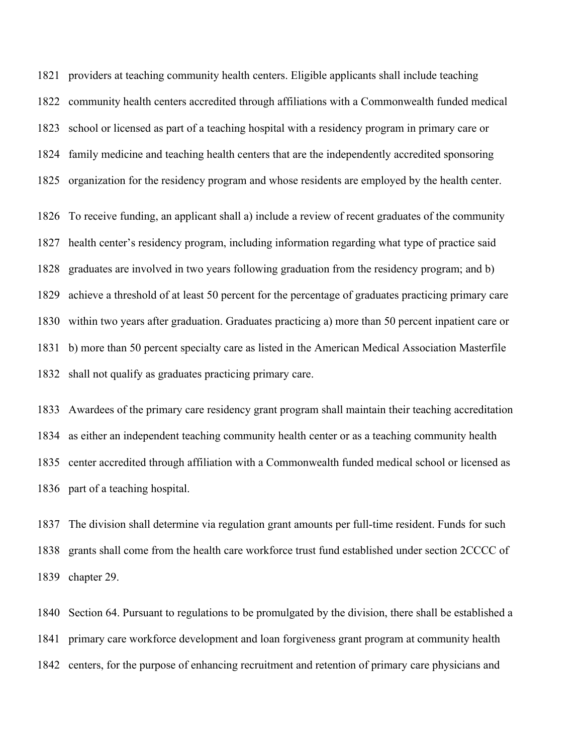providers at teaching community health centers. Eligible applicants shall include teaching community health centers accredited through affiliations with a Commonwealth funded medical school or licensed as part of a teaching hospital with a residency program in primary care or family medicine and teaching health centers that are the independently accredited sponsoring organization for the residency program and whose residents are employed by the health center.

 To receive funding, an applicant shall a) include a review of recent graduates of the community health center's residency program, including information regarding what type of practice said graduates are involved in two years following graduation from the residency program; and b) achieve a threshold of at least 50 percent for the percentage of graduates practicing primary care within two years after graduation. Graduates practicing a) more than 50 percent inpatient care or b) more than 50 percent specialty care as listed in the American Medical Association Masterfile shall not qualify as graduates practicing primary care.

 Awardees of the primary care residency grant program shall maintain their teaching accreditation as either an independent teaching community health center or as a teaching community health center accredited through affiliation with a Commonwealth funded medical school or licensed as part of a teaching hospital.

 The division shall determine via regulation grant amounts per full-time resident. Funds for such grants shall come from the health care workforce trust fund established under section 2CCCC of chapter 29.

 Section 64. Pursuant to regulations to be promulgated by the division, there shall be established a primary care workforce development and loan forgiveness grant program at community health centers, for the purpose of enhancing recruitment and retention of primary care physicians and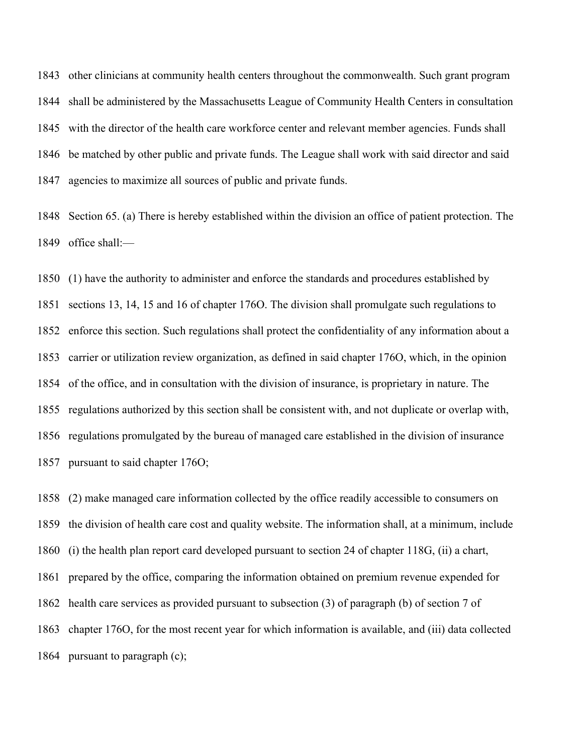other clinicians at community health centers throughout the commonwealth. Such grant program shall be administered by the Massachusetts League of Community Health Centers in consultation with the director of the health care workforce center and relevant member agencies. Funds shall be matched by other public and private funds. The League shall work with said director and said agencies to maximize all sources of public and private funds.

 Section 65. (a) There is hereby established within the division an office of patient protection. The office shall:—

 (1) have the authority to administer and enforce the standards and procedures established by sections 13, 14, 15 and 16 of chapter 176O. The division shall promulgate such regulations to enforce this section. Such regulations shall protect the confidentiality of any information about a carrier or utilization review organization, as defined in said chapter 176O, which, in the opinion of the office, and in consultation with the division of insurance, is proprietary in nature. The regulations authorized by this section shall be consistent with, and not duplicate or overlap with, regulations promulgated by the bureau of managed care established in the division of insurance pursuant to said chapter 176O;

 (2) make managed care information collected by the office readily accessible to consumers on the division of health care cost and quality website. The information shall, at a minimum, include (i) the health plan report card developed pursuant to section 24 of chapter 118G, (ii) a chart, prepared by the office, comparing the information obtained on premium revenue expended for health care services as provided pursuant to subsection (3) of paragraph (b) of section 7 of chapter 176O, for the most recent year for which information is available, and (iii) data collected pursuant to paragraph (c);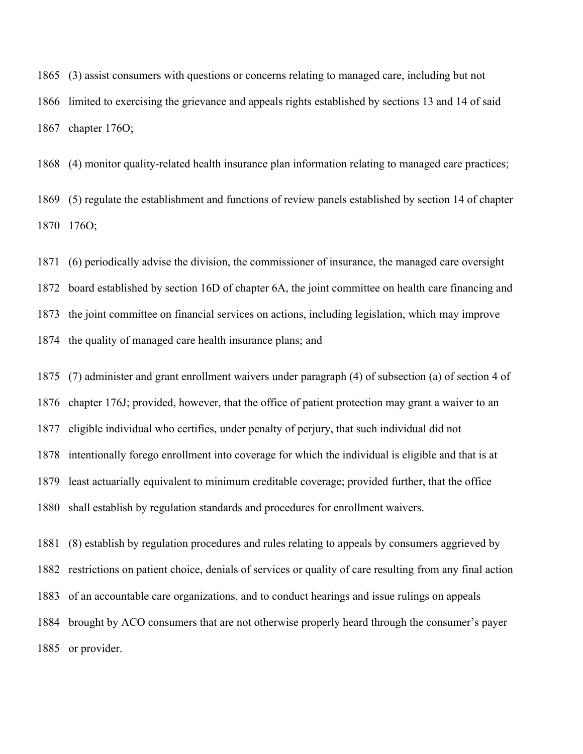(3) assist consumers with questions or concerns relating to managed care, including but not limited to exercising the grievance and appeals rights established by sections 13 and 14 of said chapter 176O;

 (4) monitor quality-related health insurance plan information relating to managed care practices; (5) regulate the establishment and functions of review panels established by section 14 of chapter 176O;

 (6) periodically advise the division, the commissioner of insurance, the managed care oversight board established by section 16D of chapter 6A, the joint committee on health care financing and the joint committee on financial services on actions, including legislation, which may improve the quality of managed care health insurance plans; and

 (7) administer and grant enrollment waivers under paragraph (4) of subsection (a) of section 4 of chapter 176J; provided, however, that the office of patient protection may grant a waiver to an eligible individual who certifies, under penalty of perjury, that such individual did not intentionally forego enrollment into coverage for which the individual is eligible and that is at least actuarially equivalent to minimum creditable coverage; provided further, that the office shall establish by regulation standards and procedures for enrollment waivers.

 (8) establish by regulation procedures and rules relating to appeals by consumers aggrieved by restrictions on patient choice, denials of services or quality of care resulting from any final action of an accountable care organizations, and to conduct hearings and issue rulings on appeals brought by ACO consumers that are not otherwise properly heard through the consumer's payer or provider.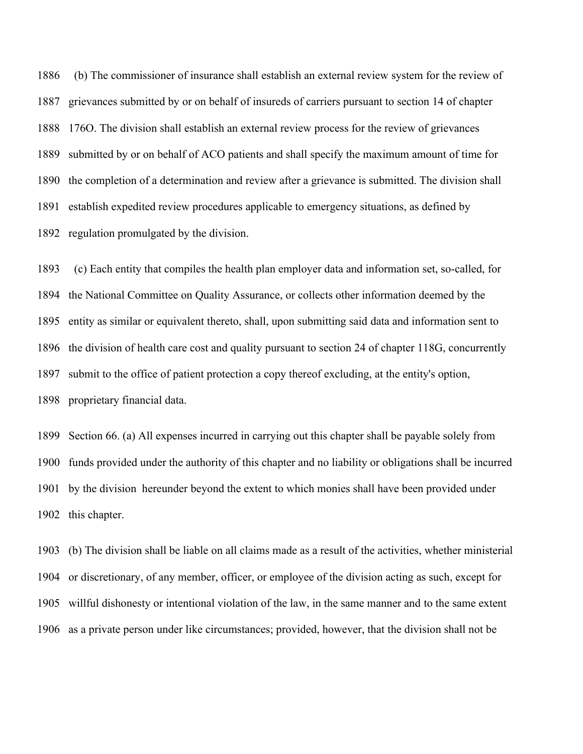1886 (b) The commissioner of insurance shall establish an external review system for the review of grievances submitted by or on behalf of insureds of carriers pursuant to section 14 of chapter 176O. The division shall establish an external review process for the review of grievances submitted by or on behalf of ACO patients and shall specify the maximum amount of time for the completion of a determination and review after a grievance is submitted. The division shall establish expedited review procedures applicable to emergency situations, as defined by regulation promulgated by the division.

1893 (c) Each entity that compiles the health plan employer data and information set, so-called, for the National Committee on Quality Assurance, or collects other information deemed by the entity as similar or equivalent thereto, shall, upon submitting said data and information sent to the division of health care cost and quality pursuant to section 24 of chapter 118G, concurrently submit to the office of patient protection a copy thereof excluding, at the entity's option, proprietary financial data.

 Section 66. (a) All expenses incurred in carrying out this chapter shall be payable solely from funds provided under the authority of this chapter and no liability or obligations shall be incurred by the division hereunder beyond the extent to which monies shall have been provided under this chapter.

 (b) The division shall be liable on all claims made as a result of the activities, whether ministerial or discretionary, of any member, officer, or employee of the division acting as such, except for willful dishonesty or intentional violation of the law, in the same manner and to the same extent as a private person under like circumstances; provided, however, that the division shall not be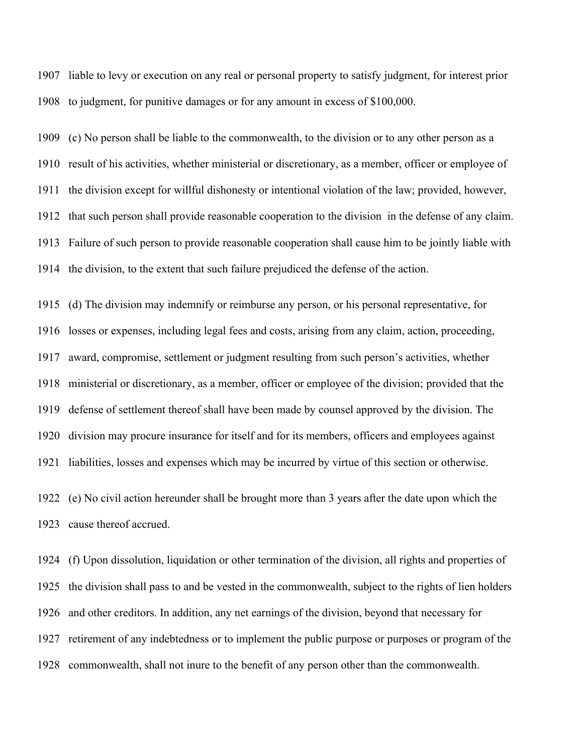liable to levy or execution on any real or personal property to satisfy judgment, for interest prior to judgment, for punitive damages or for any amount in excess of \$100,000.

 (c) No person shall be liable to the commonwealth, to the division or to any other person as a result of his activities, whether ministerial or discretionary, as a member, officer or employee of the division except for willful dishonesty or intentional violation of the law; provided, however, that such person shall provide reasonable cooperation to the division in the defense of any claim. Failure of such person to provide reasonable cooperation shall cause him to be jointly liable with the division, to the extent that such failure prejudiced the defense of the action.

 (d) The division may indemnify or reimburse any person, or his personal representative, for losses or expenses, including legal fees and costs, arising from any claim, action, proceeding, award, compromise, settlement or judgment resulting from such person's activities, whether ministerial or discretionary, as a member, officer or employee of the division; provided that the defense of settlement thereof shall have been made by counsel approved by the division. The division may procure insurance for itself and for its members, officers and employees against liabilities, losses and expenses which may be incurred by virtue of this section or otherwise.

 (e) No civil action hereunder shall be brought more than 3 years after the date upon which the cause thereof accrued.

 (f) Upon dissolution, liquidation or other termination of the division, all rights and properties of the division shall pass to and be vested in the commonwealth, subject to the rights of lien holders and other creditors. In addition, any net earnings of the division, beyond that necessary for retirement of any indebtedness or to implement the public purpose or purposes or program of the commonwealth, shall not inure to the benefit of any person other than the commonwealth.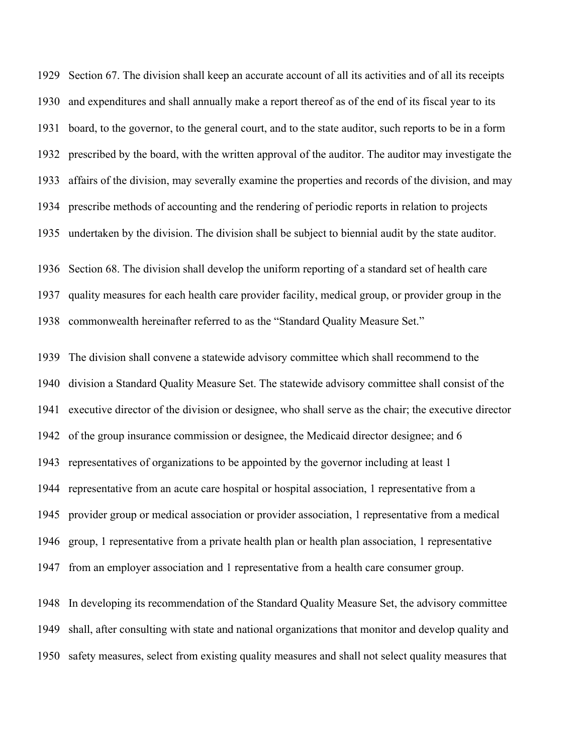Section 67. The division shall keep an accurate account of all its activities and of all its receipts and expenditures and shall annually make a report thereof as of the end of its fiscal year to its board, to the governor, to the general court, and to the state auditor, such reports to be in a form prescribed by the board, with the written approval of the auditor. The auditor may investigate the affairs of the division, may severally examine the properties and records of the division, and may prescribe methods of accounting and the rendering of periodic reports in relation to projects undertaken by the division. The division shall be subject to biennial audit by the state auditor.

 Section 68. The division shall develop the uniform reporting of a standard set of health care quality measures for each health care provider facility, medical group, or provider group in the commonwealth hereinafter referred to as the "Standard Quality Measure Set."

 The division shall convene a statewide advisory committee which shall recommend to the division a Standard Quality Measure Set. The statewide advisory committee shall consist of the executive director of the division or designee, who shall serve as the chair; the executive director of the group insurance commission or designee, the Medicaid director designee; and 6 representatives of organizations to be appointed by the governor including at least 1 representative from an acute care hospital or hospital association, 1 representative from a provider group or medical association or provider association, 1 representative from a medical group, 1 representative from a private health plan or health plan association, 1 representative from an employer association and 1 representative from a health care consumer group.

 In developing its recommendation of the Standard Quality Measure Set, the advisory committee shall, after consulting with state and national organizations that monitor and develop quality and safety measures, select from existing quality measures and shall not select quality measures that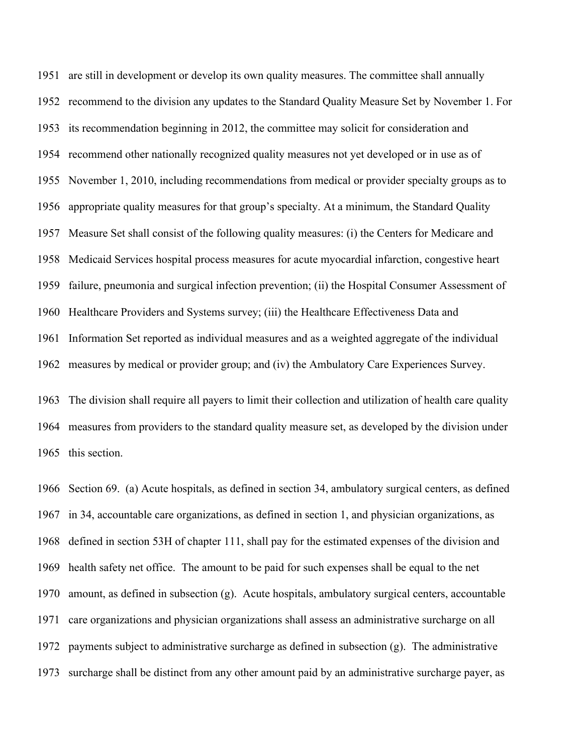are still in development or develop its own quality measures. The committee shall annually recommend to the division any updates to the Standard Quality Measure Set by November 1. For its recommendation beginning in 2012, the committee may solicit for consideration and recommend other nationally recognized quality measures not yet developed or in use as of November 1, 2010, including recommendations from medical or provider specialty groups as to appropriate quality measures for that group's specialty. At a minimum, the Standard Quality Measure Set shall consist of the following quality measures: (i) the Centers for Medicare and Medicaid Services hospital process measures for acute myocardial infarction, congestive heart failure, pneumonia and surgical infection prevention; (ii) the Hospital Consumer Assessment of Healthcare Providers and Systems survey; (iii) the Healthcare Effectiveness Data and Information Set reported as individual measures and as a weighted aggregate of the individual measures by medical or provider group; and (iv) the Ambulatory Care Experiences Survey.

 The division shall require all payers to limit their collection and utilization of health care quality measures from providers to the standard quality measure set, as developed by the division under this section.

 Section 69. (a) Acute hospitals, as defined in section 34, ambulatory surgical centers, as defined in 34, accountable care organizations, as defined in section 1, and physician organizations, as defined in section 53H of chapter 111, shall pay for the estimated expenses of the division and health safety net office. The amount to be paid for such expenses shall be equal to the net amount, as defined in subsection (g). Acute hospitals, ambulatory surgical centers, accountable care organizations and physician organizations shall assess an administrative surcharge on all payments subject to administrative surcharge as defined in subsection (g). The administrative surcharge shall be distinct from any other amount paid by an administrative surcharge payer, as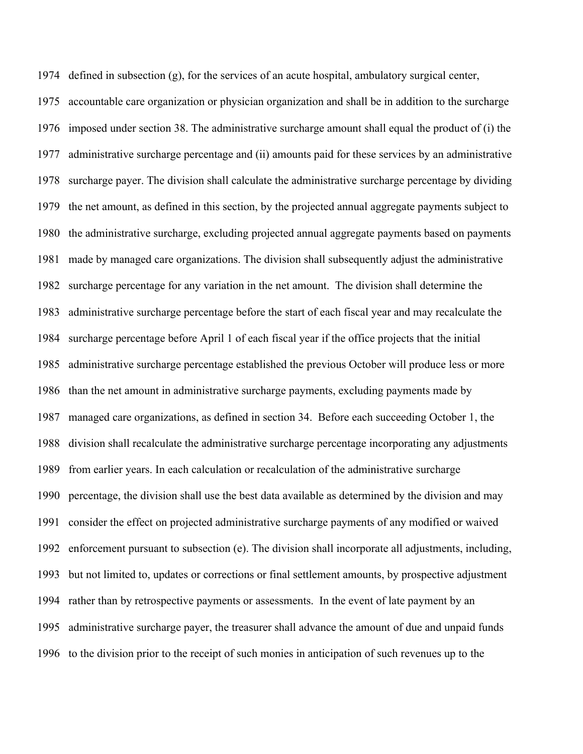defined in subsection (g), for the services of an acute hospital, ambulatory surgical center,

 accountable care organization or physician organization and shall be in addition to the surcharge imposed under section 38. The administrative surcharge amount shall equal the product of (i) the administrative surcharge percentage and (ii) amounts paid for these services by an administrative surcharge payer. The division shall calculate the administrative surcharge percentage by dividing the net amount, as defined in this section, by the projected annual aggregate payments subject to the administrative surcharge, excluding projected annual aggregate payments based on payments made by managed care organizations. The division shall subsequently adjust the administrative surcharge percentage for any variation in the net amount. The division shall determine the administrative surcharge percentage before the start of each fiscal year and may recalculate the surcharge percentage before April 1 of each fiscal year if the office projects that the initial administrative surcharge percentage established the previous October will produce less or more than the net amount in administrative surcharge payments, excluding payments made by managed care organizations, as defined in section 34. Before each succeeding October 1, the division shall recalculate the administrative surcharge percentage incorporating any adjustments from earlier years. In each calculation or recalculation of the administrative surcharge percentage, the division shall use the best data available as determined by the division and may consider the effect on projected administrative surcharge payments of any modified or waived enforcement pursuant to subsection (e). The division shall incorporate all adjustments, including, but not limited to, updates or corrections or final settlement amounts, by prospective adjustment rather than by retrospective payments or assessments. In the event of late payment by an administrative surcharge payer, the treasurer shall advance the amount of due and unpaid funds to the division prior to the receipt of such monies in anticipation of such revenues up to the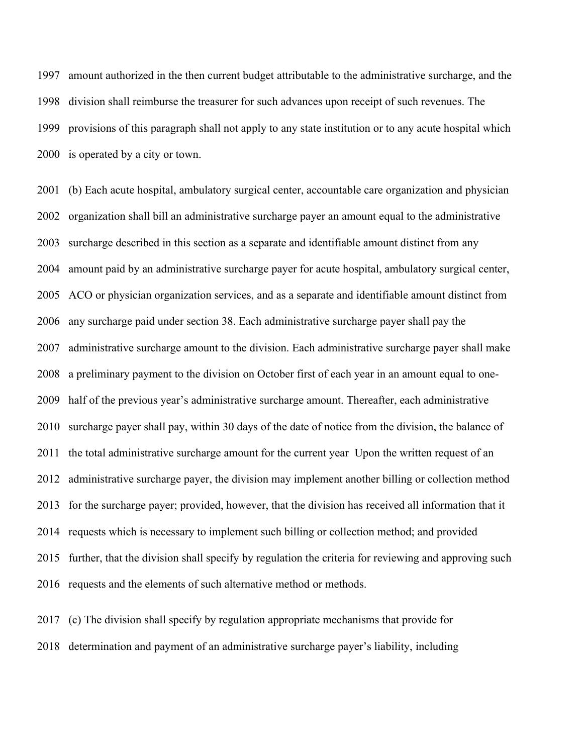amount authorized in the then current budget attributable to the administrative surcharge, and the division shall reimburse the treasurer for such advances upon receipt of such revenues. The provisions of this paragraph shall not apply to any state institution or to any acute hospital which is operated by a city or town.

 (b) Each acute hospital, ambulatory surgical center, accountable care organization and physician organization shall bill an administrative surcharge payer an amount equal to the administrative surcharge described in this section as a separate and identifiable amount distinct from any amount paid by an administrative surcharge payer for acute hospital, ambulatory surgical center, ACO or physician organization services, and as a separate and identifiable amount distinct from any surcharge paid under section 38. Each administrative surcharge payer shall pay the administrative surcharge amount to the division. Each administrative surcharge payer shall make a preliminary payment to the division on October first of each year in an amount equal to one- half of the previous year's administrative surcharge amount. Thereafter, each administrative surcharge payer shall pay, within 30 days of the date of notice from the division, the balance of the total administrative surcharge amount for the current year Upon the written request of an administrative surcharge payer, the division may implement another billing or collection method for the surcharge payer; provided, however, that the division has received all information that it requests which is necessary to implement such billing or collection method; and provided further, that the division shall specify by regulation the criteria for reviewing and approving such requests and the elements of such alternative method or methods.

 (c) The division shall specify by regulation appropriate mechanisms that provide for determination and payment of an administrative surcharge payer's liability, including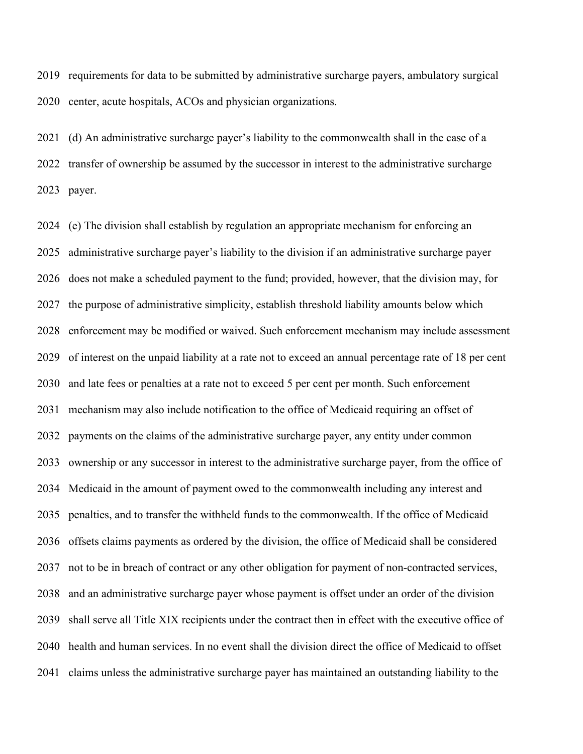requirements for data to be submitted by administrative surcharge payers, ambulatory surgical center, acute hospitals, ACOs and physician organizations.

 (d) An administrative surcharge payer's liability to the commonwealth shall in the case of a transfer of ownership be assumed by the successor in interest to the administrative surcharge payer.

 (e) The division shall establish by regulation an appropriate mechanism for enforcing an administrative surcharge payer's liability to the division if an administrative surcharge payer does not make a scheduled payment to the fund; provided, however, that the division may, for the purpose of administrative simplicity, establish threshold liability amounts below which enforcement may be modified or waived. Such enforcement mechanism may include assessment of interest on the unpaid liability at a rate not to exceed an annual percentage rate of 18 per cent and late fees or penalties at a rate not to exceed 5 per cent per month. Such enforcement mechanism may also include notification to the office of Medicaid requiring an offset of payments on the claims of the administrative surcharge payer, any entity under common ownership or any successor in interest to the administrative surcharge payer, from the office of Medicaid in the amount of payment owed to the commonwealth including any interest and penalties, and to transfer the withheld funds to the commonwealth. If the office of Medicaid offsets claims payments as ordered by the division, the office of Medicaid shall be considered not to be in breach of contract or any other obligation for payment of non-contracted services, and an administrative surcharge payer whose payment is offset under an order of the division shall serve all Title XIX recipients under the contract then in effect with the executive office of health and human services. In no event shall the division direct the office of Medicaid to offset claims unless the administrative surcharge payer has maintained an outstanding liability to the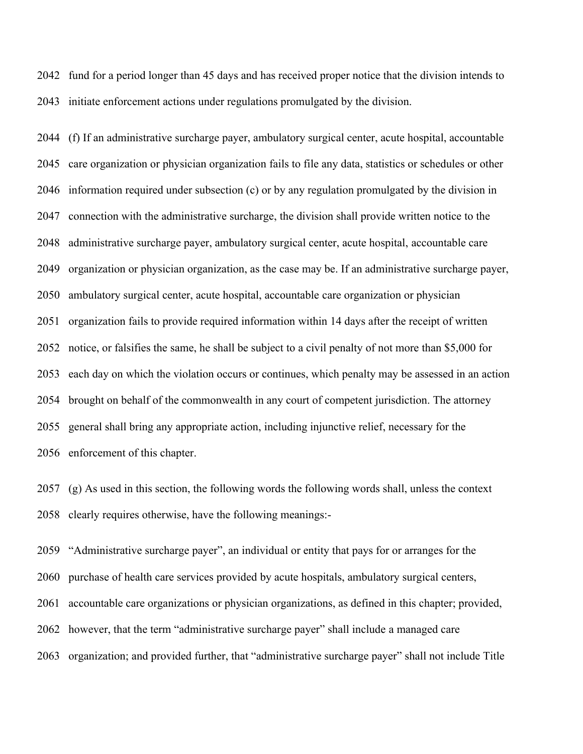fund for a period longer than 45 days and has received proper notice that the division intends to initiate enforcement actions under regulations promulgated by the division.

 (f) If an administrative surcharge payer, ambulatory surgical center, acute hospital, accountable care organization or physician organization fails to file any data, statistics or schedules or other information required under subsection (c) or by any regulation promulgated by the division in connection with the administrative surcharge, the division shall provide written notice to the administrative surcharge payer, ambulatory surgical center, acute hospital, accountable care organization or physician organization, as the case may be. If an administrative surcharge payer, ambulatory surgical center, acute hospital, accountable care organization or physician organization fails to provide required information within 14 days after the receipt of written notice, or falsifies the same, he shall be subject to a civil penalty of not more than \$5,000 for each day on which the violation occurs or continues, which penalty may be assessed in an action brought on behalf of the commonwealth in any court of competent jurisdiction. The attorney general shall bring any appropriate action, including injunctive relief, necessary for the enforcement of this chapter.

 (g) As used in this section, the following words the following words shall, unless the context clearly requires otherwise, have the following meanings:-

 "Administrative surcharge payer", an individual or entity that pays for or arranges for the purchase of health care services provided by acute hospitals, ambulatory surgical centers, accountable care organizations or physician organizations, as defined in this chapter; provided, however, that the term "administrative surcharge payer" shall include a managed care organization; and provided further, that "administrative surcharge payer" shall not include Title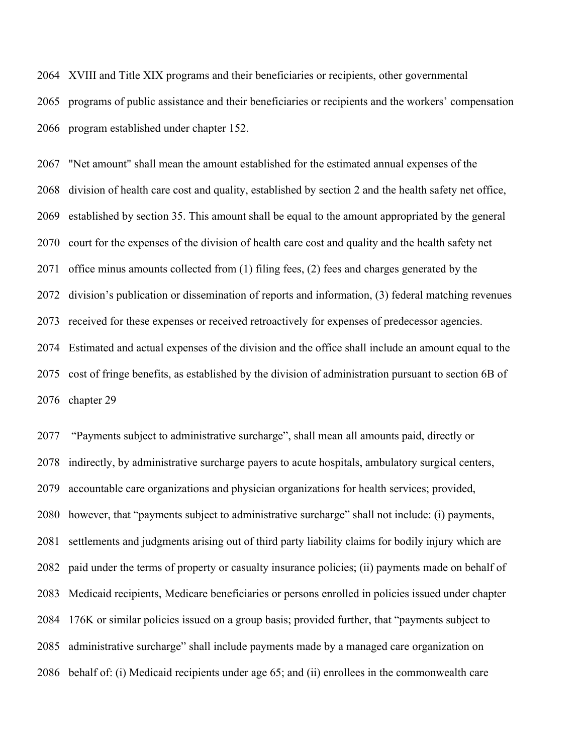XVIII and Title XIX programs and their beneficiaries or recipients, other governmental programs of public assistance and their beneficiaries or recipients and the workers' compensation program established under chapter 152.

 "Net amount" shall mean the amount established for the estimated annual expenses of the division of health care cost and quality, established by section 2 and the health safety net office, established by section 35. This amount shall be equal to the amount appropriated by the general court for the expenses of the division of health care cost and quality and the health safety net office minus amounts collected from (1) filing fees, (2) fees and charges generated by the division's publication or dissemination of reports and information, (3) federal matching revenues received for these expenses or received retroactively for expenses of predecessor agencies. Estimated and actual expenses of the division and the office shall include an amount equal to the cost of fringe benefits, as established by the division of administration pursuant to section 6B of chapter 29

 "Payments subject to administrative surcharge", shall mean all amounts paid, directly or indirectly, by administrative surcharge payers to acute hospitals, ambulatory surgical centers, accountable care organizations and physician organizations for health services; provided, however, that "payments subject to administrative surcharge" shall not include: (i) payments, settlements and judgments arising out of third party liability claims for bodily injury which are paid under the terms of property or casualty insurance policies; (ii) payments made on behalf of Medicaid recipients, Medicare beneficiaries or persons enrolled in policies issued under chapter 176K or similar policies issued on a group basis; provided further, that "payments subject to administrative surcharge" shall include payments made by a managed care organization on behalf of: (i) Medicaid recipients under age 65; and (ii) enrollees in the commonwealth care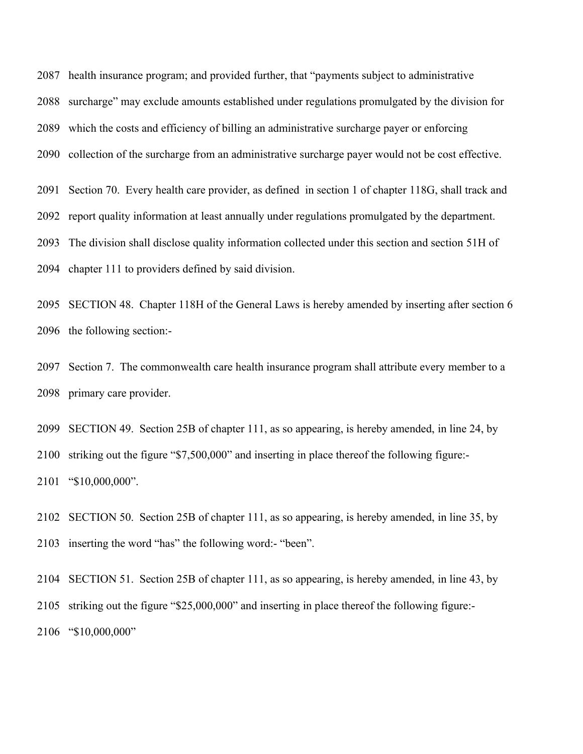health insurance program; and provided further, that "payments subject to administrative surcharge" may exclude amounts established under regulations promulgated by the division for which the costs and efficiency of billing an administrative surcharge payer or enforcing collection of the surcharge from an administrative surcharge payer would not be cost effective. Section 70. Every health care provider, as defined in section 1 of chapter 118G, shall track and report quality information at least annually under regulations promulgated by the department.

The division shall disclose quality information collected under this section and section 51H of

chapter 111 to providers defined by said division.

 SECTION 48. Chapter 118H of the General Laws is hereby amended by inserting after section 6 the following section:-

 Section 7. The commonwealth care health insurance program shall attribute every member to a primary care provider.

 SECTION 49. Section 25B of chapter 111, as so appearing, is hereby amended, in line 24, by striking out the figure "\$7,500,000" and inserting in place thereof the following figure:- "\$10,000,000".

 SECTION 50. Section 25B of chapter 111, as so appearing, is hereby amended, in line 35, by inserting the word "has" the following word:- "been".

 SECTION 51. Section 25B of chapter 111, as so appearing, is hereby amended, in line 43, by striking out the figure "\$25,000,000" and inserting in place thereof the following figure:- "\$10,000,000"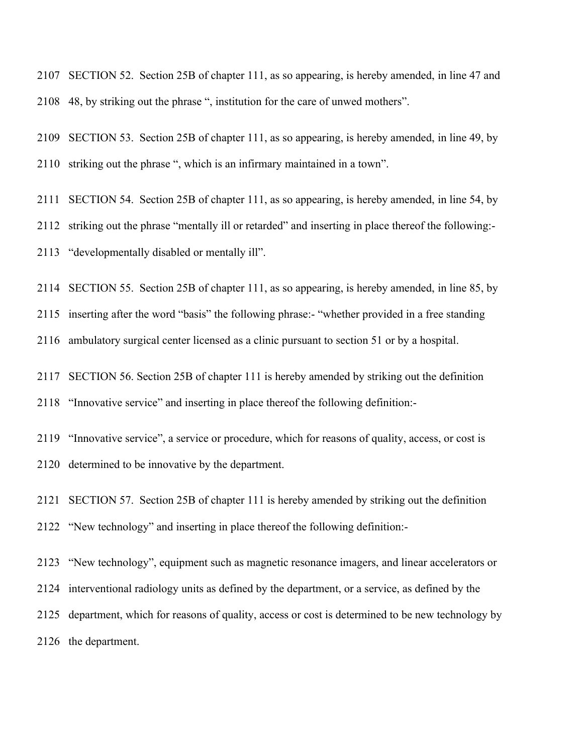SECTION 52. Section 25B of chapter 111, as so appearing, is hereby amended, in line 47 and 48, by striking out the phrase ", institution for the care of unwed mothers".

 SECTION 53. Section 25B of chapter 111, as so appearing, is hereby amended, in line 49, by striking out the phrase ", which is an infirmary maintained in a town".

SECTION 54. Section 25B of chapter 111, as so appearing, is hereby amended, in line 54, by

striking out the phrase "mentally ill or retarded" and inserting in place thereof the following:-

"developmentally disabled or mentally ill".

SECTION 55. Section 25B of chapter 111, as so appearing, is hereby amended, in line 85, by

inserting after the word "basis" the following phrase:- "whether provided in a free standing

ambulatory surgical center licensed as a clinic pursuant to section 51 or by a hospital.

SECTION 56. Section 25B of chapter 111 is hereby amended by striking out the definition

"Innovative service" and inserting in place thereof the following definition:-

 "Innovative service", a service or procedure, which for reasons of quality, access, or cost is determined to be innovative by the department.

 SECTION 57. Section 25B of chapter 111 is hereby amended by striking out the definition "New technology" and inserting in place thereof the following definition:-

 "New technology", equipment such as magnetic resonance imagers, and linear accelerators or interventional radiology units as defined by the department, or a service, as defined by the department, which for reasons of quality, access or cost is determined to be new technology by the department.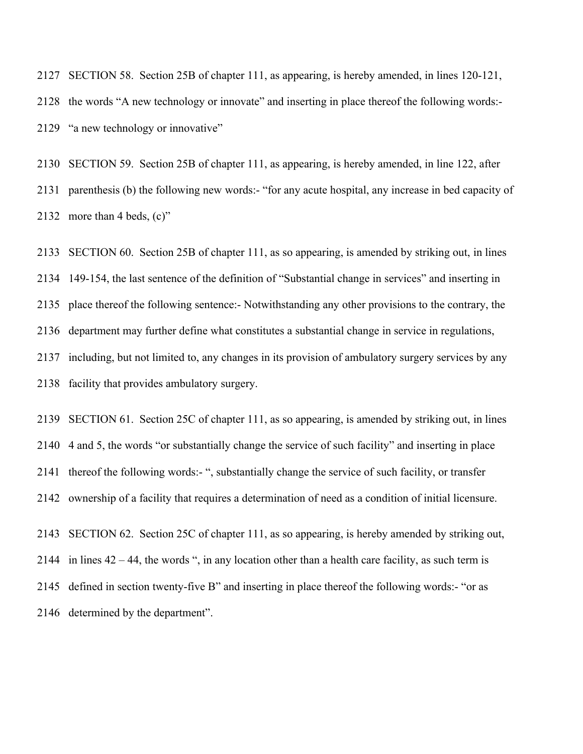SECTION 58. Section 25B of chapter 111, as appearing, is hereby amended, in lines 120-121, the words "A new technology or innovate" and inserting in place thereof the following words:- "a new technology or innovative"

 SECTION 59. Section 25B of chapter 111, as appearing, is hereby amended, in line 122, after parenthesis (b) the following new words:- "for any acute hospital, any increase in bed capacity of more than 4 beds, (c)"

 SECTION 60. Section 25B of chapter 111, as so appearing, is amended by striking out, in lines 149-154, the last sentence of the definition of "Substantial change in services" and inserting in place thereof the following sentence:- Notwithstanding any other provisions to the contrary, the department may further define what constitutes a substantial change in service in regulations, including, but not limited to, any changes in its provision of ambulatory surgery services by any facility that provides ambulatory surgery.

 SECTION 61. Section 25C of chapter 111, as so appearing, is amended by striking out, in lines 4 and 5, the words "or substantially change the service of such facility" and inserting in place thereof the following words:- ", substantially change the service of such facility, or transfer ownership of a facility that requires a determination of need as a condition of initial licensure.

 SECTION 62. Section 25C of chapter 111, as so appearing, is hereby amended by striking out, in lines 42 – 44, the words ", in any location other than a health care facility, as such term is defined in section twenty-five B" and inserting in place thereof the following words:- "or as determined by the department".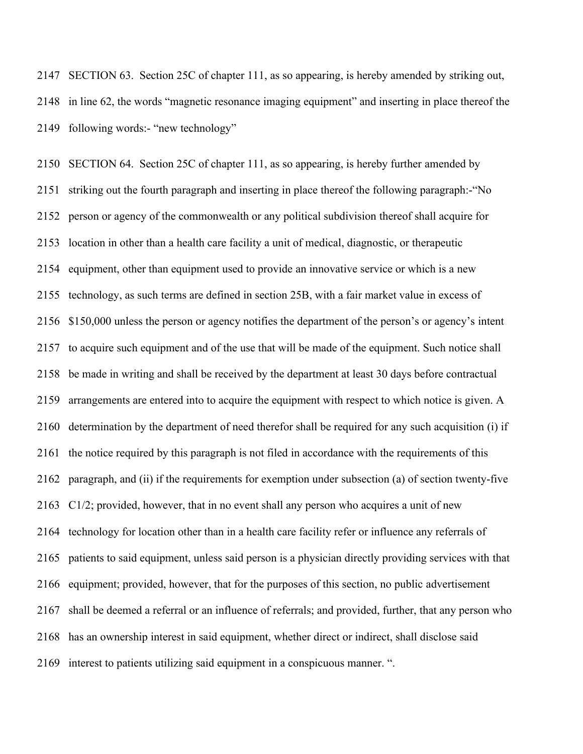SECTION 63. Section 25C of chapter 111, as so appearing, is hereby amended by striking out, in line 62, the words "magnetic resonance imaging equipment" and inserting in place thereof the following words:- "new technology"

 SECTION 64. Section 25C of chapter 111, as so appearing, is hereby further amended by striking out the fourth paragraph and inserting in place thereof the following paragraph:-"No person or agency of the commonwealth or any political subdivision thereof shall acquire for location in other than a health care facility a unit of medical, diagnostic, or therapeutic 2154 equipment, other than equipment used to provide an innovative service or which is a new technology, as such terms are defined in section 25B, with a fair market value in excess of \$150,000 unless the person or agency notifies the department of the person's or agency's intent to acquire such equipment and of the use that will be made of the equipment. Such notice shall be made in writing and shall be received by the department at least 30 days before contractual arrangements are entered into to acquire the equipment with respect to which notice is given. A determination by the department of need therefor shall be required for any such acquisition (i) if the notice required by this paragraph is not filed in accordance with the requirements of this paragraph, and (ii) if the requirements for exemption under subsection (a) of section twenty-five C1/2; provided, however, that in no event shall any person who acquires a unit of new technology for location other than in a health care facility refer or influence any referrals of patients to said equipment, unless said person is a physician directly providing services with that equipment; provided, however, that for the purposes of this section, no public advertisement shall be deemed a referral or an influence of referrals; and provided, further, that any person who has an ownership interest in said equipment, whether direct or indirect, shall disclose said interest to patients utilizing said equipment in a conspicuous manner. ".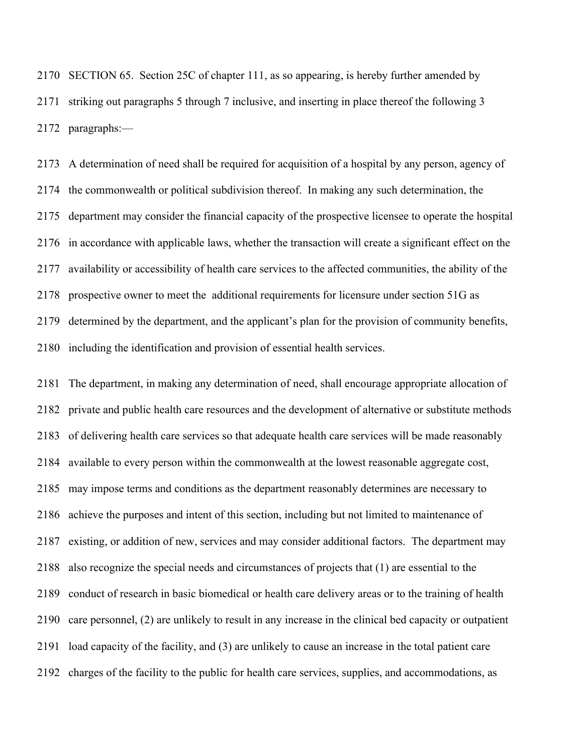SECTION 65. Section 25C of chapter 111, as so appearing, is hereby further amended by striking out paragraphs 5 through 7 inclusive, and inserting in place thereof the following 3 paragraphs:—

 A determination of need shall be required for acquisition of a hospital by any person, agency of the commonwealth or political subdivision thereof. In making any such determination, the department may consider the financial capacity of the prospective licensee to operate the hospital in accordance with applicable laws, whether the transaction will create a significant effect on the availability or accessibility of health care services to the affected communities, the ability of the prospective owner to meet the additional requirements for licensure under section 51G as determined by the department, and the applicant's plan for the provision of community benefits, including the identification and provision of essential health services.

 The department, in making any determination of need, shall encourage appropriate allocation of private and public health care resources and the development of alternative or substitute methods of delivering health care services so that adequate health care services will be made reasonably available to every person within the commonwealth at the lowest reasonable aggregate cost, may impose terms and conditions as the department reasonably determines are necessary to achieve the purposes and intent of this section, including but not limited to maintenance of existing, or addition of new, services and may consider additional factors. The department may also recognize the special needs and circumstances of projects that (1) are essential to the conduct of research in basic biomedical or health care delivery areas or to the training of health care personnel, (2) are unlikely to result in any increase in the clinical bed capacity or outpatient load capacity of the facility, and (3) are unlikely to cause an increase in the total patient care charges of the facility to the public for health care services, supplies, and accommodations, as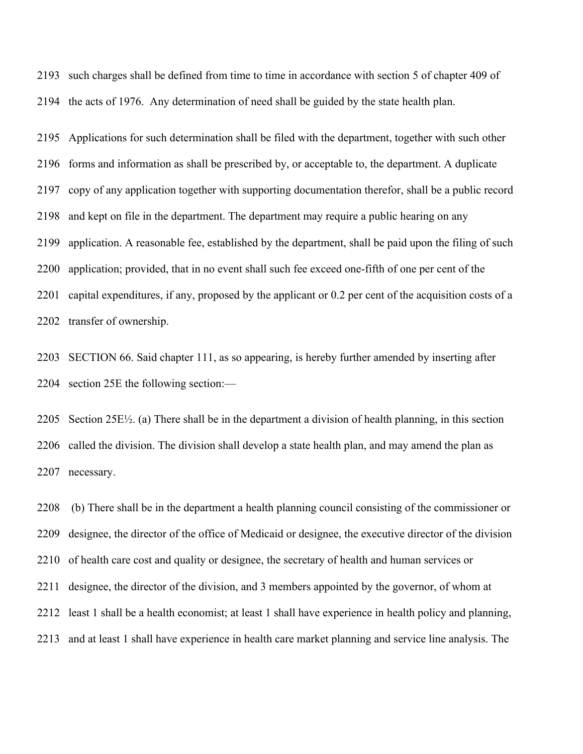such charges shall be defined from time to time in accordance with section 5 of chapter 409 of the acts of 1976. Any determination of need shall be guided by the state health plan.

 Applications for such determination shall be filed with the department, together with such other forms and information as shall be prescribed by, or acceptable to, the department. A duplicate copy of any application together with supporting documentation therefor, shall be a public record and kept on file in the department. The department may require a public hearing on any application. A reasonable fee, established by the department, shall be paid upon the filing of such application; provided, that in no event shall such fee exceed one-fifth of one per cent of the capital expenditures, if any, proposed by the applicant or 0.2 per cent of the acquisition costs of a transfer of ownership.

 SECTION 66. Said chapter 111, as so appearing, is hereby further amended by inserting after section 25E the following section:—

2205 Section  $25E\frac{1}{2}$ . (a) There shall be in the department a division of health planning, in this section called the division. The division shall develop a state health plan, and may amend the plan as necessary.

 (b) There shall be in the department a health planning council consisting of the commissioner or designee, the director of the office of Medicaid or designee, the executive director of the division of health care cost and quality or designee, the secretary of health and human services or designee, the director of the division, and 3 members appointed by the governor, of whom at least 1 shall be a health economist; at least 1 shall have experience in health policy and planning, and at least 1 shall have experience in health care market planning and service line analysis. The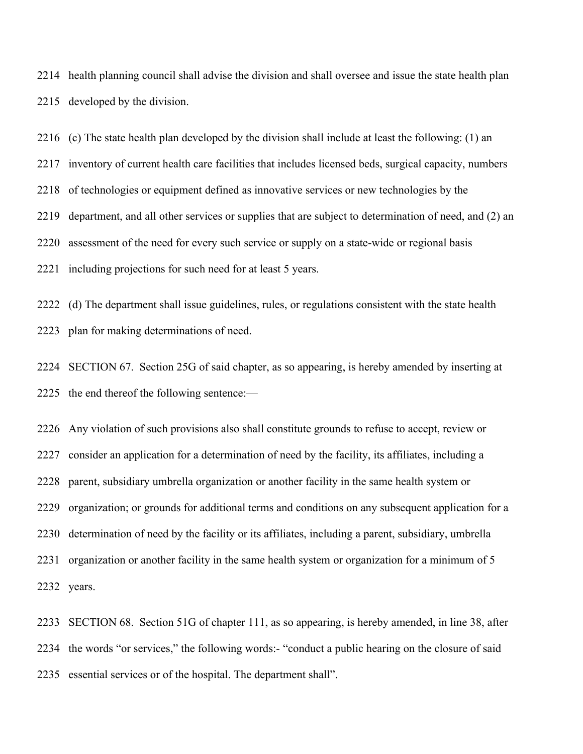health planning council shall advise the division and shall oversee and issue the state health plan developed by the division.

(c) The state health plan developed by the division shall include at least the following: (1) an

inventory of current health care facilities that includes licensed beds, surgical capacity, numbers

of technologies or equipment defined as innovative services or new technologies by the

department, and all other services or supplies that are subject to determination of need, and (2) an

assessment of the need for every such service or supply on a state-wide or regional basis

including projections for such need for at least 5 years.

 (d) The department shall issue guidelines, rules, or regulations consistent with the state health plan for making determinations of need.

 SECTION 67. Section 25G of said chapter, as so appearing, is hereby amended by inserting at the end thereof the following sentence:—

 Any violation of such provisions also shall constitute grounds to refuse to accept, review or consider an application for a determination of need by the facility, its affiliates, including a parent, subsidiary umbrella organization or another facility in the same health system or organization; or grounds for additional terms and conditions on any subsequent application for a determination of need by the facility or its affiliates, including a parent, subsidiary, umbrella organization or another facility in the same health system or organization for a minimum of 5 years.

 SECTION 68. Section 51G of chapter 111, as so appearing, is hereby amended, in line 38, after the words "or services," the following words:- "conduct a public hearing on the closure of said essential services or of the hospital. The department shall".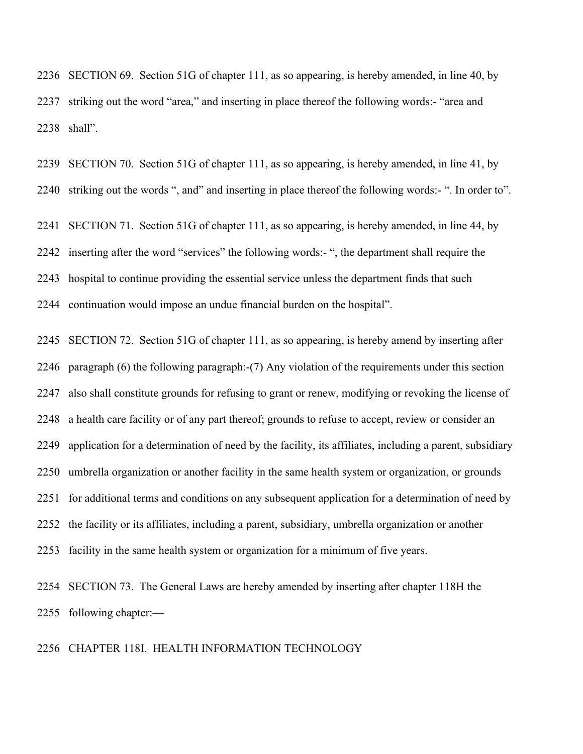SECTION 69. Section 51G of chapter 111, as so appearing, is hereby amended, in line 40, by striking out the word "area," and inserting in place thereof the following words:- "area and shall".

 SECTION 70. Section 51G of chapter 111, as so appearing, is hereby amended, in line 41, by striking out the words ", and" and inserting in place thereof the following words:- ". In order to".

 SECTION 71. Section 51G of chapter 111, as so appearing, is hereby amended, in line 44, by inserting after the word "services" the following words:- ", the department shall require the hospital to continue providing the essential service unless the department finds that such continuation would impose an undue financial burden on the hospital".

 SECTION 72. Section 51G of chapter 111, as so appearing, is hereby amend by inserting after paragraph (6) the following paragraph:-(7) Any violation of the requirements under this section also shall constitute grounds for refusing to grant or renew, modifying or revoking the license of a health care facility or of any part thereof; grounds to refuse to accept, review or consider an application for a determination of need by the facility, its affiliates, including a parent, subsidiary umbrella organization or another facility in the same health system or organization, or grounds for additional terms and conditions on any subsequent application for a determination of need by the facility or its affiliates, including a parent, subsidiary, umbrella organization or another facility in the same health system or organization for a minimum of five years.

 SECTION 73. The General Laws are hereby amended by inserting after chapter 118H the following chapter:—

## CHAPTER 118I. HEALTH INFORMATION TECHNOLOGY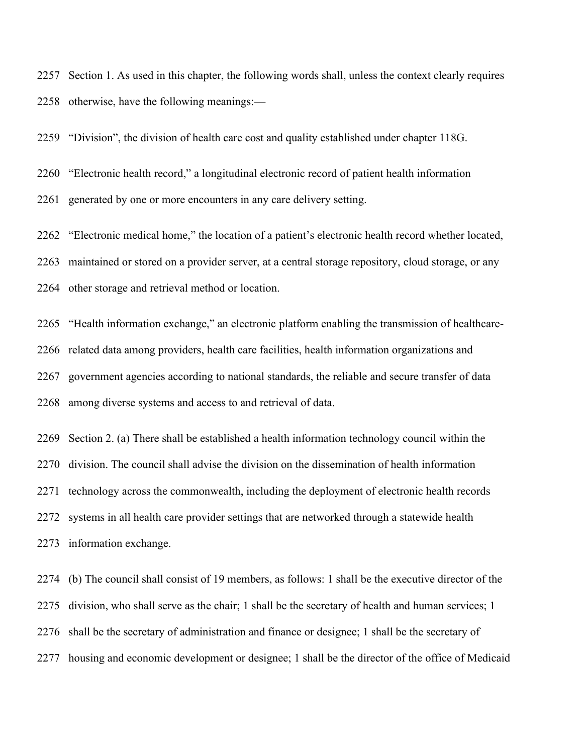Section 1. As used in this chapter, the following words shall, unless the context clearly requires otherwise, have the following meanings:—

"Division", the division of health care cost and quality established under chapter 118G.

"Electronic health record," a longitudinal electronic record of patient health information

generated by one or more encounters in any care delivery setting.

"Electronic medical home," the location of a patient's electronic health record whether located,

maintained or stored on a provider server, at a central storage repository, cloud storage, or any

other storage and retrieval method or location.

"Health information exchange," an electronic platform enabling the transmission of healthcare-

related data among providers, health care facilities, health information organizations and

government agencies according to national standards, the reliable and secure transfer of data

among diverse systems and access to and retrieval of data.

 Section 2. (a) There shall be established a health information technology council within the division. The council shall advise the division on the dissemination of health information technology across the commonwealth, including the deployment of electronic health records systems in all health care provider settings that are networked through a statewide health information exchange.

 (b) The council shall consist of 19 members, as follows: 1 shall be the executive director of the division, who shall serve as the chair; 1 shall be the secretary of health and human services; 1 shall be the secretary of administration and finance or designee; 1 shall be the secretary of housing and economic development or designee; 1 shall be the director of the office of Medicaid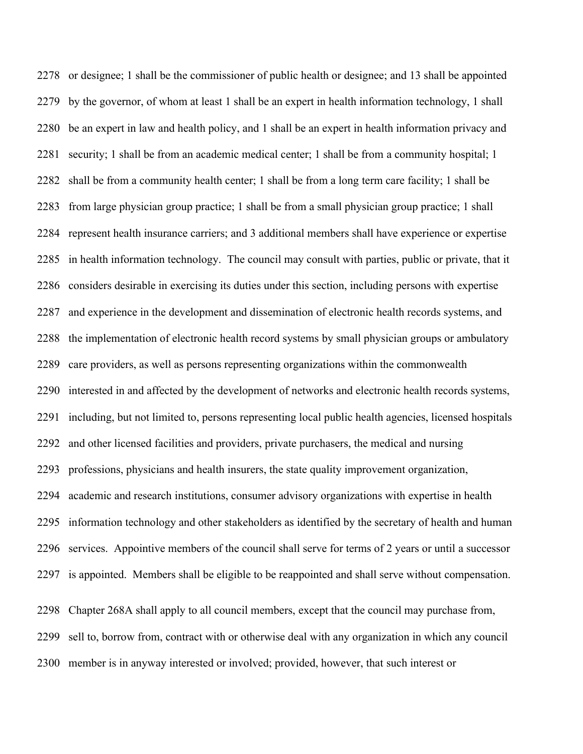or designee; 1 shall be the commissioner of public health or designee; and 13 shall be appointed by the governor, of whom at least 1 shall be an expert in health information technology, 1 shall be an expert in law and health policy, and 1 shall be an expert in health information privacy and security; 1 shall be from an academic medical center; 1 shall be from a community hospital; 1 shall be from a community health center; 1 shall be from a long term care facility; 1 shall be from large physician group practice; 1 shall be from a small physician group practice; 1 shall represent health insurance carriers; and 3 additional members shall have experience or expertise in health information technology. The council may consult with parties, public or private, that it considers desirable in exercising its duties under this section, including persons with expertise and experience in the development and dissemination of electronic health records systems, and the implementation of electronic health record systems by small physician groups or ambulatory care providers, as well as persons representing organizations within the commonwealth interested in and affected by the development of networks and electronic health records systems, including, but not limited to, persons representing local public health agencies, licensed hospitals and other licensed facilities and providers, private purchasers, the medical and nursing professions, physicians and health insurers, the state quality improvement organization, academic and research institutions, consumer advisory organizations with expertise in health information technology and other stakeholders as identified by the secretary of health and human services. Appointive members of the council shall serve for terms of 2 years or until a successor is appointed. Members shall be eligible to be reappointed and shall serve without compensation. Chapter 268A shall apply to all council members, except that the council may purchase from, sell to, borrow from, contract with or otherwise deal with any organization in which any council

member is in anyway interested or involved; provided, however, that such interest or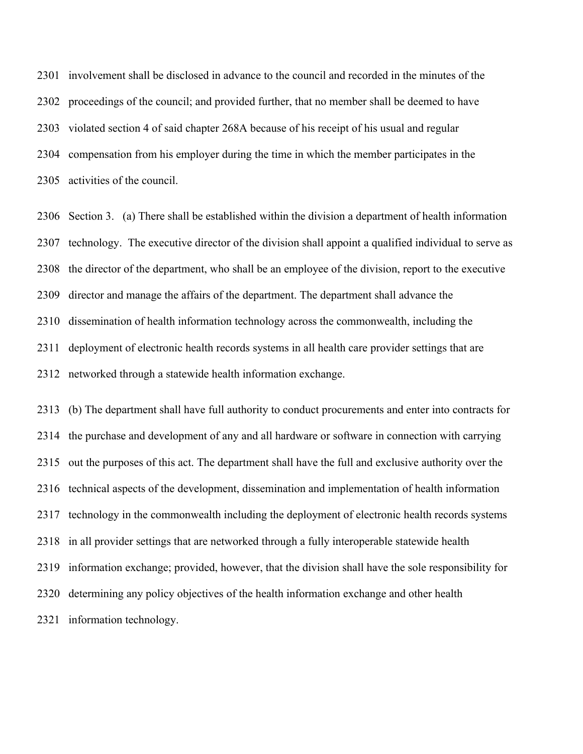involvement shall be disclosed in advance to the council and recorded in the minutes of the proceedings of the council; and provided further, that no member shall be deemed to have violated section 4 of said chapter 268A because of his receipt of his usual and regular compensation from his employer during the time in which the member participates in the activities of the council.

 Section 3. (a) There shall be established within the division a department of health information technology. The executive director of the division shall appoint a qualified individual to serve as the director of the department, who shall be an employee of the division, report to the executive director and manage the affairs of the department. The department shall advance the dissemination of health information technology across the commonwealth, including the deployment of electronic health records systems in all health care provider settings that are networked through a statewide health information exchange.

 (b) The department shall have full authority to conduct procurements and enter into contracts for the purchase and development of any and all hardware or software in connection with carrying out the purposes of this act. The department shall have the full and exclusive authority over the technical aspects of the development, dissemination and implementation of health information technology in the commonwealth including the deployment of electronic health records systems in all provider settings that are networked through a fully interoperable statewide health information exchange; provided, however, that the division shall have the sole responsibility for determining any policy objectives of the health information exchange and other health information technology.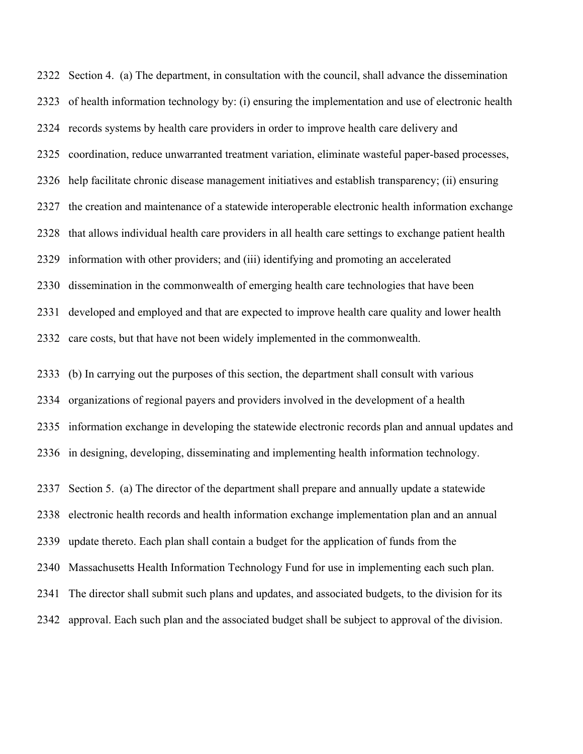Section 4. (a) The department, in consultation with the council, shall advance the dissemination of health information technology by: (i) ensuring the implementation and use of electronic health records systems by health care providers in order to improve health care delivery and coordination, reduce unwarranted treatment variation, eliminate wasteful paper-based processes, help facilitate chronic disease management initiatives and establish transparency; (ii) ensuring the creation and maintenance of a statewide interoperable electronic health information exchange that allows individual health care providers in all health care settings to exchange patient health information with other providers; and (iii) identifying and promoting an accelerated dissemination in the commonwealth of emerging health care technologies that have been developed and employed and that are expected to improve health care quality and lower health care costs, but that have not been widely implemented in the commonwealth.

 (b) In carrying out the purposes of this section, the department shall consult with various organizations of regional payers and providers involved in the development of a health information exchange in developing the statewide electronic records plan and annual updates and in designing, developing, disseminating and implementing health information technology.

 Section 5. (a) The director of the department shall prepare and annually update a statewide electronic health records and health information exchange implementation plan and an annual update thereto. Each plan shall contain a budget for the application of funds from the Massachusetts Health Information Technology Fund for use in implementing each such plan. The director shall submit such plans and updates, and associated budgets, to the division for its approval. Each such plan and the associated budget shall be subject to approval of the division.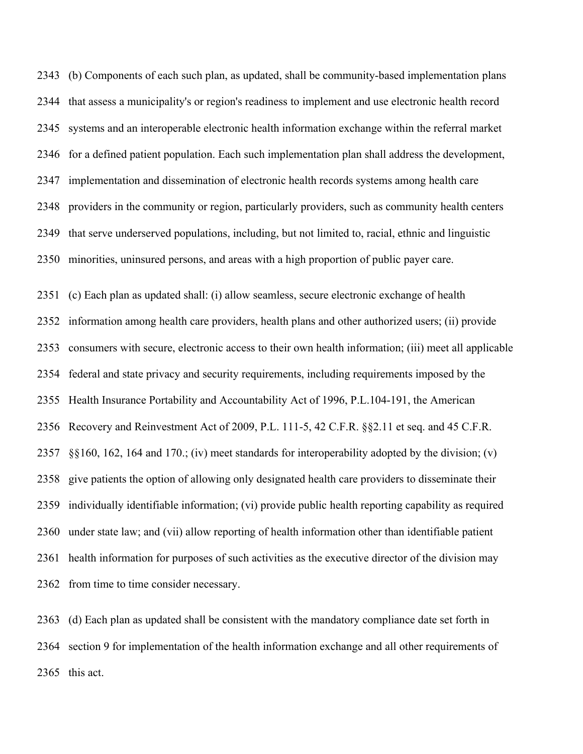(b) Components of each such plan, as updated, shall be community-based implementation plans that assess a municipality's or region's readiness to implement and use electronic health record systems and an interoperable electronic health information exchange within the referral market for a defined patient population. Each such implementation plan shall address the development, implementation and dissemination of electronic health records systems among health care providers in the community or region, particularly providers, such as community health centers that serve underserved populations, including, but not limited to, racial, ethnic and linguistic minorities, uninsured persons, and areas with a high proportion of public payer care.

 (c) Each plan as updated shall: (i) allow seamless, secure electronic exchange of health information among health care providers, health plans and other authorized users; (ii) provide consumers with secure, electronic access to their own health information; (iii) meet all applicable federal and state privacy and security requirements, including requirements imposed by the Health Insurance Portability and Accountability Act of 1996, P.L.104-191, the American Recovery and Reinvestment Act of 2009, P.L. 111-5, 42 C.F.R. §§2.11 et seq. and 45 C.F.R. §§160, 162, 164 and 170.; (iv) meet standards for interoperability adopted by the division; (v) give patients the option of allowing only designated health care providers to disseminate their individually identifiable information; (vi) provide public health reporting capability as required under state law; and (vii) allow reporting of health information other than identifiable patient health information for purposes of such activities as the executive director of the division may from time to time consider necessary.

 (d) Each plan as updated shall be consistent with the mandatory compliance date set forth in section 9 for implementation of the health information exchange and all other requirements of this act.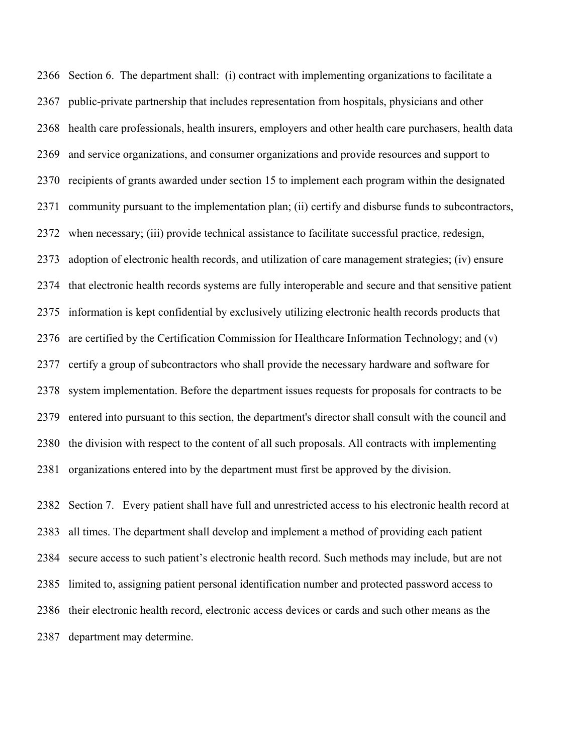Section 6. The department shall: (i) contract with implementing organizations to facilitate a public-private partnership that includes representation from hospitals, physicians and other health care professionals, health insurers, employers and other health care purchasers, health data and service organizations, and consumer organizations and provide resources and support to recipients of grants awarded under section 15 to implement each program within the designated community pursuant to the implementation plan; (ii) certify and disburse funds to subcontractors, when necessary; (iii) provide technical assistance to facilitate successful practice, redesign, adoption of electronic health records, and utilization of care management strategies; (iv) ensure that electronic health records systems are fully interoperable and secure and that sensitive patient information is kept confidential by exclusively utilizing electronic health records products that are certified by the Certification Commission for Healthcare Information Technology; and (v) certify a group of subcontractors who shall provide the necessary hardware and software for system implementation. Before the department issues requests for proposals for contracts to be entered into pursuant to this section, the department's director shall consult with the council and the division with respect to the content of all such proposals. All contracts with implementing organizations entered into by the department must first be approved by the division.

 Section 7. Every patient shall have full and unrestricted access to his electronic health record at all times. The department shall develop and implement a method of providing each patient secure access to such patient's electronic health record. Such methods may include, but are not limited to, assigning patient personal identification number and protected password access to their electronic health record, electronic access devices or cards and such other means as the department may determine.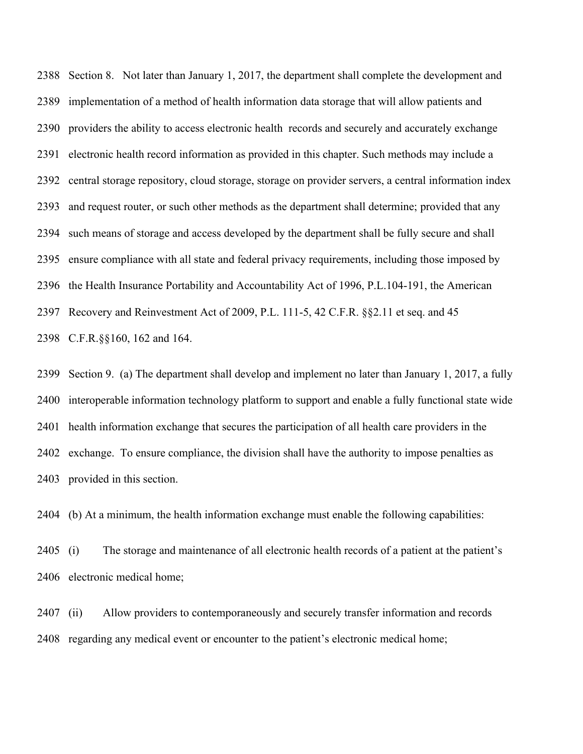Section 8. Not later than January 1, 2017, the department shall complete the development and implementation of a method of health information data storage that will allow patients and providers the ability to access electronic health records and securely and accurately exchange electronic health record information as provided in this chapter. Such methods may include a central storage repository, cloud storage, storage on provider servers, a central information index and request router, or such other methods as the department shall determine; provided that any such means of storage and access developed by the department shall be fully secure and shall ensure compliance with all state and federal privacy requirements, including those imposed by the Health Insurance Portability and Accountability Act of 1996, P.L.104-191, the American Recovery and Reinvestment Act of 2009, P.L. 111-5, 42 C.F.R. §§2.11 et seq. and 45 C.F.R.§§160, 162 and 164.

 Section 9. (a) The department shall develop and implement no later than January 1, 2017, a fully interoperable information technology platform to support and enable a fully functional state wide health information exchange that secures the participation of all health care providers in the exchange. To ensure compliance, the division shall have the authority to impose penalties as provided in this section.

(b) At a minimum, the health information exchange must enable the following capabilities:

 (i) The storage and maintenance of all electronic health records of a patient at the patient's electronic medical home;

 (ii) Allow providers to contemporaneously and securely transfer information and records regarding any medical event or encounter to the patient's electronic medical home;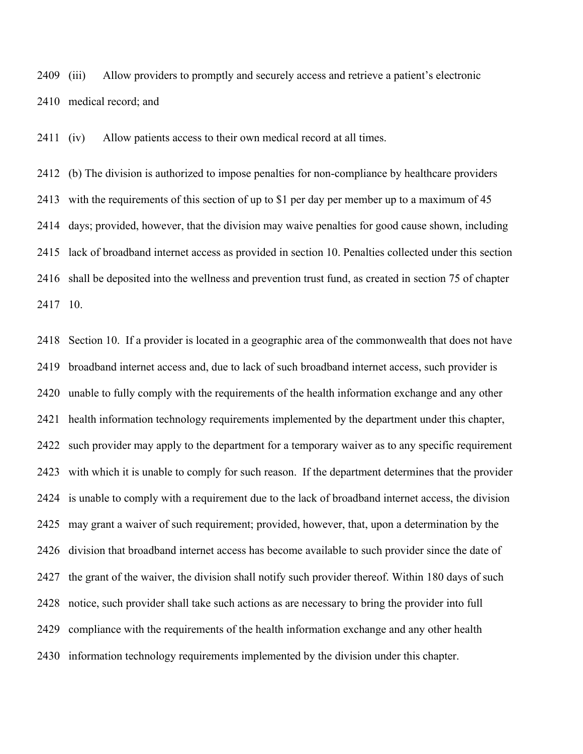(iii) Allow providers to promptly and securely access and retrieve a patient's electronic medical record; and

(iv) Allow patients access to their own medical record at all times.

 (b) The division is authorized to impose penalties for non-compliance by healthcare providers with the requirements of this section of up to \$1 per day per member up to a maximum of 45 days; provided, however, that the division may waive penalties for good cause shown, including lack of broadband internet access as provided in section 10. Penalties collected under this section shall be deposited into the wellness and prevention trust fund, as created in section 75 of chapter 10.

 Section 10. If a provider is located in a geographic area of the commonwealth that does not have broadband internet access and, due to lack of such broadband internet access, such provider is unable to fully comply with the requirements of the health information exchange and any other health information technology requirements implemented by the department under this chapter, such provider may apply to the department for a temporary waiver as to any specific requirement with which it is unable to comply for such reason. If the department determines that the provider is unable to comply with a requirement due to the lack of broadband internet access, the division may grant a waiver of such requirement; provided, however, that, upon a determination by the division that broadband internet access has become available to such provider since the date of the grant of the waiver, the division shall notify such provider thereof. Within 180 days of such notice, such provider shall take such actions as are necessary to bring the provider into full compliance with the requirements of the health information exchange and any other health information technology requirements implemented by the division under this chapter.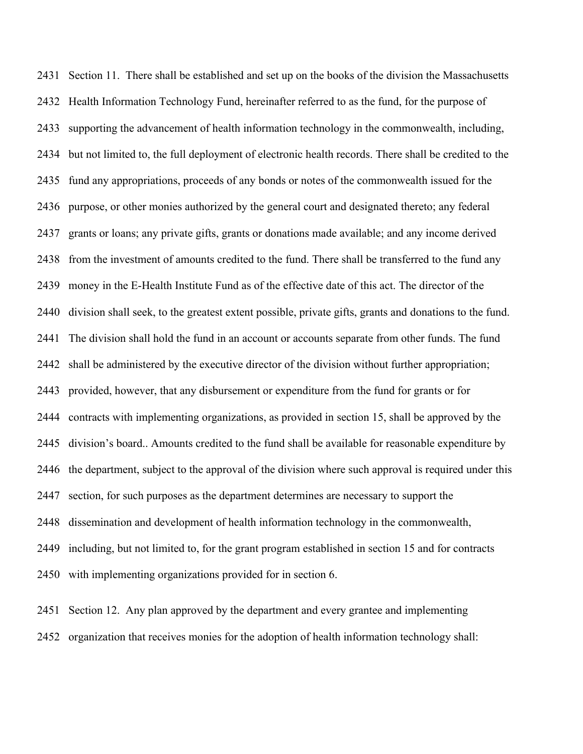Section 11. There shall be established and set up on the books of the division the Massachusetts Health Information Technology Fund, hereinafter referred to as the fund, for the purpose of supporting the advancement of health information technology in the commonwealth, including, but not limited to, the full deployment of electronic health records. There shall be credited to the fund any appropriations, proceeds of any bonds or notes of the commonwealth issued for the purpose, or other monies authorized by the general court and designated thereto; any federal grants or loans; any private gifts, grants or donations made available; and any income derived from the investment of amounts credited to the fund. There shall be transferred to the fund any money in the E-Health Institute Fund as of the effective date of this act. The director of the division shall seek, to the greatest extent possible, private gifts, grants and donations to the fund. The division shall hold the fund in an account or accounts separate from other funds. The fund shall be administered by the executive director of the division without further appropriation; provided, however, that any disbursement or expenditure from the fund for grants or for contracts with implementing organizations, as provided in section 15, shall be approved by the division's board.. Amounts credited to the fund shall be available for reasonable expenditure by the department, subject to the approval of the division where such approval is required under this section, for such purposes as the department determines are necessary to support the dissemination and development of health information technology in the commonwealth, including, but not limited to, for the grant program established in section 15 and for contracts with implementing organizations provided for in section 6.

 Section 12. Any plan approved by the department and every grantee and implementing organization that receives monies for the adoption of health information technology shall: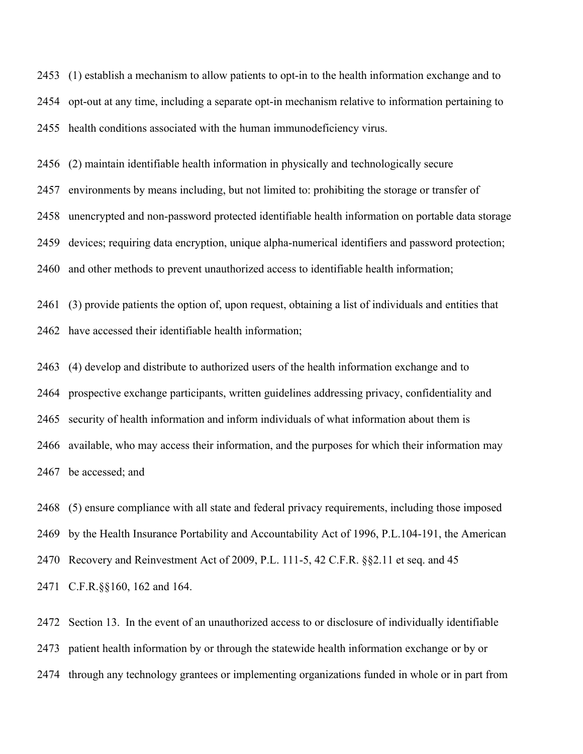(1) establish a mechanism to allow patients to opt-in to the health information exchange and to opt-out at any time, including a separate opt-in mechanism relative to information pertaining to health conditions associated with the human immunodeficiency virus.

(2) maintain identifiable health information in physically and technologically secure

 environments by means including, but not limited to: prohibiting the storage or transfer of unencrypted and non-password protected identifiable health information on portable data storage devices; requiring data encryption, unique alpha-numerical identifiers and password protection; and other methods to prevent unauthorized access to identifiable health information;

 (3) provide patients the option of, upon request, obtaining a list of individuals and entities that have accessed their identifiable health information;

 (4) develop and distribute to authorized users of the health information exchange and to prospective exchange participants, written guidelines addressing privacy, confidentiality and security of health information and inform individuals of what information about them is available, who may access their information, and the purposes for which their information may be accessed; and

 (5) ensure compliance with all state and federal privacy requirements, including those imposed by the Health Insurance Portability and Accountability Act of 1996, P.L.104-191, the American Recovery and Reinvestment Act of 2009, P.L. 111-5, 42 C.F.R. §§2.11 et seq. and 45 C.F.R.§§160, 162 and 164.

 Section 13. In the event of an unauthorized access to or disclosure of individually identifiable patient health information by or through the statewide health information exchange or by or through any technology grantees or implementing organizations funded in whole or in part from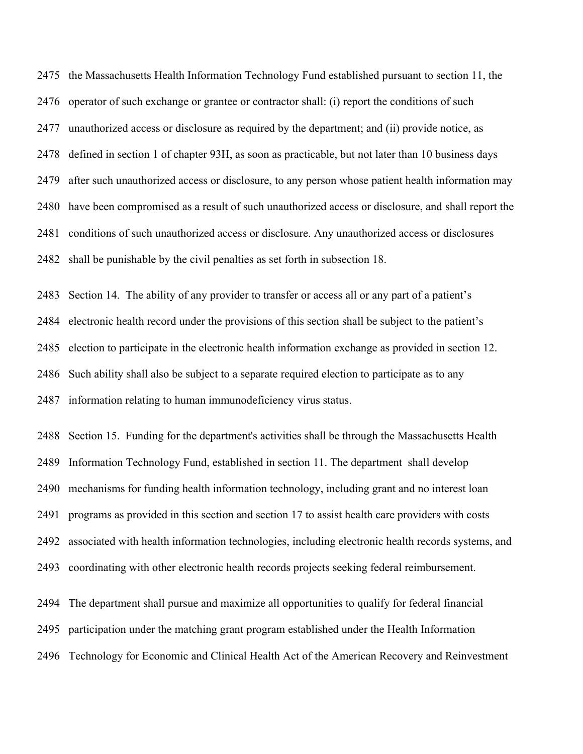the Massachusetts Health Information Technology Fund established pursuant to section 11, the operator of such exchange or grantee or contractor shall: (i) report the conditions of such unauthorized access or disclosure as required by the department; and (ii) provide notice, as defined in section 1 of chapter 93H, as soon as practicable, but not later than 10 business days after such unauthorized access or disclosure, to any person whose patient health information may have been compromised as a result of such unauthorized access or disclosure, and shall report the conditions of such unauthorized access or disclosure. Any unauthorized access or disclosures shall be punishable by the civil penalties as set forth in subsection 18.

 Section 14. The ability of any provider to transfer or access all or any part of a patient's electronic health record under the provisions of this section shall be subject to the patient's election to participate in the electronic health information exchange as provided in section 12. Such ability shall also be subject to a separate required election to participate as to any information relating to human immunodeficiency virus status.

 Section 15. Funding for the department's activities shall be through the Massachusetts Health Information Technology Fund, established in section 11. The department shall develop mechanisms for funding health information technology, including grant and no interest loan programs as provided in this section and section 17 to assist health care providers with costs associated with health information technologies, including electronic health records systems, and coordinating with other electronic health records projects seeking federal reimbursement.

 The department shall pursue and maximize all opportunities to qualify for federal financial participation under the matching grant program established under the Health Information Technology for Economic and Clinical Health Act of the American Recovery and Reinvestment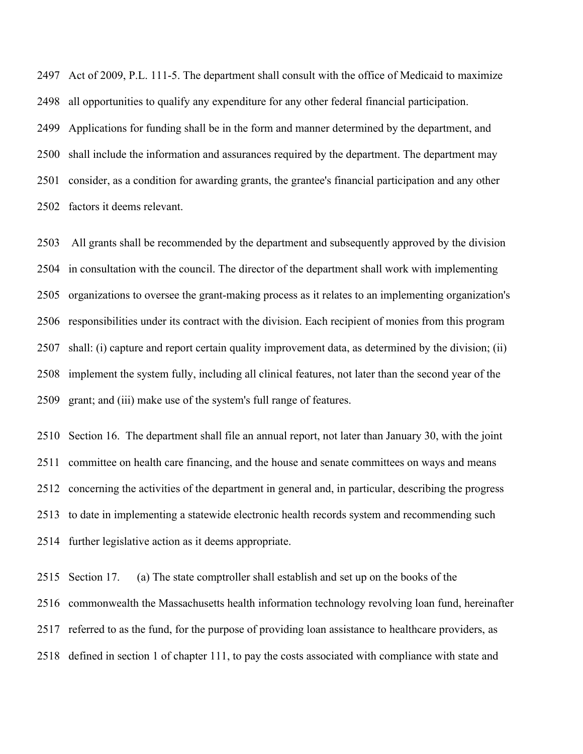Act of 2009, P.L. 111-5. The department shall consult with the office of Medicaid to maximize all opportunities to qualify any expenditure for any other federal financial participation. Applications for funding shall be in the form and manner determined by the department, and shall include the information and assurances required by the department. The department may consider, as a condition for awarding grants, the grantee's financial participation and any other factors it deems relevant.

 All grants shall be recommended by the department and subsequently approved by the division in consultation with the council. The director of the department shall work with implementing organizations to oversee the grant-making process as it relates to an implementing organization's responsibilities under its contract with the division. Each recipient of monies from this program shall: (i) capture and report certain quality improvement data, as determined by the division; (ii) implement the system fully, including all clinical features, not later than the second year of the grant; and (iii) make use of the system's full range of features.

 Section 16. The department shall file an annual report, not later than January 30, with the joint committee on health care financing, and the house and senate committees on ways and means concerning the activities of the department in general and, in particular, describing the progress to date in implementing a statewide electronic health records system and recommending such further legislative action as it deems appropriate.

 Section 17. (a) The state comptroller shall establish and set up on the books of the commonwealth the Massachusetts health information technology revolving loan fund, hereinafter referred to as the fund, for the purpose of providing loan assistance to healthcare providers, as defined in section 1 of chapter 111, to pay the costs associated with compliance with state and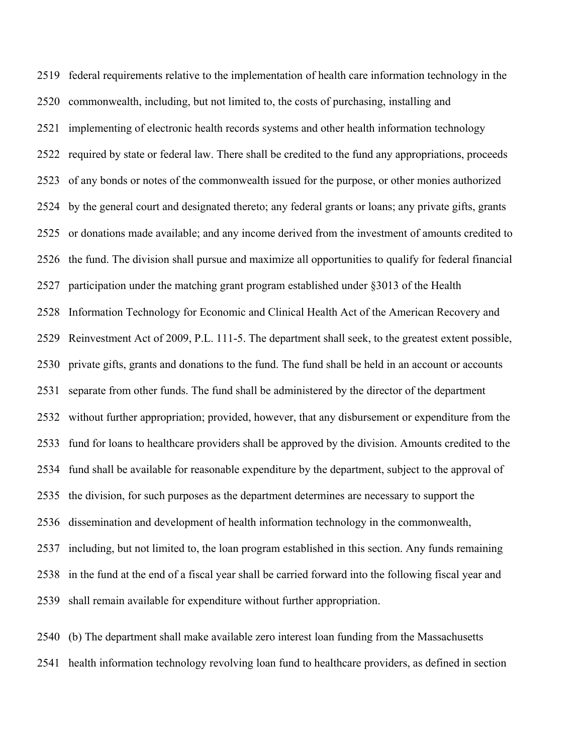federal requirements relative to the implementation of health care information technology in the commonwealth, including, but not limited to, the costs of purchasing, installing and implementing of electronic health records systems and other health information technology required by state or federal law. There shall be credited to the fund any appropriations, proceeds of any bonds or notes of the commonwealth issued for the purpose, or other monies authorized by the general court and designated thereto; any federal grants or loans; any private gifts, grants or donations made available; and any income derived from the investment of amounts credited to the fund. The division shall pursue and maximize all opportunities to qualify for federal financial participation under the matching grant program established under §3013 of the Health Information Technology for Economic and Clinical Health Act of the American Recovery and Reinvestment Act of 2009, P.L. 111-5. The department shall seek, to the greatest extent possible, private gifts, grants and donations to the fund. The fund shall be held in an account or accounts separate from other funds. The fund shall be administered by the director of the department without further appropriation; provided, however, that any disbursement or expenditure from the fund for loans to healthcare providers shall be approved by the division. Amounts credited to the fund shall be available for reasonable expenditure by the department, subject to the approval of the division, for such purposes as the department determines are necessary to support the dissemination and development of health information technology in the commonwealth, including, but not limited to, the loan program established in this section. Any funds remaining in the fund at the end of a fiscal year shall be carried forward into the following fiscal year and shall remain available for expenditure without further appropriation.

 (b) The department shall make available zero interest loan funding from the Massachusetts health information technology revolving loan fund to healthcare providers, as defined in section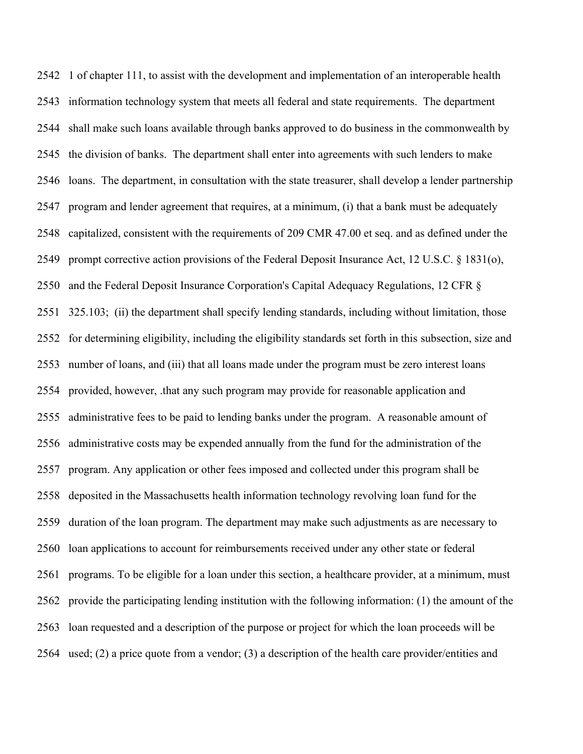1 of chapter 111, to assist with the development and implementation of an interoperable health information technology system that meets all federal and state requirements. The department shall make such loans available through banks approved to do business in the commonwealth by the division of banks. The department shall enter into agreements with such lenders to make loans. The department, in consultation with the state treasurer, shall develop a lender partnership program and lender agreement that requires, at a minimum, (i) that a bank must be adequately capitalized, consistent with the requirements of 209 CMR 47.00 et seq. and as defined under the prompt corrective action provisions of the Federal Deposit Insurance Act, 12 U.S.C. § 1831(o), and the Federal Deposit Insurance Corporation's Capital Adequacy Regulations, 12 CFR § 325.103; (ii) the department shall specify lending standards, including without limitation, those for determining eligibility, including the eligibility standards set forth in this subsection, size and number of loans, and (iii) that all loans made under the program must be zero interest loans provided, however, .that any such program may provide for reasonable application and administrative fees to be paid to lending banks under the program. A reasonable amount of administrative costs may be expended annually from the fund for the administration of the program. Any application or other fees imposed and collected under this program shall be deposited in the Massachusetts health information technology revolving loan fund for the duration of the loan program. The department may make such adjustments as are necessary to loan applications to account for reimbursements received under any other state or federal programs. To be eligible for a loan under this section, a healthcare provider, at a minimum, must provide the participating lending institution with the following information: (1) the amount of the loan requested and a description of the purpose or project for which the loan proceeds will be used; (2) a price quote from a vendor; (3) a description of the health care provider/entities and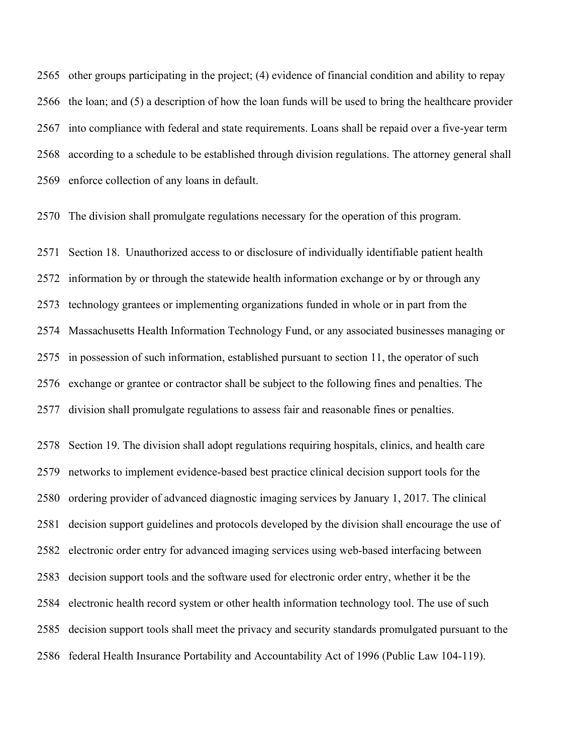other groups participating in the project; (4) evidence of financial condition and ability to repay the loan; and (5) a description of how the loan funds will be used to bring the healthcare provider into compliance with federal and state requirements. Loans shall be repaid over a five-year term according to a schedule to be established through division regulations. The attorney general shall enforce collection of any loans in default.

The division shall promulgate regulations necessary for the operation of this program.

 Section 18. Unauthorized access to or disclosure of individually identifiable patient health information by or through the statewide health information exchange or by or through any technology grantees or implementing organizations funded in whole or in part from the Massachusetts Health Information Technology Fund, or any associated businesses managing or in possession of such information, established pursuant to section 11, the operator of such exchange or grantee or contractor shall be subject to the following fines and penalties. The division shall promulgate regulations to assess fair and reasonable fines or penalties.

 Section 19. The division shall adopt regulations requiring hospitals, clinics, and health care networks to implement evidence-based best practice clinical decision support tools for the ordering provider of advanced diagnostic imaging services by January 1, 2017. The clinical decision support guidelines and protocols developed by the division shall encourage the use of electronic order entry for advanced imaging services using web-based interfacing between decision support tools and the software used for electronic order entry, whether it be the electronic health record system or other health information technology tool. The use of such decision support tools shall meet the privacy and security standards promulgated pursuant to the federal Health Insurance Portability and Accountability Act of 1996 (Public Law 104-119).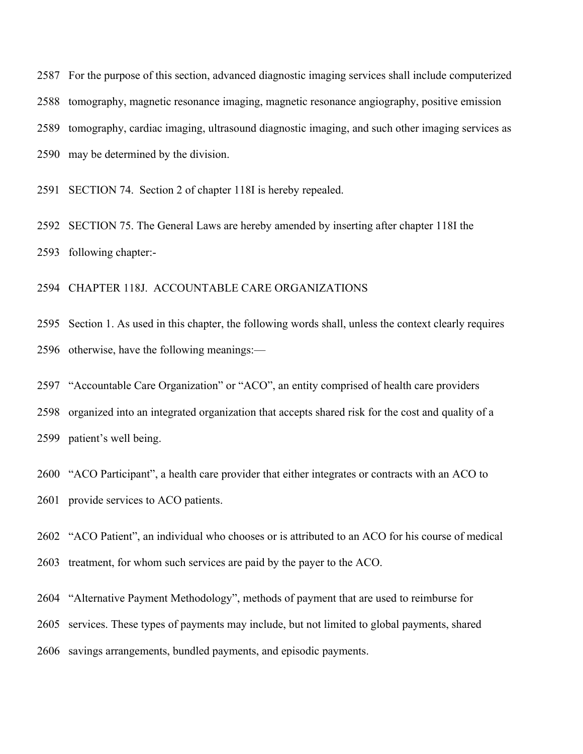For the purpose of this section, advanced diagnostic imaging services shall include computerized tomography, magnetic resonance imaging, magnetic resonance angiography, positive emission tomography, cardiac imaging, ultrasound diagnostic imaging, and such other imaging services as may be determined by the division.

SECTION 74. Section 2 of chapter 118I is hereby repealed.

 SECTION 75. The General Laws are hereby amended by inserting after chapter 118I the following chapter:-

CHAPTER 118J. ACCOUNTABLE CARE ORGANIZATIONS

 Section 1. As used in this chapter, the following words shall, unless the context clearly requires otherwise, have the following meanings:—

"Accountable Care Organization" or "ACO", an entity comprised of health care providers

 organized into an integrated organization that accepts shared risk for the cost and quality of a patient's well being.

 "ACO Participant", a health care provider that either integrates or contracts with an ACO to provide services to ACO patients.

"ACO Patient", an individual who chooses or is attributed to an ACO for his course of medical

treatment, for whom such services are paid by the payer to the ACO.

"Alternative Payment Methodology", methods of payment that are used to reimburse for

services. These types of payments may include, but not limited to global payments, shared

savings arrangements, bundled payments, and episodic payments.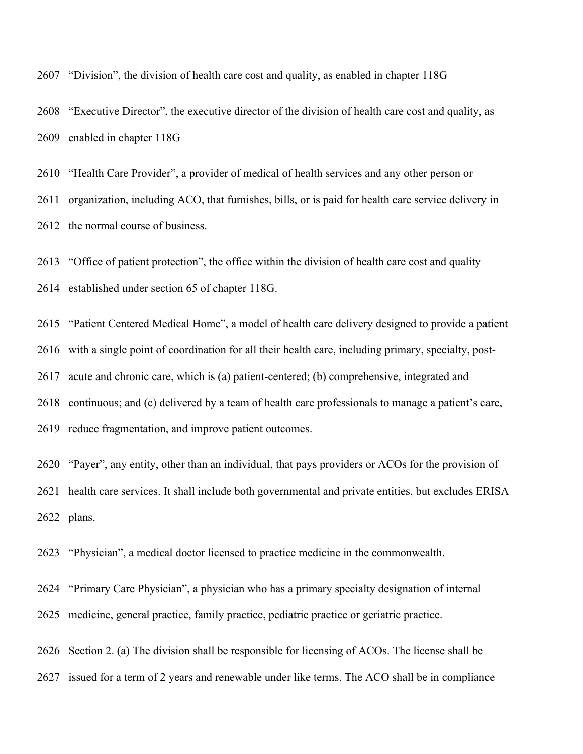"Division", the division of health care cost and quality, as enabled in chapter 118G

 "Executive Director", the executive director of the division of health care cost and quality, as enabled in chapter 118G

 "Health Care Provider", a provider of medical of health services and any other person or organization, including ACO, that furnishes, bills, or is paid for health care service delivery in

the normal course of business.

"Office of patient protection", the office within the division of health care cost and quality

established under section 65 of chapter 118G.

"Patient Centered Medical Home", a model of health care delivery designed to provide a patient

with a single point of coordination for all their health care, including primary, specialty, post-

acute and chronic care, which is (a) patient-centered; (b) comprehensive, integrated and

continuous; and (c) delivered by a team of health care professionals to manage a patient's care,

reduce fragmentation, and improve patient outcomes.

 "Payer", any entity, other than an individual, that pays providers or ACOs for the provision of health care services. It shall include both governmental and private entities, but excludes ERISA plans.

"Physician", a medical doctor licensed to practice medicine in the commonwealth.

"Primary Care Physician", a physician who has a primary specialty designation of internal

medicine, general practice, family practice, pediatric practice or geriatric practice.

Section 2. (a) The division shall be responsible for licensing of ACOs. The license shall be

issued for a term of 2 years and renewable under like terms. The ACO shall be in compliance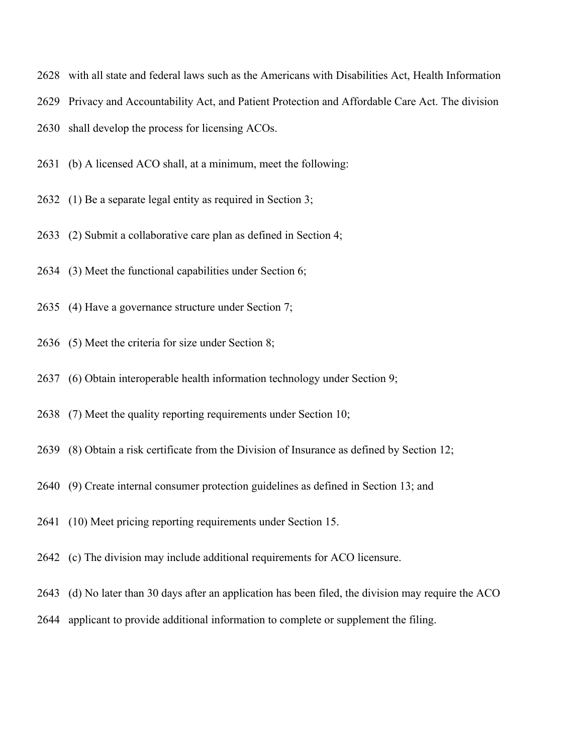- with all state and federal laws such as the Americans with Disabilities Act, Health Information
- Privacy and Accountability Act, and Patient Protection and Affordable Care Act. The division
- shall develop the process for licensing ACOs.
- (b) A licensed ACO shall, at a minimum, meet the following:
- (1) Be a separate legal entity as required in Section 3;
- (2) Submit a collaborative care plan as defined in Section 4;
- (3) Meet the functional capabilities under Section 6;
- (4) Have a governance structure under Section 7;
- (5) Meet the criteria for size under Section 8;
- (6) Obtain interoperable health information technology under Section 9;
- (7) Meet the quality reporting requirements under Section 10;
- (8) Obtain a risk certificate from the Division of Insurance as defined by Section 12;
- (9) Create internal consumer protection guidelines as defined in Section 13; and
- (10) Meet pricing reporting requirements under Section 15.
- (c) The division may include additional requirements for ACO licensure.
- (d) No later than 30 days after an application has been filed, the division may require the ACO
- applicant to provide additional information to complete or supplement the filing.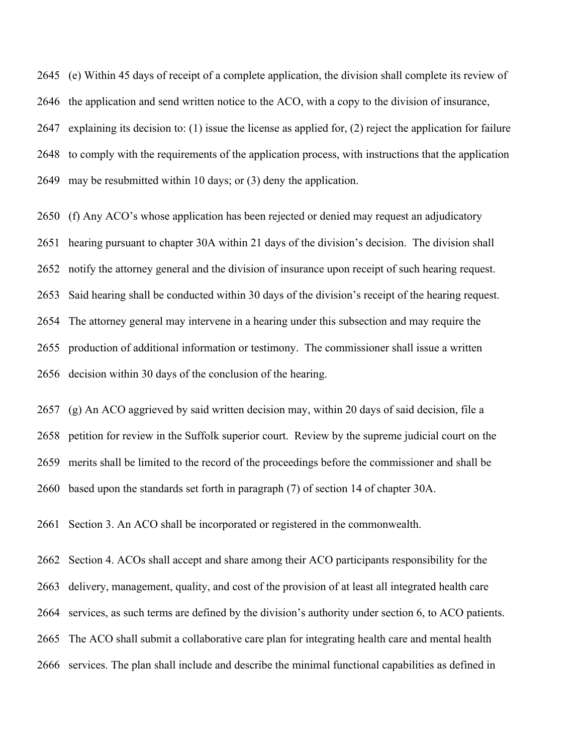(e) Within 45 days of receipt of a complete application, the division shall complete its review of the application and send written notice to the ACO, with a copy to the division of insurance, explaining its decision to: (1) issue the license as applied for, (2) reject the application for failure to comply with the requirements of the application process, with instructions that the application may be resubmitted within 10 days; or (3) deny the application.

 (f) Any ACO's whose application has been rejected or denied may request an adjudicatory hearing pursuant to chapter 30A within 21 days of the division's decision. The division shall notify the attorney general and the division of insurance upon receipt of such hearing request. Said hearing shall be conducted within 30 days of the division's receipt of the hearing request. The attorney general may intervene in a hearing under this subsection and may require the production of additional information or testimony. The commissioner shall issue a written decision within 30 days of the conclusion of the hearing.

 (g) An ACO aggrieved by said written decision may, within 20 days of said decision, file a petition for review in the Suffolk superior court. Review by the supreme judicial court on the merits shall be limited to the record of the proceedings before the commissioner and shall be based upon the standards set forth in paragraph (7) of section 14 of chapter 30A.

Section 3. An ACO shall be incorporated or registered in the commonwealth.

 Section 4. ACOs shall accept and share among their ACO participants responsibility for the delivery, management, quality, and cost of the provision of at least all integrated health care services, as such terms are defined by the division's authority under section 6, to ACO patients. The ACO shall submit a collaborative care plan for integrating health care and mental health services. The plan shall include and describe the minimal functional capabilities as defined in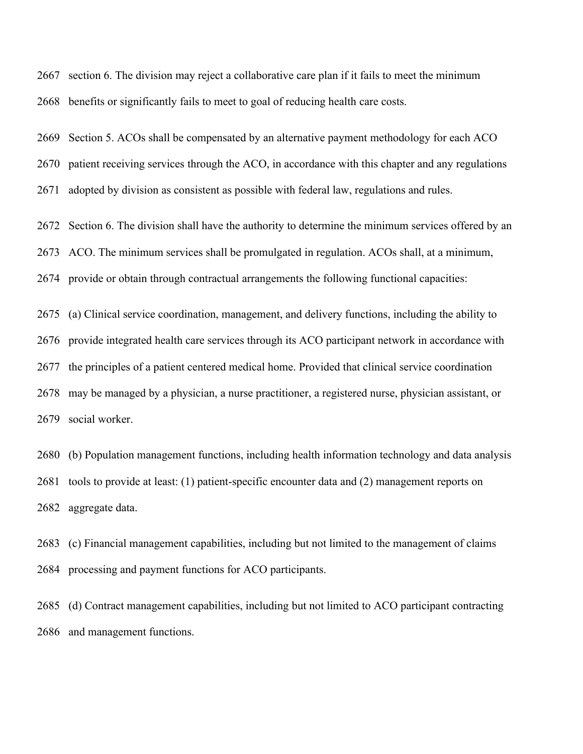section 6. The division may reject a collaborative care plan if it fails to meet the minimum benefits or significantly fails to meet to goal of reducing health care costs.

Section 5. ACOs shall be compensated by an alternative payment methodology for each ACO

patient receiving services through the ACO, in accordance with this chapter and any regulations

adopted by division as consistent as possible with federal law, regulations and rules.

Section 6. The division shall have the authority to determine the minimum services offered by an

ACO. The minimum services shall be promulgated in regulation. ACOs shall, at a minimum,

provide or obtain through contractual arrangements the following functional capacities:

(a) Clinical service coordination, management, and delivery functions, including the ability to

provide integrated health care services through its ACO participant network in accordance with

the principles of a patient centered medical home. Provided that clinical service coordination

 may be managed by a physician, a nurse practitioner, a registered nurse, physician assistant, or social worker.

 (b) Population management functions, including health information technology and data analysis tools to provide at least: (1) patient-specific encounter data and (2) management reports on aggregate data.

 (c) Financial management capabilities, including but not limited to the management of claims processing and payment functions for ACO participants.

 (d) Contract management capabilities, including but not limited to ACO participant contracting and management functions.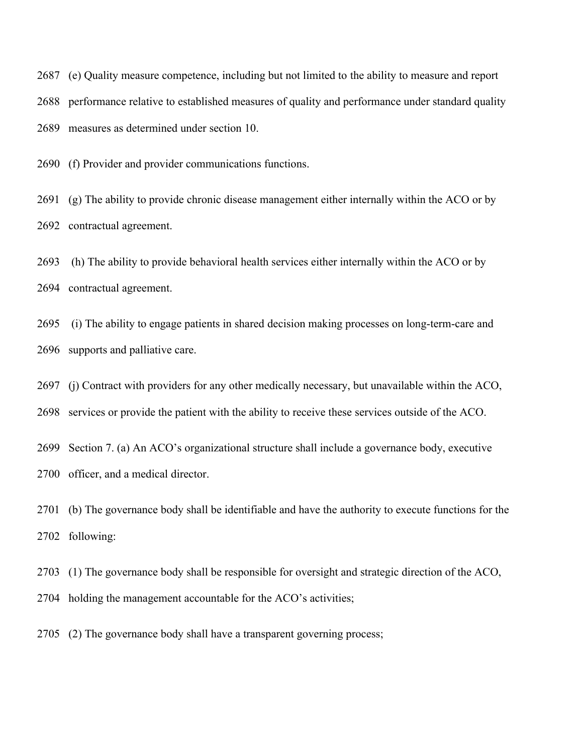(e) Quality measure competence, including but not limited to the ability to measure and report performance relative to established measures of quality and performance under standard quality measures as determined under section 10.

(f) Provider and provider communications functions.

 (g) The ability to provide chronic disease management either internally within the ACO or by contractual agreement.

 (h) The ability to provide behavioral health services either internally within the ACO or by contractual agreement.

 (i) The ability to engage patients in shared decision making processes on long-term-care and supports and palliative care.

(j) Contract with providers for any other medically necessary, but unavailable within the ACO,

services or provide the patient with the ability to receive these services outside of the ACO.

 Section 7. (a) An ACO's organizational structure shall include a governance body, executive officer, and a medical director.

 (b) The governance body shall be identifiable and have the authority to execute functions for the following:

(1) The governance body shall be responsible for oversight and strategic direction of the ACO,

holding the management accountable for the ACO's activities;

(2) The governance body shall have a transparent governing process;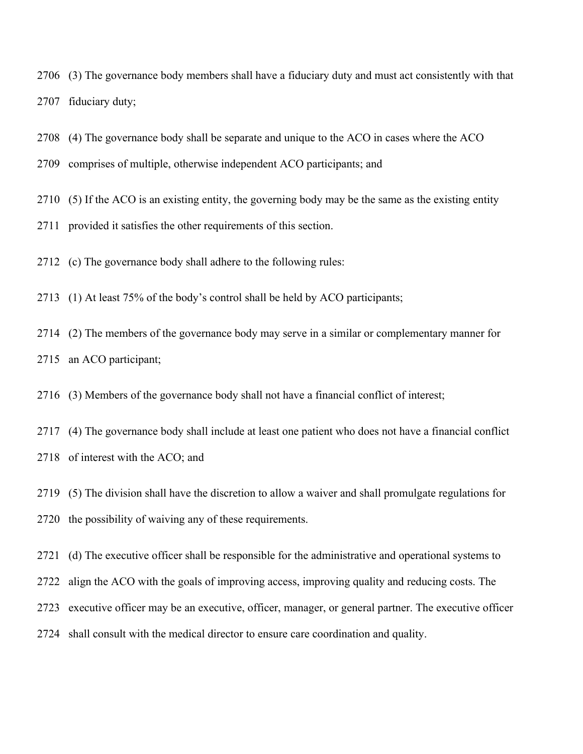- (3) The governance body members shall have a fiduciary duty and must act consistently with that fiduciary duty;
- (4) The governance body shall be separate and unique to the ACO in cases where the ACO
- comprises of multiple, otherwise independent ACO participants; and
- (5) If the ACO is an existing entity, the governing body may be the same as the existing entity
- provided it satisfies the other requirements of this section.
- (c) The governance body shall adhere to the following rules:
- (1) At least 75% of the body's control shall be held by ACO participants;
- (2) The members of the governance body may serve in a similar or complementary manner for an ACO participant;
- (3) Members of the governance body shall not have a financial conflict of interest;
- (4) The governance body shall include at least one patient who does not have a financial conflict
- of interest with the ACO; and
- (5) The division shall have the discretion to allow a waiver and shall promulgate regulations for the possibility of waiving any of these requirements.
- (d) The executive officer shall be responsible for the administrative and operational systems to
- align the ACO with the goals of improving access, improving quality and reducing costs. The
- executive officer may be an executive, officer, manager, or general partner. The executive officer
- shall consult with the medical director to ensure care coordination and quality.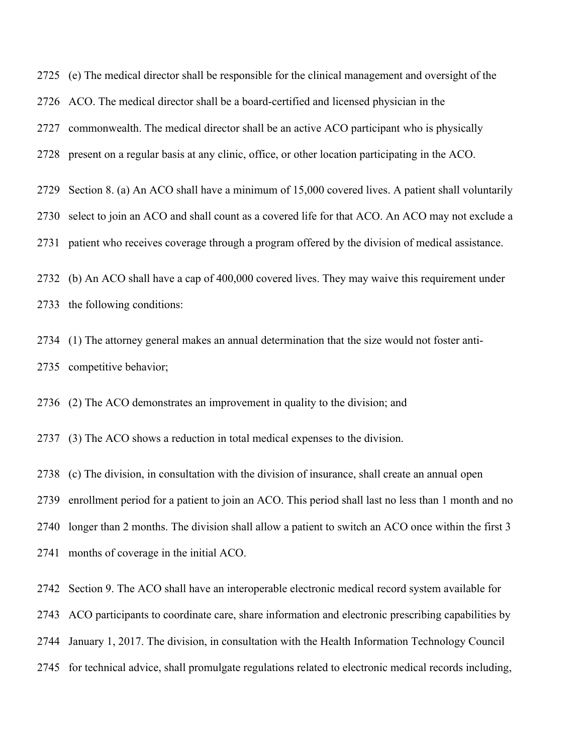(e) The medical director shall be responsible for the clinical management and oversight of the ACO. The medical director shall be a board-certified and licensed physician in the

commonwealth. The medical director shall be an active ACO participant who is physically

present on a regular basis at any clinic, office, or other location participating in the ACO.

Section 8. (a) An ACO shall have a minimum of 15,000 covered lives. A patient shall voluntarily

select to join an ACO and shall count as a covered life for that ACO. An ACO may not exclude a

patient who receives coverage through a program offered by the division of medical assistance.

 (b) An ACO shall have a cap of 400,000 covered lives. They may waive this requirement under the following conditions:

 (1) The attorney general makes an annual determination that the size would not foster anti-competitive behavior;

(2) The ACO demonstrates an improvement in quality to the division; and

(3) The ACO shows a reduction in total medical expenses to the division.

(c) The division, in consultation with the division of insurance, shall create an annual open

enrollment period for a patient to join an ACO. This period shall last no less than 1 month and no

longer than 2 months. The division shall allow a patient to switch an ACO once within the first 3

months of coverage in the initial ACO.

Section 9. The ACO shall have an interoperable electronic medical record system available for

ACO participants to coordinate care, share information and electronic prescribing capabilities by

January 1, 2017. The division, in consultation with the Health Information Technology Council

for technical advice, shall promulgate regulations related to electronic medical records including,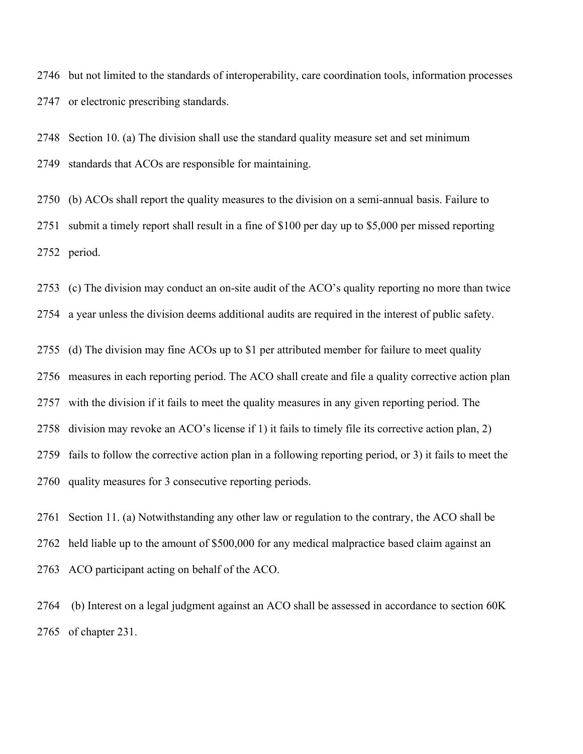but not limited to the standards of interoperability, care coordination tools, information processes or electronic prescribing standards.

 Section 10. (a) The division shall use the standard quality measure set and set minimum standards that ACOs are responsible for maintaining.

 (b) ACOs shall report the quality measures to the division on a semi-annual basis. Failure to submit a timely report shall result in a fine of \$100 per day up to \$5,000 per missed reporting period.

(c) The division may conduct an on-site audit of the ACO's quality reporting no more than twice

a year unless the division deems additional audits are required in the interest of public safety.

(d) The division may fine ACOs up to \$1 per attributed member for failure to meet quality

measures in each reporting period. The ACO shall create and file a quality corrective action plan

with the division if it fails to meet the quality measures in any given reporting period. The

division may revoke an ACO's license if 1) it fails to timely file its corrective action plan, 2)

fails to follow the corrective action plan in a following reporting period, or 3) it fails to meet the

quality measures for 3 consecutive reporting periods.

 Section 11. (a) Notwithstanding any other law or regulation to the contrary, the ACO shall be held liable up to the amount of \$500,000 for any medical malpractice based claim against an ACO participant acting on behalf of the ACO.

 (b) Interest on a legal judgment against an ACO shall be assessed in accordance to section 60K of chapter 231.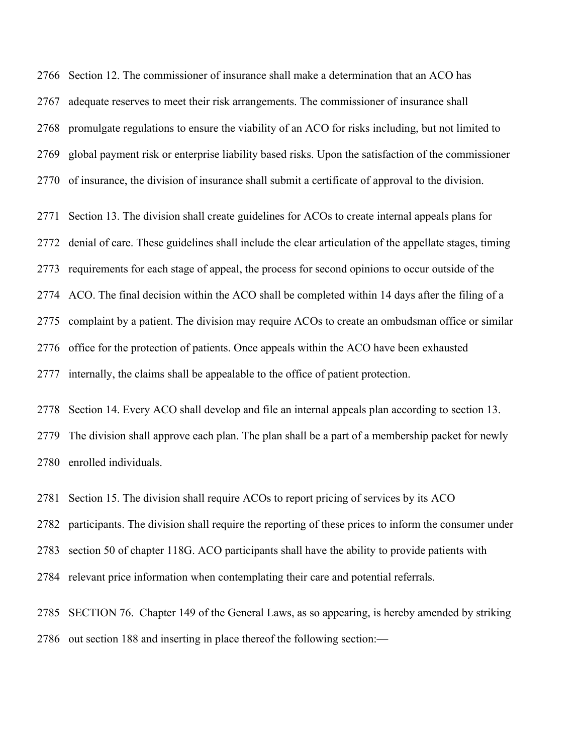Section 12. The commissioner of insurance shall make a determination that an ACO has adequate reserves to meet their risk arrangements. The commissioner of insurance shall promulgate regulations to ensure the viability of an ACO for risks including, but not limited to global payment risk or enterprise liability based risks. Upon the satisfaction of the commissioner of insurance, the division of insurance shall submit a certificate of approval to the division.

 Section 13. The division shall create guidelines for ACOs to create internal appeals plans for denial of care. These guidelines shall include the clear articulation of the appellate stages, timing requirements for each stage of appeal, the process for second opinions to occur outside of the ACO. The final decision within the ACO shall be completed within 14 days after the filing of a complaint by a patient. The division may require ACOs to create an ombudsman office or similar office for the protection of patients. Once appeals within the ACO have been exhausted internally, the claims shall be appealable to the office of patient protection.

 Section 14. Every ACO shall develop and file an internal appeals plan according to section 13. The division shall approve each plan. The plan shall be a part of a membership packet for newly enrolled individuals.

Section 15. The division shall require ACOs to report pricing of services by its ACO

participants. The division shall require the reporting of these prices to inform the consumer under

section 50 of chapter 118G. ACO participants shall have the ability to provide patients with

relevant price information when contemplating their care and potential referrals.

 SECTION 76. Chapter 149 of the General Laws, as so appearing, is hereby amended by striking out section 188 and inserting in place thereof the following section:—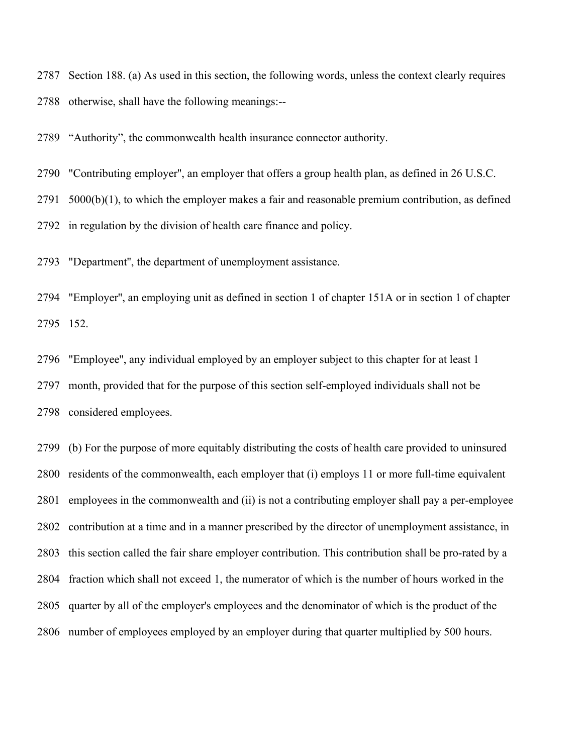Section 188. (a) As used in this section, the following words, unless the context clearly requires otherwise, shall have the following meanings:--

"Authority", the commonwealth health insurance connector authority.

"Contributing employer'', an employer that offers a group health plan, as defined in 26 U.S.C.

5000(b)(1), to which the employer makes a fair and reasonable premium contribution, as defined

in regulation by the division of health care finance and policy.

"Department'', the department of unemployment assistance.

 "Employer'', an employing unit as defined in section 1 of chapter 151A or in section 1 of chapter 152.

 "Employee'', any individual employed by an employer subject to this chapter for at least 1 month, provided that for the purpose of this section self-employed individuals shall not be considered employees.

 (b) For the purpose of more equitably distributing the costs of health care provided to uninsured residents of the commonwealth, each employer that (i) employs 11 or more full-time equivalent employees in the commonwealth and (ii) is not a contributing employer shall pay a per-employee contribution at a time and in a manner prescribed by the director of unemployment assistance, in this section called the fair share employer contribution. This contribution shall be pro-rated by a fraction which shall not exceed 1, the numerator of which is the number of hours worked in the quarter by all of the employer's employees and the denominator of which is the product of the number of employees employed by an employer during that quarter multiplied by 500 hours.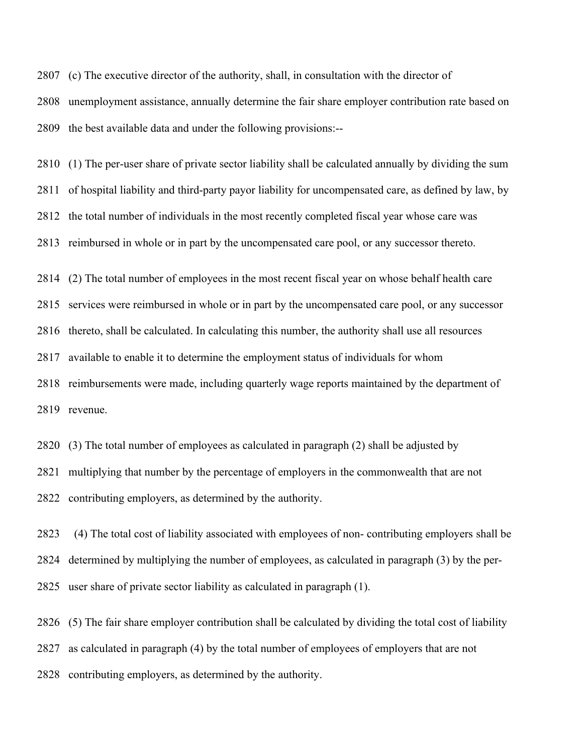(c) The executive director of the authority, shall, in consultation with the director of unemployment assistance, annually determine the fair share employer contribution rate based on the best available data and under the following provisions:--

 (1) The per-user share of private sector liability shall be calculated annually by dividing the sum of hospital liability and third-party payor liability for uncompensated care, as defined by law, by

the total number of individuals in the most recently completed fiscal year whose care was

reimbursed in whole or in part by the uncompensated care pool, or any successor thereto.

(2) The total number of employees in the most recent fiscal year on whose behalf health care

services were reimbursed in whole or in part by the uncompensated care pool, or any successor

thereto, shall be calculated. In calculating this number, the authority shall use all resources

available to enable it to determine the employment status of individuals for whom

 reimbursements were made, including quarterly wage reports maintained by the department of revenue.

 (3) The total number of employees as calculated in paragraph (2) shall be adjusted by multiplying that number by the percentage of employers in the commonwealth that are not contributing employers, as determined by the authority.

2823 (4) The total cost of liability associated with employees of non- contributing employers shall be determined by multiplying the number of employees, as calculated in paragraph (3) by the per-user share of private sector liability as calculated in paragraph (1).

(5) The fair share employer contribution shall be calculated by dividing the total cost of liability

as calculated in paragraph (4) by the total number of employees of employers that are not

contributing employers, as determined by the authority.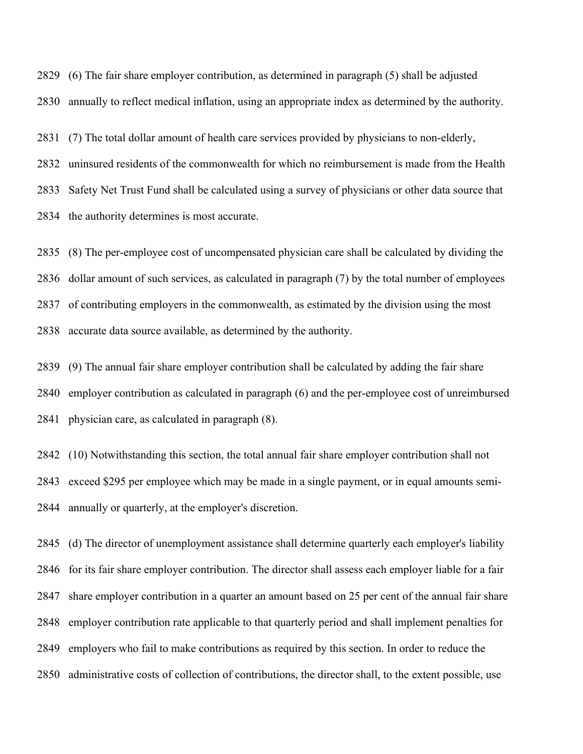(6) The fair share employer contribution, as determined in paragraph (5) shall be adjusted annually to reflect medical inflation, using an appropriate index as determined by the authority.

(7) The total dollar amount of health care services provided by physicians to non-elderly,

 uninsured residents of the commonwealth for which no reimbursement is made from the Health Safety Net Trust Fund shall be calculated using a survey of physicians or other data source that the authority determines is most accurate.

 (8) The per-employee cost of uncompensated physician care shall be calculated by dividing the dollar amount of such services, as calculated in paragraph (7) by the total number of employees of contributing employers in the commonwealth, as estimated by the division using the most accurate data source available, as determined by the authority.

 (9) The annual fair share employer contribution shall be calculated by adding the fair share employer contribution as calculated in paragraph (6) and the per-employee cost of unreimbursed physician care, as calculated in paragraph (8).

 (10) Notwithstanding this section, the total annual fair share employer contribution shall not exceed \$295 per employee which may be made in a single payment, or in equal amounts semi-annually or quarterly, at the employer's discretion.

 (d) The director of unemployment assistance shall determine quarterly each employer's liability for its fair share employer contribution. The director shall assess each employer liable for a fair share employer contribution in a quarter an amount based on 25 per cent of the annual fair share employer contribution rate applicable to that quarterly period and shall implement penalties for employers who fail to make contributions as required by this section. In order to reduce the administrative costs of collection of contributions, the director shall, to the extent possible, use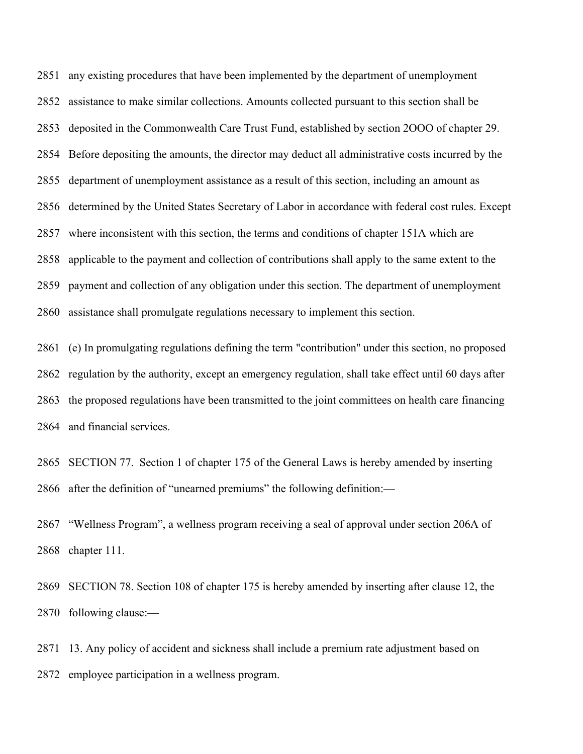any existing procedures that have been implemented by the department of unemployment assistance to make similar collections. Amounts collected pursuant to this section shall be deposited in the Commonwealth Care Trust Fund, established by section 2OOO of chapter 29. Before depositing the amounts, the director may deduct all administrative costs incurred by the department of unemployment assistance as a result of this section, including an amount as determined by the United States Secretary of Labor in accordance with federal cost rules. Except where inconsistent with this section, the terms and conditions of chapter 151A which are applicable to the payment and collection of contributions shall apply to the same extent to the payment and collection of any obligation under this section. The department of unemployment assistance shall promulgate regulations necessary to implement this section.

 (e) In promulgating regulations defining the term "contribution'' under this section, no proposed regulation by the authority, except an emergency regulation, shall take effect until 60 days after the proposed regulations have been transmitted to the joint committees on health care financing and financial services.

 SECTION 77. Section 1 of chapter 175 of the General Laws is hereby amended by inserting after the definition of "unearned premiums" the following definition:—

 "Wellness Program", a wellness program receiving a seal of approval under section 206A of chapter 111.

 SECTION 78. Section 108 of chapter 175 is hereby amended by inserting after clause 12, the following clause:—

 13. Any policy of accident and sickness shall include a premium rate adjustment based on employee participation in a wellness program.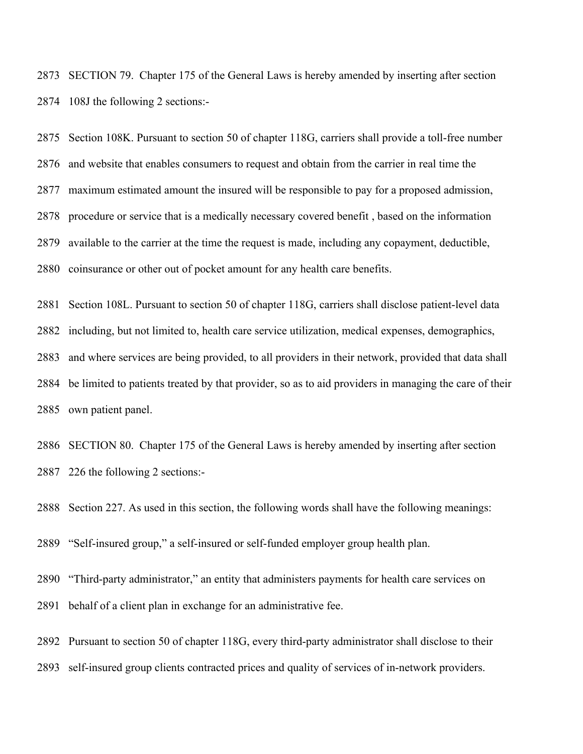SECTION 79. Chapter 175 of the General Laws is hereby amended by inserting after section 108J the following 2 sections:-

 Section 108K. Pursuant to section 50 of chapter 118G, carriers shall provide a toll-free number and website that enables consumers to request and obtain from the carrier in real time the maximum estimated amount the insured will be responsible to pay for a proposed admission, procedure or service that is a medically necessary covered benefit , based on the information available to the carrier at the time the request is made, including any copayment, deductible, coinsurance or other out of pocket amount for any health care benefits.

 Section 108L. Pursuant to section 50 of chapter 118G, carriers shall disclose patient-level data including, but not limited to, health care service utilization, medical expenses, demographics, and where services are being provided, to all providers in their network, provided that data shall be limited to patients treated by that provider, so as to aid providers in managing the care of their own patient panel.

 SECTION 80. Chapter 175 of the General Laws is hereby amended by inserting after section 226 the following 2 sections:-

Section 227. As used in this section, the following words shall have the following meanings:

"Self-insured group," a self-insured or self-funded employer group health plan.

 "Third-party administrator," an entity that administers payments for health care services on behalf of a client plan in exchange for an administrative fee.

Pursuant to section 50 of chapter 118G, every third-party administrator shall disclose to their

self-insured group clients contracted prices and quality of services of in-network providers.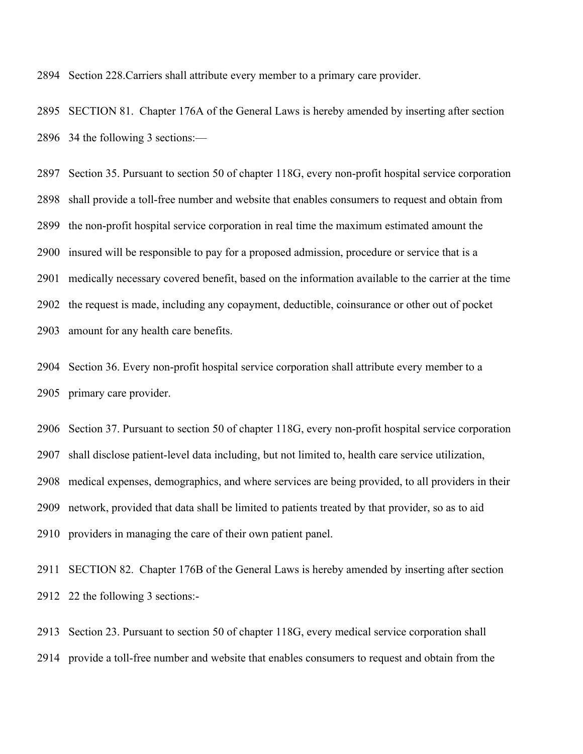Section 228.Carriers shall attribute every member to a primary care provider.

 SECTION 81. Chapter 176A of the General Laws is hereby amended by inserting after section 34 the following 3 sections:—

 Section 35. Pursuant to section 50 of chapter 118G, every non-profit hospital service corporation shall provide a toll-free number and website that enables consumers to request and obtain from the non-profit hospital service corporation in real time the maximum estimated amount the insured will be responsible to pay for a proposed admission, procedure or service that is a medically necessary covered benefit, based on the information available to the carrier at the time the request is made, including any copayment, deductible, coinsurance or other out of pocket amount for any health care benefits.

 Section 36. Every non-profit hospital service corporation shall attribute every member to a primary care provider.

 Section 37. Pursuant to section 50 of chapter 118G, every non-profit hospital service corporation shall disclose patient-level data including, but not limited to, health care service utilization, medical expenses, demographics, and where services are being provided, to all providers in their network, provided that data shall be limited to patients treated by that provider, so as to aid providers in managing the care of their own patient panel.

 SECTION 82. Chapter 176B of the General Laws is hereby amended by inserting after section 22 the following 3 sections:-

 Section 23. Pursuant to section 50 of chapter 118G, every medical service corporation shall provide a toll-free number and website that enables consumers to request and obtain from the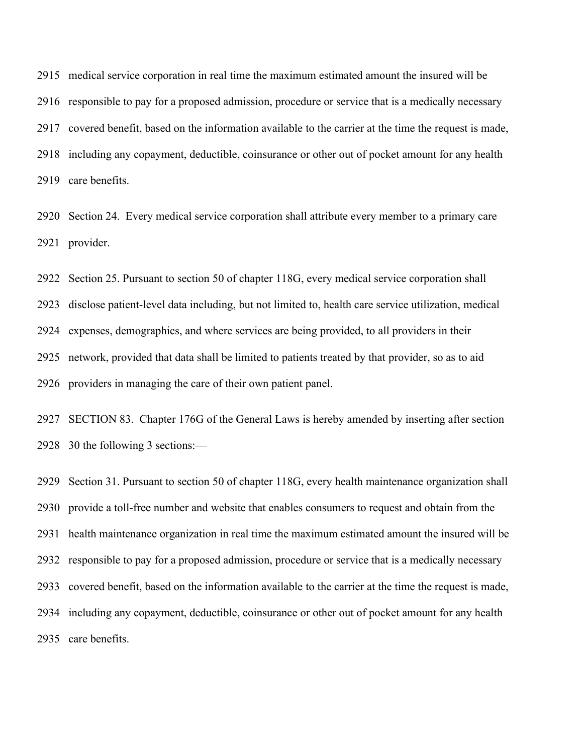medical service corporation in real time the maximum estimated amount the insured will be responsible to pay for a proposed admission, procedure or service that is a medically necessary covered benefit, based on the information available to the carrier at the time the request is made, including any copayment, deductible, coinsurance or other out of pocket amount for any health care benefits.

 Section 24. Every medical service corporation shall attribute every member to a primary care provider.

 Section 25. Pursuant to section 50 of chapter 118G, every medical service corporation shall disclose patient-level data including, but not limited to, health care service utilization, medical expenses, demographics, and where services are being provided, to all providers in their network, provided that data shall be limited to patients treated by that provider, so as to aid providers in managing the care of their own patient panel.

 SECTION 83. Chapter 176G of the General Laws is hereby amended by inserting after section 30 the following 3 sections:—

 Section 31. Pursuant to section 50 of chapter 118G, every health maintenance organization shall provide a toll-free number and website that enables consumers to request and obtain from the health maintenance organization in real time the maximum estimated amount the insured will be responsible to pay for a proposed admission, procedure or service that is a medically necessary covered benefit, based on the information available to the carrier at the time the request is made, including any copayment, deductible, coinsurance or other out of pocket amount for any health care benefits.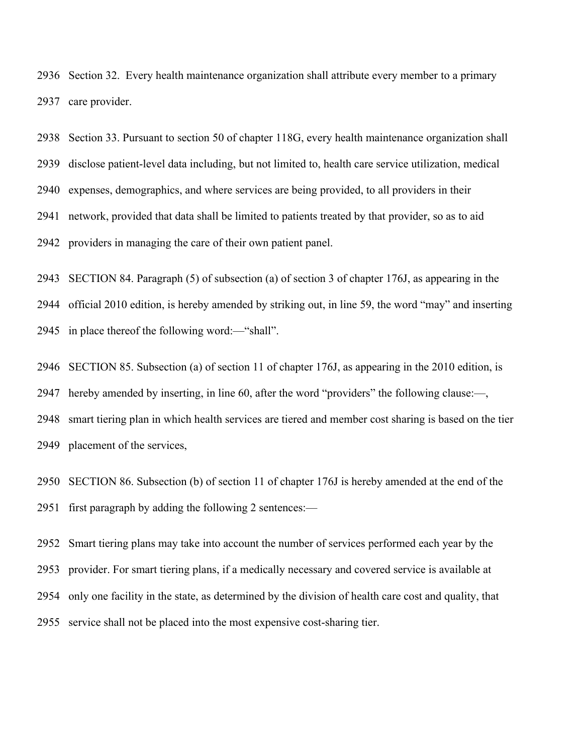Section 32. Every health maintenance organization shall attribute every member to a primary care provider.

 Section 33. Pursuant to section 50 of chapter 118G, every health maintenance organization shall disclose patient-level data including, but not limited to, health care service utilization, medical expenses, demographics, and where services are being provided, to all providers in their network, provided that data shall be limited to patients treated by that provider, so as to aid providers in managing the care of their own patient panel.

SECTION 84. Paragraph (5) of subsection (a) of section 3 of chapter 176J, as appearing in the

official 2010 edition, is hereby amended by striking out, in line 59, the word "may" and inserting

in place thereof the following word:—"shall".

SECTION 85. Subsection (a) of section 11 of chapter 176J, as appearing in the 2010 edition, is

hereby amended by inserting, in line 60, after the word "providers" the following clause:—,

 smart tiering plan in which health services are tiered and member cost sharing is based on the tier placement of the services,

 SECTION 86. Subsection (b) of section 11 of chapter 176J is hereby amended at the end of the first paragraph by adding the following 2 sentences:—

 Smart tiering plans may take into account the number of services performed each year by the provider. For smart tiering plans, if a medically necessary and covered service is available at only one facility in the state, as determined by the division of health care cost and quality, that service shall not be placed into the most expensive cost-sharing tier.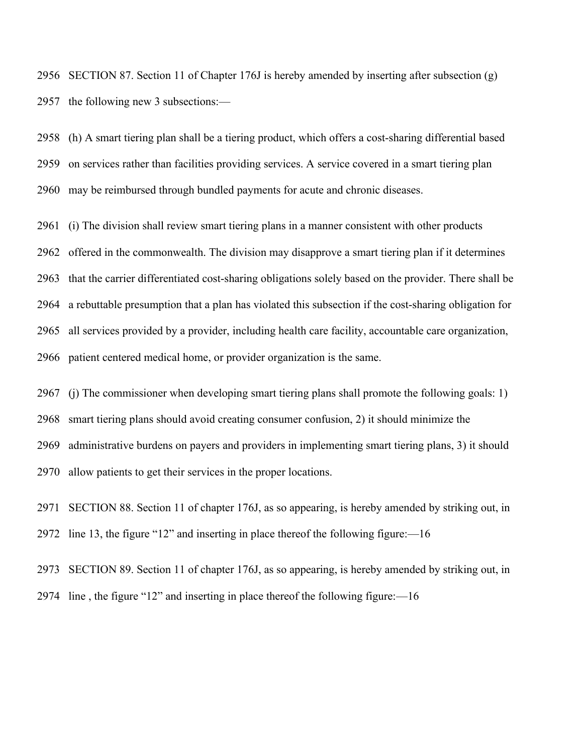SECTION 87. Section 11 of Chapter 176J is hereby amended by inserting after subsection (g) the following new 3 subsections:—

 (h) A smart tiering plan shall be a tiering product, which offers a cost-sharing differential based on services rather than facilities providing services. A service covered in a smart tiering plan may be reimbursed through bundled payments for acute and chronic diseases.

 (i) The division shall review smart tiering plans in a manner consistent with other products offered in the commonwealth. The division may disapprove a smart tiering plan if it determines that the carrier differentiated cost-sharing obligations solely based on the provider. There shall be a rebuttable presumption that a plan has violated this subsection if the cost-sharing obligation for all services provided by a provider, including health care facility, accountable care organization, patient centered medical home, or provider organization is the same.

 (j) The commissioner when developing smart tiering plans shall promote the following goals: 1) smart tiering plans should avoid creating consumer confusion, 2) it should minimize the administrative burdens on payers and providers in implementing smart tiering plans, 3) it should allow patients to get their services in the proper locations.

 SECTION 88. Section 11 of chapter 176J, as so appearing, is hereby amended by striking out, in line 13, the figure "12" and inserting in place thereof the following figure:—16

 SECTION 89. Section 11 of chapter 176J, as so appearing, is hereby amended by striking out, in line , the figure "12" and inserting in place thereof the following figure:—16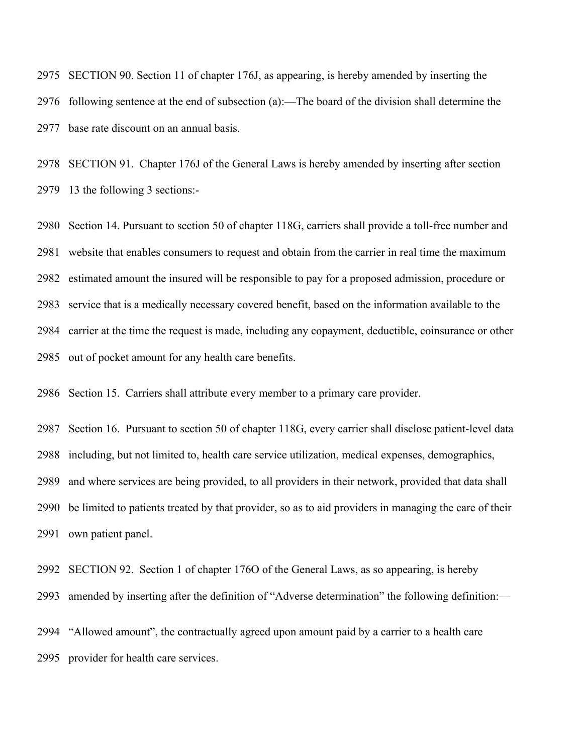SECTION 90. Section 11 of chapter 176J, as appearing, is hereby amended by inserting the following sentence at the end of subsection (a):—The board of the division shall determine the base rate discount on an annual basis.

 SECTION 91. Chapter 176J of the General Laws is hereby amended by inserting after section 13 the following 3 sections:-

 Section 14. Pursuant to section 50 of chapter 118G, carriers shall provide a toll-free number and website that enables consumers to request and obtain from the carrier in real time the maximum estimated amount the insured will be responsible to pay for a proposed admission, procedure or service that is a medically necessary covered benefit, based on the information available to the carrier at the time the request is made, including any copayment, deductible, coinsurance or other out of pocket amount for any health care benefits.

Section 15. Carriers shall attribute every member to a primary care provider.

 Section 16. Pursuant to section 50 of chapter 118G, every carrier shall disclose patient-level data including, but not limited to, health care service utilization, medical expenses, demographics, and where services are being provided, to all providers in their network, provided that data shall be limited to patients treated by that provider, so as to aid providers in managing the care of their own patient panel.

SECTION 92. Section 1 of chapter 176O of the General Laws, as so appearing, is hereby

amended by inserting after the definition of "Adverse determination" the following definition:—

 "Allowed amount", the contractually agreed upon amount paid by a carrier to a health care provider for health care services.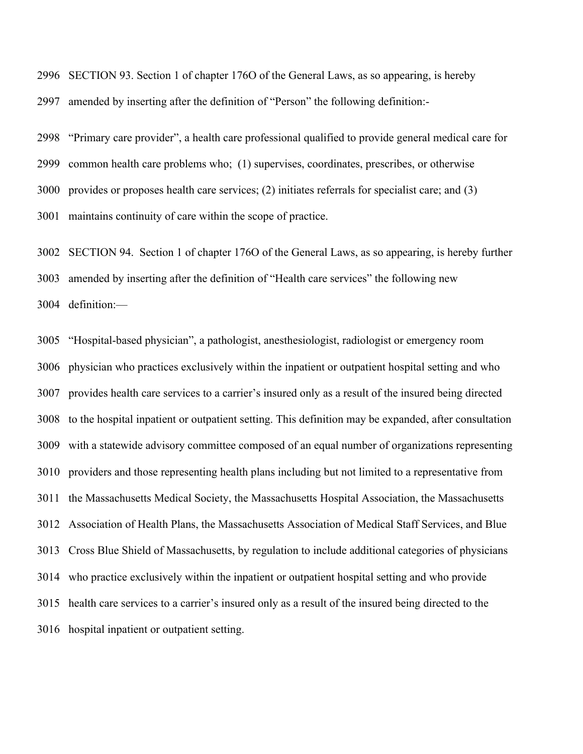SECTION 93. Section 1 of chapter 176O of the General Laws, as so appearing, is hereby amended by inserting after the definition of "Person" the following definition:-

 "Primary care provider", a health care professional qualified to provide general medical care for common health care problems who; (1) supervises, coordinates, prescribes, or otherwise provides or proposes health care services; (2) initiates referrals for specialist care; and (3) maintains continuity of care within the scope of practice.

SECTION 94. Section 1 of chapter 176O of the General Laws, as so appearing, is hereby further

amended by inserting after the definition of "Health care services" the following new

definition:—

 "Hospital-based physician", a pathologist, anesthesiologist, radiologist or emergency room physician who practices exclusively within the inpatient or outpatient hospital setting and who provides health care services to a carrier's insured only as a result of the insured being directed to the hospital inpatient or outpatient setting. This definition may be expanded, after consultation with a statewide advisory committee composed of an equal number of organizations representing providers and those representing health plans including but not limited to a representative from the Massachusetts Medical Society, the Massachusetts Hospital Association, the Massachusetts Association of Health Plans, the Massachusetts Association of Medical Staff Services, and Blue Cross Blue Shield of Massachusetts, by regulation to include additional categories of physicians who practice exclusively within the inpatient or outpatient hospital setting and who provide health care services to a carrier's insured only as a result of the insured being directed to the hospital inpatient or outpatient setting.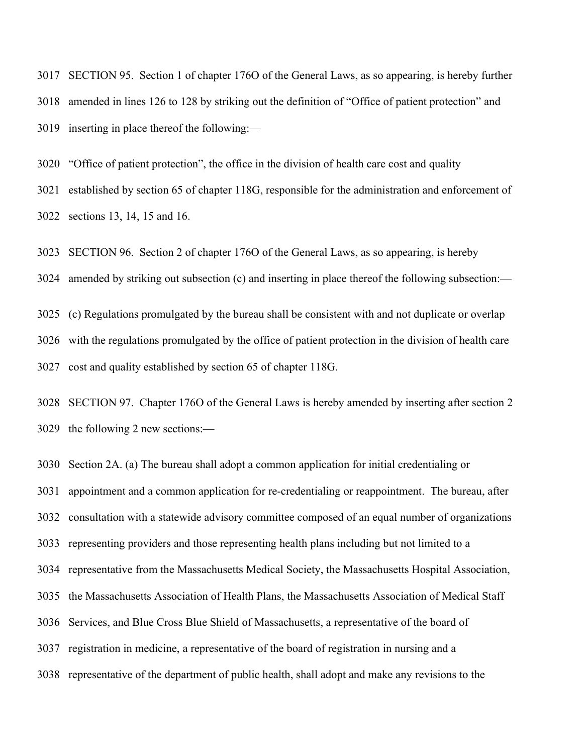SECTION 95. Section 1 of chapter 176O of the General Laws, as so appearing, is hereby further amended in lines 126 to 128 by striking out the definition of "Office of patient protection" and inserting in place thereof the following:—

"Office of patient protection", the office in the division of health care cost and quality

established by section 65 of chapter 118G, responsible for the administration and enforcement of

sections 13, 14, 15 and 16.

SECTION 96. Section 2 of chapter 176O of the General Laws, as so appearing, is hereby

amended by striking out subsection (c) and inserting in place thereof the following subsection:—

 (c) Regulations promulgated by the bureau shall be consistent with and not duplicate or overlap with the regulations promulgated by the office of patient protection in the division of health care cost and quality established by section 65 of chapter 118G.

 SECTION 97. Chapter 176O of the General Laws is hereby amended by inserting after section 2 the following 2 new sections:—

Section 2A. (a) The bureau shall adopt a common application for initial credentialing or

appointment and a common application for re-credentialing or reappointment. The bureau, after

consultation with a statewide advisory committee composed of an equal number of organizations

representing providers and those representing health plans including but not limited to a

representative from the Massachusetts Medical Society, the Massachusetts Hospital Association,

the Massachusetts Association of Health Plans, the Massachusetts Association of Medical Staff

- Services, and Blue Cross Blue Shield of Massachusetts, a representative of the board of
- registration in medicine, a representative of the board of registration in nursing and a
- representative of the department of public health, shall adopt and make any revisions to the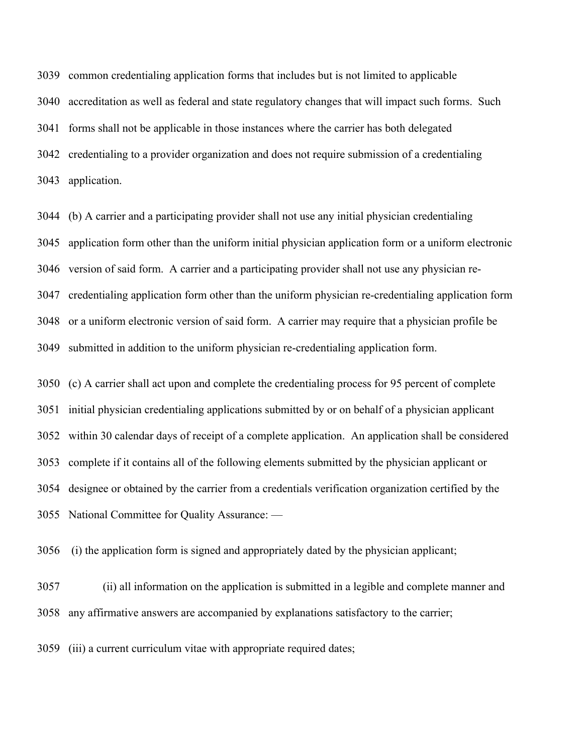common credentialing application forms that includes but is not limited to applicable accreditation as well as federal and state regulatory changes that will impact such forms. Such forms shall not be applicable in those instances where the carrier has both delegated credentialing to a provider organization and does not require submission of a credentialing application.

 (b) A carrier and a participating provider shall not use any initial physician credentialing application form other than the uniform initial physician application form or a uniform electronic version of said form. A carrier and a participating provider shall not use any physician re- credentialing application form other than the uniform physician re-credentialing application form or a uniform electronic version of said form. A carrier may require that a physician profile be submitted in addition to the uniform physician re-credentialing application form.

 (c) A carrier shall act upon and complete the credentialing process for 95 percent of complete initial physician credentialing applications submitted by or on behalf of a physician applicant within 30 calendar days of receipt of a complete application. An application shall be considered complete if it contains all of the following elements submitted by the physician applicant or designee or obtained by the carrier from a credentials verification organization certified by the National Committee for Quality Assurance: —

(i) the application form is signed and appropriately dated by the physician applicant;

 (ii) all information on the application is submitted in a legible and complete manner and any affirmative answers are accompanied by explanations satisfactory to the carrier;

(iii) a current curriculum vitae with appropriate required dates;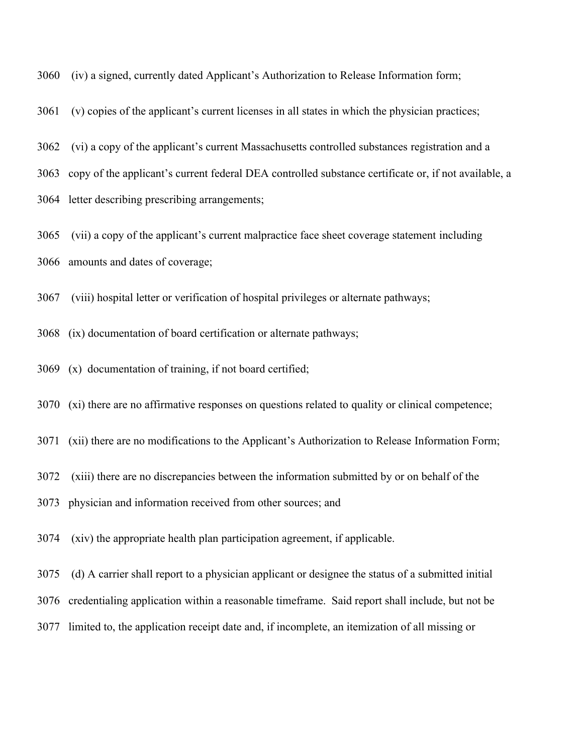(iv) a signed, currently dated Applicant's Authorization to Release Information form;

(v) copies of the applicant's current licenses in all states in which the physician practices;

(vi) a copy of the applicant's current Massachusetts controlled substances registration and a

copy of the applicant's current federal DEA controlled substance certificate or, if not available, a

letter describing prescribing arrangements;

 (vii) a copy of the applicant's current malpractice face sheet coverage statement including amounts and dates of coverage;

(viii) hospital letter or verification of hospital privileges or alternate pathways;

(ix) documentation of board certification or alternate pathways;

(x) documentation of training, if not board certified;

(xi) there are no affirmative responses on questions related to quality or clinical competence;

(xii) there are no modifications to the Applicant's Authorization to Release Information Form;

(xiii) there are no discrepancies between the information submitted by or on behalf of the

physician and information received from other sources; and

(xiv) the appropriate health plan participation agreement, if applicable.

(d) A carrier shall report to a physician applicant or designee the status of a submitted initial

credentialing application within a reasonable timeframe. Said report shall include, but not be

limited to, the application receipt date and, if incomplete, an itemization of all missing or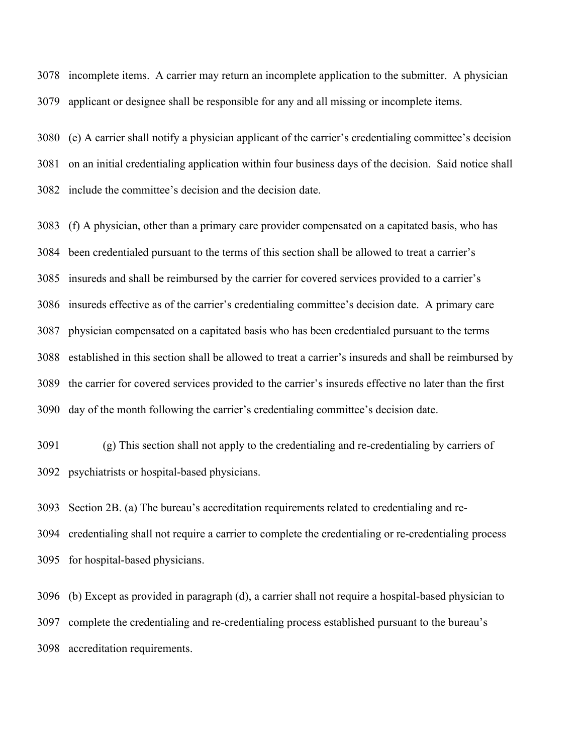incomplete items. A carrier may return an incomplete application to the submitter. A physician applicant or designee shall be responsible for any and all missing or incomplete items.

 (e) A carrier shall notify a physician applicant of the carrier's credentialing committee's decision on an initial credentialing application within four business days of the decision. Said notice shall include the committee's decision and the decision date.

 (f) A physician, other than a primary care provider compensated on a capitated basis, who has been credentialed pursuant to the terms of this section shall be allowed to treat a carrier's insureds and shall be reimbursed by the carrier for covered services provided to a carrier's insureds effective as of the carrier's credentialing committee's decision date. A primary care physician compensated on a capitated basis who has been credentialed pursuant to the terms established in this section shall be allowed to treat a carrier's insureds and shall be reimbursed by the carrier for covered services provided to the carrier's insureds effective no later than the first day of the month following the carrier's credentialing committee's decision date.

 (g) This section shall not apply to the credentialing and re-credentialing by carriers of psychiatrists or hospital-based physicians.

 Section 2B. (a) The bureau's accreditation requirements related to credentialing and re- credentialing shall not require a carrier to complete the credentialing or re-credentialing process for hospital-based physicians.

 (b) Except as provided in paragraph (d), a carrier shall not require a hospital-based physician to complete the credentialing and re-credentialing process established pursuant to the bureau's accreditation requirements.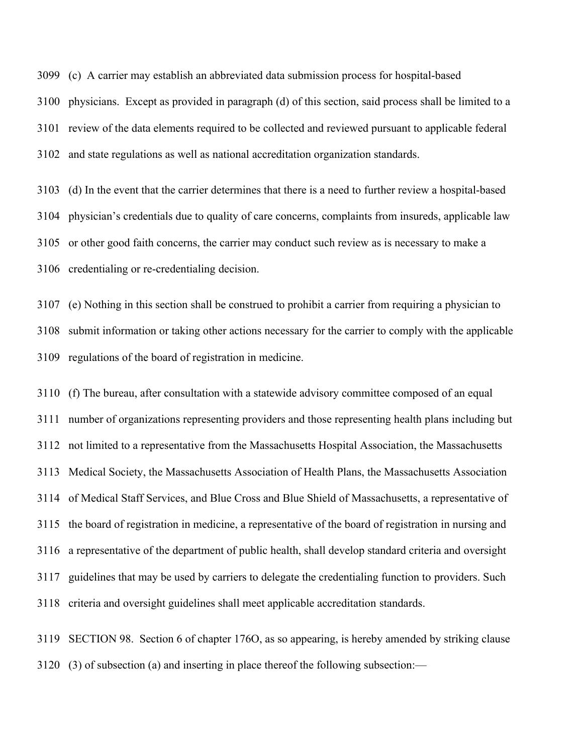(c) A carrier may establish an abbreviated data submission process for hospital-based

 physicians. Except as provided in paragraph (d) of this section, said process shall be limited to a review of the data elements required to be collected and reviewed pursuant to applicable federal and state regulations as well as national accreditation organization standards.

 (d) In the event that the carrier determines that there is a need to further review a hospital-based physician's credentials due to quality of care concerns, complaints from insureds, applicable law

or other good faith concerns, the carrier may conduct such review as is necessary to make a

credentialing or re-credentialing decision.

 (e) Nothing in this section shall be construed to prohibit a carrier from requiring a physician to submit information or taking other actions necessary for the carrier to comply with the applicable regulations of the board of registration in medicine.

 (f) The bureau, after consultation with a statewide advisory committee composed of an equal number of organizations representing providers and those representing health plans including but not limited to a representative from the Massachusetts Hospital Association, the Massachusetts Medical Society, the Massachusetts Association of Health Plans, the Massachusetts Association of Medical Staff Services, and Blue Cross and Blue Shield of Massachusetts, a representative of the board of registration in medicine, a representative of the board of registration in nursing and a representative of the department of public health, shall develop standard criteria and oversight guidelines that may be used by carriers to delegate the credentialing function to providers. Such criteria and oversight guidelines shall meet applicable accreditation standards.

 SECTION 98. Section 6 of chapter 176O, as so appearing, is hereby amended by striking clause (3) of subsection (a) and inserting in place thereof the following subsection:—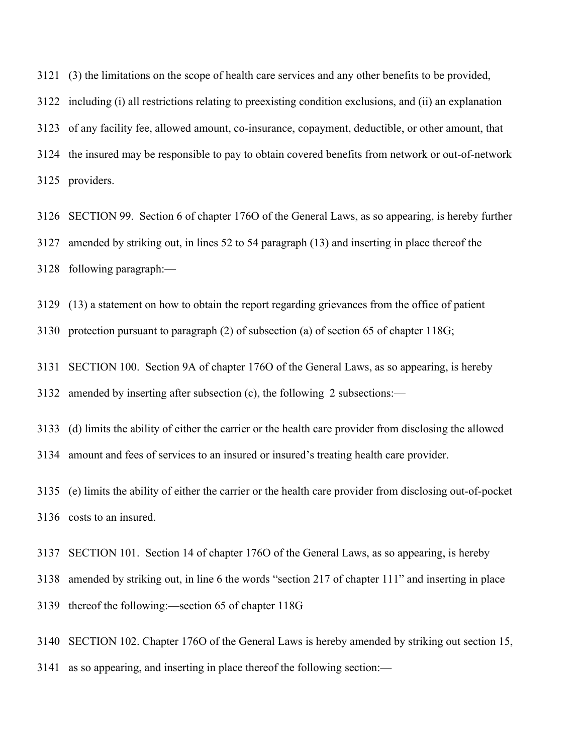(3) the limitations on the scope of health care services and any other benefits to be provided, including (i) all restrictions relating to preexisting condition exclusions, and (ii) an explanation of any facility fee, allowed amount, co-insurance, copayment, deductible, or other amount, that the insured may be responsible to pay to obtain covered benefits from network or out-of-network providers.

 SECTION 99. Section 6 of chapter 176O of the General Laws, as so appearing, is hereby further amended by striking out, in lines 52 to 54 paragraph (13) and inserting in place thereof the following paragraph:—

(13) a statement on how to obtain the report regarding grievances from the office of patient

protection pursuant to paragraph (2) of subsection (a) of section 65 of chapter 118G;

 SECTION 100. Section 9A of chapter 176O of the General Laws, as so appearing, is hereby amended by inserting after subsection (c), the following 2 subsections:—

(d) limits the ability of either the carrier or the health care provider from disclosing the allowed

amount and fees of services to an insured or insured's treating health care provider.

 (e) limits the ability of either the carrier or the health care provider from disclosing out-of-pocket costs to an insured.

SECTION 101. Section 14 of chapter 176O of the General Laws, as so appearing, is hereby

amended by striking out, in line 6 the words "section 217 of chapter 111" and inserting in place

thereof the following:—section 65 of chapter 118G

SECTION 102. Chapter 176O of the General Laws is hereby amended by striking out section 15,

as so appearing, and inserting in place thereof the following section:—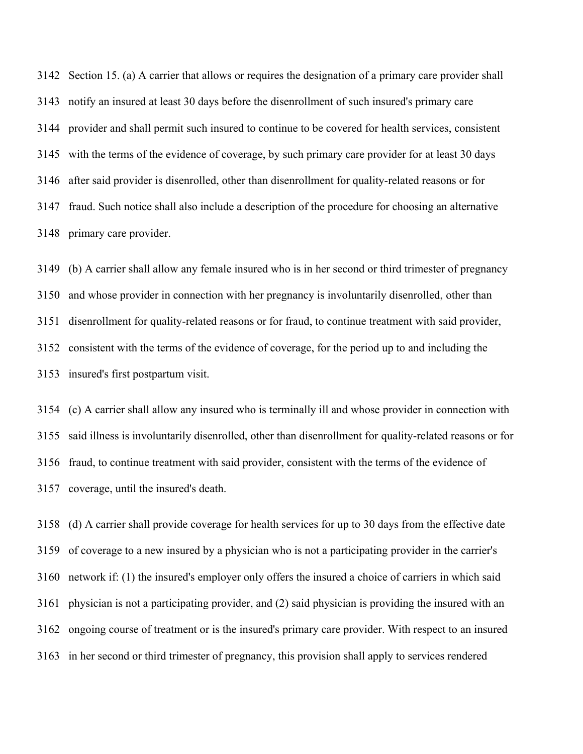Section 15. (a) A carrier that allows or requires the designation of a primary care provider shall notify an insured at least 30 days before the disenrollment of such insured's primary care provider and shall permit such insured to continue to be covered for health services, consistent with the terms of the evidence of coverage, by such primary care provider for at least 30 days after said provider is disenrolled, other than disenrollment for quality-related reasons or for fraud. Such notice shall also include a description of the procedure for choosing an alternative primary care provider.

 (b) A carrier shall allow any female insured who is in her second or third trimester of pregnancy and whose provider in connection with her pregnancy is involuntarily disenrolled, other than disenrollment for quality-related reasons or for fraud, to continue treatment with said provider, consistent with the terms of the evidence of coverage, for the period up to and including the insured's first postpartum visit.

 (c) A carrier shall allow any insured who is terminally ill and whose provider in connection with said illness is involuntarily disenrolled, other than disenrollment for quality-related reasons or for fraud, to continue treatment with said provider, consistent with the terms of the evidence of coverage, until the insured's death.

 (d) A carrier shall provide coverage for health services for up to 30 days from the effective date of coverage to a new insured by a physician who is not a participating provider in the carrier's network if: (1) the insured's employer only offers the insured a choice of carriers in which said physician is not a participating provider, and (2) said physician is providing the insured with an ongoing course of treatment or is the insured's primary care provider. With respect to an insured in her second or third trimester of pregnancy, this provision shall apply to services rendered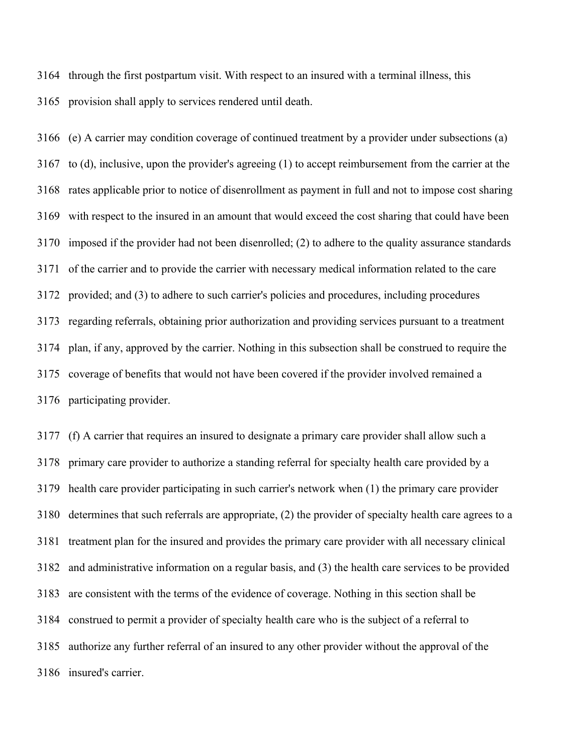through the first postpartum visit. With respect to an insured with a terminal illness, this provision shall apply to services rendered until death.

 (e) A carrier may condition coverage of continued treatment by a provider under subsections (a) to (d), inclusive, upon the provider's agreeing (1) to accept reimbursement from the carrier at the rates applicable prior to notice of disenrollment as payment in full and not to impose cost sharing with respect to the insured in an amount that would exceed the cost sharing that could have been imposed if the provider had not been disenrolled; (2) to adhere to the quality assurance standards of the carrier and to provide the carrier with necessary medical information related to the care provided; and (3) to adhere to such carrier's policies and procedures, including procedures regarding referrals, obtaining prior authorization and providing services pursuant to a treatment plan, if any, approved by the carrier. Nothing in this subsection shall be construed to require the coverage of benefits that would not have been covered if the provider involved remained a participating provider.

 (f) A carrier that requires an insured to designate a primary care provider shall allow such a primary care provider to authorize a standing referral for specialty health care provided by a health care provider participating in such carrier's network when (1) the primary care provider determines that such referrals are appropriate, (2) the provider of specialty health care agrees to a treatment plan for the insured and provides the primary care provider with all necessary clinical and administrative information on a regular basis, and (3) the health care services to be provided are consistent with the terms of the evidence of coverage. Nothing in this section shall be construed to permit a provider of specialty health care who is the subject of a referral to authorize any further referral of an insured to any other provider without the approval of the insured's carrier.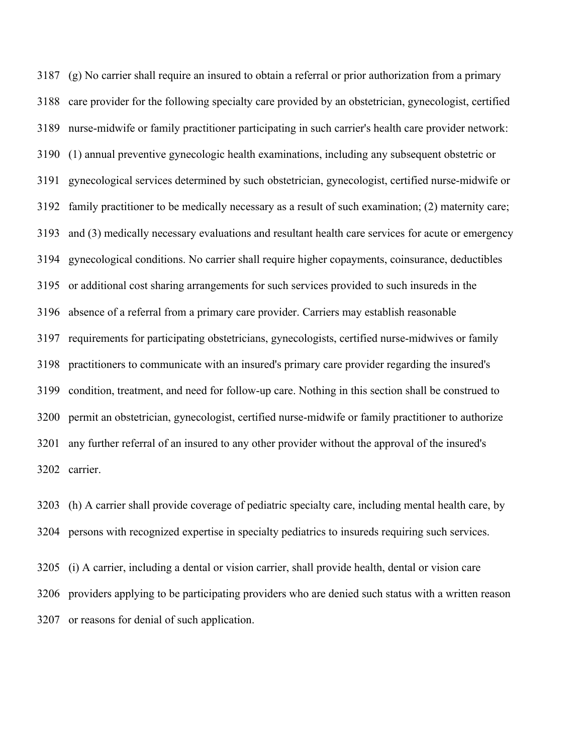(g) No carrier shall require an insured to obtain a referral or prior authorization from a primary care provider for the following specialty care provided by an obstetrician, gynecologist, certified nurse-midwife or family practitioner participating in such carrier's health care provider network: (1) annual preventive gynecologic health examinations, including any subsequent obstetric or gynecological services determined by such obstetrician, gynecologist, certified nurse-midwife or family practitioner to be medically necessary as a result of such examination; (2) maternity care; and (3) medically necessary evaluations and resultant health care services for acute or emergency gynecological conditions. No carrier shall require higher copayments, coinsurance, deductibles or additional cost sharing arrangements for such services provided to such insureds in the absence of a referral from a primary care provider. Carriers may establish reasonable requirements for participating obstetricians, gynecologists, certified nurse-midwives or family practitioners to communicate with an insured's primary care provider regarding the insured's condition, treatment, and need for follow-up care. Nothing in this section shall be construed to permit an obstetrician, gynecologist, certified nurse-midwife or family practitioner to authorize any further referral of an insured to any other provider without the approval of the insured's carrier.

 (h) A carrier shall provide coverage of pediatric specialty care, including mental health care, by persons with recognized expertise in specialty pediatrics to insureds requiring such services.

 (i) A carrier, including a dental or vision carrier, shall provide health, dental or vision care providers applying to be participating providers who are denied such status with a written reason or reasons for denial of such application.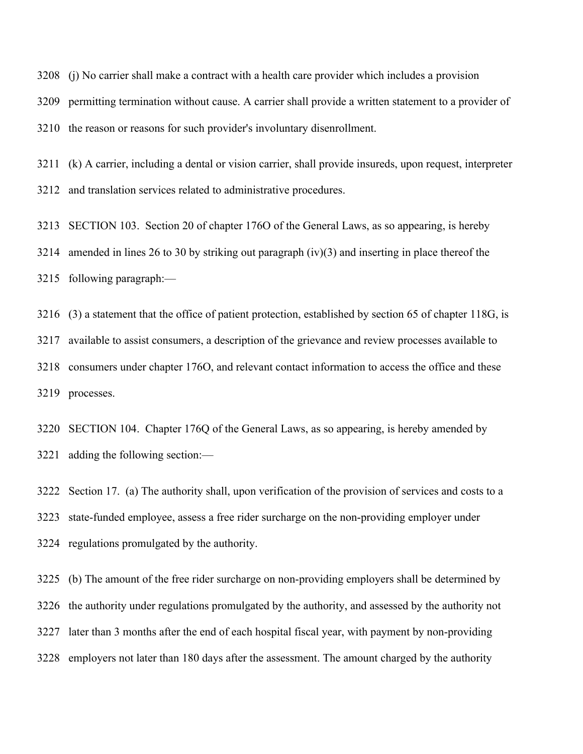(j) No carrier shall make a contract with a health care provider which includes a provision

permitting termination without cause. A carrier shall provide a written statement to a provider of

the reason or reasons for such provider's involuntary disenrollment.

 (k) A carrier, including a dental or vision carrier, shall provide insureds, upon request, interpreter and translation services related to administrative procedures.

SECTION 103. Section 20 of chapter 176O of the General Laws, as so appearing, is hereby

amended in lines 26 to 30 by striking out paragraph (iv)(3) and inserting in place thereof the

following paragraph:—

 (3) a statement that the office of patient protection, established by section 65 of chapter 118G, is available to assist consumers, a description of the grievance and review processes available to consumers under chapter 176O, and relevant contact information to access the office and these processes.

 SECTION 104. Chapter 176Q of the General Laws, as so appearing, is hereby amended by adding the following section:—

 Section 17. (a) The authority shall, upon verification of the provision of services and costs to a state-funded employee, assess a free rider surcharge on the non-providing employer under regulations promulgated by the authority.

 (b) The amount of the free rider surcharge on non-providing employers shall be determined by the authority under regulations promulgated by the authority, and assessed by the authority not later than 3 months after the end of each hospital fiscal year, with payment by non-providing employers not later than 180 days after the assessment. The amount charged by the authority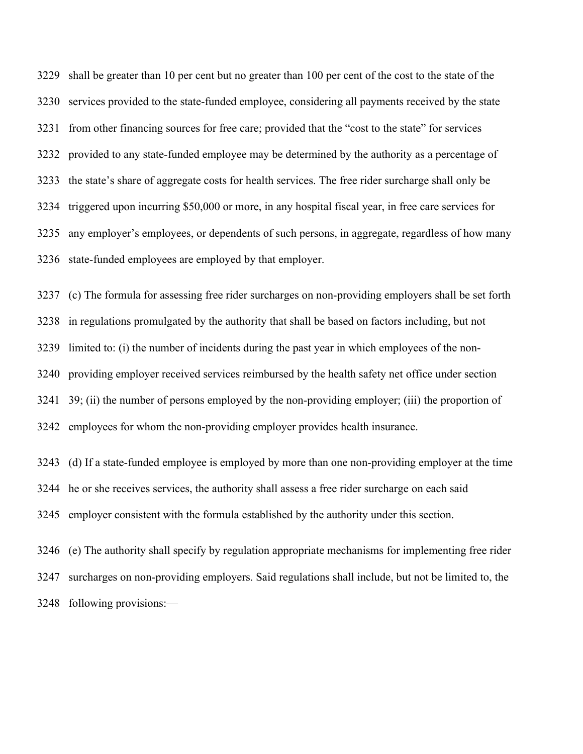shall be greater than 10 per cent but no greater than 100 per cent of the cost to the state of the services provided to the state-funded employee, considering all payments received by the state from other financing sources for free care; provided that the "cost to the state" for services provided to any state-funded employee may be determined by the authority as a percentage of the state's share of aggregate costs for health services. The free rider surcharge shall only be triggered upon incurring \$50,000 or more, in any hospital fiscal year, in free care services for any employer's employees, or dependents of such persons, in aggregate, regardless of how many state-funded employees are employed by that employer.

 (c) The formula for assessing free rider surcharges on non-providing employers shall be set forth in regulations promulgated by the authority that shall be based on factors including, but not limited to: (i) the number of incidents during the past year in which employees of the non- providing employer received services reimbursed by the health safety net office under section 39; (ii) the number of persons employed by the non-providing employer; (iii) the proportion of employees for whom the non-providing employer provides health insurance.

 (d) If a state-funded employee is employed by more than one non-providing employer at the time he or she receives services, the authority shall assess a free rider surcharge on each said employer consistent with the formula established by the authority under this section.

 (e) The authority shall specify by regulation appropriate mechanisms for implementing free rider surcharges on non-providing employers. Said regulations shall include, but not be limited to, the following provisions:—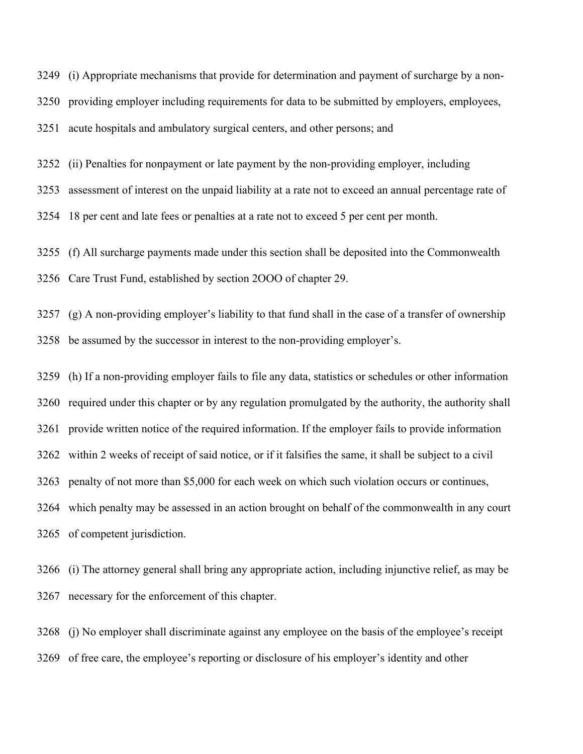(i) Appropriate mechanisms that provide for determination and payment of surcharge by a non-

providing employer including requirements for data to be submitted by employers, employees,

acute hospitals and ambulatory surgical centers, and other persons; and

(ii) Penalties for nonpayment or late payment by the non-providing employer, including

assessment of interest on the unpaid liability at a rate not to exceed an annual percentage rate of

18 per cent and late fees or penalties at a rate not to exceed 5 per cent per month.

(f) All surcharge payments made under this section shall be deposited into the Commonwealth

Care Trust Fund, established by section 2OOO of chapter 29.

 (g) A non-providing employer's liability to that fund shall in the case of a transfer of ownership be assumed by the successor in interest to the non-providing employer's.

 (h) If a non-providing employer fails to file any data, statistics or schedules or other information required under this chapter or by any regulation promulgated by the authority, the authority shall provide written notice of the required information. If the employer fails to provide information within 2 weeks of receipt of said notice, or if it falsifies the same, it shall be subject to a civil penalty of not more than \$5,000 for each week on which such violation occurs or continues, which penalty may be assessed in an action brought on behalf of the commonwealth in any court of competent jurisdiction.

 (i) The attorney general shall bring any appropriate action, including injunctive relief, as may be necessary for the enforcement of this chapter.

 (j) No employer shall discriminate against any employee on the basis of the employee's receipt of free care, the employee's reporting or disclosure of his employer's identity and other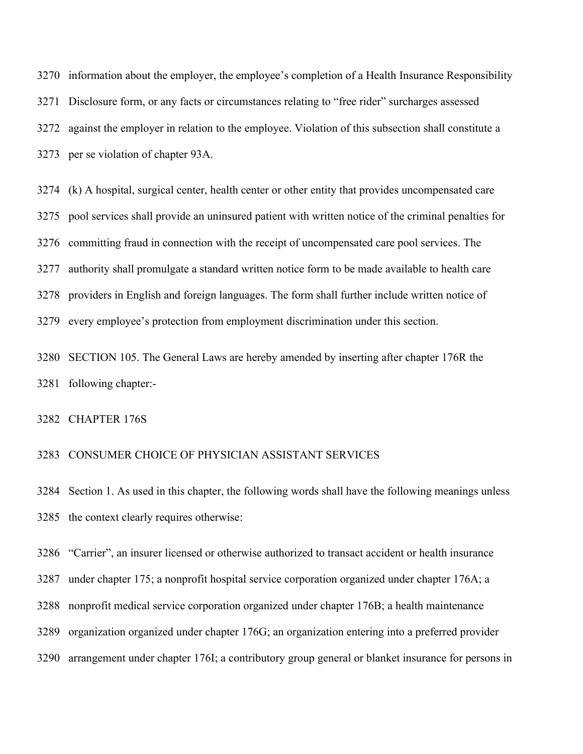information about the employer, the employee's completion of a Health Insurance Responsibility Disclosure form, or any facts or circumstances relating to "free rider" surcharges assessed against the employer in relation to the employee. Violation of this subsection shall constitute a per se violation of chapter 93A.

 (k) A hospital, surgical center, health center or other entity that provides uncompensated care pool services shall provide an uninsured patient with written notice of the criminal penalties for committing fraud in connection with the receipt of uncompensated care pool services. The authority shall promulgate a standard written notice form to be made available to health care providers in English and foreign languages. The form shall further include written notice of every employee's protection from employment discrimination under this section.

 SECTION 105. The General Laws are hereby amended by inserting after chapter 176R the following chapter:-

## CHAPTER 176S

## CONSUMER CHOICE OF PHYSICIAN ASSISTANT SERVICES

 Section 1. As used in this chapter, the following words shall have the following meanings unless the context clearly requires otherwise:

"Carrier", an insurer licensed or otherwise authorized to transact accident or health insurance

under chapter 175; a nonprofit hospital service corporation organized under chapter 176A; a

- nonprofit medical service corporation organized under chapter 176B; a health maintenance
- organization organized under chapter 176G; an organization entering into a preferred provider
- arrangement under chapter 176I; a contributory group general or blanket insurance for persons in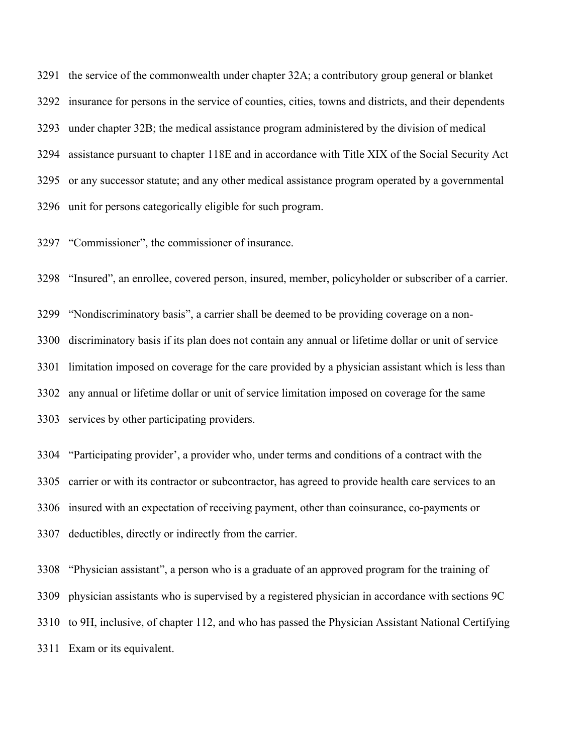the service of the commonwealth under chapter 32A; a contributory group general or blanket insurance for persons in the service of counties, cities, towns and districts, and their dependents under chapter 32B; the medical assistance program administered by the division of medical assistance pursuant to chapter 118E and in accordance with Title XIX of the Social Security Act or any successor statute; and any other medical assistance program operated by a governmental unit for persons categorically eligible for such program.

"Commissioner", the commissioner of insurance.

"Insured", an enrollee, covered person, insured, member, policyholder or subscriber of a carrier.

 "Nondiscriminatory basis", a carrier shall be deemed to be providing coverage on a non- discriminatory basis if its plan does not contain any annual or lifetime dollar or unit of service limitation imposed on coverage for the care provided by a physician assistant which is less than any annual or lifetime dollar or unit of service limitation imposed on coverage for the same services by other participating providers.

 "Participating provider', a provider who, under terms and conditions of a contract with the carrier or with its contractor or subcontractor, has agreed to provide health care services to an insured with an expectation of receiving payment, other than coinsurance, co-payments or deductibles, directly or indirectly from the carrier.

 "Physician assistant", a person who is a graduate of an approved program for the training of physician assistants who is supervised by a registered physician in accordance with sections 9C to 9H, inclusive, of chapter 112, and who has passed the Physician Assistant National Certifying Exam or its equivalent.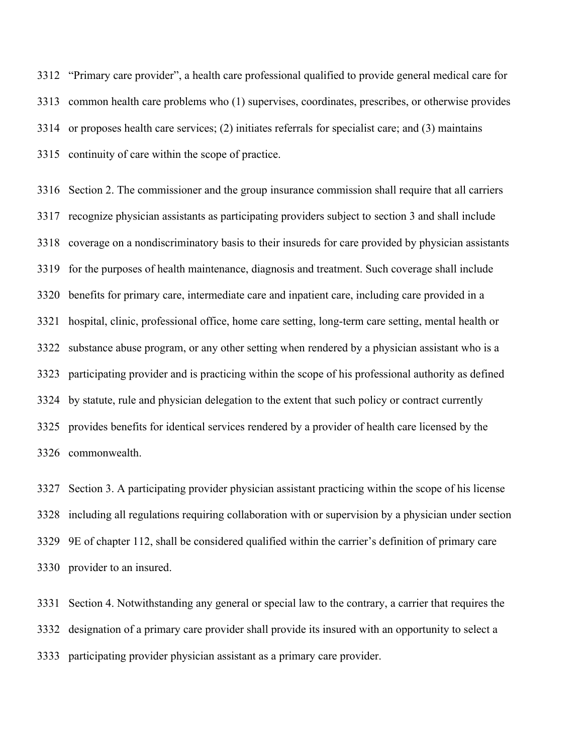"Primary care provider", a health care professional qualified to provide general medical care for common health care problems who (1) supervises, coordinates, prescribes, or otherwise provides or proposes health care services; (2) initiates referrals for specialist care; and (3) maintains continuity of care within the scope of practice.

 Section 2. The commissioner and the group insurance commission shall require that all carriers recognize physician assistants as participating providers subject to section 3 and shall include coverage on a nondiscriminatory basis to their insureds for care provided by physician assistants for the purposes of health maintenance, diagnosis and treatment. Such coverage shall include benefits for primary care, intermediate care and inpatient care, including care provided in a hospital, clinic, professional office, home care setting, long-term care setting, mental health or substance abuse program, or any other setting when rendered by a physician assistant who is a participating provider and is practicing within the scope of his professional authority as defined by statute, rule and physician delegation to the extent that such policy or contract currently provides benefits for identical services rendered by a provider of health care licensed by the commonwealth.

 Section 3. A participating provider physician assistant practicing within the scope of his license including all regulations requiring collaboration with or supervision by a physician under section 9E of chapter 112, shall be considered qualified within the carrier's definition of primary care provider to an insured.

 Section 4. Notwithstanding any general or special law to the contrary, a carrier that requires the designation of a primary care provider shall provide its insured with an opportunity to select a participating provider physician assistant as a primary care provider.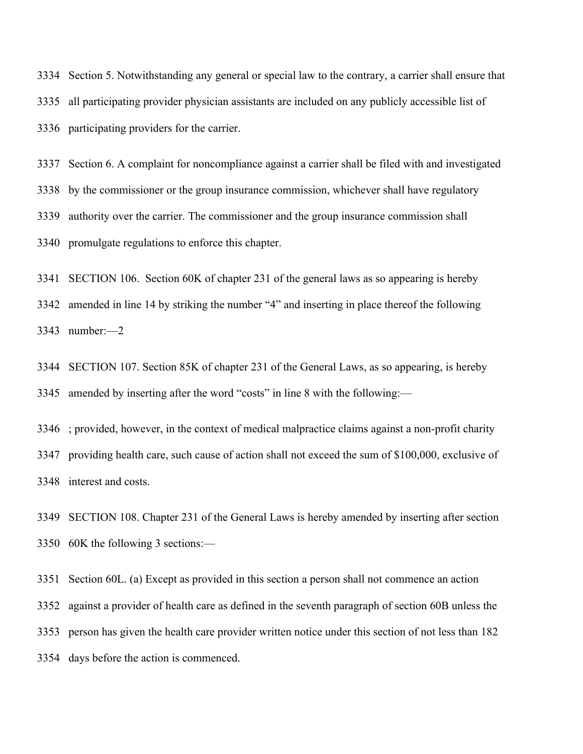Section 5. Notwithstanding any general or special law to the contrary, a carrier shall ensure that all participating provider physician assistants are included on any publicly accessible list of participating providers for the carrier.

 Section 6. A complaint for noncompliance against a carrier shall be filed with and investigated by the commissioner or the group insurance commission, whichever shall have regulatory authority over the carrier. The commissioner and the group insurance commission shall promulgate regulations to enforce this chapter.

SECTION 106. Section 60K of chapter 231 of the general laws as so appearing is hereby

 amended in line 14 by striking the number "4" and inserting in place thereof the following number:—2

 SECTION 107. Section 85K of chapter 231 of the General Laws, as so appearing, is hereby amended by inserting after the word "costs" in line 8 with the following:—

 ; provided, however, in the context of medical malpractice claims against a non-profit charity providing health care, such cause of action shall not exceed the sum of \$100,000, exclusive of interest and costs.

 SECTION 108. Chapter 231 of the General Laws is hereby amended by inserting after section 60K the following 3 sections:—

 Section 60L. (a) Except as provided in this section a person shall not commence an action against a provider of health care as defined in the seventh paragraph of section 60B unless the person has given the health care provider written notice under this section of not less than 182 days before the action is commenced.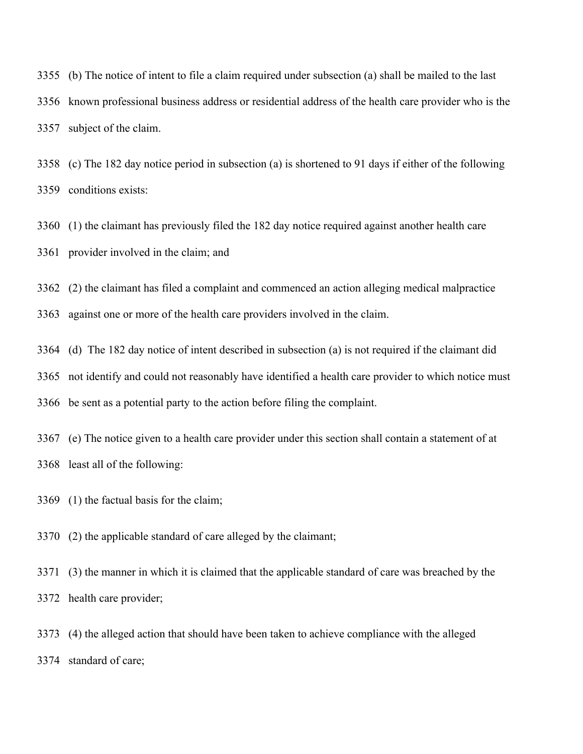(b) The notice of intent to file a claim required under subsection (a) shall be mailed to the last known professional business address or residential address of the health care provider who is the subject of the claim.

 (c) The 182 day notice period in subsection (a) is shortened to 91 days if either of the following conditions exists:

 (1) the claimant has previously filed the 182 day notice required against another health care provider involved in the claim; and

(2) the claimant has filed a complaint and commenced an action alleging medical malpractice

against one or more of the health care providers involved in the claim.

(d) The 182 day notice of intent described in subsection (a) is not required if the claimant did

not identify and could not reasonably have identified a health care provider to which notice must

be sent as a potential party to the action before filing the complaint.

 (e) The notice given to a health care provider under this section shall contain a statement of at least all of the following:

- (1) the factual basis for the claim;
- (2) the applicable standard of care alleged by the claimant;

 (3) the manner in which it is claimed that the applicable standard of care was breached by the health care provider;

 (4) the alleged action that should have been taken to achieve compliance with the alleged standard of care;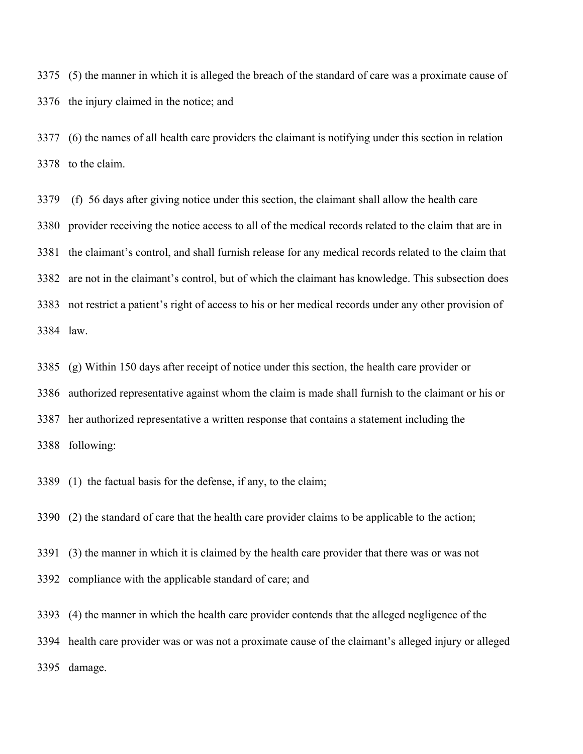(5) the manner in which it is alleged the breach of the standard of care was a proximate cause of the injury claimed in the notice; and

 (6) the names of all health care providers the claimant is notifying under this section in relation to the claim.

 (f) 56 days after giving notice under this section, the claimant shall allow the health care provider receiving the notice access to all of the medical records related to the claim that are in the claimant's control, and shall furnish release for any medical records related to the claim that are not in the claimant's control, but of which the claimant has knowledge. This subsection does not restrict a patient's right of access to his or her medical records under any other provision of law.

 (g) Within 150 days after receipt of notice under this section, the health care provider or authorized representative against whom the claim is made shall furnish to the claimant or his or her authorized representative a written response that contains a statement including the following:

(1) the factual basis for the defense, if any, to the claim;

(2) the standard of care that the health care provider claims to be applicable to the action;

(3) the manner in which it is claimed by the health care provider that there was or was not

compliance with the applicable standard of care; and

(4) the manner in which the health care provider contends that the alleged negligence of the

 health care provider was or was not a proximate cause of the claimant's alleged injury or alleged damage.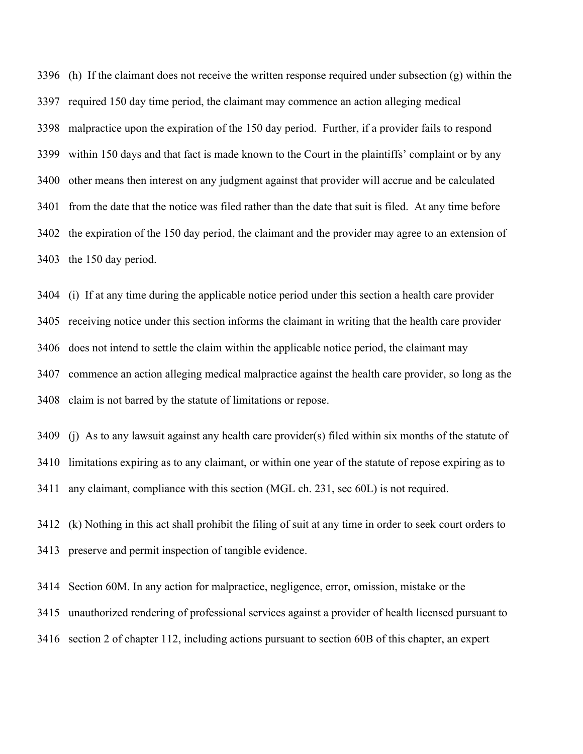(h) If the claimant does not receive the written response required under subsection (g) within the required 150 day time period, the claimant may commence an action alleging medical malpractice upon the expiration of the 150 day period. Further, if a provider fails to respond within 150 days and that fact is made known to the Court in the plaintiffs' complaint or by any other means then interest on any judgment against that provider will accrue and be calculated from the date that the notice was filed rather than the date that suit is filed. At any time before the expiration of the 150 day period, the claimant and the provider may agree to an extension of the 150 day period.

 (i) If at any time during the applicable notice period under this section a health care provider receiving notice under this section informs the claimant in writing that the health care provider does not intend to settle the claim within the applicable notice period, the claimant may commence an action alleging medical malpractice against the health care provider, so long as the claim is not barred by the statute of limitations or repose.

 (j) As to any lawsuit against any health care provider(s) filed within six months of the statute of limitations expiring as to any claimant, or within one year of the statute of repose expiring as to any claimant, compliance with this section (MGL ch. 231, sec 60L) is not required.

 (k) Nothing in this act shall prohibit the filing of suit at any time in order to seek court orders to preserve and permit inspection of tangible evidence.

 Section 60M. In any action for malpractice, negligence, error, omission, mistake or the unauthorized rendering of professional services against a provider of health licensed pursuant to section 2 of chapter 112, including actions pursuant to section 60B of this chapter, an expert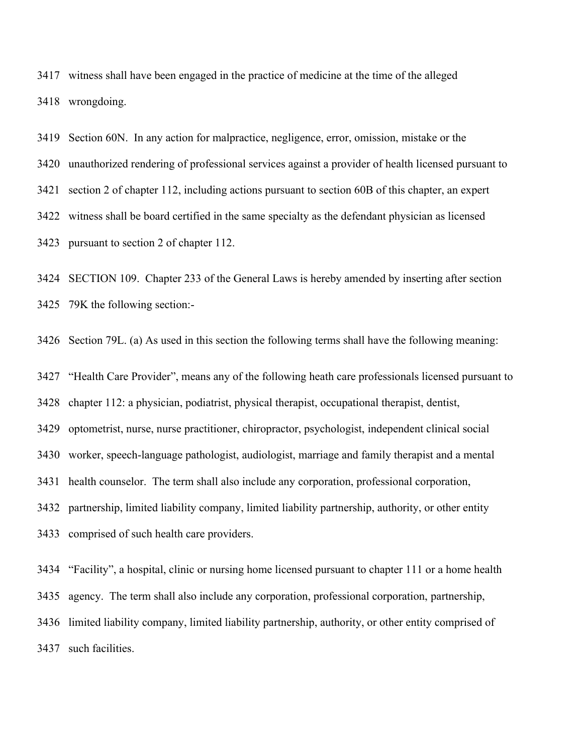witness shall have been engaged in the practice of medicine at the time of the alleged wrongdoing.

 Section 60N. In any action for malpractice, negligence, error, omission, mistake or the unauthorized rendering of professional services against a provider of health licensed pursuant to section 2 of chapter 112, including actions pursuant to section 60B of this chapter, an expert witness shall be board certified in the same specialty as the defendant physician as licensed

pursuant to section 2 of chapter 112.

 SECTION 109. Chapter 233 of the General Laws is hereby amended by inserting after section 79K the following section:-

Section 79L. (a) As used in this section the following terms shall have the following meaning:

"Health Care Provider", means any of the following heath care professionals licensed pursuant to

chapter 112: a physician, podiatrist, physical therapist, occupational therapist, dentist,

optometrist, nurse, nurse practitioner, chiropractor, psychologist, independent clinical social

worker, speech-language pathologist, audiologist, marriage and family therapist and a mental

health counselor. The term shall also include any corporation, professional corporation,

partnership, limited liability company, limited liability partnership, authority, or other entity

comprised of such health care providers.

"Facility", a hospital, clinic or nursing home licensed pursuant to chapter 111 or a home health

agency. The term shall also include any corporation, professional corporation, partnership,

limited liability company, limited liability partnership, authority, or other entity comprised of

such facilities.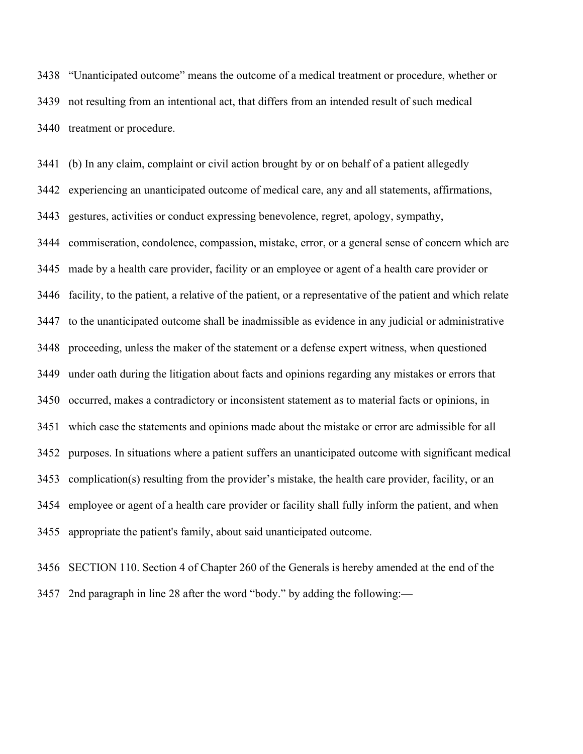"Unanticipated outcome" means the outcome of a medical treatment or procedure, whether or not resulting from an intentional act, that differs from an intended result of such medical treatment or procedure.

 (b) In any claim, complaint or civil action brought by or on behalf of a patient allegedly experiencing an unanticipated outcome of medical care, any and all statements, affirmations, gestures, activities or conduct expressing benevolence, regret, apology, sympathy, commiseration, condolence, compassion, mistake, error, or a general sense of concern which are made by a health care provider, facility or an employee or agent of a health care provider or facility, to the patient, a relative of the patient, or a representative of the patient and which relate to the unanticipated outcome shall be inadmissible as evidence in any judicial or administrative proceeding, unless the maker of the statement or a defense expert witness, when questioned under oath during the litigation about facts and opinions regarding any mistakes or errors that occurred, makes a contradictory or inconsistent statement as to material facts or opinions, in which case the statements and opinions made about the mistake or error are admissible for all purposes. In situations where a patient suffers an unanticipated outcome with significant medical complication(s) resulting from the provider's mistake, the health care provider, facility, or an employee or agent of a health care provider or facility shall fully inform the patient, and when appropriate the patient's family, about said unanticipated outcome.

 SECTION 110. Section 4 of Chapter 260 of the Generals is hereby amended at the end of the 2nd paragraph in line 28 after the word "body." by adding the following:—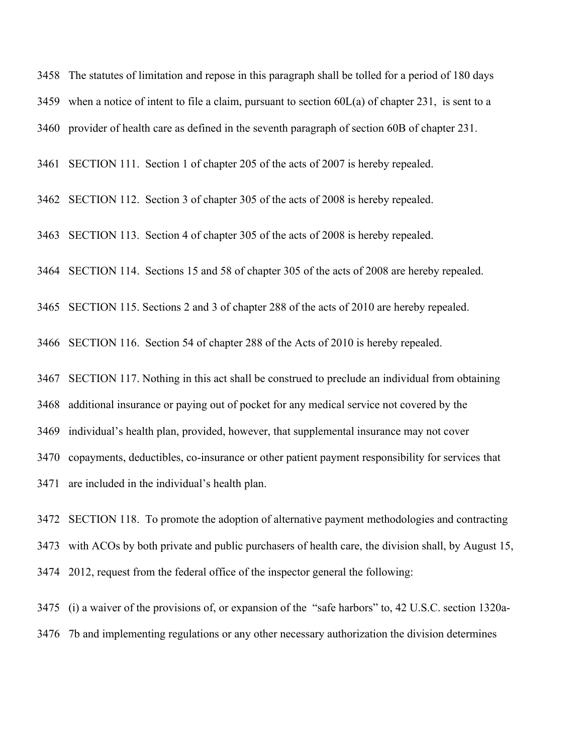The statutes of limitation and repose in this paragraph shall be tolled for a period of 180 days 3459 when a notice of intent to file a claim, pursuant to section  $60L(a)$  of chapter 231, is sent to a provider of health care as defined in the seventh paragraph of section 60B of chapter 231.

SECTION 111. Section 1 of chapter 205 of the acts of 2007 is hereby repealed.

SECTION 112. Section 3 of chapter 305 of the acts of 2008 is hereby repealed.

SECTION 113. Section 4 of chapter 305 of the acts of 2008 is hereby repealed.

SECTION 114. Sections 15 and 58 of chapter 305 of the acts of 2008 are hereby repealed.

SECTION 115. Sections 2 and 3 of chapter 288 of the acts of 2010 are hereby repealed.

SECTION 116. Section 54 of chapter 288 of the Acts of 2010 is hereby repealed.

SECTION 117. Nothing in this act shall be construed to preclude an individual from obtaining

additional insurance or paying out of pocket for any medical service not covered by the

individual's health plan, provided, however, that supplemental insurance may not cover

copayments, deductibles, co-insurance or other patient payment responsibility for services that

are included in the individual's health plan.

 SECTION 118. To promote the adoption of alternative payment methodologies and contracting with ACOs by both private and public purchasers of health care, the division shall, by August 15, 2012, request from the federal office of the inspector general the following:

 (i) a waiver of the provisions of, or expansion of the "safe harbors" to, 42 U.S.C. section 1320a-7b and implementing regulations or any other necessary authorization the division determines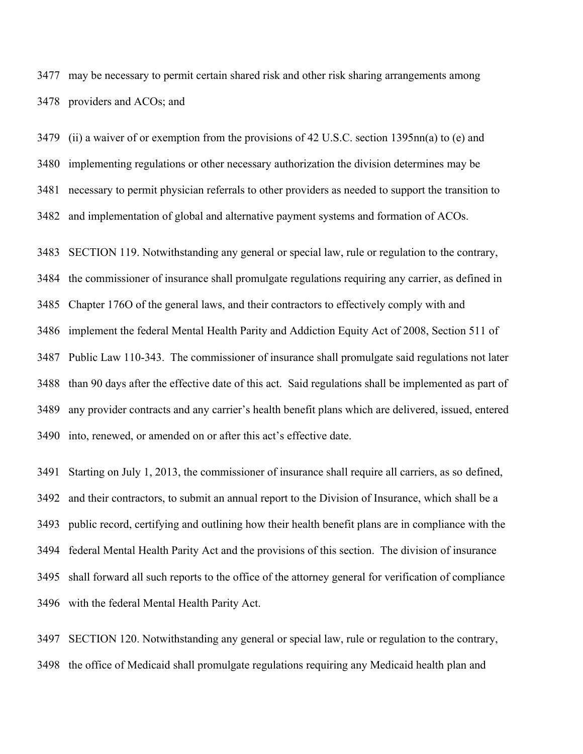may be necessary to permit certain shared risk and other risk sharing arrangements among providers and ACOs; and

 (ii) a waiver of or exemption from the provisions of 42 U.S.C. section 1395nn(a) to (e) and implementing regulations or other necessary authorization the division determines may be necessary to permit physician referrals to other providers as needed to support the transition to and implementation of global and alternative payment systems and formation of ACOs.

 SECTION 119. Notwithstanding any general or special law, rule or regulation to the contrary, the commissioner of insurance shall promulgate regulations requiring any carrier, as defined in Chapter 176O of the general laws, and their contractors to effectively comply with and implement the federal Mental Health Parity and Addiction Equity Act of 2008, Section 511 of Public Law 110-343. The commissioner of insurance shall promulgate said regulations not later than 90 days after the effective date of this act. Said regulations shall be implemented as part of any provider contracts and any carrier's health benefit plans which are delivered, issued, entered

into, renewed, or amended on or after this act's effective date.

 Starting on July 1, 2013, the commissioner of insurance shall require all carriers, as so defined, and their contractors, to submit an annual report to the Division of Insurance, which shall be a public record, certifying and outlining how their health benefit plans are in compliance with the federal Mental Health Parity Act and the provisions of this section. The division of insurance shall forward all such reports to the office of the attorney general for verification of compliance with the federal Mental Health Parity Act.

 SECTION 120. Notwithstanding any general or special law, rule or regulation to the contrary, the office of Medicaid shall promulgate regulations requiring any Medicaid health plan and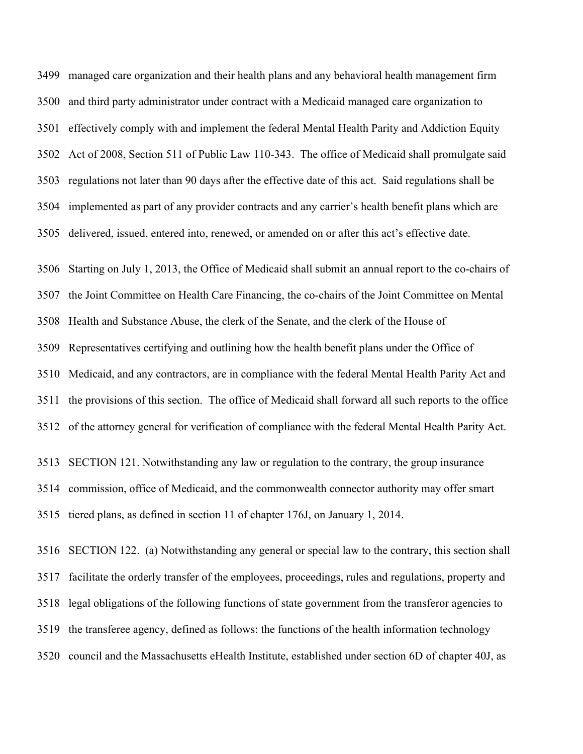managed care organization and their health plans and any behavioral health management firm and third party administrator under contract with a Medicaid managed care organization to effectively comply with and implement the federal Mental Health Parity and Addiction Equity Act of 2008, Section 511 of Public Law 110-343. The office of Medicaid shall promulgate said regulations not later than 90 days after the effective date of this act. Said regulations shall be implemented as part of any provider contracts and any carrier's health benefit plans which are delivered, issued, entered into, renewed, or amended on or after this act's effective date.

 Starting on July 1, 2013, the Office of Medicaid shall submit an annual report to the co-chairs of the Joint Committee on Health Care Financing, the co-chairs of the Joint Committee on Mental Health and Substance Abuse, the clerk of the Senate, and the clerk of the House of Representatives certifying and outlining how the health benefit plans under the Office of Medicaid, and any contractors, are in compliance with the federal Mental Health Parity Act and the provisions of this section. The office of Medicaid shall forward all such reports to the office of the attorney general for verification of compliance with the federal Mental Health Parity Act.

 SECTION 121. Notwithstanding any law or regulation to the contrary, the group insurance commission, office of Medicaid, and the commonwealth connector authority may offer smart tiered plans, as defined in section 11 of chapter 176J, on January 1, 2014.

 SECTION 122. (a) Notwithstanding any general or special law to the contrary, this section shall facilitate the orderly transfer of the employees, proceedings, rules and regulations, property and legal obligations of the following functions of state government from the transferor agencies to the transferee agency, defined as follows: the functions of the health information technology council and the Massachusetts eHealth Institute, established under section 6D of chapter 40J, as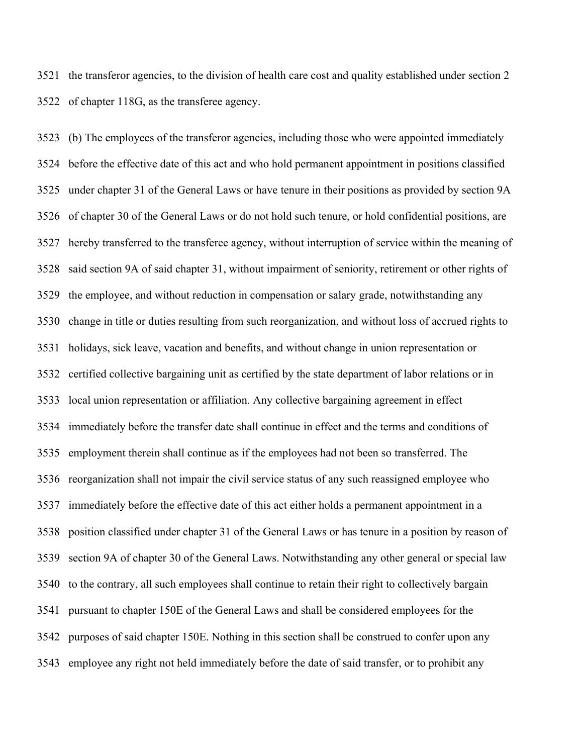the transferor agencies, to the division of health care cost and quality established under section 2 of chapter 118G, as the transferee agency.

 (b) The employees of the transferor agencies, including those who were appointed immediately before the effective date of this act and who hold permanent appointment in positions classified under chapter 31 of the General Laws or have tenure in their positions as provided by section 9A of chapter 30 of the General Laws or do not hold such tenure, or hold confidential positions, are hereby transferred to the transferee agency, without interruption of service within the meaning of said section 9A of said chapter 31, without impairment of seniority, retirement or other rights of the employee, and without reduction in compensation or salary grade, notwithstanding any change in title or duties resulting from such reorganization, and without loss of accrued rights to holidays, sick leave, vacation and benefits, and without change in union representation or certified collective bargaining unit as certified by the state department of labor relations or in local union representation or affiliation. Any collective bargaining agreement in effect immediately before the transfer date shall continue in effect and the terms and conditions of employment therein shall continue as if the employees had not been so transferred. The reorganization shall not impair the civil service status of any such reassigned employee who immediately before the effective date of this act either holds a permanent appointment in a position classified under chapter 31 of the General Laws or has tenure in a position by reason of section 9A of chapter 30 of the General Laws. Notwithstanding any other general or special law to the contrary, all such employees shall continue to retain their right to collectively bargain pursuant to chapter 150E of the General Laws and shall be considered employees for the purposes of said chapter 150E. Nothing in this section shall be construed to confer upon any employee any right not held immediately before the date of said transfer, or to prohibit any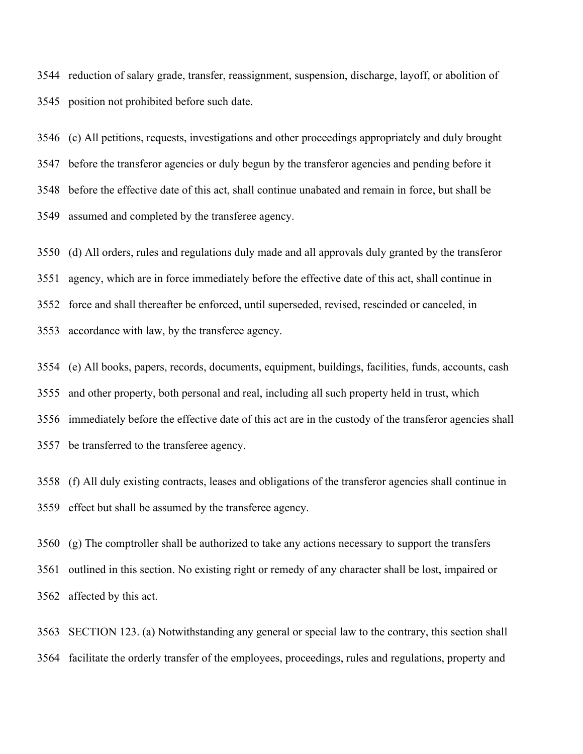reduction of salary grade, transfer, reassignment, suspension, discharge, layoff, or abolition of position not prohibited before such date.

 (c) All petitions, requests, investigations and other proceedings appropriately and duly brought before the transferor agencies or duly begun by the transferor agencies and pending before it before the effective date of this act, shall continue unabated and remain in force, but shall be assumed and completed by the transferee agency.

(d) All orders, rules and regulations duly made and all approvals duly granted by the transferor

agency, which are in force immediately before the effective date of this act, shall continue in

force and shall thereafter be enforced, until superseded, revised, rescinded or canceled, in

accordance with law, by the transferee agency.

 (e) All books, papers, records, documents, equipment, buildings, facilities, funds, accounts, cash and other property, both personal and real, including all such property held in trust, which immediately before the effective date of this act are in the custody of the transferor agencies shall be transferred to the transferee agency.

 (f) All duly existing contracts, leases and obligations of the transferor agencies shall continue in effect but shall be assumed by the transferee agency.

 (g) The comptroller shall be authorized to take any actions necessary to support the transfers outlined in this section. No existing right or remedy of any character shall be lost, impaired or affected by this act.

 SECTION 123. (a) Notwithstanding any general or special law to the contrary, this section shall facilitate the orderly transfer of the employees, proceedings, rules and regulations, property and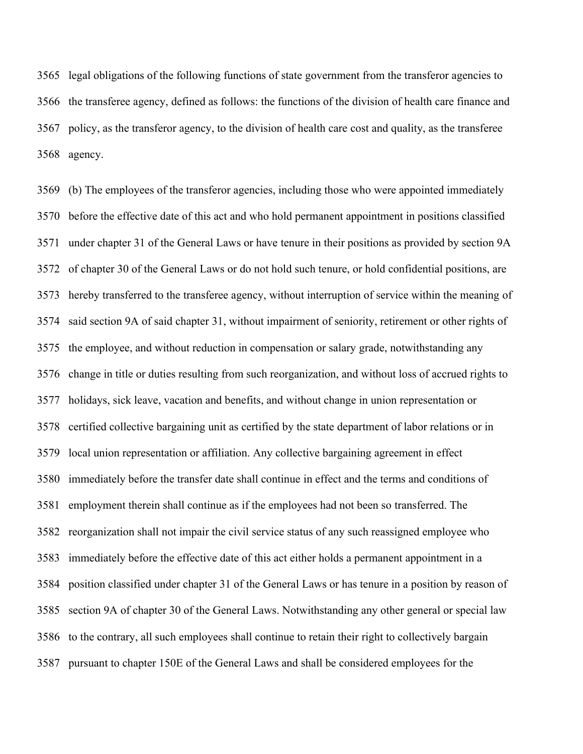legal obligations of the following functions of state government from the transferor agencies to the transferee agency, defined as follows: the functions of the division of health care finance and policy, as the transferor agency, to the division of health care cost and quality, as the transferee agency.

 (b) The employees of the transferor agencies, including those who were appointed immediately before the effective date of this act and who hold permanent appointment in positions classified under chapter 31 of the General Laws or have tenure in their positions as provided by section 9A of chapter 30 of the General Laws or do not hold such tenure, or hold confidential positions, are hereby transferred to the transferee agency, without interruption of service within the meaning of said section 9A of said chapter 31, without impairment of seniority, retirement or other rights of the employee, and without reduction in compensation or salary grade, notwithstanding any change in title or duties resulting from such reorganization, and without loss of accrued rights to holidays, sick leave, vacation and benefits, and without change in union representation or certified collective bargaining unit as certified by the state department of labor relations or in local union representation or affiliation. Any collective bargaining agreement in effect immediately before the transfer date shall continue in effect and the terms and conditions of employment therein shall continue as if the employees had not been so transferred. The reorganization shall not impair the civil service status of any such reassigned employee who immediately before the effective date of this act either holds a permanent appointment in a position classified under chapter 31 of the General Laws or has tenure in a position by reason of section 9A of chapter 30 of the General Laws. Notwithstanding any other general or special law to the contrary, all such employees shall continue to retain their right to collectively bargain pursuant to chapter 150E of the General Laws and shall be considered employees for the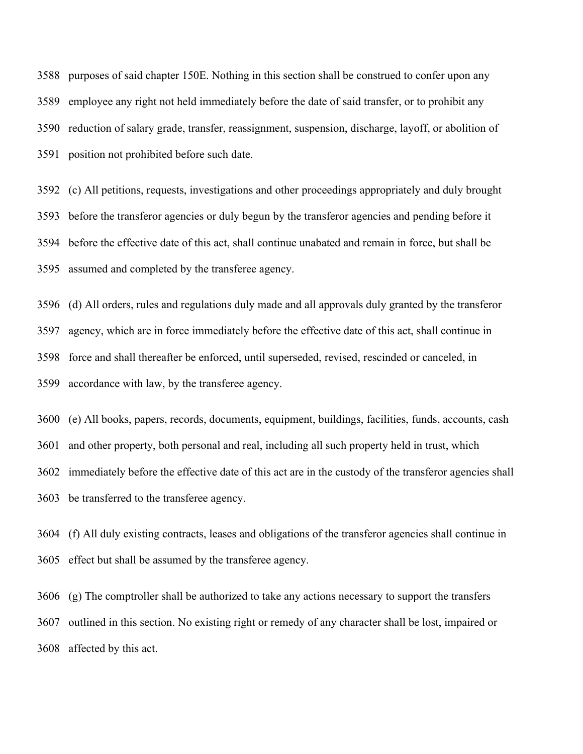purposes of said chapter 150E. Nothing in this section shall be construed to confer upon any employee any right not held immediately before the date of said transfer, or to prohibit any reduction of salary grade, transfer, reassignment, suspension, discharge, layoff, or abolition of position not prohibited before such date.

 (c) All petitions, requests, investigations and other proceedings appropriately and duly brought before the transferor agencies or duly begun by the transferor agencies and pending before it before the effective date of this act, shall continue unabated and remain in force, but shall be assumed and completed by the transferee agency.

 (d) All orders, rules and regulations duly made and all approvals duly granted by the transferor agency, which are in force immediately before the effective date of this act, shall continue in force and shall thereafter be enforced, until superseded, revised, rescinded or canceled, in accordance with law, by the transferee agency.

 (e) All books, papers, records, documents, equipment, buildings, facilities, funds, accounts, cash and other property, both personal and real, including all such property held in trust, which immediately before the effective date of this act are in the custody of the transferor agencies shall be transferred to the transferee agency.

 (f) All duly existing contracts, leases and obligations of the transferor agencies shall continue in effect but shall be assumed by the transferee agency.

 (g) The comptroller shall be authorized to take any actions necessary to support the transfers outlined in this section. No existing right or remedy of any character shall be lost, impaired or affected by this act.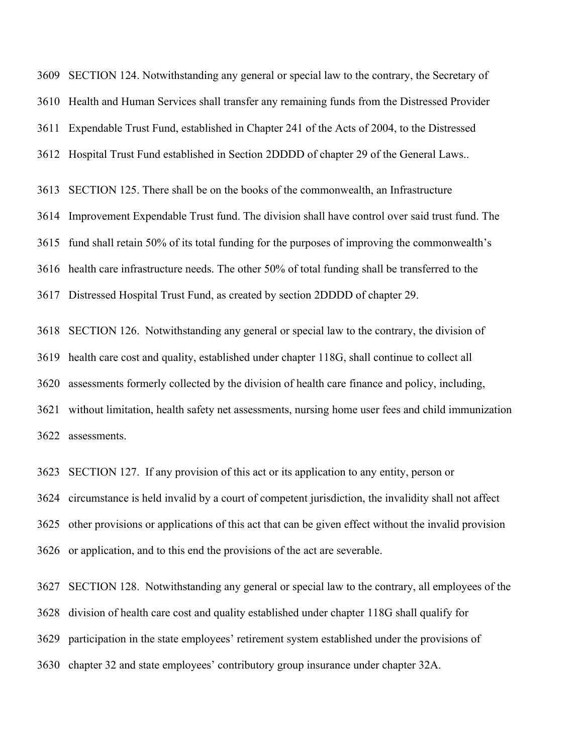SECTION 124. Notwithstanding any general or special law to the contrary, the Secretary of Health and Human Services shall transfer any remaining funds from the Distressed Provider Expendable Trust Fund, established in Chapter 241 of the Acts of 2004, to the Distressed Hospital Trust Fund established in Section 2DDDD of chapter 29 of the General Laws.. SECTION 125. There shall be on the books of the commonwealth, an Infrastructure Improvement Expendable Trust fund. The division shall have control over said trust fund. The fund shall retain 50% of its total funding for the purposes of improving the commonwealth's health care infrastructure needs. The other 50% of total funding shall be transferred to the

Distressed Hospital Trust Fund, as created by section 2DDDD of chapter 29.

 SECTION 126. Notwithstanding any general or special law to the contrary, the division of health care cost and quality, established under chapter 118G, shall continue to collect all assessments formerly collected by the division of health care finance and policy, including, without limitation, health safety net assessments, nursing home user fees and child immunization assessments.

SECTION 127. If any provision of this act or its application to any entity, person or

 circumstance is held invalid by a court of competent jurisdiction, the invalidity shall not affect other provisions or applications of this act that can be given effect without the invalid provision or application, and to this end the provisions of the act are severable.

 SECTION 128. Notwithstanding any general or special law to the contrary, all employees of the division of health care cost and quality established under chapter 118G shall qualify for participation in the state employees' retirement system established under the provisions of chapter 32 and state employees' contributory group insurance under chapter 32A.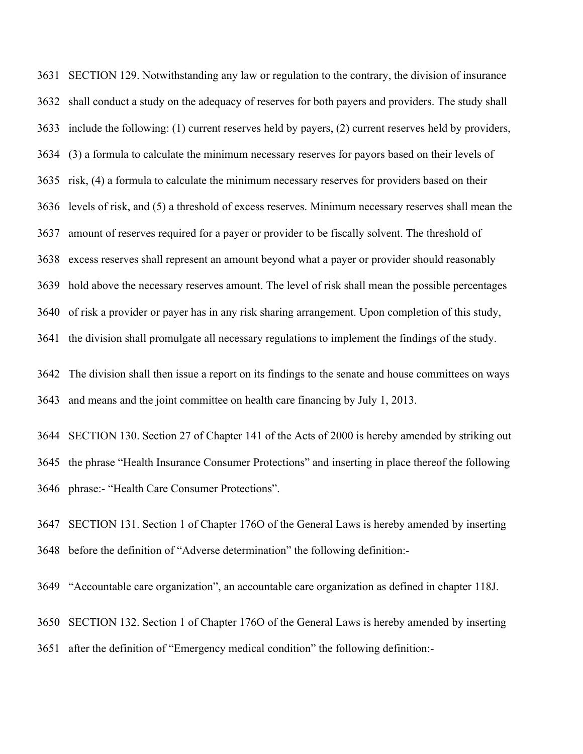SECTION 129. Notwithstanding any law or regulation to the contrary, the division of insurance shall conduct a study on the adequacy of reserves for both payers and providers. The study shall include the following: (1) current reserves held by payers, (2) current reserves held by providers, (3) a formula to calculate the minimum necessary reserves for payors based on their levels of risk, (4) a formula to calculate the minimum necessary reserves for providers based on their levels of risk, and (5) a threshold of excess reserves. Minimum necessary reserves shall mean the amount of reserves required for a payer or provider to be fiscally solvent. The threshold of excess reserves shall represent an amount beyond what a payer or provider should reasonably hold above the necessary reserves amount. The level of risk shall mean the possible percentages of risk a provider or payer has in any risk sharing arrangement. Upon completion of this study, the division shall promulgate all necessary regulations to implement the findings of the study.

 The division shall then issue a report on its findings to the senate and house committees on ways and means and the joint committee on health care financing by July 1, 2013.

 SECTION 130. Section 27 of Chapter 141 of the Acts of 2000 is hereby amended by striking out the phrase "Health Insurance Consumer Protections" and inserting in place thereof the following phrase:- "Health Care Consumer Protections".

 SECTION 131. Section 1 of Chapter 176O of the General Laws is hereby amended by inserting before the definition of "Adverse determination" the following definition:-

"Accountable care organization", an accountable care organization as defined in chapter 118J.

SECTION 132. Section 1 of Chapter 176O of the General Laws is hereby amended by inserting

after the definition of "Emergency medical condition" the following definition:-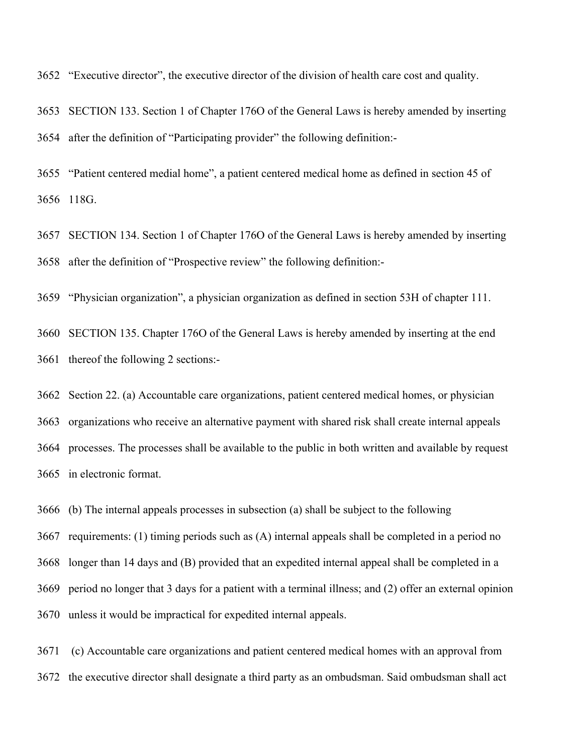"Executive director", the executive director of the division of health care cost and quality.

 SECTION 133. Section 1 of Chapter 176O of the General Laws is hereby amended by inserting after the definition of "Participating provider" the following definition:-

 "Patient centered medial home", a patient centered medical home as defined in section 45 of 118G.

 SECTION 134. Section 1 of Chapter 176O of the General Laws is hereby amended by inserting after the definition of "Prospective review" the following definition:-

"Physician organization", a physician organization as defined in section 53H of chapter 111.

 SECTION 135. Chapter 176O of the General Laws is hereby amended by inserting at the end thereof the following 2 sections:-

 Section 22. (a) Accountable care organizations, patient centered medical homes, or physician organizations who receive an alternative payment with shared risk shall create internal appeals processes. The processes shall be available to the public in both written and available by request in electronic format.

(b) The internal appeals processes in subsection (a) shall be subject to the following

 requirements: (1) timing periods such as (A) internal appeals shall be completed in a period no longer than 14 days and (B) provided that an expedited internal appeal shall be completed in a period no longer that 3 days for a patient with a terminal illness; and (2) offer an external opinion unless it would be impractical for expedited internal appeals.

 (c) Accountable care organizations and patient centered medical homes with an approval from the executive director shall designate a third party as an ombudsman. Said ombudsman shall act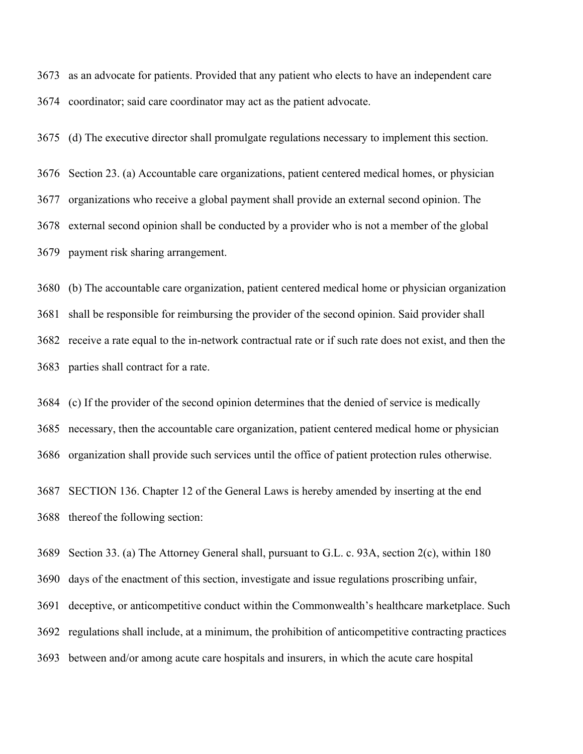as an advocate for patients. Provided that any patient who elects to have an independent care coordinator; said care coordinator may act as the patient advocate.

(d) The executive director shall promulgate regulations necessary to implement this section.

 Section 23. (a) Accountable care organizations, patient centered medical homes, or physician organizations who receive a global payment shall provide an external second opinion. The external second opinion shall be conducted by a provider who is not a member of the global payment risk sharing arrangement.

 (b) The accountable care organization, patient centered medical home or physician organization shall be responsible for reimbursing the provider of the second opinion. Said provider shall receive a rate equal to the in-network contractual rate or if such rate does not exist, and then the parties shall contract for a rate.

 (c) If the provider of the second opinion determines that the denied of service is medically necessary, then the accountable care organization, patient centered medical home or physician organization shall provide such services until the office of patient protection rules otherwise.

 SECTION 136. Chapter 12 of the General Laws is hereby amended by inserting at the end thereof the following section:

Section 33. (a) The Attorney General shall, pursuant to G.L. c. 93A, section 2(c), within 180

days of the enactment of this section, investigate and issue regulations proscribing unfair,

deceptive, or anticompetitive conduct within the Commonwealth's healthcare marketplace. Such

regulations shall include, at a minimum, the prohibition of anticompetitive contracting practices

between and/or among acute care hospitals and insurers, in which the acute care hospital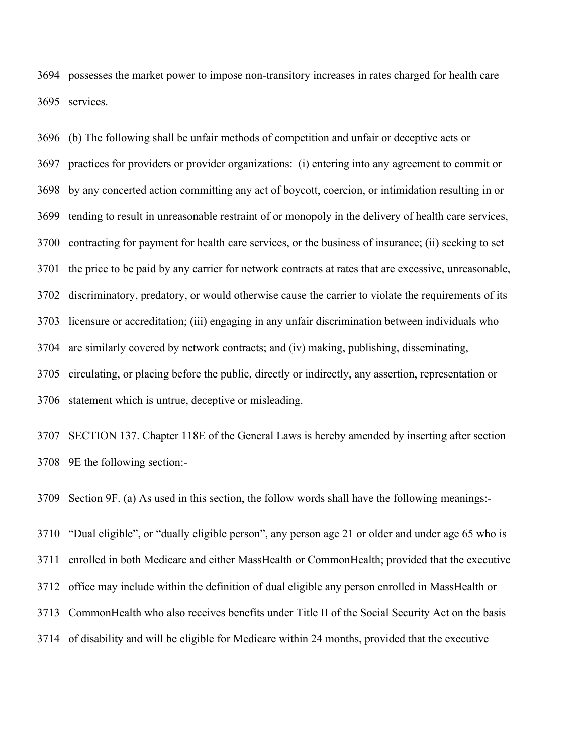possesses the market power to impose non-transitory increases in rates charged for health care services.

 (b) The following shall be unfair methods of competition and unfair or deceptive acts or practices for providers or provider organizations: (i) entering into any agreement to commit or by any concerted action committing any act of boycott, coercion, or intimidation resulting in or tending to result in unreasonable restraint of or monopoly in the delivery of health care services, contracting for payment for health care services, or the business of insurance; (ii) seeking to set the price to be paid by any carrier for network contracts at rates that are excessive, unreasonable, discriminatory, predatory, or would otherwise cause the carrier to violate the requirements of its licensure or accreditation; (iii) engaging in any unfair discrimination between individuals who are similarly covered by network contracts; and (iv) making, publishing, disseminating, circulating, or placing before the public, directly or indirectly, any assertion, representation or statement which is untrue, deceptive or misleading.

 SECTION 137. Chapter 118E of the General Laws is hereby amended by inserting after section 9E the following section:-

Section 9F. (a) As used in this section, the follow words shall have the following meanings:-

 "Dual eligible", or "dually eligible person", any person age 21 or older and under age 65 who is enrolled in both Medicare and either MassHealth or CommonHealth; provided that the executive office may include within the definition of dual eligible any person enrolled in MassHealth or CommonHealth who also receives benefits under Title II of the Social Security Act on the basis of disability and will be eligible for Medicare within 24 months, provided that the executive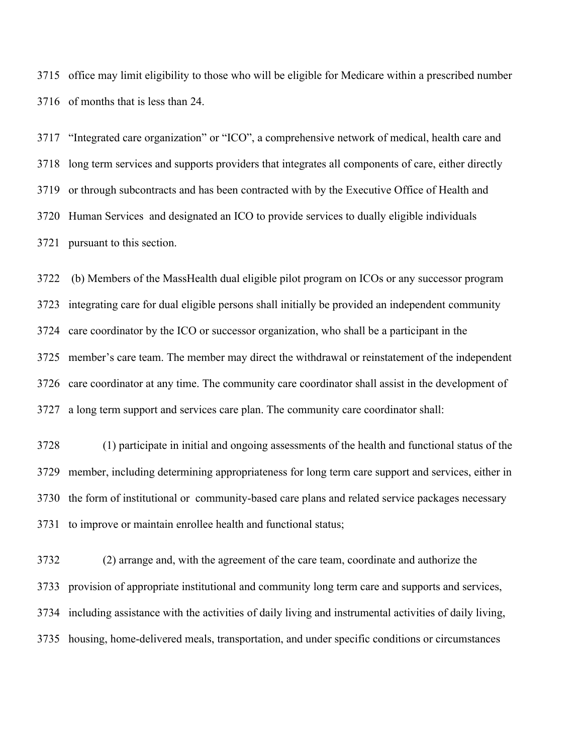office may limit eligibility to those who will be eligible for Medicare within a prescribed number of months that is less than 24.

 "Integrated care organization" or "ICO", a comprehensive network of medical, health care and long term services and supports providers that integrates all components of care, either directly or through subcontracts and has been contracted with by the Executive Office of Health and Human Services and designated an ICO to provide services to dually eligible individuals pursuant to this section.

 (b) Members of the MassHealth dual eligible pilot program on ICOs or any successor program integrating care for dual eligible persons shall initially be provided an independent community care coordinator by the ICO or successor organization, who shall be a participant in the member's care team. The member may direct the withdrawal or reinstatement of the independent care coordinator at any time. The community care coordinator shall assist in the development of a long term support and services care plan. The community care coordinator shall:

 (1) participate in initial and ongoing assessments of the health and functional status of the member, including determining appropriateness for long term care support and services, either in the form of institutional or community-based care plans and related service packages necessary to improve or maintain enrollee health and functional status;

 (2) arrange and, with the agreement of the care team, coordinate and authorize the provision of appropriate institutional and community long term care and supports and services, including assistance with the activities of daily living and instrumental activities of daily living, housing, home-delivered meals, transportation, and under specific conditions or circumstances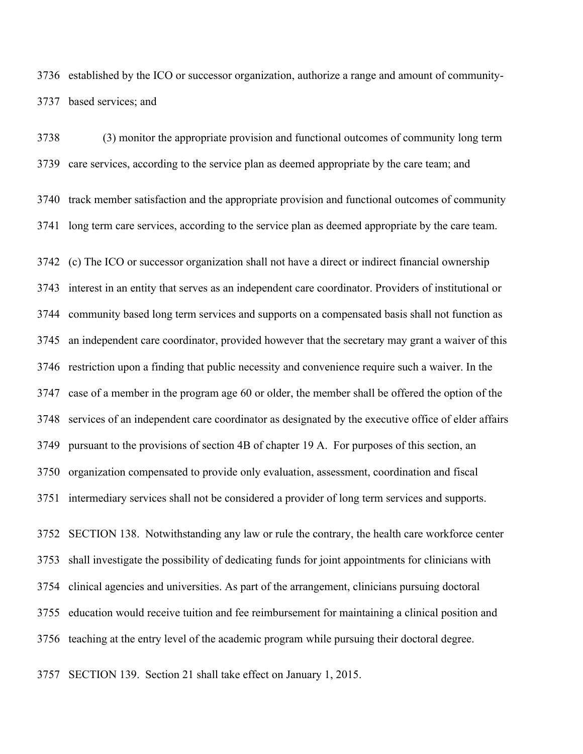established by the ICO or successor organization, authorize a range and amount of community-based services; and

 (3) monitor the appropriate provision and functional outcomes of community long term care services, according to the service plan as deemed appropriate by the care team; and track member satisfaction and the appropriate provision and functional outcomes of community long term care services, according to the service plan as deemed appropriate by the care team. (c) The ICO or successor organization shall not have a direct or indirect financial ownership interest in an entity that serves as an independent care coordinator. Providers of institutional or community based long term services and supports on a compensated basis shall not function as an independent care coordinator, provided however that the secretary may grant a waiver of this restriction upon a finding that public necessity and convenience require such a waiver. In the case of a member in the program age 60 or older, the member shall be offered the option of the services of an independent care coordinator as designated by the executive office of elder affairs pursuant to the provisions of section 4B of chapter 19 A. For purposes of this section, an organization compensated to provide only evaluation, assessment, coordination and fiscal intermediary services shall not be considered a provider of long term services and supports. SECTION 138. Notwithstanding any law or rule the contrary, the health care workforce center shall investigate the possibility of dedicating funds for joint appointments for clinicians with

 clinical agencies and universities. As part of the arrangement, clinicians pursuing doctoral education would receive tuition and fee reimbursement for maintaining a clinical position and

teaching at the entry level of the academic program while pursuing their doctoral degree.

SECTION 139. Section 21 shall take effect on January 1, 2015.